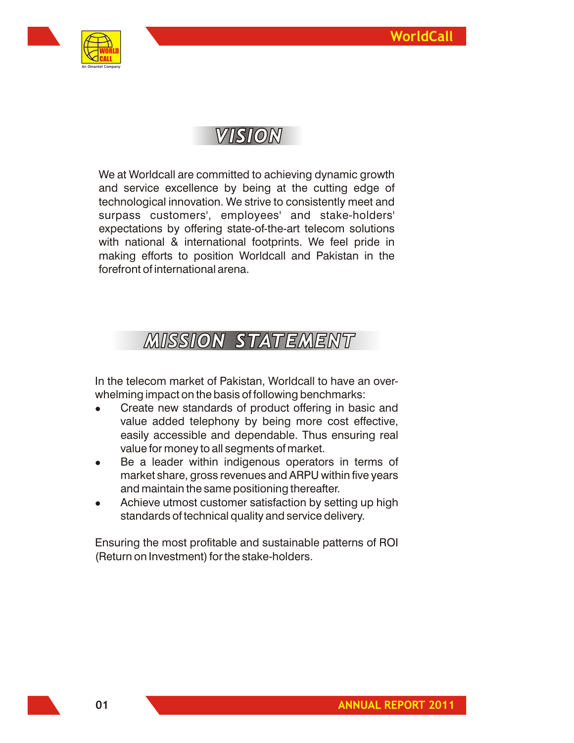



We at Worldcall are committed to achieving dynamic growth and service excellence by being at the cutting edge of technological innovation. We strive to consistently meet and surpass customers', employees' and stake-holders' expectations by offering state-of-the-art telecom solutions with national & international footprints. We feel pride in making efforts to position Worldcall and Pakistan in the forefront of international arena.

# **MISSION STATEMENT**

In the telecom market of Pakistan, Worldcall to have an overwhelming impact on the basis of following benchmarks:

- Create new standards of product offering in basic and value added telephony by being more cost effective, easily accessible and dependable. Thus ensuring real value for money to all segments of market.
- Be a leader within indigenous operators in terms of market share, gross revenues and ARPU within five years and maintain the same positioning thereafter.
- Achieve utmost customer satisfaction by setting up high standards of technical quality and service delivery.

Ensuring the most profitable and sustainable patterns of ROI (Return on Investment) for the stake-holders.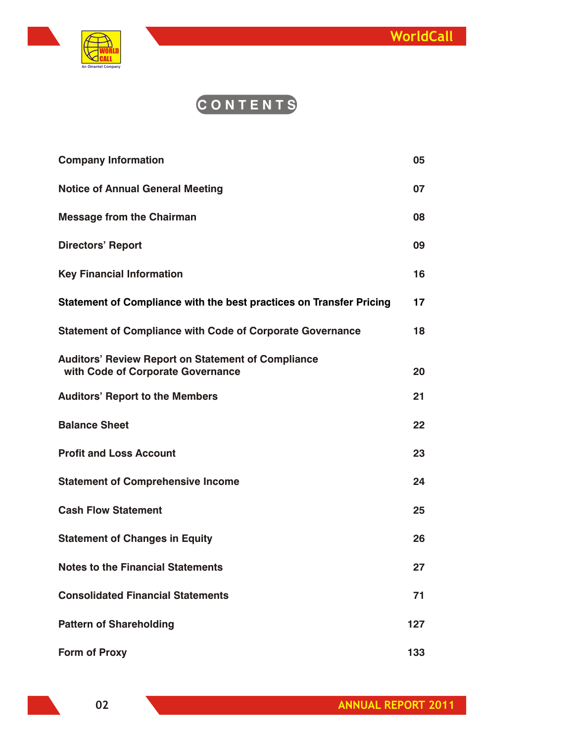

# **C O N T E N T S**

| <b>Company Information</b>                                                                     | 05  |
|------------------------------------------------------------------------------------------------|-----|
| <b>Notice of Annual General Meeting</b>                                                        | 07  |
| <b>Message from the Chairman</b>                                                               | 08  |
| <b>Directors' Report</b>                                                                       | 09  |
| <b>Key Financial Information</b>                                                               | 16  |
| Statement of Compliance with the best practices on Transfer Pricing                            | 17  |
| <b>Statement of Compliance with Code of Corporate Governance</b>                               | 18  |
| <b>Auditors' Review Report on Statement of Compliance</b><br>with Code of Corporate Governance | 20  |
| <b>Auditors' Report to the Members</b>                                                         | 21  |
| <b>Balance Sheet</b>                                                                           | 22  |
| <b>Profit and Loss Account</b>                                                                 | 23  |
| <b>Statement of Comprehensive Income</b>                                                       | 24  |
| <b>Cash Flow Statement</b>                                                                     | 25  |
| <b>Statement of Changes in Equity</b>                                                          | 26  |
| <b>Notes to the Financial Statements</b>                                                       | 27  |
| <b>Consolidated Financial Statements</b>                                                       | 71  |
| <b>Pattern of Shareholding</b>                                                                 | 127 |
| <b>Form of Proxy</b>                                                                           | 133 |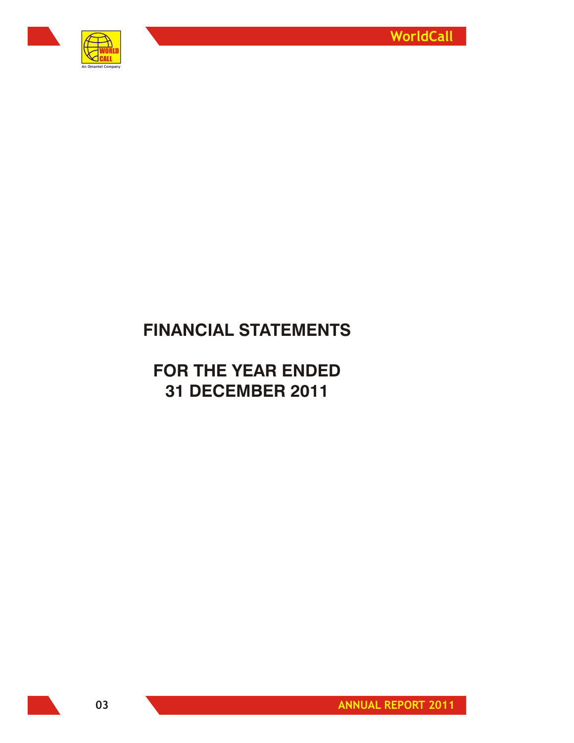

# **FINANCIAL STATEMENTS**

# **FOR THE YEAR ENDED 31 DECEMBER 2011**

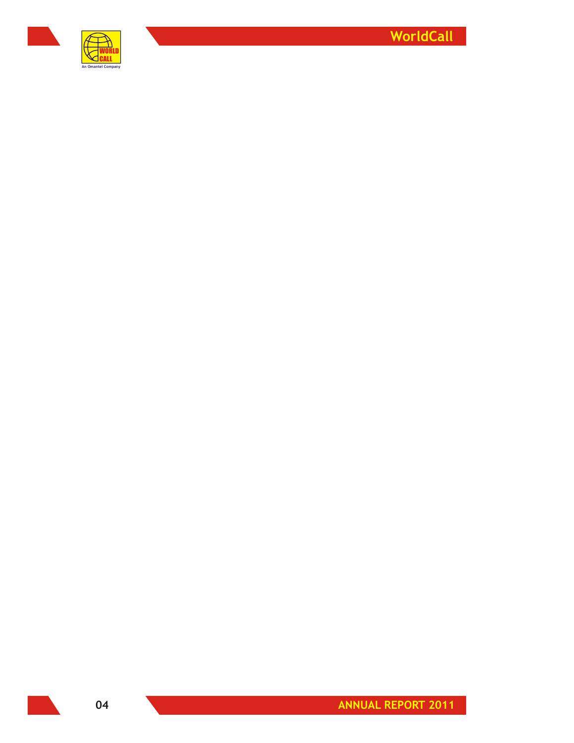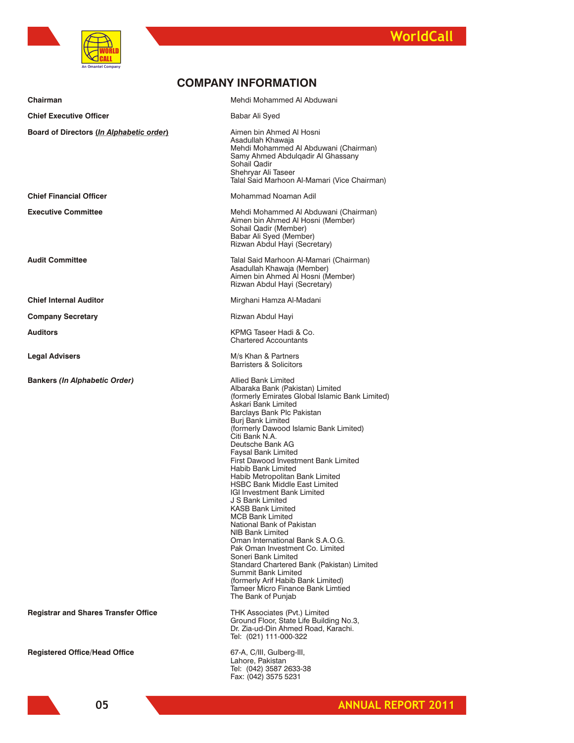

#### **COMPANY INFORMATION**

| Chairman                                    | Mehdi Mohammed Al Abduwani                                                                                                                                                                                                                                                                                                                                                                                                                                                                                                                                                                                                                                                                                                                                                                                                                                          |
|---------------------------------------------|---------------------------------------------------------------------------------------------------------------------------------------------------------------------------------------------------------------------------------------------------------------------------------------------------------------------------------------------------------------------------------------------------------------------------------------------------------------------------------------------------------------------------------------------------------------------------------------------------------------------------------------------------------------------------------------------------------------------------------------------------------------------------------------------------------------------------------------------------------------------|
| <b>Chief Executive Officer</b>              | Babar Ali Syed                                                                                                                                                                                                                                                                                                                                                                                                                                                                                                                                                                                                                                                                                                                                                                                                                                                      |
| Board of Directors (In Alphabetic order)    | Aimen bin Ahmed Al Hosni<br>Asadullah Khawaja<br>Mehdi Mohammed Al Abduwani (Chairman)<br>Samy Ahmed Abdulgadir Al Ghassany<br>Sohail Qadir<br>Shehryar Ali Taseer<br>Talal Said Marhoon Al-Mamari (Vice Chairman)                                                                                                                                                                                                                                                                                                                                                                                                                                                                                                                                                                                                                                                  |
| <b>Chief Financial Officer</b>              | Mohammad Noaman Adil                                                                                                                                                                                                                                                                                                                                                                                                                                                                                                                                                                                                                                                                                                                                                                                                                                                |
| <b>Executive Committee</b>                  | Mehdi Mohammed Al Abduwani (Chairman)<br>Aimen bin Ahmed Al Hosni (Member)<br>Sohail Qadir (Member)<br>Babar Ali Syed (Member)<br>Rizwan Abdul Hayi (Secretary)                                                                                                                                                                                                                                                                                                                                                                                                                                                                                                                                                                                                                                                                                                     |
| Audit Committee                             | Talal Said Marhoon Al-Mamari (Chairman)<br>Asadullah Khawaja (Member)<br>Aimen bin Ahmed Al Hosni (Member)<br>Rizwan Abdul Hayi (Secretary)                                                                                                                                                                                                                                                                                                                                                                                                                                                                                                                                                                                                                                                                                                                         |
| <b>Chief Internal Auditor</b>               | Mirghani Hamza Al-Madani                                                                                                                                                                                                                                                                                                                                                                                                                                                                                                                                                                                                                                                                                                                                                                                                                                            |
| <b>Company Secretary</b>                    | Rizwan Abdul Hayi                                                                                                                                                                                                                                                                                                                                                                                                                                                                                                                                                                                                                                                                                                                                                                                                                                                   |
| Auditors                                    | KPMG Taseer Hadi & Co.<br><b>Chartered Accountants</b>                                                                                                                                                                                                                                                                                                                                                                                                                                                                                                                                                                                                                                                                                                                                                                                                              |
| Legal Advisers                              | M/s Khan & Partners<br>Barristers & Solicitors                                                                                                                                                                                                                                                                                                                                                                                                                                                                                                                                                                                                                                                                                                                                                                                                                      |
| Bankers (In Alphabetic Order)               | Allied Bank Limited<br>Albaraka Bank (Pakistan) Limited<br>(formerly Emirates Global Islamic Bank Limited)<br>Askari Bank Limited<br>Barclays Bank Plc Pakistan<br>Burj Bank Limited<br>(formerly Dawood Islamic Bank Limited)<br>Citi Bank N.A.<br>Deutsche Bank AG<br>Faysal Bank Limited<br>First Dawood Investment Bank Limited<br>Habib Bank Limited<br>Habib Metropolitan Bank Limited<br><b>HSBC Bank Middle East Limited</b><br>IGI Investment Bank Limited<br>J S Bank Limited<br><b>KASB Bank Limited</b><br><b>MCB Bank Limited</b><br>National Bank of Pakistan<br>NIB Bank Limited<br>Oman International Bank S.A.O.G.<br>Pak Oman Investment Co. Limited<br>Soneri Bank Limited<br>Standard Chartered Bank (Pakistan) Limited<br>Summit Bank Limited<br>(formerly Arif Habib Bank Limited)<br>Tameer Micro Finance Bank Limtied<br>The Bank of Punjab |
| <b>Registrar and Shares Transfer Office</b> | THK Associates (Pvt.) Limited<br>Ground Floor, State Life Building No.3,<br>Dr. Zia-ud-Din Ahmed Road, Karachi.<br>Tel: (021) 111-000-322                                                                                                                                                                                                                                                                                                                                                                                                                                                                                                                                                                                                                                                                                                                           |
| Registered Office/Head Office               | 67-A, C/III, Gulberg-III,<br>Lahore, Pakistan<br>Tel: (042) 3587 2633-38<br>Fax: (042) 3575 5231                                                                                                                                                                                                                                                                                                                                                                                                                                                                                                                                                                                                                                                                                                                                                                    |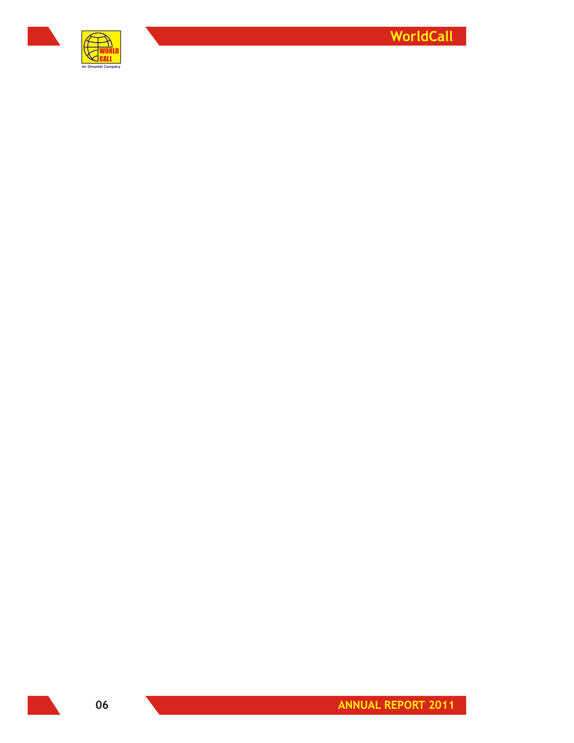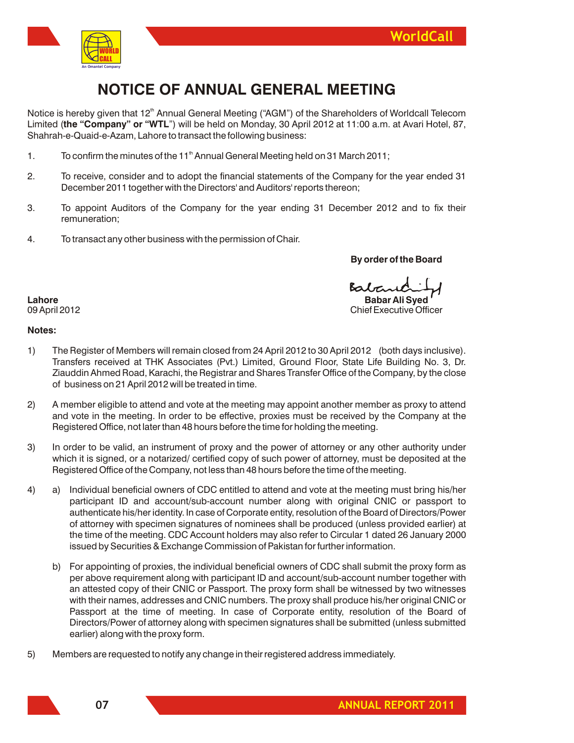

# **NOTICE OF ANNUAL GENERAL MEETING**

Notice is hereby given that 12<sup>th</sup> Annual General Meeting ("AGM") of the Shareholders of Worldcall Telecom Limited (**the "Company" or "WTL**") will be held on Monday, 30 April 2012 at 11:00 a.m. at Avari Hotel, 87, Shahrah-e-Quaid-e-Azam, Lahore to transact the following business:

- 1. To confirm the minutes of the 11<sup>th</sup> Annual General Meeting held on 31 March 2011;
- 2. To receive, consider and to adopt the financial statements of the Company for the year ended 31 December 2011 together with the Directors' and Auditors' reports thereon;
- 3. To appoint Auditors of the Company for the year ending 31 December 2012 and to fix their remuneration;
- 4. To transact any other business with the permission of Chair.

**By order of the Board**

**Lahore Babar Ali Syed** Chief Executive Officer

#### **Notes:**

- 1) The Register of Members will remain closed from 24 April 2012 to 30 April 2012 (both days inclusive). Transfers received at THK Associates (Pvt.) Limited, Ground Floor, State Life Building No. 3, Dr. Ziauddin Ahmed Road, Karachi, the Registrar and Shares Transfer Office of the Company, by the close of business on 21 April 2012 will be treated in time.
- 2) A member eligible to attend and vote at the meeting may appoint another member as proxy to attend and vote in the meeting. In order to be effective, proxies must be received by the Company at the Registered Office, not later than 48 hours before the time for holding the meeting.
- 3) In order to be valid, an instrument of proxy and the power of attorney or any other authority under which it is signed, or a notarized/ certified copy of such power of attorney, must be deposited at the Registered Office of the Company, not less than 48 hours before the time of the meeting.
- 4) a) Individual beneficial owners of CDC entitled to attend and vote at the meeting must bring his/her participant ID and account/sub-account number along with original CNIC or passport to authenticate his/her identity. In case of Corporate entity, resolution of the Board of Directors/Power of attorney with specimen signatures of nominees shall be produced (unless provided earlier) at the time of the meeting. CDC Account holders may also refer to Circular 1 dated 26 January 2000 issued by Securities & Exchange Commission of Pakistan for further information.
	- b) For appointing of proxies, the individual beneficial owners of CDC shall submit the proxy form as per above requirement along with participant ID and account/sub-account number together with an attested copy of their CNIC or Passport. The proxy form shall be witnessed by two witnesses with their names, addresses and CNIC numbers. The proxy shall produce his/her original CNIC or Passport at the time of meeting. In case of Corporate entity, resolution of the Board of Directors/Power of attorney along with specimen signatures shall be submitted (unless submitted earlier) along with the proxy form.
- 5) Members are requested to notify any change in their registered address immediately.

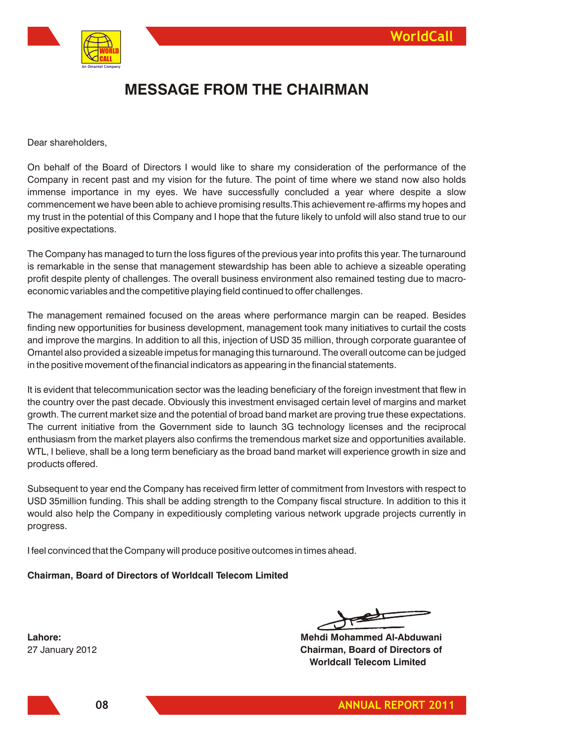

# **MESSAGE FROM THE CHAIRMAN**

Dear shareholders,

On behalf of the Board of Directors I would like to share my consideration of the performance of the Company in recent past and my vision for the future. The point of time where we stand now also holds immense importance in my eyes. We have successfully concluded a year where despite a slow commencement we have been able to achieve promising results.This achievement re-affirms my hopes and my trust in the potential of this Company and I hope that the future likely to unfold will also stand true to our positive expectations.

The Company has managed to turn the loss figures of the previous year into profits this year. The turnaround is remarkable in the sense that management stewardship has been able to achieve a sizeable operating profit despite plenty of challenges. The overall business environment also remained testing due to macroeconomic variables and the competitive playing field continued to offer challenges.

The management remained focused on the areas where performance margin can be reaped. Besides finding new opportunities for business development, management took many initiatives to curtail the costs and improve the margins. In addition to all this, injection of USD 35 million, through corporate guarantee of Omantel also provided a sizeable impetus for managing this turnaround. The overall outcome can be judged in the positive movement of the financial indicators as appearing in the financial statements.

It is evident that telecommunication sector was the leading beneficiary of the foreign investment that flew in the country over the past decade. Obviously this investment envisaged certain level of margins and market growth. The current market size and the potential of broad band market are proving true these expectations. The current initiative from the Government side to launch 3G technology licenses and the reciprocal enthusiasm from the market players also confirms the tremendous market size and opportunities available. WTL, I believe, shall be a long term beneficiary as the broad band market will experience growth in size and products offered.

Subsequent to year end the Company has received firm letter of commitment from Investors with respect to USD 35million funding. This shall be adding strength to the Company fiscal structure. In addition to this it would also help the Company in expeditiously completing various network upgrade projects currently in progress.

I feel convinced that the Company will produce positive outcomes in times ahead.

**Chairman, Board of Directors of Worldcall Telecom Limited**

 $H$ 

**Lahore: Mehdi Mohammed Al-Abduwani** 27 January 2012 **Chairman, Board of Directors of Worldcall Telecom Limited**

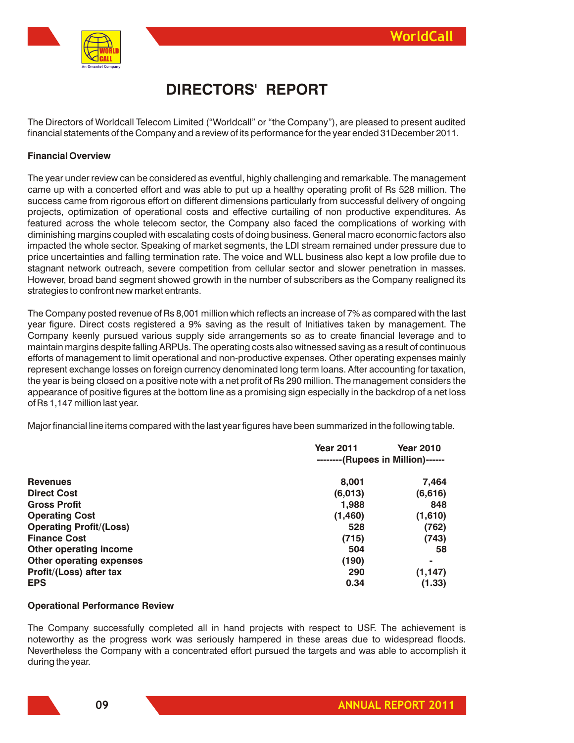

# **DIRECTORS' REPORT**

The Directors of Worldcall Telecom Limited ("Worldcall" or "the Company"), are pleased to present audited financial statements of the Company and a review of its performance for the year ended 31December 2011.

#### **Financial Overview**

The year under review can be considered as eventful, highly challenging and remarkable. The management came up with a concerted effort and was able to put up a healthy operating profit of Rs 528 million. The success came from rigorous effort on different dimensions particularly from successful delivery of ongoing projects, optimization of operational costs and effective curtailing of non productive expenditures. As featured across the whole telecom sector, the Company also faced the complications of working with diminishing margins coupled with escalating costs of doing business. General macro economic factors also impacted the whole sector. Speaking of market segments, the LDI stream remained under pressure due to price uncertainties and falling termination rate. The voice and WLL business also kept a low profile due to stagnant network outreach, severe competition from cellular sector and slower penetration in masses. However, broad band segment showed growth in the number of subscribers as the Company realigned its strategies to confront new market entrants.

The Company posted revenue of Rs 8,001 million which reflects an increase of 7% as compared with the last year figure. Direct costs registered a 9% saving as the result of Initiatives taken by management. The Company keenly pursued various supply side arrangements so as to create financial leverage and to maintain margins despite falling ARPUs. The operating costs also witnessed saving as a result of continuous efforts of management to limit operational and non-productive expenses. Other operating expenses mainly represent exchange losses on foreign currency denominated long term loans. After accounting for taxation, the year is being closed on a positive note with a net profit of Rs 290 million. The management considers the appearance of positive figures at the bottom line as a promising sign especially in the backdrop of a net loss of Rs 1,147 million last year.

Major financial line items compared with the last year figures have been summarized in the following table.

|                                | <b>Year 2011</b> | <b>Year 2010</b><br>-------(Rupees in Million)------ |
|--------------------------------|------------------|------------------------------------------------------|
| <b>Revenues</b>                | 8,001            | 7,464                                                |
| <b>Direct Cost</b>             | (6, 013)         | (6, 616)                                             |
| <b>Gross Profit</b>            | 1,988            | 848                                                  |
| <b>Operating Cost</b>          | (1,460)          | (1,610)                                              |
| <b>Operating Profit/(Loss)</b> | 528              | (762)                                                |
| <b>Finance Cost</b>            | (715)            | (743)                                                |
| Other operating income         | 504              | 58                                                   |
| Other operating expenses       | (190)            | ۰                                                    |
| Profit/(Loss) after tax        | 290              | (1, 147)                                             |
| <b>EPS</b>                     | 0.34             | (1.33)                                               |

#### **Operational Performance Review**

The Company successfully completed all in hand projects with respect to USF. The achievement is noteworthy as the progress work was seriously hampered in these areas due to widespread floods. Nevertheless the Company with a concentrated effort pursued the targets and was able to accomplish it during the year.

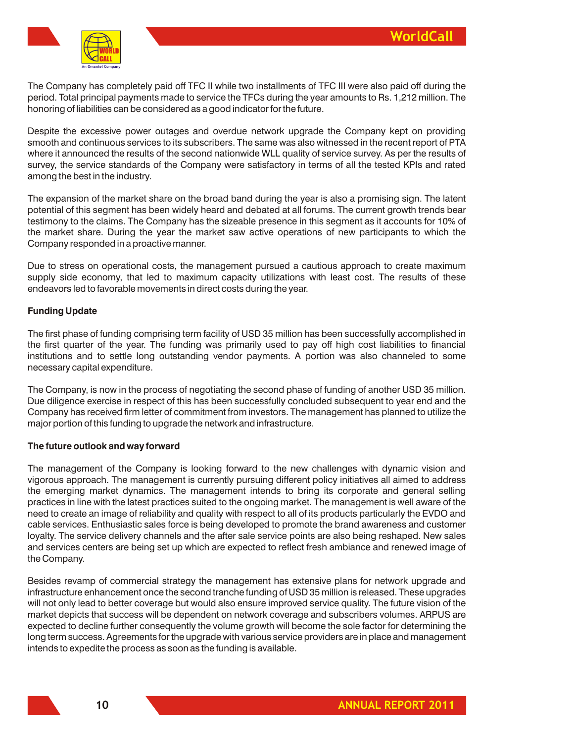

The Company has completely paid off TFC II while two installments of TFC III were also paid off during the period. Total principal payments made to service the TFCs during the year amounts to Rs. 1,212 million. The honoring of liabilities can be considered as a good indicator for the future.

Despite the excessive power outages and overdue network upgrade the Company kept on providing smooth and continuous services to its subscribers. The same was also witnessed in the recent report of PTA where it announced the results of the second nationwide WLL quality of service survey. As per the results of survey, the service standards of the Company were satisfactory in terms of all the tested KPIs and rated among the best in the industry.

The expansion of the market share on the broad band during the year is also a promising sign. The latent potential of this segment has been widely heard and debated at all forums. The current growth trends bear testimony to the claims. The Company has the sizeable presence in this segment as it accounts for 10% of the market share. During the year the market saw active operations of new participants to which the Company responded in a proactive manner.

Due to stress on operational costs, the management pursued a cautious approach to create maximum supply side economy, that led to maximum capacity utilizations with least cost. The results of these endeavors led to favorable movements in direct costs during the year.

#### **Funding Update**

The first phase of funding comprising term facility of USD 35 million has been successfully accomplished in the first quarter of the year. The funding was primarily used to pay off high cost liabilities to financial institutions and to settle long outstanding vendor payments. A portion was also channeled to some necessary capital expenditure.

The Company, is now in the process of negotiating the second phase of funding of another USD 35 million. Due diligence exercise in respect of this has been successfully concluded subsequent to year end and the Company has received firm letter of commitment from investors. The management has planned to utilize the major portion of this funding to upgrade the network and infrastructure.

#### **The future outlook and way forward**

The management of the Company is looking forward to the new challenges with dynamic vision and vigorous approach. The management is currently pursuing different policy initiatives all aimed to address the emerging market dynamics. The management intends to bring its corporate and general selling practices in line with the latest practices suited to the ongoing market. The management is well aware of the need to create an image of reliability and quality with respect to all of its products particularly the EVDO and cable services. Enthusiastic sales force is being developed to promote the brand awareness and customer loyalty. The service delivery channels and the after sale service points are also being reshaped. New sales and services centers are being set up which are expected to reflect fresh ambiance and renewed image of the Company.

Besides revamp of commercial strategy the management has extensive plans for network upgrade and infrastructure enhancement once the second tranche funding of USD 35 million is released. These upgrades will not only lead to better coverage but would also ensure improved service quality. The future vision of the market depicts that success will be dependent on network coverage and subscribers volumes. ARPUS are expected to decline further consequently the volume growth will become the sole factor for determining the long term success. Agreements for the upgrade with various service providers are in place and management intends to expedite the process as soon as the funding is available.

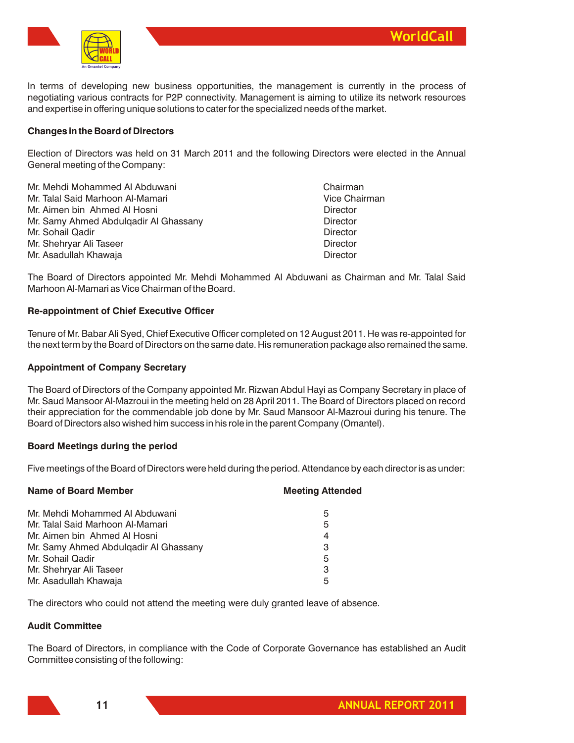

In terms of developing new business opportunities, the management is currently in the process of negotiating various contracts for P2P connectivity. Management is aiming to utilize its network resources and expertise in offering unique solutions to cater for the specialized needs of the market.

#### **Changes in the Board of Directors**

Election of Directors was held on 31 March 2011 and the following Directors were elected in the Annual General meeting of the Company:

| Mr. Mehdi Mohammed Al Abduwani        | Chairman        |
|---------------------------------------|-----------------|
| Mr. Talal Said Marhoon Al-Mamari      | Vice Chairman   |
| Mr. Aimen bin Ahmed Al Hosni          | <b>Director</b> |
| Mr. Samy Ahmed Abdulgadir Al Ghassany | <b>Director</b> |
| Mr. Sohail Qadir                      | <b>Director</b> |
| Mr. Shehryar Ali Taseer               | <b>Director</b> |
| Mr. Asadullah Khawaja                 | <b>Director</b> |

The Board of Directors appointed Mr. Mehdi Mohammed Al Abduwani as Chairman and Mr. Talal Said Marhoon Al-Mamari as Vice Chairman of the Board.

#### **Re-appointment of Chief Executive Officer**

Tenure of Mr. Babar Ali Syed, Chief Executive Officer completed on 12 August 2011. He was re-appointed for the next term by the Board of Directors on the same date. His remuneration package also remained the same.

#### **Appointment of Company Secretary**

The Board of Directors of the Company appointed Mr. Rizwan Abdul Hayi as Company Secretary in place of Mr. Saud Mansoor Al-Mazroui in the meeting held on 28 April 2011. The Board of Directors placed on record their appreciation for the commendable job done by Mr. Saud Mansoor Al-Mazroui during his tenure. The Board of Directors also wished him success in his role in the parent Company (Omantel).

#### **Board Meetings during the period**

Five meetings of the Board of Directors were held during the period. Attendance by each director is as under:

| Name of Board Member                  | <b>Meeting Attended</b> |
|---------------------------------------|-------------------------|
| Mr. Mehdi Mohammed Al Abduwani        | 5                       |
| Mr. Talal Said Marhoon Al-Mamari      | 5                       |
| Mr. Aimen bin Ahmed Al Hosni          | 4                       |
| Mr. Samy Ahmed Abdulgadir Al Ghassany | 3                       |
| Mr. Sohail Qadir                      | 5                       |
| Mr. Shehryar Ali Taseer               | 3                       |
| Mr. Asadullah Khawaja                 | 5                       |

The directors who could not attend the meeting were duly granted leave of absence.

#### **Audit Committee**

The Board of Directors, in compliance with the Code of Corporate Governance has established an Audit Committee consisting of the following:

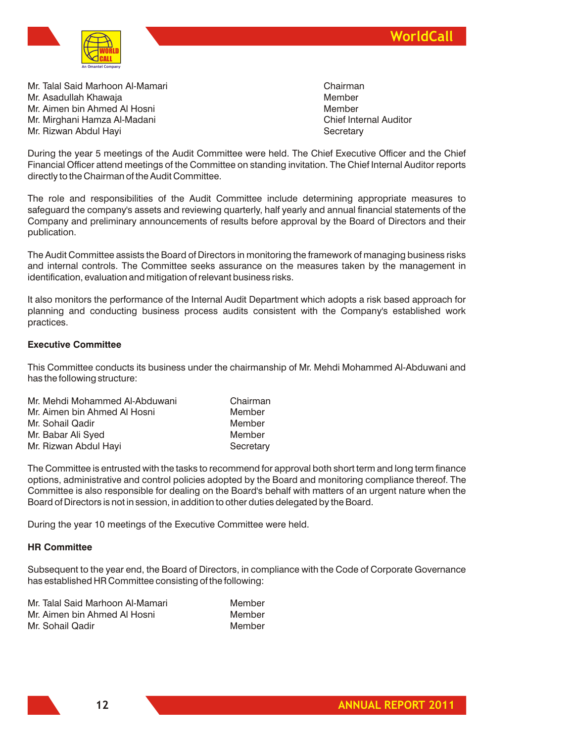

**WorldCall**

Mr. Talal Said Marhoon Al-Mamari Chairman Mr. Asadullah Khawaja (Mr. Asadullah Khawaja Member 1999) Member (Mr. Aimenber 1999) Member (Mr. Aimenber 1999)<br>Member (Mr. Aimen bin Ahmed Al Hosni Mr. Aimen bin Ahmed Al Hosni and a state of the Member Member Member and Member and Member and Member and Member<br>Mr. Mirahani Hamza Al-Madani and a state of the Member and Member and Auditor and Member and Auditor Mr. Mirghani Hamza Al-Madani Mr. Rizwan Abdul Havi Secretary Secretary Secretary Secretary

During the year 5 meetings of the Audit Committee were held. The Chief Executive Officer and the Chief Financial Officer attend meetings of the Committee on standing invitation. The Chief Internal Auditor reports directly to the Chairman of the Audit Committee.

The role and responsibilities of the Audit Committee include determining appropriate measures to safeguard the company's assets and reviewing quarterly, half yearly and annual financial statements of the Company and preliminary announcements of results before approval by the Board of Directors and their publication.

The Audit Committee assists the Board of Directors in monitoring the framework of managing business risks and internal controls. The Committee seeks assurance on the measures taken by the management in identification, evaluation and mitigation of relevant business risks.

It also monitors the performance of the Internal Audit Department which adopts a risk based approach for planning and conducting business process audits consistent with the Company's established work practices.

#### **Executive Committee**

This Committee conducts its business under the chairmanship of Mr. Mehdi Mohammed Al-Abduwani and has the following structure:

| Chairman  |
|-----------|
| Member    |
| Member    |
| Member    |
| Secretary |
|           |

The Committee is entrusted with the tasks to recommend for approval both short term and long term finance options, administrative and control policies adopted by the Board and monitoring compliance thereof. The Committee is also responsible for dealing on the Board's behalf with matters of an urgent nature when the Board of Directors is not in session, in addition to other duties delegated by the Board.

During the year 10 meetings of the Executive Committee were held.

#### **HR Committee**

Subsequent to the year end, the Board of Directors, in compliance with the Code of Corporate Governance has established HR Committee consisting of the following:

| Mr. Talal Said Marhoon Al-Mamari | Member |
|----------------------------------|--------|
| Mr. Aimen bin Ahmed Al Hosni     | Member |
| Mr. Sohail Qadir                 | Member |

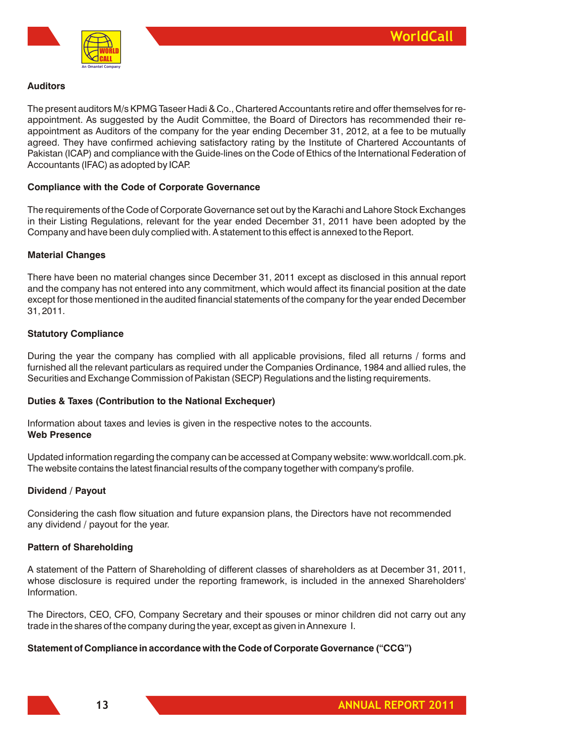

#### **Auditors**

The present auditors M/s KPMG Taseer Hadi & Co., Chartered Accountants retire and offer themselves for reappointment. As suggested by the Audit Committee, the Board of Directors has recommended their reappointment as Auditors of the company for the year ending December 31, 2012, at a fee to be mutually agreed. They have confirmed achieving satisfactory rating by the Institute of Chartered Accountants of Pakistan (ICAP) and compliance with the Guide-lines on the Code of Ethics of the International Federation of Accountants (IFAC) as adopted by ICAP.

#### **Compliance with the Code of Corporate Governance**

The requirements of the Code of Corporate Governance set out by the Karachi and Lahore Stock Exchanges in their Listing Regulations, relevant for the year ended December 31, 2011 have been adopted by the Company and have been duly complied with. A statement to this effect is annexed to the Report.

#### **Material Changes**

There have been no material changes since December 31, 2011 except as disclosed in this annual report and the company has not entered into any commitment, which would affect its financial position at the date except for those mentioned in the audited financial statements of the company for the year ended December 31, 2011.

#### **Statutory Compliance**

During the year the company has complied with all applicable provisions, filed all returns / forms and furnished all the relevant particulars as required under the Companies Ordinance, 1984 and allied rules, the Securities and Exchange Commission of Pakistan (SECP) Regulations and the listing requirements.

#### **Duties & Taxes (Contribution to the National Exchequer)**

Information about taxes and levies is given in the respective notes to the accounts. **Web Presence**

Updated information regarding the company can be accessed at Company website: www.worldcall.com.pk. The website contains the latest financial results of the company together with company's profile.

#### **Dividend / Payout**

Considering the cash flow situation and future expansion plans, the Directors have not recommended any dividend / payout for the year.

#### **Pattern of Shareholding**

A statement of the Pattern of Shareholding of different classes of shareholders as at December 31, 2011, whose disclosure is required under the reporting framework, is included in the annexed Shareholders' Information.

The Directors, CEO, CFO, Company Secretary and their spouses or minor children did not carry out any trade in the shares of the company during the year, except as given in Annexure I.

#### **Statement of Compliance in accordance with the Code of Corporate Governance ("CCG")**

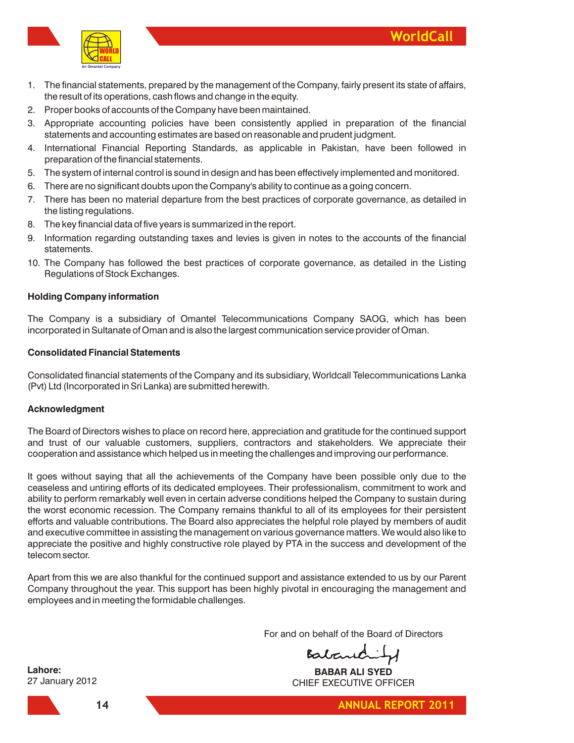**WorldCall**



- 1. The financial statements, prepared by the management of the Company, fairly present its state of affairs, the result of its operations, cash flows and change in the equity.
- 2. Proper books of accounts of the Company have been maintained.
- 3. Appropriate accounting policies have been consistently applied in preparation of the financial statements and accounting estimates are based on reasonable and prudent judgment.
- 4. International Financial Reporting Standards, as applicable in Pakistan, have been followed in preparation of the financial statements.
- 5. The system of internal control is sound in design and has been effectively implemented and monitored.
- 6. There are no significant doubts upon the Company's ability to continue as a going concern.
- 7. There has been no material departure from the best practices of corporate governance, as detailed in the listing regulations.
- 8. The key financial data of five years is summarized in the report.
- 9. Information regarding outstanding taxes and levies is given in notes to the accounts of the financial statements.
- 10. The Company has followed the best practices of corporate governance, as detailed in the Listing Regulations of Stock Exchanges.

#### **Holding Company information**

The Company is a subsidiary of Omantel Telecommunications Company SAOG, which has been incorporated in Sultanate of Oman and is also the largest communication service provider of Oman.

#### **Consolidated Financial Statements**

Consolidated financial statements of the Company and its subsidiary, Worldcall Telecommunications Lanka (Pvt) Ltd (Incorporated in Sri Lanka) are submitted herewith.

#### **Acknowledgment**

The Board of Directors wishes to place on record here, appreciation and gratitude for the continued support and trust of our valuable customers, suppliers, contractors and stakeholders. We appreciate their cooperation and assistance which helped us in meeting the challenges and improving our performance.

It goes without saying that all the achievements of the Company have been possible only due to the ceaseless and untiring efforts of its dedicated employees. Their professionalism, commitment to work and ability to perform remarkably well even in certain adverse conditions helped the Company to sustain during the worst economic recession. The Company remains thankful to all of its employees for their persistent efforts and valuable contributions. The Board also appreciates the helpful role played by members of audit and executive committee in assisting the management on various governance matters. We would also like to appreciate the positive and highly constructive role played by PTA in the success and development of the telecom sector.

Apart from this we are also thankful for the continued support and assistance extended to us by our Parent Company throughout the year. This support has been highly pivotal in encouraging the management and employees and in meeting the formidable challenges.

For and on behalf of the Board of Directors

**BABAR ALI SYED**  $\mathbf{r}$ 

**BABAR ALI SYED** CHIEF EXECUTIVE OFFICER

**Lahore:** 27 January 2012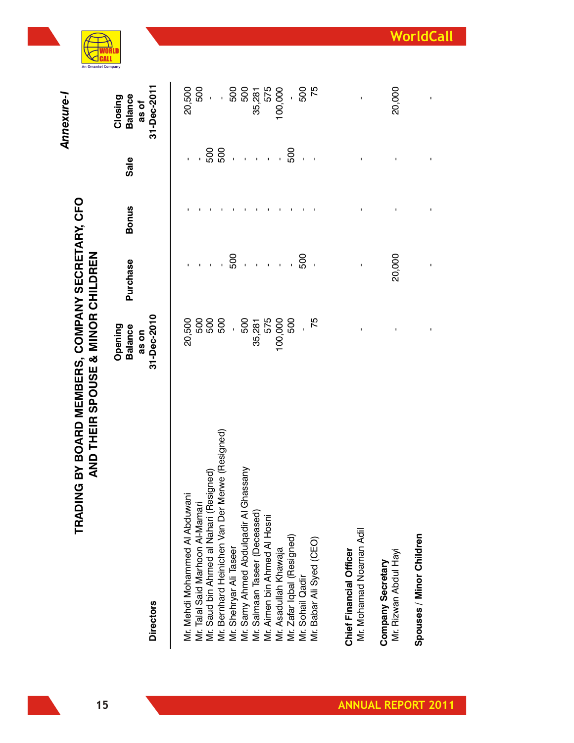

|                                                                       |                                                   |                                                                                                                                                                                                                                                                                                                                                                                                              |                                                    | <b><i>o</i>rldCall</b>                                                 |
|-----------------------------------------------------------------------|---------------------------------------------------|--------------------------------------------------------------------------------------------------------------------------------------------------------------------------------------------------------------------------------------------------------------------------------------------------------------------------------------------------------------------------------------------------------------|----------------------------------------------------|------------------------------------------------------------------------|
| <b>An Omantel Company</b><br>Annexure-                                | 31-Dec-201<br><b>Balance</b><br>Closing<br>as of  | 500<br>75<br>20,500<br>500<br>500<br>575<br>100,000<br>500<br>35,281<br>$\overline{1}$                                                                                                                                                                                                                                                                                                                       |                                                    | 20,000<br>1                                                            |
|                                                                       | Sale                                              | $\frac{80}{500}$<br>500<br>$\alpha$ , $\alpha$<br>$\bar{\bar{1}}$                                                                                                                                                                                                                                                                                                                                            |                                                    | f,                                                                     |
|                                                                       | <b>Bonus</b>                                      |                                                                                                                                                                                                                                                                                                                                                                                                              |                                                    |                                                                        |
|                                                                       | Purchase                                          | 500<br>$-500$<br>$\mathcal{A}^{\mathrm{c}}$ and<br>$\mathcal{L}_{\mathbf{d}}$                                                                                                                                                                                                                                                                                                                                |                                                    | 20,000<br>1                                                            |
| OARD MEMBERS, COMPANY SECRETARY, CFO<br>THEIR SPOUSE & MINOR CHILDREN | 31-Dec-2010<br>Opening<br><b>Balance</b><br>as on | 88<br>88<br>500<br>575<br>100,000<br>500<br>20,500<br>75<br>35,281                                                                                                                                                                                                                                                                                                                                           |                                                    |                                                                        |
| <b>AND</b><br><b>TRADING BY B</b>                                     | <b>Directors</b>                                  | Mr. Bernhard Heinichen Van Der Merwe (Resigned)<br>Mr. Samy Ahmed Abdulqadir Al Ghassany<br>Mr. Saud bin Ahmed al Nahari (Resigned)<br>Mr. Mehdi Mohammed AI Abduwani<br>Mr. Talal Said Marhoon Al-Mamari<br>Mr. Salmaan Taseer (Deceased)<br>Mr. Aimen bin Ahmed AI Hosni<br>Mr. Zafar Iqbal (Resigned)<br>Mr. Babar Ali Syed (CEO)<br>Mr. Shehryar Ali Taseer<br>Mr. Asadullah Khawaja<br>Mr. Sohail Qadir | Mr. Mohamad Noaman Adil<br>Chief Financial Officer | Spouses / Minor Children<br>Mr. Rizwan Abdul Hayi<br>Company Secretary |
| 15                                                                    |                                                   |                                                                                                                                                                                                                                                                                                                                                                                                              | ANNUAL                                             | <b>REPORT</b><br>201                                                   |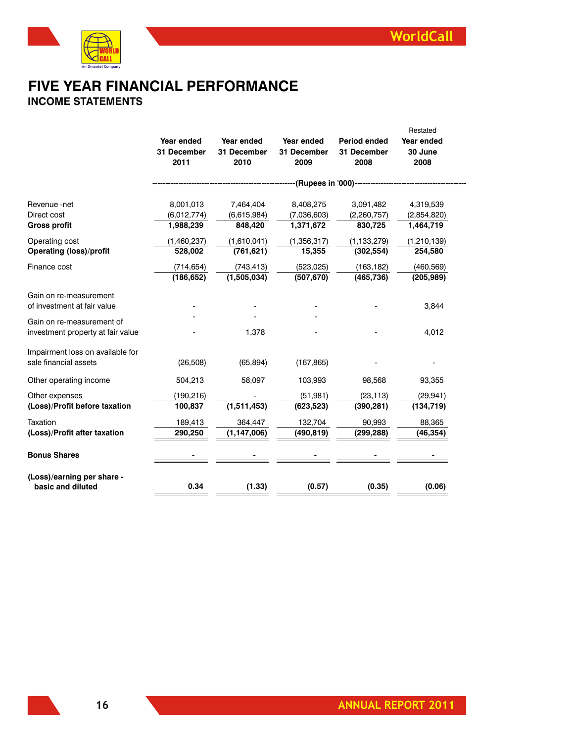

# **FIVE YEAR FINANCIAL PERFORMANCE INCOME STATEMENTS**

|                                                                | Year ended<br>31 December<br>2011     | Year ended<br>31 December<br>2010   | Year ended<br>31 December<br>2009     | <b>Period ended</b><br>31 December<br>2008            | Restated<br>Year ended<br>30 June<br>2008 |
|----------------------------------------------------------------|---------------------------------------|-------------------------------------|---------------------------------------|-------------------------------------------------------|-------------------------------------------|
|                                                                |                                       |                                     |                                       | -----------------(Rupees in '000)-------------------- |                                           |
| Revenue -net<br>Direct cost<br><b>Gross profit</b>             | 8,001,013<br>(6,012,774)<br>1,988,239 | 7,464,404<br>(6,615,984)<br>848,420 | 8,408,275<br>(7,036,603)<br>1,371,672 | 3,091,482<br>(2,260,757)<br>830,725                   | 4,319,539<br>(2,854,820)<br>1,464,719     |
| Operating cost<br><b>Operating (loss)/profit</b>               | (1,460,237)<br>528,002                | (1,610,041)<br>(761, 621)           | (1,356,317)<br>15,355                 | (1, 133, 279)<br>(302, 554)                           | (1,210,139)<br>254,580                    |
| Finance cost                                                   | (714, 654)<br>(186, 652)              | (743, 413)<br>(1.505.034)           | (523, 025)<br>(507, 670)              | (163, 182)<br>(465, 736)                              | (460, 569)<br>(205, 989)                  |
| Gain on re-measurement<br>of investment at fair value          |                                       |                                     |                                       |                                                       | 3,844                                     |
| Gain on re-measurement of<br>investment property at fair value |                                       | 1,378                               |                                       |                                                       | 4,012                                     |
| Impairment loss on available for<br>sale financial assets      | (26, 508)                             | (65, 894)                           | (167, 865)                            |                                                       |                                           |
| Other operating income                                         | 504,213                               | 58,097                              | 103,993                               | 98,568                                                | 93,355                                    |
| Other expenses<br>(Loss)/Profit before taxation                | (190, 216)<br>100,837                 | (1,511,453)                         | (51, 981)<br>(623, 523)               | (23, 113)<br>(390, 281)                               | (29, 941)<br>(134, 719)                   |
| Taxation<br>(Loss)/Profit after taxation                       | 189,413<br>290,250                    | 364,447<br>(1,147,006)              | 132,704<br>(490,819)                  | 90,993<br>(299, 288)                                  | 88,365<br>(46,354)                        |
| <b>Bonus Shares</b>                                            |                                       |                                     |                                       |                                                       |                                           |
| (Loss)/earning per share -<br>basic and diluted                | 0.34                                  | (1.33)                              | (0.57)                                | (0.35)                                                | (0.06)                                    |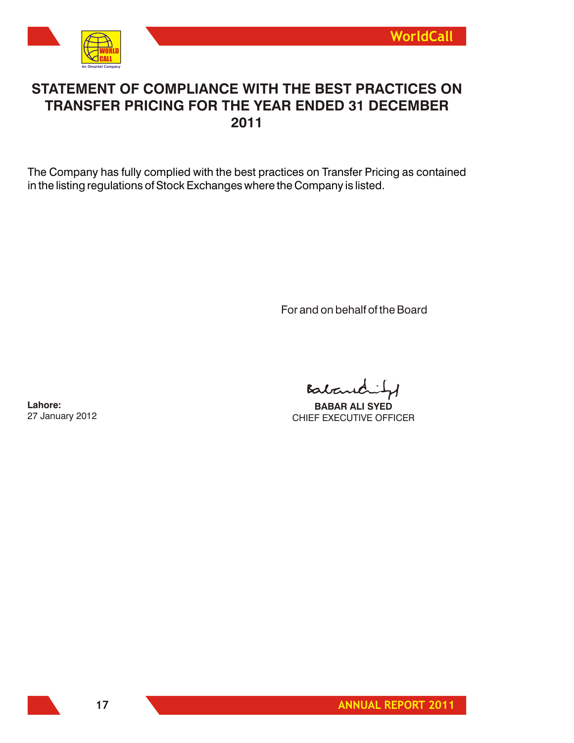

# **STATEMENT OF COMPLIANCE WITH THE BEST PRACTICES ON TRANSFER PRICING FOR THE YEAR ENDED 31 DECEMBER 2011**

The Company has fully complied with the best practices on Transfer Pricing as contained in the listing regulations of Stock Exchanges where the Company is listed.

For and on behalf of the Board

**Lahore:** 27 January 2012

Babardity

**BABAR ALI SYED** CHIEF EXECUTIVE OFFICER

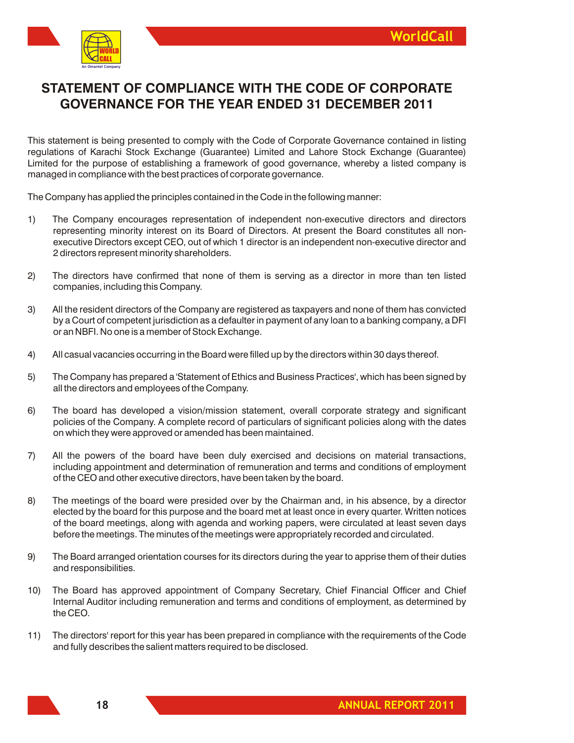

# **STATEMENT OF COMPLIANCE WITH THE CODE OF CORPORATE GOVERNANCE FOR THE YEAR ENDED 31 DECEMBER 2011**

This statement is being presented to comply with the Code of Corporate Governance contained in listing regulations of Karachi Stock Exchange (Guarantee) Limited and Lahore Stock Exchange (Guarantee) Limited for the purpose of establishing a framework of good governance, whereby a listed company is managed in compliance with the best practices of corporate governance.

The Company has applied the principles contained in the Code in the following manner:

- 1) The Company encourages representation of independent non-executive directors and directors representing minority interest on its Board of Directors. At present the Board constitutes all nonexecutive Directors except CEO, out of which 1 director is an independent non-executive director and 2 directors represent minority shareholders.
- 2) The directors have confirmed that none of them is serving as a director in more than ten listed companies, including this Company.
- 3) All the resident directors of the Company are registered as taxpayers and none of them has convicted by a Court of competent jurisdiction as a defaulter in payment of any loan to a banking company, a DFI or an NBFI. No one is a member of Stock Exchange.
- 4) All casual vacancies occurring in the Board were filled up by the directors within 30 days thereof.
- 5) The Company has prepared a 'Statement of Ethics and Business Practices', which has been signed by all the directors and employees of the Company.
- 6) The board has developed a vision/mission statement, overall corporate strategy and significant policies of the Company. A complete record of particulars of significant policies along with the dates on which they were approved or amended has been maintained.
- 7) All the powers of the board have been duly exercised and decisions on material transactions, including appointment and determination of remuneration and terms and conditions of employment of the CEO and other executive directors, have been taken by the board.
- 8) The meetings of the board were presided over by the Chairman and, in his absence, by a director elected by the board for this purpose and the board met at least once in every quarter. Written notices of the board meetings, along with agenda and working papers, were circulated at least seven days before the meetings. The minutes of the meetings were appropriately recorded and circulated.
- 9) The Board arranged orientation courses for its directors during the year to apprise them of their duties and responsibilities.
- 10) The Board has approved appointment of Company Secretary, Chief Financial Officer and Chief Internal Auditor including remuneration and terms and conditions of employment, as determined by the CEO.
- 11) The directors' report for this year has been prepared in compliance with the requirements of the Code and fully describes the salient matters required to be disclosed.

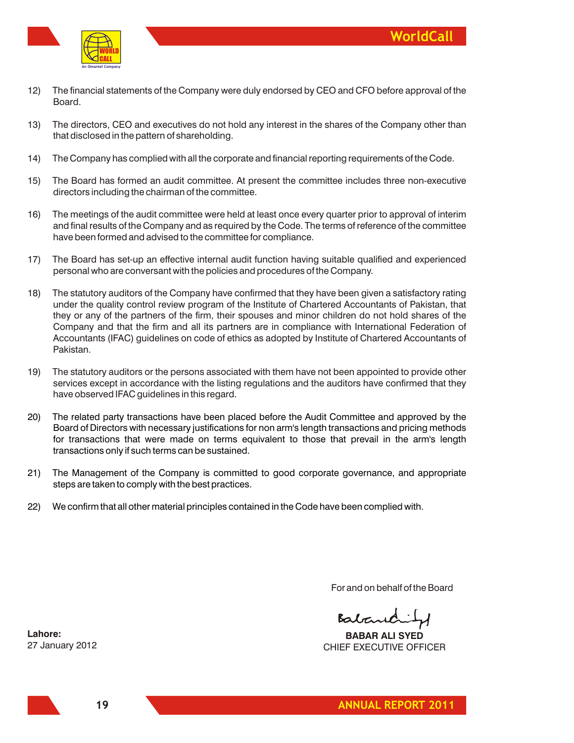

- 12) The financial statements of the Company were duly endorsed by CEO and CFO before approval of the Board.
- 13) The directors, CEO and executives do not hold any interest in the shares of the Company other than that disclosed in the pattern of shareholding.
- 14) The Company has complied with all the corporate and financial reporting requirements of the Code.
- 15) The Board has formed an audit committee. At present the committee includes three non-executive directors including the chairman of the committee.
- 16) The meetings of the audit committee were held at least once every quarter prior to approval of interim and final results of the Company and as required by the Code. The terms of reference of the committee have been formed and advised to the committee for compliance.
- 17) The Board has set-up an effective internal audit function having suitable qualified and experienced personal who are conversant with the policies and procedures of the Company.
- 18) The statutory auditors of the Company have confirmed that they have been given a satisfactory rating under the quality control review program of the Institute of Chartered Accountants of Pakistan, that they or any of the partners of the firm, their spouses and minor children do not hold shares of the Company and that the firm and all its partners are in compliance with International Federation of Accountants (IFAC) guidelines on code of ethics as adopted by Institute of Chartered Accountants of Pakistan.
- 19) The statutory auditors or the persons associated with them have not been appointed to provide other services except in accordance with the listing regulations and the auditors have confirmed that they have observed IFAC guidelines in this regard.
- 20) The related party transactions have been placed before the Audit Committee and approved by the Board of Directors with necessary justifications for non arm's length transactions and pricing methods for transactions that were made on terms equivalent to those that prevail in the arm's length transactions only if such terms can be sustained.
- 21) The Management of the Company is committed to good corporate governance, and appropriate steps are taken to comply with the best practices.
- 22) We confirm that all other material principles contained in the Code have been complied with.

For and on behalf of the Board

Babarie

**BABAR ALI SYED** CHIEF EXECUTIVE OFFICER

**Lahore:** 27 January 2012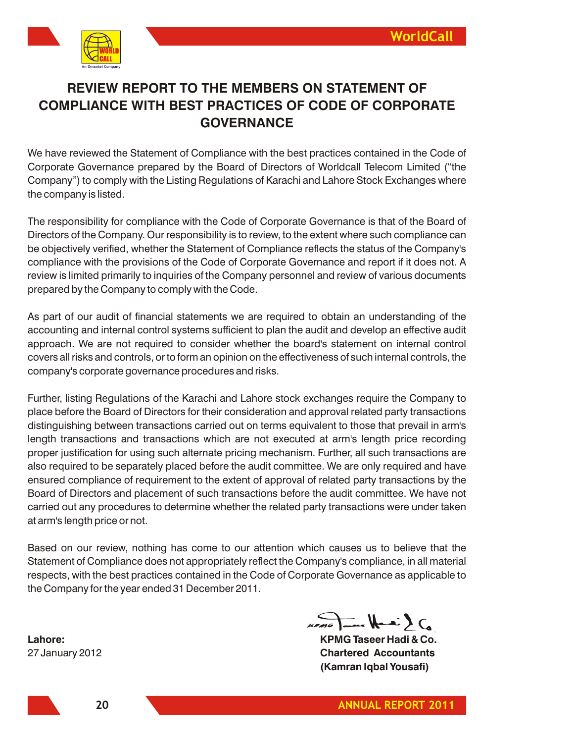

# **REVIEW REPORT TO THE MEMBERS ON STATEMENT OF COMPLIANCE WITH BEST PRACTICES OF CODE OF CORPORATE GOVERNANCE**

We have reviewed the Statement of Compliance with the best practices contained in the Code of Corporate Governance prepared by the Board of Directors of Worldcall Telecom Limited ("the Company") to comply with the Listing Regulations of Karachi and Lahore Stock Exchanges where the company is listed.

The responsibility for compliance with the Code of Corporate Governance is that of the Board of Directors of the Company. Our responsibility is to review, to the extent where such compliance can be objectively verified, whether the Statement of Compliance reflects the status of the Company's compliance with the provisions of the Code of Corporate Governance and report if it does not. A review is limited primarily to inquiries of the Company personnel and review of various documents prepared by the Company to comply with the Code.

As part of our audit of financial statements we are required to obtain an understanding of the accounting and internal control systems sufficient to plan the audit and develop an effective audit approach. We are not required to consider whether the board's statement on internal control covers all risks and controls, or to form an opinion on the effectiveness of such internal controls, the company's corporate governance procedures and risks.

Further, listing Regulations of the Karachi and Lahore stock exchanges require the Company to place before the Board of Directors for their consideration and approval related party transactions distinguishing between transactions carried out on terms equivalent to those that prevail in arm's length transactions and transactions which are not executed at arm's length price recording proper justification for using such alternate pricing mechanism. Further, all such transactions are also required to be separately placed before the audit committee. We are only required and have ensured compliance of requirement to the extent of approval of related party transactions by the Board of Directors and placement of such transactions before the audit committee. We have not carried out any procedures to determine whether the related party transactions were under taken at arm's length price or not.

Based on our review, nothing has come to our attention which causes us to believe that the Statement of Compliance does not appropriately reflect the Company's compliance, in all material respects, with the best practices contained in the Code of Corporate Governance as applicable to the Company for the year ended 31 December 2011.

 $k^{p}$ 

**Lahore: KPMG Taseer Hadi & Co.** 27 January 2012 **Chartered Accountants (Kamran Iqbal Yousafi)**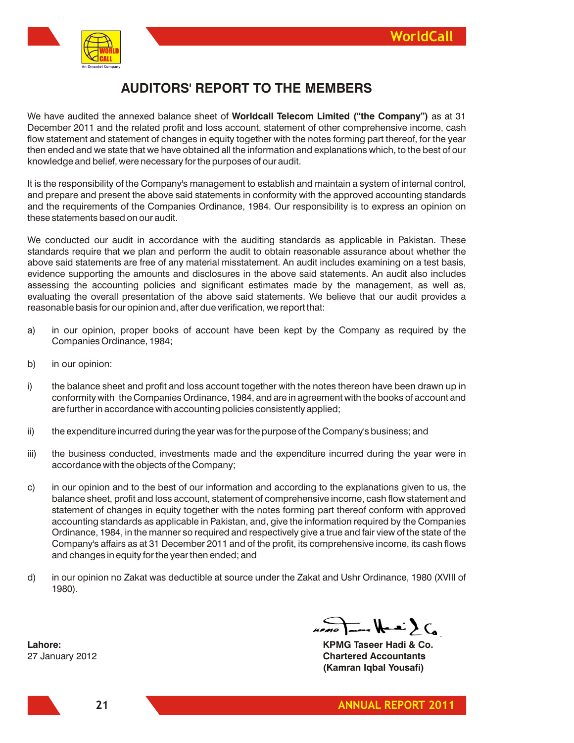

# **AUDITORS' REPORT TO THE MEMBERS**

We have audited the annexed balance sheet of **Worldcall Telecom Limited ("the Company")** as at 31 December 2011 and the related profit and loss account, statement of other comprehensive income, cash flow statement and statement of changes in equity together with the notes forming part thereof, for the year then ended and we state that we have obtained all the information and explanations which, to the best of our knowledge and belief, were necessary for the purposes of our audit.

It is the responsibility of the Company's management to establish and maintain a system of internal control, and prepare and present the above said statements in conformity with the approved accounting standards and the requirements of the Companies Ordinance, 1984. Our responsibility is to express an opinion on these statements based on our audit.

We conducted our audit in accordance with the auditing standards as applicable in Pakistan. These standards require that we plan and perform the audit to obtain reasonable assurance about whether the above said statements are free of any material misstatement. An audit includes examining on a test basis, evidence supporting the amounts and disclosures in the above said statements. An audit also includes assessing the accounting policies and significant estimates made by the management, as well as, evaluating the overall presentation of the above said statements. We believe that our audit provides a reasonable basis for our opinion and, after due verification, we report that:

- a) in our opinion, proper books of account have been kept by the Company as required by the Companies Ordinance, 1984;
- b) in our opinion:
- i) the balance sheet and profit and loss account together with the notes thereon have been drawn up in conformity with the Companies Ordinance, 1984, and are in agreement with the books of account and are further in accordance with accounting policies consistently applied;
- ii) the expenditure incurred during the year was for the purpose of the Company's business; and
- iii) the business conducted, investments made and the expenditure incurred during the year were in accordance with the objects of the Company;
- c) in our opinion and to the best of our information and according to the explanations given to us, the balance sheet, profit and loss account, statement of comprehensive income, cash flow statement and statement of changes in equity together with the notes forming part thereof conform with approved accounting standards as applicable in Pakistan, and, give the information required by the Companies Ordinance, 1984, in the manner so required and respectively give a true and fair view of the state of the Company's affairs as at 31 December 2011 and of the profit, its comprehensive income, its cash flows and changes in equity for the year then ended; and
- d) in our opinion no Zakat was deductible at source under the Zakat and Ushr Ordinance, 1980 (XVIII of 1980).

 $\sum_{\mu\nu\neq 0}$ 

**Lahore: KPMG Taseer Hadi & Co.** 27 January 2012 **Chartered Accountants (Kamran Iqbal Yousafi)**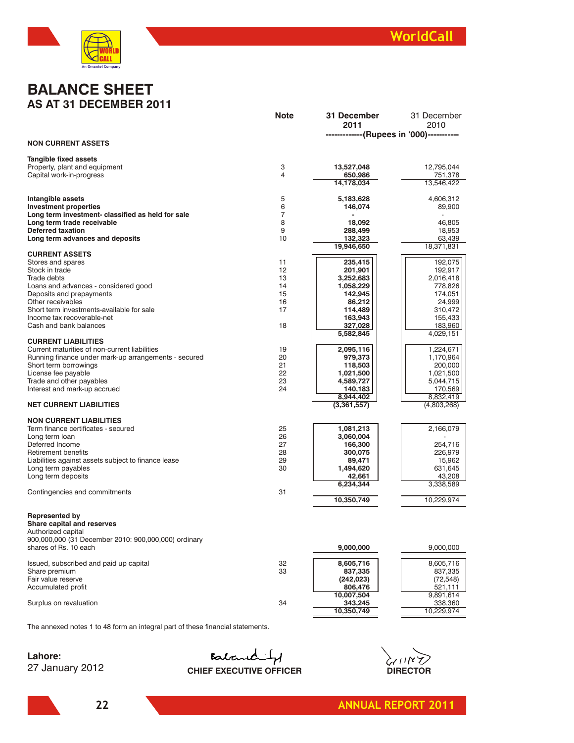

# **BALANCE SHEET AS AT 31 DECEMBER 2011**

|                                                                                                                                   | <b>Note</b> | 31 December<br>2011                      | 31 December<br>2010    |
|-----------------------------------------------------------------------------------------------------------------------------------|-------------|------------------------------------------|------------------------|
| <b>NON CURRENT ASSETS</b>                                                                                                         |             | -------------(Rupees in '000)----------- |                        |
|                                                                                                                                   |             |                                          |                        |
| Tangible fixed assets<br>Property, plant and equipment                                                                            | 3           | 13,527,048                               | 12,795,044             |
| Capital work-in-progress                                                                                                          | 4           | 650,986                                  | 751,378                |
|                                                                                                                                   |             | 14,178,034                               | 13,546,422             |
| Intangible assets                                                                                                                 | 5           | 5,183,628                                | 4,606,312              |
| <b>Investment properties</b><br>Long term investment- classified as held for sale                                                 | 6<br>7      | 146,074                                  | 89,900                 |
| Long term trade receivable                                                                                                        | 8           | 18,092                                   | 46,805                 |
| <b>Deferred taxation</b>                                                                                                          | 9           | 288,499                                  | 18,953                 |
| Long term advances and deposits                                                                                                   | 10          | 132,323<br>19,946,650                    | 63,439<br>18,371,831   |
| <b>CURRENT ASSETS</b>                                                                                                             |             |                                          |                        |
| Stores and spares                                                                                                                 | 11          | 235,415                                  | 192,075                |
| Stock in trade                                                                                                                    | 12          | 201,901                                  | 192,917                |
| Trade debts                                                                                                                       | 13<br>14    | 3,252,683                                | 2,016,418              |
| Loans and advances - considered good<br>Deposits and prepayments                                                                  | 15          | 1,058,229<br>142,945                     | 778,826<br>174,051     |
| Other receivables                                                                                                                 | 16          | 86,212                                   | 24,999                 |
| Short term investments-available for sale                                                                                         | 17          | 114,489                                  | 310,472                |
| Income tax recoverable-net                                                                                                        |             | 163,943                                  | 155,433                |
| Cash and bank balances                                                                                                            | 18          | 327,028<br>5,582,845                     | 183,960<br>4,029,151   |
| <b>CURRENT LIABILITIES</b>                                                                                                        |             |                                          |                        |
| Current maturities of non-current liabilities                                                                                     | 19          | 2,095,116                                | 1,224,671              |
| Running finance under mark-up arrangements - secured                                                                              | 20          | 979,373                                  | 1,170,964              |
| Short term borrowings<br>License fee payable                                                                                      | 21<br>22    | 118,503                                  | 200,000                |
| Trade and other payables                                                                                                          | 23          | 1,021,500<br>4,589,727                   | 1,021,500<br>5,044,715 |
| Interest and mark-up accrued                                                                                                      | 24          | 140,183                                  | 170,569                |
|                                                                                                                                   |             | 8,944,402                                | 8,832,419              |
| <b>NET CURRENT LIABILITIES</b>                                                                                                    |             | (3,361,557)                              | (4,803,268)            |
| <b>NON CURRENT LIABILITIES</b>                                                                                                    |             |                                          |                        |
| Term finance certificates - secured                                                                                               | 25          | 1,081,213                                | 2,166,079              |
| Long term loan<br>Deferred Income                                                                                                 | 26<br>27    | 3,060,004<br>166,300                     | 254,716                |
| <b>Retirement benefits</b>                                                                                                        | 28          | 300,075                                  | 226,979                |
| Liabilities against assets subject to finance lease                                                                               | 29          | 89,471                                   | 15,962                 |
| Long term payables                                                                                                                | 30          | 1,494,620                                | 631,645                |
| Long term deposits                                                                                                                |             | 42,661<br>6,234,344                      | 43,208<br>3,338,589    |
| Contingencies and commitments                                                                                                     | 31          |                                          |                        |
|                                                                                                                                   |             | 10,350,749                               | 10,229,974             |
| <b>Represented by</b><br>Share capital and reserves<br>Authorized capital<br>900,000,000 (31 December 2010: 900,000,000) ordinary |             |                                          |                        |
| shares of Rs. 10 each                                                                                                             |             | 9,000,000                                | 9,000,000              |
| Issued, subscribed and paid up capital                                                                                            | 32          | 8,605,716                                | 8,605,716              |
| Share premium                                                                                                                     | 33          | 837,335                                  | 837,335                |
| Fair value reserve                                                                                                                |             | (242, 023)                               | (72, 548)              |
| Accumulated profit                                                                                                                |             | 806,476<br>10,007,504                    | 521,111                |
| Surplus on revaluation                                                                                                            | 34          | 343,245                                  | 9,891,614<br>338,360   |
|                                                                                                                                   |             | 10,350,749                               | 10,229,974             |
| The annexed notes 1 to 48 form an integral part of these financial statements.                                                    |             |                                          |                        |

**Lahore:** 27 January 2012



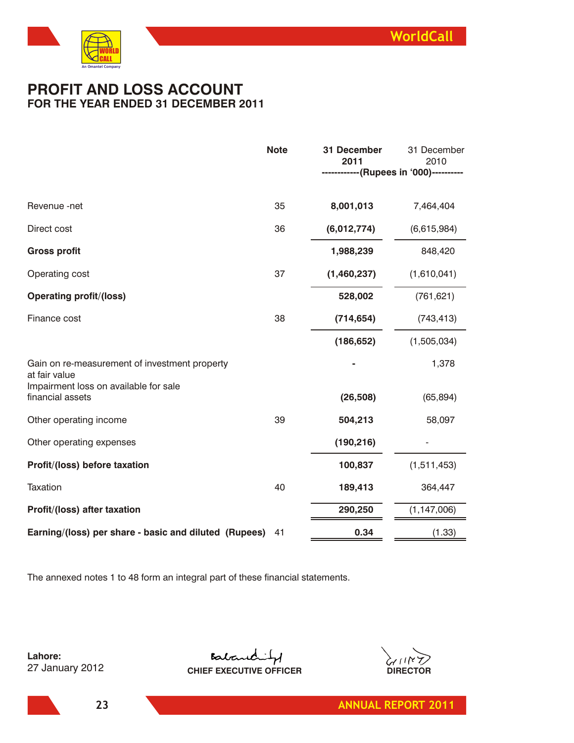

## **PROFIT AND LOSS ACCOUNT FOR THE YEAR ENDED 31 DECEMBER 2011**

|                                                                | <b>Note</b> | 31 December<br>2011<br>------------(Rupees in '000)---------- | 31 December<br>2010 |
|----------------------------------------------------------------|-------------|---------------------------------------------------------------|---------------------|
| Revenue -net                                                   | 35          | 8,001,013                                                     | 7,464,404           |
| Direct cost                                                    | 36          | (6,012,774)                                                   | (6,615,984)         |
| <b>Gross profit</b>                                            |             | 1,988,239                                                     | 848,420             |
| Operating cost                                                 | 37          | (1,460,237)                                                   | (1,610,041)         |
| <b>Operating profit/(loss)</b>                                 |             | 528,002                                                       | (761, 621)          |
| Finance cost                                                   | 38          | (714, 654)                                                    | (743, 413)          |
|                                                                |             | (186, 652)                                                    | (1,505,034)         |
| Gain on re-measurement of investment property<br>at fair value |             |                                                               | 1,378               |
| Impairment loss on available for sale<br>financial assets      |             | (26, 508)                                                     | (65, 894)           |
| Other operating income                                         | 39          | 504,213                                                       | 58,097              |
| Other operating expenses                                       |             | (190, 216)                                                    |                     |
| Profit/(loss) before taxation                                  |             | 100,837                                                       | (1,511,453)         |
| <b>Taxation</b>                                                | 40          | 189,413                                                       | 364,447             |
| Profit/(loss) after taxation                                   |             | 290,250                                                       | (1, 147, 006)       |
| Earning/(loss) per share - basic and diluted (Rupees)          | 41          | 0.34                                                          | (1.33)              |

The annexed notes 1 to 48 form an integral part of these financial statements.

**Lahore:** 27 January 2012

**CHIEF EXECUTIVE OFFICER** DIRECTOR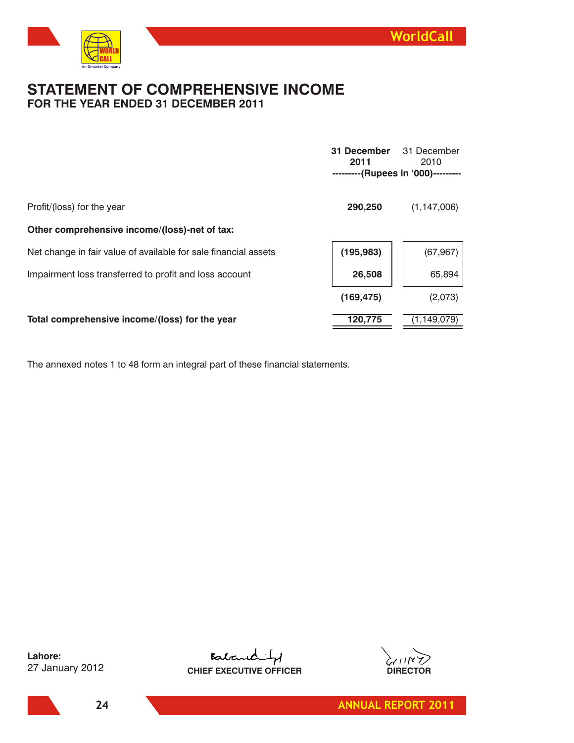

# **STATEMENT OF COMPREHENSIVE INCOME FOR THE YEAR ENDED 31 DECEMBER 2011**

|                                                                 | 31 December<br>2011<br>---------(Rupees in '000)--------- | 31 December<br>2010 |
|-----------------------------------------------------------------|-----------------------------------------------------------|---------------------|
| Profit/(loss) for the year                                      | 290,250                                                   | (1, 147, 006)       |
| Other comprehensive income/(loss)-net of tax:                   |                                                           |                     |
| Net change in fair value of available for sale financial assets | (195, 983)                                                | (67, 967)           |
| Impairment loss transferred to profit and loss account          | 26,508                                                    | 65,894              |
|                                                                 | (169, 475)                                                | (2,073)             |
| Total comprehensive income/(loss) for the year                  | 120,775                                                   | (1, 149, 079)       |

The annexed notes 1 to 48 form an integral part of these financial statements.

**Lahore:** 27 January 2012

**CHIEF EXECUTIVE OFFICER DIRECTOR** 

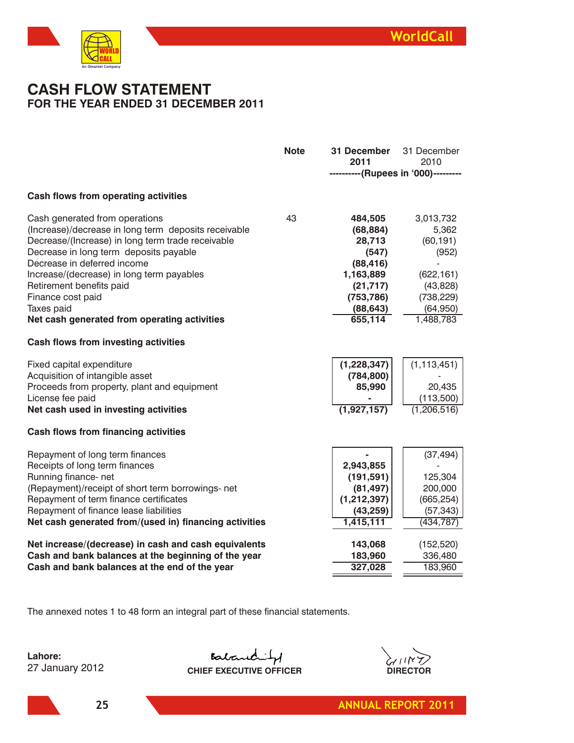

# **CASH FLOW STATEMENT FOR THE YEAR ENDED 31 DECEMBER 2011**

|                                                                                                             | <b>Note</b>        | 31 December<br>2011                 | 31 December<br>2010    |  |
|-------------------------------------------------------------------------------------------------------------|--------------------|-------------------------------------|------------------------|--|
|                                                                                                             |                    | ----------(Rupees in '000)--------- |                        |  |
| Cash flows from operating activities                                                                        |                    |                                     |                        |  |
| Cash generated from operations                                                                              | 43                 | 484,505                             | 3,013,732              |  |
| (Increase)/decrease in long term deposits receivable                                                        |                    | (68, 884)                           | 5,362                  |  |
| Decrease/(Increase) in long term trade receivable                                                           |                    | 28,713                              | (60, 191)              |  |
| Decrease in long term deposits payable                                                                      |                    | (547)                               | (952)                  |  |
| Decrease in deferred income                                                                                 |                    | (88, 416)                           |                        |  |
| Increase/(decrease) in long term payables                                                                   |                    | 1,163,889                           | (622, 161)             |  |
| Retirement benefits paid                                                                                    |                    | (21, 717)                           | (43, 828)              |  |
| Finance cost paid<br>Taxes paid                                                                             |                    | (753, 786)                          | (738, 229)             |  |
| Net cash generated from operating activities                                                                |                    | (88, 643)<br>655,114                | (64, 950)<br>1,488,783 |  |
|                                                                                                             |                    |                                     |                        |  |
| <b>Cash flows from investing activities</b>                                                                 |                    |                                     |                        |  |
| Fixed capital expenditure                                                                                   |                    | (1,228,347)                         | (1, 113, 451)          |  |
| Acquisition of intangible asset                                                                             |                    | (784, 800)                          |                        |  |
| Proceeds from property, plant and equipment                                                                 |                    | 85,990                              | 20,435                 |  |
| License fee paid                                                                                            |                    |                                     | (113,500)              |  |
| Net cash used in investing activities                                                                       |                    | (1,927,157)                         | (1, 206, 516)          |  |
| Cash flows from financing activities                                                                        |                    |                                     |                        |  |
| Repayment of long term finances                                                                             |                    |                                     | (37, 494)              |  |
| Receipts of long term finances                                                                              |                    | 2,943,855                           |                        |  |
| Running finance-net                                                                                         |                    | (191, 591)                          | 125,304                |  |
| (Repayment)/receipt of short term borrowings- net                                                           |                    | (81, 497)                           | 200,000                |  |
| Repayment of term finance certificates                                                                      |                    | (1,212,397)                         | (665, 254)             |  |
| Repayment of finance lease liabilities                                                                      |                    | (43, 259)                           | (57, 343)              |  |
| Net cash generated from/(used in) financing activities                                                      |                    | 1,415,111                           | (434, 787)             |  |
|                                                                                                             |                    |                                     |                        |  |
| Net increase/(decrease) in cash and cash equivalents<br>Cash and bank balances at the beginning of the year | 143,068<br>183,960 | (152, 520)<br>336,480               |                        |  |
| Cash and bank balances at the end of the year                                                               | 327,028            | 183,960                             |                        |  |
|                                                                                                             |                    |                                     |                        |  |

The annexed notes 1 to 48 form an integral part of these financial statements.

**Lahore:** 27 January 2012 **CHIEF EXECUTIVE OFFICER** 

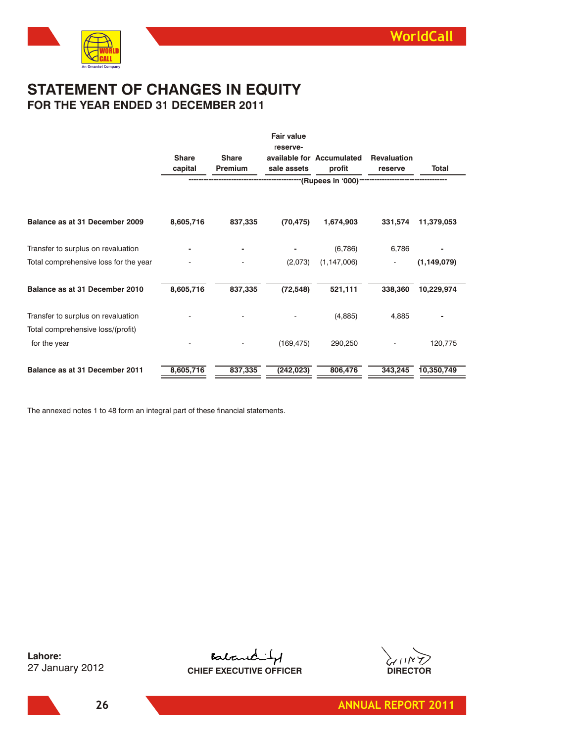

# **STATEMENT OF CHANGES IN EQUITY FOR THE YEAR ENDED 31 DECEMBER 2011**

|                                                   | <b>Share</b><br>capital | <b>Revaluation</b><br>reserve | Total      |               |         |               |
|---------------------------------------------------|-------------------------|-------------------------------|------------|---------------|---------|---------------|
| Balance as at 31 December 2009                    | 8,605,716               | 837,335                       | (70, 475)  | 1,674,903     | 331,574 | 11,379,053    |
| Transfer to surplus on revaluation                |                         |                               |            | (6,786)       | 6,786   |               |
| Total comprehensive loss for the year             |                         |                               | (2,073)    | (1, 147, 006) | -       | (1, 149, 079) |
| Balance as at 31 December 2010                    | 8,605,716               | 837,335                       | (72, 548)  | 521,111       | 338,360 | 10,229,974    |
| Transfer to surplus on revaluation                |                         |                               |            | (4,885)       | 4,885   |               |
| Total comprehensive loss/(profit)<br>for the year |                         |                               | (169, 475) | 290,250       |         | 120,775       |
| Balance as at 31 December 2011                    | 8,605,716               | 837,335                       | (242, 023) | 806,476       | 343,245 | 10,350,749    |

The annexed notes 1 to 48 form an integral part of these financial statements.

**Lahore:** 27 January 2012

**CHIEF EXECUTIVE OFFICER** DIRECTOR

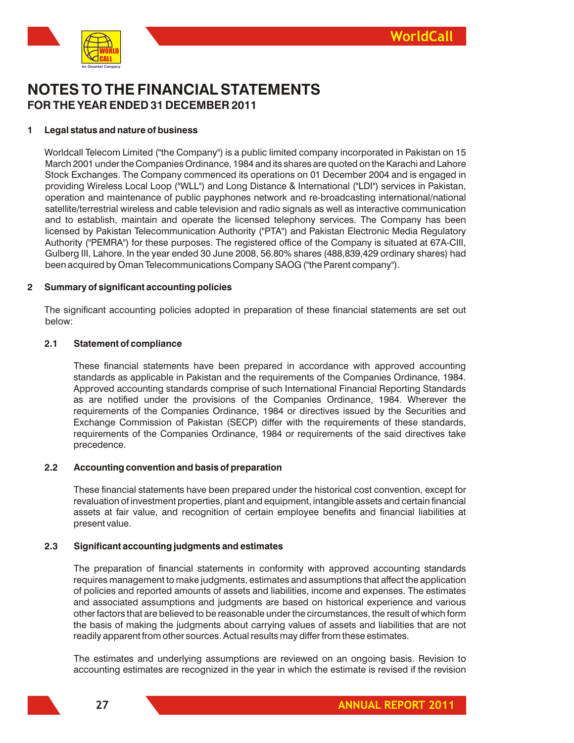

# **NOTES TO THE FINANCIAL STATEMENTS FOR THE YEAR ENDED 31 DECEMBER 2011**

#### **1 Legal status and nature of business**

Worldcall Telecom Limited ("the Company") is a public limited company incorporated in Pakistan on 15 March 2001 under the Companies Ordinance, 1984 and its shares are quoted on the Karachi and Lahore Stock Exchanges. The Company commenced its operations on 01 December 2004 and is engaged in providing Wireless Local Loop ("WLL") and Long Distance & International ("LDI") services in Pakistan, operation and maintenance of public payphones network and re-broadcasting international/national satellite/terrestrial wireless and cable television and radio signals as well as interactive communication and to establish, maintain and operate the licensed telephony services. The Company has been licensed by Pakistan Telecommunication Authority ("PTA") and Pakistan Electronic Media Regulatory Authority ("PEMRA") for these purposes. The registered office of the Company is situated at 67A-CIII, Gulberg III, Lahore. In the year ended 30 June 2008, 56.80% shares (488,839,429 ordinary shares) had been acquired by Oman Telecommunications Company SAOG ("the Parent company").

#### **2 Summary of significant accounting policies**

The significant accounting policies adopted in preparation of these financial statements are set out below:

#### **2.1 Statement of compliance**

These financial statements have been prepared in accordance with approved accounting standards as applicable in Pakistan and the requirements of the Companies Ordinance, 1984. Approved accounting standards comprise of such International Financial Reporting Standards as are notified under the provisions of the Companies Ordinance, 1984. Wherever the requirements of the Companies Ordinance, 1984 or directives issued by the Securities and Exchange Commission of Pakistan (SECP) differ with the requirements of these standards, requirements of the Companies Ordinance, 1984 or requirements of the said directives take precedence.

#### **2.2 Accounting convention and basis of preparation**

These financial statements have been prepared under the historical cost convention, except for revaluation of investment properties, plant and equipment, intangible assets and certain financial assets at fair value, and recognition of certain employee benefits and financial liabilities at present value.

#### **2.3 Significant accounting judgments and estimates**

The preparation of financial statements in conformity with approved accounting standards requires management to make judgments, estimates and assumptions that affect the application of policies and reported amounts of assets and liabilities, income and expenses. The estimates and associated assumptions and judgments are based on historical experience and various other factors that are believed to be reasonable under the circumstances, the result of which form the basis of making the judgments about carrying values of assets and liabilities that are not readily apparent from other sources. Actual results may differ from these estimates.

The estimates and underlying assumptions are reviewed on an ongoing basis. Revision to accounting estimates are recognized in the year in which the estimate is revised if the revision

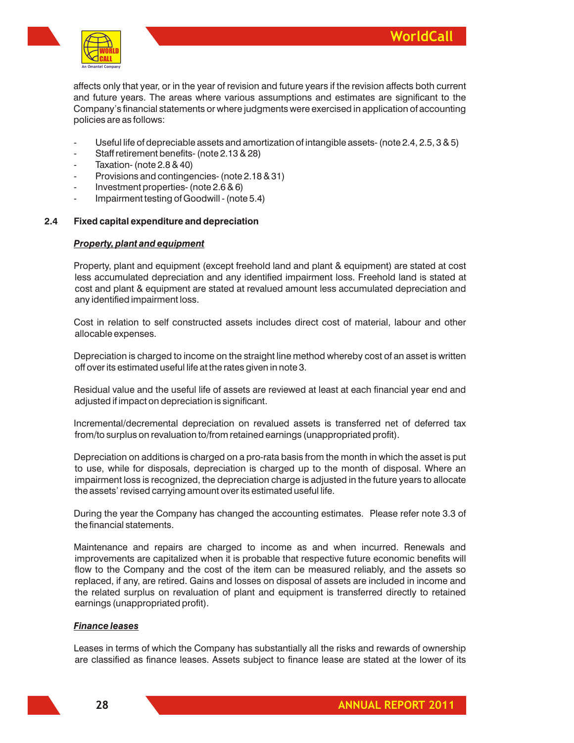



affects only that year, or in the year of revision and future years if the revision affects both current and future years. The areas where various assumptions and estimates are significant to the Company's financial statements or where judgments were exercised in application of accounting policies are as follows:

- Useful life of depreciable assets and amortization of intangible assets- (note 2.4, 2.5, 3 & 5)
- Staff retirement benefits- (note 2.13 & 28)
- Taxation- (note  $2.8 \& 40$ )
- Provisions and contingencies- (note 2.18 & 31)
- Investment properties- (note 2.6 & 6)
- Impairment testing of Goodwill (note 5.4)

#### **2.4 Fixed capital expenditure and depreciation**

#### *Property, plant and equipment*

Property, plant and equipment (except freehold land and plant & equipment) are stated at cost less accumulated depreciation and any identified impairment loss. Freehold land is stated at cost and plant & equipment are stated at revalued amount less accumulated depreciation and any identified impairment loss.

Cost in relation to self constructed assets includes direct cost of material, labour and other allocable expenses.

Depreciation is charged to income on the straight line method whereby cost of an asset is written off over its estimated useful life at the rates given in note 3.

Residual value and the useful life of assets are reviewed at least at each financial year end and adjusted if impact on depreciation is significant.

Incremental/decremental depreciation on revalued assets is transferred net of deferred tax from/to surplus on revaluation to/from retained earnings (unappropriated profit).

Depreciation on additions is charged on a pro-rata basis from the month in which the asset is put to use, while for disposals, depreciation is charged up to the month of disposal. Where an impairment loss is recognized, the depreciation charge is adjusted in the future years to allocate the assets' revised carrying amount over its estimated useful life.

During the year the Company has changed the accounting estimates. Please refer note 3.3 of the financial statements.

Maintenance and repairs are charged to income as and when incurred. Renewals and improvements are capitalized when it is probable that respective future economic benefits will flow to the Company and the cost of the item can be measured reliably, and the assets so replaced, if any, are retired. Gains and losses on disposal of assets are included in income and the related surplus on revaluation of plant and equipment is transferred directly to retained earnings (unappropriated profit).

#### *Finance leases*

Leases in terms of which the Company has substantially all the risks and rewards of ownership are classified as finance leases. Assets subject to finance lease are stated at the lower of its

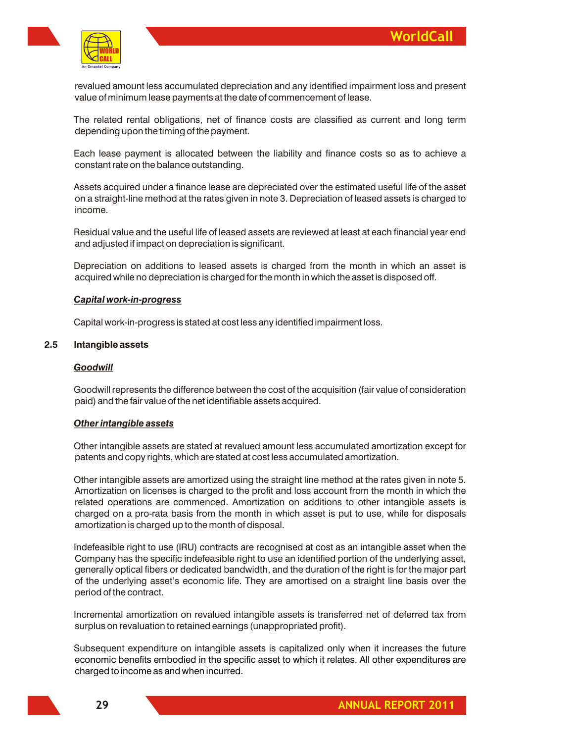

revalued amount less accumulated depreciation and any identified impairment loss and present value of minimum lease payments at the date of commencement of lease.

The related rental obligations, net of finance costs are classified as current and long term depending upon the timing of the payment.

Each lease payment is allocated between the liability and finance costs so as to achieve a constant rate on the balance outstanding.

Assets acquired under a finance lease are depreciated over the estimated useful life of the asset on a straight-line method at the rates given in note 3. Depreciation of leased assets is charged to income.

Residual value and the useful life of leased assets are reviewed at least at each financial year end and adjusted if impact on depreciation is significant.

Depreciation on additions to leased assets is charged from the month in which an asset is acquired while no depreciation is charged for the month in which the asset is disposed off.

#### *Capital work-in-progress*

Capital work-in-progress is stated at cost less any identified impairment loss.

#### **2.5 Intangible assets**

#### *Goodwill*

Goodwill represents the difference between the cost of the acquisition (fair value of consideration paid) and the fair value of the net identifiable assets acquired.

#### *Other intangible assets*

Other intangible assets are stated at revalued amount less accumulated amortization except for patents and copy rights, which are stated at cost less accumulated amortization.

Other intangible assets are amortized using the straight line method at the rates given in note 5. Amortization on licenses is charged to the profit and loss account from the month in which the related operations are commenced. Amortization on additions to other intangible assets is charged on a pro-rata basis from the month in which asset is put to use, while for disposals amortization is charged up to the month of disposal.

Indefeasible right to use (IRU) contracts are recognised at cost as an intangible asset when the Company has the specific indefeasible right to use an identified portion of the underlying asset, generally optical fibers or dedicated bandwidth, and the duration of the right is for the major part of the underlying asset's economic life. They are amortised on a straight line basis over the period of the contract.

Incremental amortization on revalued intangible assets is transferred net of deferred tax from surplus on revaluation to retained earnings (unappropriated profit).

Subsequent expenditure on intangible assets is capitalized only when it increases the future economic benefits embodied in the specific asset to which it relates. All other expenditures are charged to income as and when incurred.

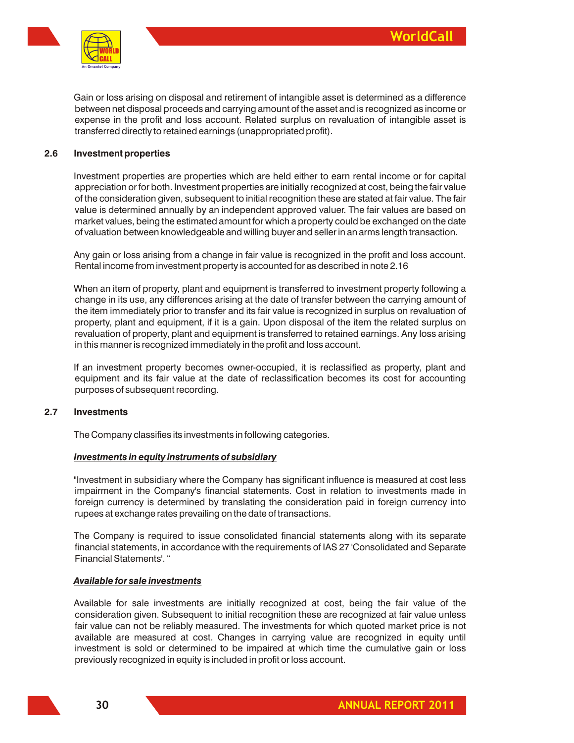

Gain or loss arising on disposal and retirement of intangible asset is determined as a difference between net disposal proceeds and carrying amount of the asset and is recognized as income or expense in the profit and loss account. Related surplus on revaluation of intangible asset is transferred directly to retained earnings (unappropriated profit).

#### **2.6 Investment properties**

Investment properties are properties which are held either to earn rental income or for capital appreciation or for both. Investment properties are initially recognized at cost, being the fair value of the consideration given, subsequent to initial recognition these are stated at fair value. The fair value is determined annually by an independent approved valuer. The fair values are based on market values, being the estimated amount for which a property could be exchanged on the date of valuation between knowledgeable and willing buyer and seller in an arms length transaction.

Any gain or loss arising from a change in fair value is recognized in the profit and loss account. Rental income from investment property is accounted for as described in note 2.16

When an item of property, plant and equipment is transferred to investment property following a change in its use, any differences arising at the date of transfer between the carrying amount of the item immediately prior to transfer and its fair value is recognized in surplus on revaluation of property, plant and equipment, if it is a gain. Upon disposal of the item the related surplus on revaluation of property, plant and equipment is transferred to retained earnings. Any loss arising in this manner is recognized immediately in the profit and loss account.

If an investment property becomes owner-occupied, it is reclassified as property, plant and equipment and its fair value at the date of reclassification becomes its cost for accounting purposes of subsequent recording.

#### **2.7 Investments**

The Company classifies its investments in following categories.

#### *Investments in equity instruments of subsidiary*

"Investment in subsidiary where the Company has significant influence is measured at cost less impairment in the Company's financial statements. Cost in relation to investments made in foreign currency is determined by translating the consideration paid in foreign currency into rupees at exchange rates prevailing on the date of transactions.

The Company is required to issue consolidated financial statements along with its separate financial statements, in accordance with the requirements of IAS 27 'Consolidated and Separate Financial Statements'. "

#### *Available for sale investments*

Available for sale investments are initially recognized at cost, being the fair value of the consideration given. Subsequent to initial recognition these are recognized at fair value unless fair value can not be reliably measured. The investments for which quoted market price is not available are measured at cost. Changes in carrying value are recognized in equity until investment is sold or determined to be impaired at which time the cumulative gain or loss previously recognized in equity is included in profit or loss account.

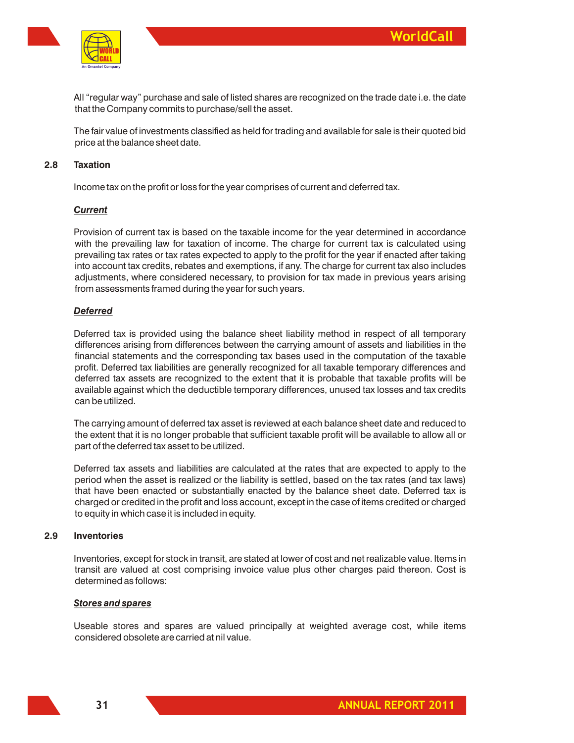

All "regular way" purchase and sale of listed shares are recognized on the trade date i.e. the date that the Company commits to purchase/sell the asset.

The fair value of investments classified as held for trading and available for sale is their quoted bid price at the balance sheet date.

#### **2.8 Taxation**

Income tax on the profit or loss for the year comprises of current and deferred tax.

#### *Current*

Provision of current tax is based on the taxable income for the year determined in accordance with the prevailing law for taxation of income. The charge for current tax is calculated using prevailing tax rates or tax rates expected to apply to the profit for the year if enacted after taking into account tax credits, rebates and exemptions, if any. The charge for current tax also includes adjustments, where considered necessary, to provision for tax made in previous years arising from assessments framed during the year for such years.

#### *Deferred*

Deferred tax is provided using the balance sheet liability method in respect of all temporary differences arising from differences between the carrying amount of assets and liabilities in the financial statements and the corresponding tax bases used in the computation of the taxable profit. Deferred tax liabilities are generally recognized for all taxable temporary differences and deferred tax assets are recognized to the extent that it is probable that taxable profits will be available against which the deductible temporary differences, unused tax losses and tax credits can be utilized.

The carrying amount of deferred tax asset is reviewed at each balance sheet date and reduced to the extent that it is no longer probable that sufficient taxable profit will be available to allow all or part of the deferred tax asset to be utilized.

Deferred tax assets and liabilities are calculated at the rates that are expected to apply to the period when the asset is realized or the liability is settled, based on the tax rates (and tax laws) that have been enacted or substantially enacted by the balance sheet date. Deferred tax is charged or credited in the profit and loss account, except in the case of items credited or charged to equity in which case it is included in equity.

#### **2.9 Inventories**

Inventories, except for stock in transit, are stated at lower of cost and net realizable value. Items in transit are valued at cost comprising invoice value plus other charges paid thereon. Cost is determined as follows:

#### *Stores and spares*

Useable stores and spares are valued principally at weighted average cost, while items considered obsolete are carried at nil value.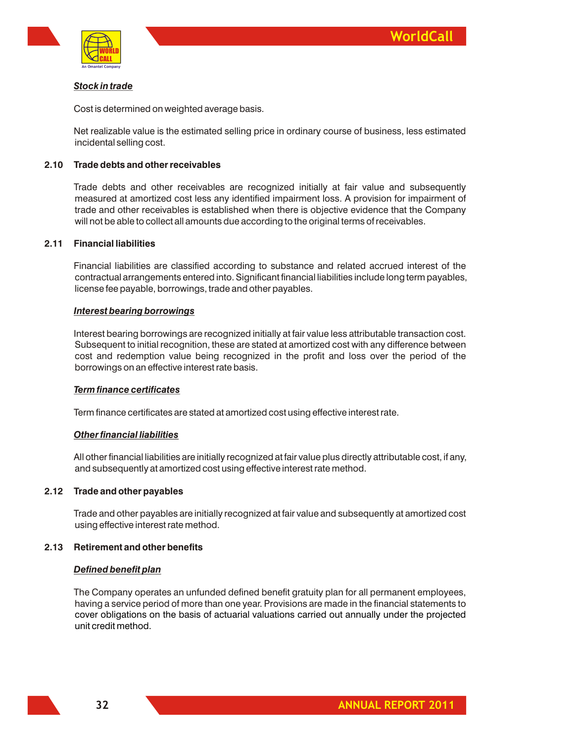

#### *Stock in trade*

Cost is determined on weighted average basis.

Net realizable value is the estimated selling price in ordinary course of business, less estimated incidental selling cost.

#### **2.10 Trade debts and other receivables**

Trade debts and other receivables are recognized initially at fair value and subsequently measured at amortized cost less any identified impairment loss. A provision for impairment of trade and other receivables is established when there is objective evidence that the Company will not be able to collect all amounts due according to the original terms of receivables.

#### **2.11 Financial liabilities**

Financial liabilities are classified according to substance and related accrued interest of the contractual arrangements entered into. Significant financial liabilities include long term payables, license fee payable, borrowings, trade and other payables.

#### *Interest bearing borrowings*

Interest bearing borrowings are recognized initially at fair value less attributable transaction cost. Subsequent to initial recognition, these are stated at amortized cost with any difference between cost and redemption value being recognized in the profit and loss over the period of the borrowings on an effective interest rate basis.

#### *Term finance certificates*

Term finance certificates are stated at amortized cost using effective interest rate.

#### *Other financial liabilities*

All other financial liabilities are initially recognized at fair value plus directly attributable cost, if any, and subsequently at amortized cost using effective interest rate method.

#### **2.12 Trade and other payables**

Trade and other payables are initially recognized at fair value and subsequently at amortized cost using effective interest rate method.

#### **2.13 Retirement and other benefits**

#### *Defined benefit plan*

The Company operates an unfunded defined benefit gratuity plan for all permanent employees, having a service period of more than one year. Provisions are made in the financial statements to cover obligations on the basis of actuarial valuations carried out annually under the projected unit credit method.

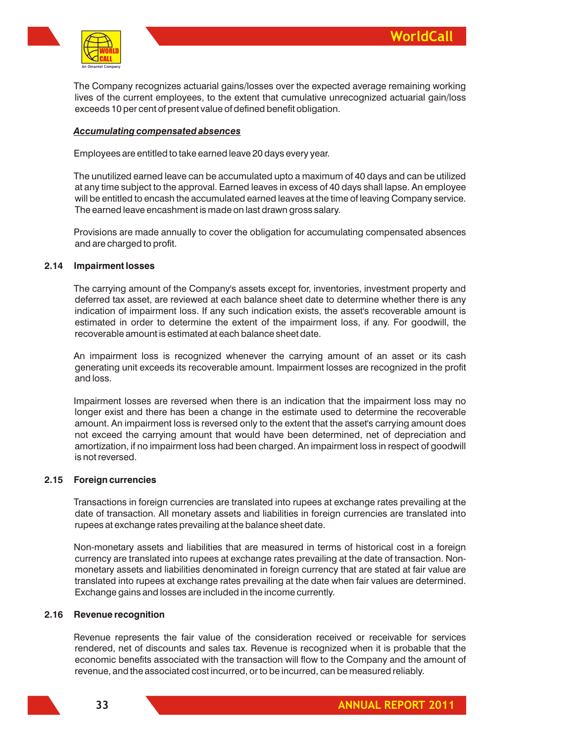

The Company recognizes actuarial gains/losses over the expected average remaining working lives of the current employees, to the extent that cumulative unrecognized actuarial gain/loss exceeds 10 per cent of present value of defined benefit obligation.

#### *Accumulating compensated absences*

Employees are entitled to take earned leave 20 days every year.

The unutilized earned leave can be accumulated upto a maximum of 40 days and can be utilized at any time subject to the approval. Earned leaves in excess of 40 days shall lapse. An employee will be entitled to encash the accumulated earned leaves at the time of leaving Company service. The earned leave encashment is made on last drawn gross salary.

Provisions are made annually to cover the obligation for accumulating compensated absences and are charged to profit.

#### **2.14 Impairment losses**

The carrying amount of the Company's assets except for, inventories, investment property and deferred tax asset, are reviewed at each balance sheet date to determine whether there is any indication of impairment loss. If any such indication exists, the asset's recoverable amount is estimated in order to determine the extent of the impairment loss, if any. For goodwill, the recoverable amount is estimated at each balance sheet date.

An impairment loss is recognized whenever the carrying amount of an asset or its cash generating unit exceeds its recoverable amount. Impairment losses are recognized in the profit and loss.

Impairment losses are reversed when there is an indication that the impairment loss may no longer exist and there has been a change in the estimate used to determine the recoverable amount. An impairment loss is reversed only to the extent that the asset's carrying amount does not exceed the carrying amount that would have been determined, net of depreciation and amortization, if no impairment loss had been charged. An impairment loss in respect of goodwill is not reversed.

#### **2.15 Foreign currencies**

Transactions in foreign currencies are translated into rupees at exchange rates prevailing at the date of transaction. All monetary assets and liabilities in foreign currencies are translated into rupees at exchange rates prevailing at the balance sheet date.

Non-monetary assets and liabilities that are measured in terms of historical cost in a foreign currency are translated into rupees at exchange rates prevailing at the date of transaction. Nonmonetary assets and liabilities denominated in foreign currency that are stated at fair value are translated into rupees at exchange rates prevailing at the date when fair values are determined. Exchange gains and losses are included in the income currently.

#### **2.16 Revenue recognition**

Revenue represents the fair value of the consideration received or receivable for services rendered, net of discounts and sales tax. Revenue is recognized when it is probable that the economic benefits associated with the transaction will flow to the Company and the amount of revenue, and the associated cost incurred, or to be incurred, can be measured reliably.

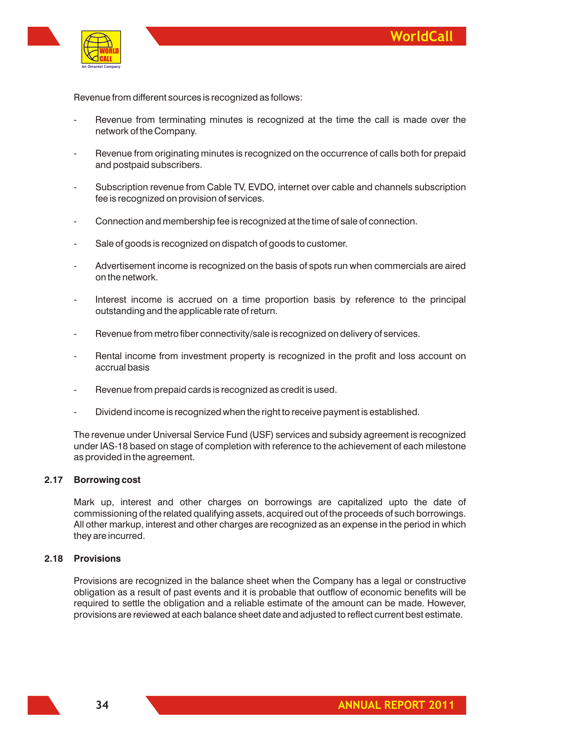

Revenue from different sources is recognized as follows:

- Revenue from terminating minutes is recognized at the time the call is made over the network of the Company.
- Revenue from originating minutes is recognized on the occurrence of calls both for prepaid and postpaid subscribers.
- Subscription revenue from Cable TV, EVDO, internet over cable and channels subscription fee is recognized on provision of services.
- Connection and membership fee is recognized at the time of sale of connection.
- Sale of goods is recognized on dispatch of goods to customer.
- Advertisement income is recognized on the basis of spots run when commercials are aired on the network.
- Interest income is accrued on a time proportion basis by reference to the principal outstanding and the applicable rate of return.
- Revenue from metro fiber connectivity/sale is recognized on delivery of services.
- Rental income from investment property is recognized in the profit and loss account on accrual basis
- Revenue from prepaid cards is recognized as credit is used.
- Dividend income is recognized when the right to receive payment is established.

The revenue under Universal Service Fund (USF) services and subsidy agreement is recognized under IAS-18 based on stage of completion with reference to the achievement of each milestone as provided in the agreement.

#### **2.17 Borrowing cost**

Mark up, interest and other charges on borrowings are capitalized upto the date of commissioning of the related qualifying assets, acquired out of the proceeds of such borrowings. All other markup, interest and other charges are recognized as an expense in the period in which they are incurred.

#### **2.18 Provisions**

Provisions are recognized in the balance sheet when the Company has a legal or constructive obligation as a result of past events and it is probable that outflow of economic benefits will be required to settle the obligation and a reliable estimate of the amount can be made. However, provisions are reviewed at each balance sheet date and adjusted to reflect current best estimate.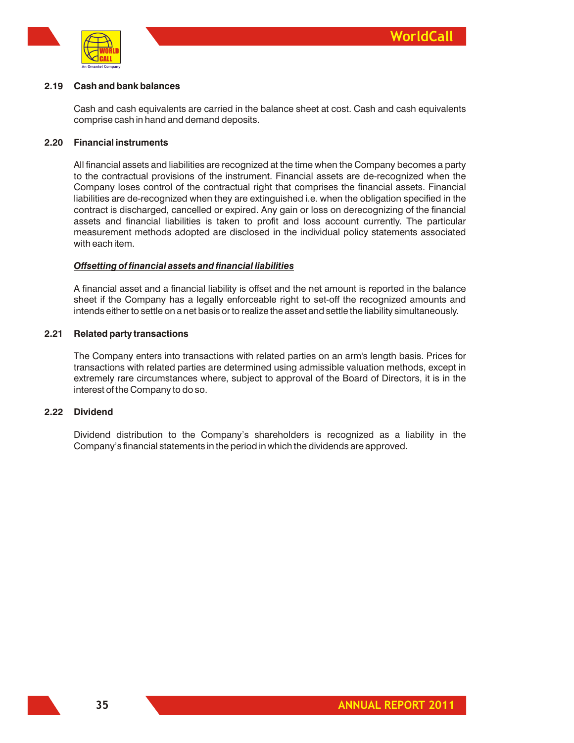

#### **2.19 Cash and bank balances**

Cash and cash equivalents are carried in the balance sheet at cost. Cash and cash equivalents comprise cash in hand and demand deposits.

#### **2.20 Financial instruments**

All financial assets and liabilities are recognized at the time when the Company becomes a party to the contractual provisions of the instrument. Financial assets are de-recognized when the Company loses control of the contractual right that comprises the financial assets. Financial liabilities are de-recognized when they are extinguished i.e. when the obligation specified in the contract is discharged, cancelled or expired. Any gain or loss on derecognizing of the financial assets and financial liabilities is taken to profit and loss account currently. The particular measurement methods adopted are disclosed in the individual policy statements associated with each item.

#### *Offsetting of financial assets and financial liabilities*

A financial asset and a financial liability is offset and the net amount is reported in the balance sheet if the Company has a legally enforceable right to set-off the recognized amounts and intends either to settle on a net basis or to realize the asset and settle the liability simultaneously.

#### **2.21 Related party transactions**

The Company enters into transactions with related parties on an arm's length basis. Prices for transactions with related parties are determined using admissible valuation methods, except in extremely rare circumstances where, subject to approval of the Board of Directors, it is in the interest of the Company to do so.

#### **2.22 Dividend**

Dividend distribution to the Company's shareholders is recognized as a liability in the Company's financial statements in the period in which the dividends are approved.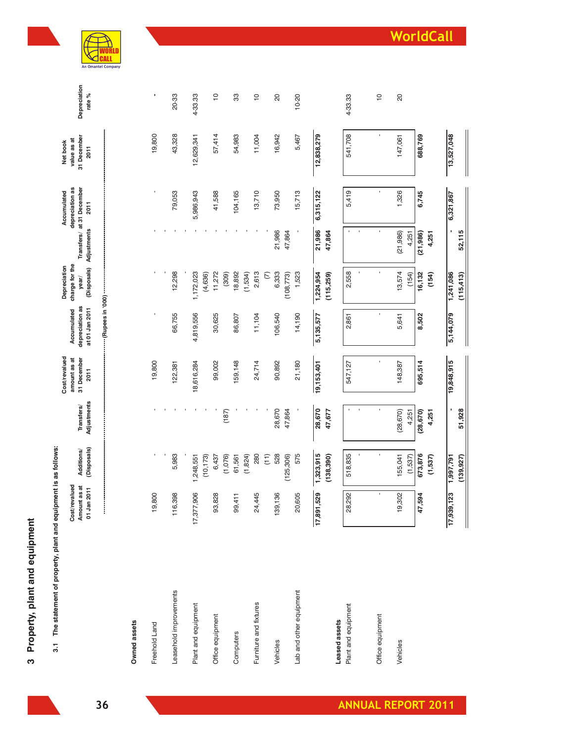# 3 Property, plant and equipment **Property, plant and equipment**

# 3.1 The statement of property, plant and equipment is as follows: **3.1 The statement of property, plant and equipment is as follows:**

|               |               | <b>Depreciation</b>                                                                            | rate %                  |  |
|---------------|---------------|------------------------------------------------------------------------------------------------|-------------------------|--|
| Net book      |               | value as at<br>31 December                                                                     | <b>2011</b>             |  |
| Accumulated   |               |                                                                                                | 2011                    |  |
|               |               |                                                                                                | (Disposals) Adjustments |  |
| epreciation   |               |                                                                                                |                         |  |
|               |               | Accumulated charge for the represent over the comber ⇒<br>- a sear fransfers/ at 31 December → | t 01 Jan 2011           |  |
| Cost/revalued |               | amount as at<br>31 December                                                                    | 2011                    |  |
|               |               | Transfers/                                                                                     | Adjustments             |  |
|               |               |                                                                                                |                         |  |
|               | Cost/revalued | Amount as at Additions/<br>)1 Jan 2011 (Disposals)                                             |                         |  |
|               |               |                                                                                                |                         |  |
|               |               |                                                                                                |                         |  |
|               |               |                                                                                                |                         |  |



| ntel Company<br>$\frac{1}{2}$<br>33<br>$\frac{1}{2}$<br>$\overline{20}$<br>20-33<br>4-33.33<br>$10 - 20$<br>$\overline{C}$<br>$\infty$<br>4-33.33<br>ı<br>13,527,048<br>19,800<br>43,328<br>11,004<br>12,838,279<br>541,708<br>57,414<br>54,983<br>16,942<br>5,467<br>688,769<br>12,629,341<br>147,061<br>5,419<br>ı<br>6,321,867<br>6,315,122<br>ı<br>13,710<br>73,950<br>15,713<br>1,326<br>6,745<br>79,053<br>5,986,943<br>41,588<br>104,165<br>$\bar{\phantom{a}}$<br>ı<br>21,986<br>21,986<br>t<br>47,864<br>4,251<br>52,115<br>47,864<br>(21, 986)<br>(21, 986)<br>4,251<br>12,298<br>2,613<br>2,558<br>13,574<br>1,241,086<br>1,172,023<br>11,272<br>18,892<br>6,333<br>1,523<br>1,224,954<br>16,132<br>(1,534)<br>(154)<br>(154)<br>(115,413)<br>(4,636)<br>(309)<br>$\odot$<br>(108, 773)<br>(115, 259)<br>------ (DOO, ul seedn bl.<br>5,144,079<br>66,755<br>4,819,556<br>ı<br>30,625<br>11,104<br>106,540<br>14,190<br>86,807<br>2,861<br>5,641<br>8,502<br>5,135,577<br>ï<br>19,848,915<br>19,800<br>90,892<br>21,180<br>99,002<br>159,148<br>24,714<br>695,514<br>18,616,284<br>547,127<br>148,387<br>19,153,401<br>122,381<br>J,<br>28,670<br>$\mathbf{I}$<br>28,670<br>ı<br>(28, 670)<br>47,864<br>51,928<br>47,677<br>4,251<br>(28, 670)<br>4,251<br>(187)<br>$\blacksquare$<br>ł<br>5,983<br>(1,824)<br>280<br>$(11)$<br>528<br>(125,306)<br>575<br>1,323,915<br>518,835<br>$\blacksquare$<br>155,041<br>(1,537)<br>673,876<br>1,248,551<br>(10, 173)<br>6,437<br>(138, 390)<br>1,997,791<br>(1,076)<br>61,561<br>(1,537)<br>(139, 927)<br>17,377,906<br>17,939,123<br>19,800<br>24,445<br>116,398<br>93,828<br>139,136<br>17,891,529<br>20,605<br>28,292<br>19,302<br>47,594<br>99,411<br>Leasehold improvements<br>Lab and other equipment<br>Furniture and fixtures<br>Plant and equipment<br>Plant and equipment<br>Office equipment<br>Office equipment<br>Leased assets<br>Owned assets<br>Freehold Land<br>Computers<br>Vehicles<br>Vehicles<br>36<br><b>ANNUAL REPORT 2011</b> |  |  |  |  |  |  |  | WorldCall |  |
|----------------------------------------------------------------------------------------------------------------------------------------------------------------------------------------------------------------------------------------------------------------------------------------------------------------------------------------------------------------------------------------------------------------------------------------------------------------------------------------------------------------------------------------------------------------------------------------------------------------------------------------------------------------------------------------------------------------------------------------------------------------------------------------------------------------------------------------------------------------------------------------------------------------------------------------------------------------------------------------------------------------------------------------------------------------------------------------------------------------------------------------------------------------------------------------------------------------------------------------------------------------------------------------------------------------------------------------------------------------------------------------------------------------------------------------------------------------------------------------------------------------------------------------------------------------------------------------------------------------------------------------------------------------------------------------------------------------------------------------------------------------------------------------------------------------------------------------------------------------------------------------------------------------------------------------------------------------------------------------------------------|--|--|--|--|--|--|--|-----------|--|
|                                                                                                                                                                                                                                                                                                                                                                                                                                                                                                                                                                                                                                                                                                                                                                                                                                                                                                                                                                                                                                                                                                                                                                                                                                                                                                                                                                                                                                                                                                                                                                                                                                                                                                                                                                                                                                                                                                                                                                                                          |  |  |  |  |  |  |  |           |  |
|                                                                                                                                                                                                                                                                                                                                                                                                                                                                                                                                                                                                                                                                                                                                                                                                                                                                                                                                                                                                                                                                                                                                                                                                                                                                                                                                                                                                                                                                                                                                                                                                                                                                                                                                                                                                                                                                                                                                                                                                          |  |  |  |  |  |  |  |           |  |
|                                                                                                                                                                                                                                                                                                                                                                                                                                                                                                                                                                                                                                                                                                                                                                                                                                                                                                                                                                                                                                                                                                                                                                                                                                                                                                                                                                                                                                                                                                                                                                                                                                                                                                                                                                                                                                                                                                                                                                                                          |  |  |  |  |  |  |  |           |  |
|                                                                                                                                                                                                                                                                                                                                                                                                                                                                                                                                                                                                                                                                                                                                                                                                                                                                                                                                                                                                                                                                                                                                                                                                                                                                                                                                                                                                                                                                                                                                                                                                                                                                                                                                                                                                                                                                                                                                                                                                          |  |  |  |  |  |  |  |           |  |
|                                                                                                                                                                                                                                                                                                                                                                                                                                                                                                                                                                                                                                                                                                                                                                                                                                                                                                                                                                                                                                                                                                                                                                                                                                                                                                                                                                                                                                                                                                                                                                                                                                                                                                                                                                                                                                                                                                                                                                                                          |  |  |  |  |  |  |  |           |  |
|                                                                                                                                                                                                                                                                                                                                                                                                                                                                                                                                                                                                                                                                                                                                                                                                                                                                                                                                                                                                                                                                                                                                                                                                                                                                                                                                                                                                                                                                                                                                                                                                                                                                                                                                                                                                                                                                                                                                                                                                          |  |  |  |  |  |  |  |           |  |
|                                                                                                                                                                                                                                                                                                                                                                                                                                                                                                                                                                                                                                                                                                                                                                                                                                                                                                                                                                                                                                                                                                                                                                                                                                                                                                                                                                                                                                                                                                                                                                                                                                                                                                                                                                                                                                                                                                                                                                                                          |  |  |  |  |  |  |  |           |  |
|                                                                                                                                                                                                                                                                                                                                                                                                                                                                                                                                                                                                                                                                                                                                                                                                                                                                                                                                                                                                                                                                                                                                                                                                                                                                                                                                                                                                                                                                                                                                                                                                                                                                                                                                                                                                                                                                                                                                                                                                          |  |  |  |  |  |  |  |           |  |
|                                                                                                                                                                                                                                                                                                                                                                                                                                                                                                                                                                                                                                                                                                                                                                                                                                                                                                                                                                                                                                                                                                                                                                                                                                                                                                                                                                                                                                                                                                                                                                                                                                                                                                                                                                                                                                                                                                                                                                                                          |  |  |  |  |  |  |  |           |  |
|                                                                                                                                                                                                                                                                                                                                                                                                                                                                                                                                                                                                                                                                                                                                                                                                                                                                                                                                                                                                                                                                                                                                                                                                                                                                                                                                                                                                                                                                                                                                                                                                                                                                                                                                                                                                                                                                                                                                                                                                          |  |  |  |  |  |  |  |           |  |
|                                                                                                                                                                                                                                                                                                                                                                                                                                                                                                                                                                                                                                                                                                                                                                                                                                                                                                                                                                                                                                                                                                                                                                                                                                                                                                                                                                                                                                                                                                                                                                                                                                                                                                                                                                                                                                                                                                                                                                                                          |  |  |  |  |  |  |  |           |  |
|                                                                                                                                                                                                                                                                                                                                                                                                                                                                                                                                                                                                                                                                                                                                                                                                                                                                                                                                                                                                                                                                                                                                                                                                                                                                                                                                                                                                                                                                                                                                                                                                                                                                                                                                                                                                                                                                                                                                                                                                          |  |  |  |  |  |  |  |           |  |
|                                                                                                                                                                                                                                                                                                                                                                                                                                                                                                                                                                                                                                                                                                                                                                                                                                                                                                                                                                                                                                                                                                                                                                                                                                                                                                                                                                                                                                                                                                                                                                                                                                                                                                                                                                                                                                                                                                                                                                                                          |  |  |  |  |  |  |  |           |  |
|                                                                                                                                                                                                                                                                                                                                                                                                                                                                                                                                                                                                                                                                                                                                                                                                                                                                                                                                                                                                                                                                                                                                                                                                                                                                                                                                                                                                                                                                                                                                                                                                                                                                                                                                                                                                                                                                                                                                                                                                          |  |  |  |  |  |  |  |           |  |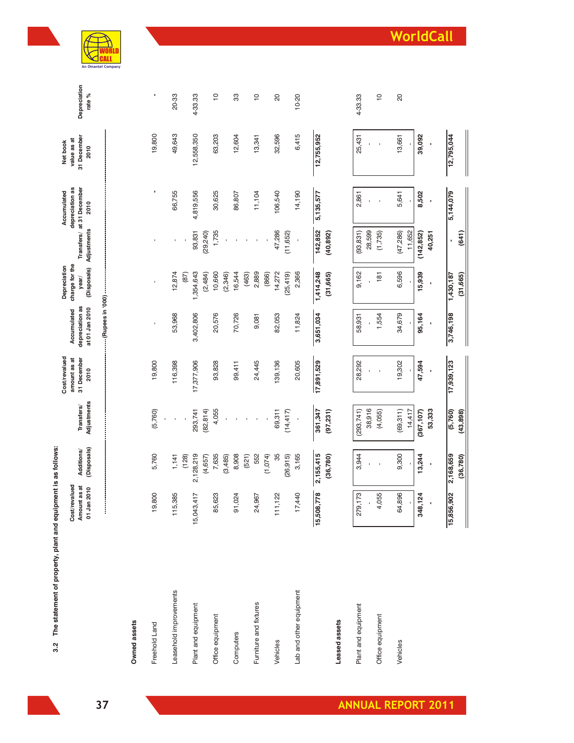

|                     |              | Depreciation<br>rate %                                                          |                         |  |
|---------------------|--------------|---------------------------------------------------------------------------------|-------------------------|--|
| Net book            |              | value as at<br>31 December<br>2010                                              |                         |  |
|                     |              | Accumulated<br>depreciation as<br>Transfers/ at 31 December<br>Adiustments 2010 |                         |  |
| <b>Jepreciation</b> |              | charge for the<br>year/                                                         | (Disposals) Adjustments |  |
|                     |              | Accumulated ch<br>depreciation as<br>at 01 Jan 2010 (I                          |                         |  |
|                     |              | Cost/revalued<br>amount as at<br>31 December<br>2010                            |                         |  |
|                     |              | <b>Transfers/</b>                                                               | djustment               |  |
|                     |              | Additions/<br>(Disposals)                                                       |                         |  |
|                     | ost/revalued | Amount as at /<br>01 Jan 2010 (1                                                |                         |  |
|                     |              |                                                                                 |                         |  |

| <b>An Omantel Company</b> |
|---------------------------|

a a

|                          |               |                        |                     |                    |                   |                        |                 |                         |            |           |               |                     |                   |                           |                      | WorldCall              |
|--------------------------|---------------|------------------------|---------------------|--------------------|-------------------|------------------------|-----------------|-------------------------|------------|-----------|---------------|---------------------|-------------------|---------------------------|----------------------|------------------------|
| ntel Company             |               |                        |                     | $\overline{1}$     | 33                | $\overline{0}$         |                 |                         |            |           |               |                     | $\overline{C}$    |                           |                      |                        |
|                          |               | 20-33                  | 4-33.33             |                    |                   |                        | $\overline{c}$  | $10 - 20$               |            |           |               | 4-33.33             |                   | $\rm ^2$                  |                      |                        |
|                          | 19,800        | 49,643                 | 12,558,350          | 63,203             | 12,604            | 13,341                 | 32,596          | 6,415                   | 12,755,952 |           |               | 25,431              |                   | 13,661                    | 39,092               | 12,795,044             |
|                          | p             | 66,755                 | 4,819,556           | 30,625             | 86,807            | 11,104                 | 106,540         | 14,190                  | 5,135,577  |           |               | 2,861               |                   | 5,641                     | 8,502                | 5,144,079              |
|                          |               |                        | 93,831              | 1,735<br>(29, 240) |                   |                        | 47,286          | (11, 652)               | 142,852    | (40, 892) |               | (93, 831)           | 28,599<br>(1,735) | 11,652<br>(47, 286)       | (142, 852)<br>40,251 | (641)<br>í,            |
|                          |               | 12,874                 | 1,354,643<br>(87)   | 10,660<br>(2,484)  | 16,544<br>(2,346) | 2,889<br>(463)         | 14,272<br>(866) | 2,366<br>(25, 419)      | 1,414,248  | (31,665)  |               | 9,162               | 181               | 6,596                     | 15,939               | 1,430,187<br>(31,665)  |
| --- (DOO, ul seedng) --- | ï             | 53,968                 | 3,402,806           | 20,576             | 70,726            | 9,081                  | 82,053          | 11,824                  | 3,651,034  |           |               | 58,931              | 1,554             | 34,679                    | 95,164               | 3,746,198              |
|                          | 19,800        | 116,398                | 17,377,906          | 93,828             | 99,411            | 24,445                 | 139,136         | 20,605                  | 17,891,529 |           |               | 28,292              |                   | 19,302                    | 47,594               | 17,939,123             |
|                          | (5,760)       |                        | 293,741             | (82, 814)<br>4,055 |                   |                        | 69,311          | (14, 417)               | 361,347    | (97,231)  |               | (293, 741)          | 38,916<br>(4,055) | (69, 311)<br>14,417       | 53,333<br>(367, 107) | (5,760)<br>(43, 898)   |
|                          | 5,760         | 1,141                  | (128)<br>2,128,219  | 7,635<br>(4,657)   | (3,485)<br>8,908  | (521)<br>552           | (1,074)<br>35   | (26, 915)<br>3,165      | 2,155,415  | (36, 780) |               | 3,944               | $\bar{ }$         | 9,300                     | 13,244               | 2,168,659<br>(36, 780) |
|                          | 19,800        | 115,385                | 15,043,417          | 85,623             | 91,024            | 24,967                 | 111,122         | 17,440                  | 15,508,778 |           |               | 279,173             | 4,055             | 64,896                    | 348,124              | 15,856,902             |
|                          |               |                        |                     |                    |                   |                        |                 |                         |            |           |               |                     |                   |                           |                      |                        |
| Owned assets             | Freehold Land | Leasehold improvements | Plant and equipment | Office equipment   | Computers         | Furniture and fixtures | Vehicles        | Lab and other equipment |            |           | Leased assets | Plant and equipment | Office equipment  | Vehicles                  |                      |                        |
| 37                       |               |                        |                     |                    |                   |                        |                 |                         |            |           |               |                     |                   | <b>ANNUAL REPORT 2011</b> |                      |                        |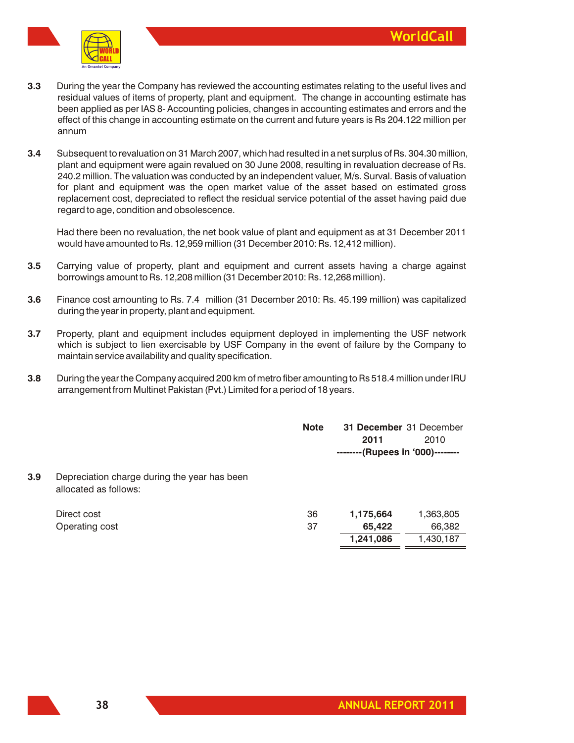

- **3.3** During the year the Company has reviewed the accounting estimates relating to the useful lives and residual values of items of property, plant and equipment. The change in accounting estimate has been applied as per IAS 8- Accounting policies, changes in accounting estimates and errors and the effect of this change in accounting estimate on the current and future years is Rs 204.122 million per annum
- **3.4** Subsequent to revaluation on 31 March 2007, which had resulted in a net surplus of Rs. 304.30 million, plant and equipment were again revalued on 30 June 2008, resulting in revaluation decrease of Rs. 240.2 million. The valuation was conducted by an independent valuer, M/s. Surval. Basis of valuation for plant and equipment was the open market value of the asset based on estimated gross replacement cost, depreciated to reflect the residual service potential of the asset having paid due regard to age, condition and obsolescence.

Had there been no revaluation, the net book value of plant and equipment as at 31 December 2011 would have amounted to Rs. 12,959 million (31 December 2010: Rs. 12,412 million).

- **3.5** Carrying value of property, plant and equipment and current assets having a charge against borrowings amount to Rs. 12,208 million (31 December 2010: Rs. 12,268 million).
- **3.6** Finance cost amounting to Rs. 7.4 million (31 December 2010: Rs. 45.199 million) was capitalized during the year in property, plant and equipment.
- **3.7** Property, plant and equipment includes equipment deployed in implementing the USF network which is subject to lien exercisable by USF Company in the event of failure by the Company to maintain service availability and quality specification.
- **3.8** During the year the Company acquired 200 km of metro fiber amounting to Rs 518.4 million under IRU arrangement from Multinet Pakistan (Pvt.) Limited for a period of 18 years.

|     |                                                                       | <b>Note</b> | 31 December 31 December          |           |
|-----|-----------------------------------------------------------------------|-------------|----------------------------------|-----------|
|     |                                                                       |             | 2011                             | 2010      |
|     |                                                                       |             | --------(Rupees in '000)-------- |           |
| 3.9 | Depreciation charge during the year has been<br>allocated as follows: |             |                                  |           |
|     | Direct cost                                                           | 36          | 1,175,664                        | 1,363,805 |
|     | Operating cost                                                        | 37          | 65,422                           | 66,382    |
|     |                                                                       |             | 1,241,086                        | 1,430,187 |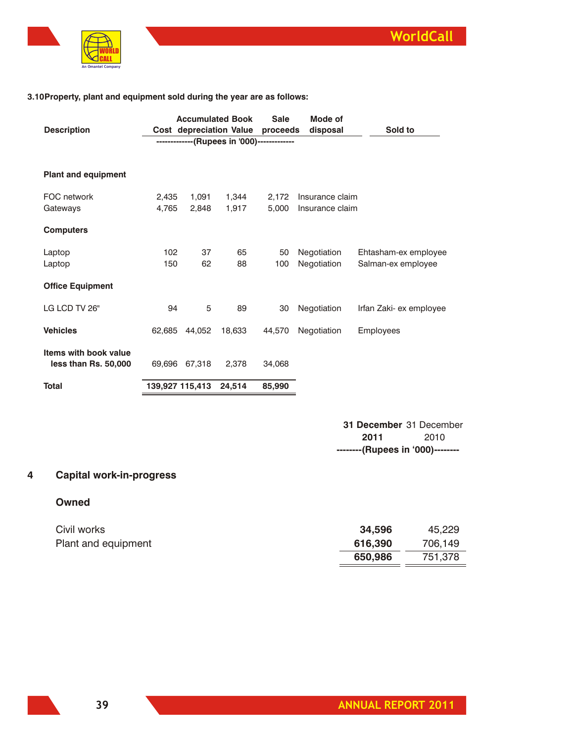

# **3.10Property, plant and equipment sold during the year are as follows:**

| <b>Description</b>                            |                 |                | <b>Accumulated Book</b><br>Cost depreciation Value<br>-------------(Rupees in '000)------------- | <b>Sale</b><br>proceeds | Mode of<br>disposal                | Sold to                                    |
|-----------------------------------------------|-----------------|----------------|--------------------------------------------------------------------------------------------------|-------------------------|------------------------------------|--------------------------------------------|
|                                               |                 |                |                                                                                                  |                         |                                    |                                            |
| <b>Plant and equipment</b>                    |                 |                |                                                                                                  |                         |                                    |                                            |
| FOC network<br>Gateways                       | 2,435<br>4,765  | 1,091<br>2,848 | 1,344<br>1,917                                                                                   | 2,172<br>5,000          | Insurance claim<br>Insurance claim |                                            |
| <b>Computers</b>                              |                 |                |                                                                                                  |                         |                                    |                                            |
| Laptop<br>Laptop                              | 102<br>150      | 37<br>62       | 65<br>88                                                                                         | 50<br>100               | Negotiation<br>Negotiation         | Ehtasham-ex employee<br>Salman-ex employee |
| <b>Office Equipment</b>                       |                 |                |                                                                                                  |                         |                                    |                                            |
| LG LCD TV 26"                                 | 94              | 5              | 89                                                                                               | 30                      | Negotiation                        | Irfan Zaki- ex employee                    |
| <b>Vehicles</b>                               | 62,685          | 44,052         | 18,633                                                                                           | 44.570                  | Negotiation                        | Employees                                  |
| Items with book value<br>less than Rs. 50,000 | 69,696          | 67,318         | 2,378                                                                                            | 34.068                  |                                    |                                            |
| <b>Total</b>                                  | 139,927 115,413 |                | 24,514                                                                                           | 85,990                  |                                    |                                            |

**31 December** 31 December **2011** 2010 **--------(Rupees in '000)--------**

# **4 Capital work-in-progress**

# **Owned**

| Civil works         | 34,596  | 45,229  |
|---------------------|---------|---------|
| Plant and equipment | 616,390 | 706,149 |
|                     | 650,986 | 751,378 |
|                     |         |         |

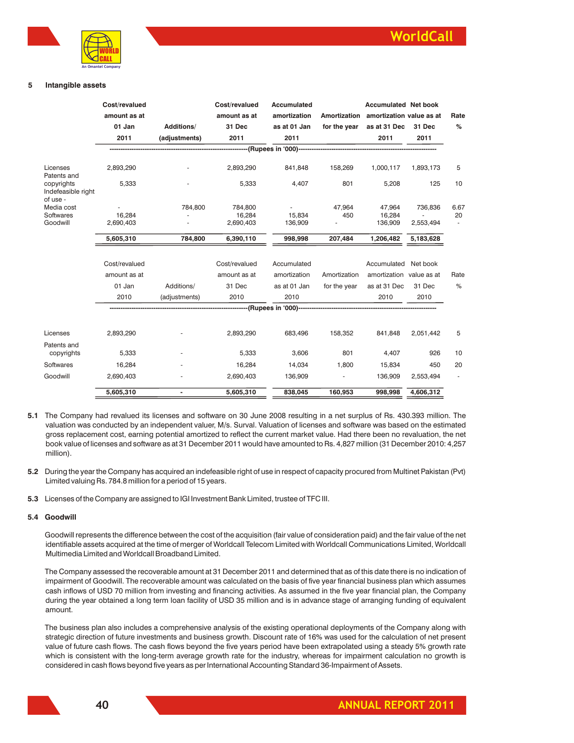

#### **5 Intangible assets**

|                           | Cost/revalued<br>amount as at |                          | Cost/revalued<br>amount as at | <b>Accumulated</b><br>amortization |              | <b>Accumulated Net book</b><br>Amortization amortization value as at |           | Rate |
|---------------------------|-------------------------------|--------------------------|-------------------------------|------------------------------------|--------------|----------------------------------------------------------------------|-----------|------|
|                           | 01 Jan                        | Additions/               | 31 Dec                        | as at 01 Jan                       | for the year | as at 31 Dec                                                         | 31 Dec    | %    |
|                           |                               |                          |                               |                                    |              |                                                                      |           |      |
|                           | 2011                          | (adjustments)            | 2011                          | 2011                               |              | 2011                                                                 | 2011      |      |
|                           |                               |                          |                               |                                    |              |                                                                      |           |      |
| Licenses<br>Patents and   | 2,893,290                     |                          | 2,893,290                     | 841,848                            | 158,269      | 1,000,117                                                            | 1,893,173 | 5    |
| copyrights                | 5,333                         |                          | 5.333                         | 4.407                              | 801          | 5,208                                                                | 125       | 10   |
| Indefeasible right        |                               |                          |                               |                                    |              |                                                                      |           |      |
| of use -<br>Media cost    |                               | 784,800                  | 784,800                       |                                    | 47,964       | 47,964                                                               | 736,836   | 6.67 |
| Softwares                 | 16,284                        |                          | 16,284                        | 15,834                             | 450          | 16,284                                                               |           | 20   |
| Goodwill                  | 2,690,403                     |                          | 2,690,403                     | 136,909                            |              | 136,909                                                              | 2,553,494 |      |
|                           | 5,605,310                     | 784.800                  | 6,390,110                     | 998.998                            | 207,484      | 1,206,482                                                            | 5,183,628 |      |
|                           |                               |                          |                               |                                    |              |                                                                      |           |      |
|                           | Cost/revalued                 |                          | Cost/revalued                 | Accumulated                        |              | Accumulated                                                          | Net book  |      |
|                           | amount as at                  |                          | amount as at                  | amortization                       | Amortization | amortization value as at                                             |           | Rate |
|                           | 01 Jan                        | Additions/               | 31 Dec                        | as at 01 Jan                       | for the year | as at 31 Dec                                                         | 31 Dec    | %    |
|                           | 2010                          | (adjustments)            | 2010                          | 2010                               |              | 2010                                                                 | 2010      |      |
|                           |                               |                          |                               |                                    |              |                                                                      |           |      |
|                           |                               |                          |                               |                                    |              |                                                                      |           |      |
| Licenses                  | 2,893,290                     |                          | 2,893,290                     | 683,496                            | 158,352      | 841.848                                                              | 2,051,442 | 5    |
| Patents and<br>copyrights | 5,333                         |                          | 5,333                         | 3,606                              | 801          | 4,407                                                                | 926       | 10   |
| Softwares                 | 16,284                        |                          | 16,284                        | 14,034                             | 1,800        | 15,834                                                               | 450       | 20   |
| Goodwill                  | 2,690,403                     |                          | 2,690,403                     | 136,909                            |              | 136,909                                                              | 2,553,494 |      |
|                           | 5,605,310                     | $\overline{\phantom{0}}$ | 5,605,310                     | 838,045                            | 160.953      | 998,998                                                              | 4,606,312 |      |
|                           |                               |                          |                               |                                    |              |                                                                      |           |      |

- **5.1** The Company had revalued its licenses and software on 30 June 2008 resulting in a net surplus of Rs. 430.393 million. The valuation was conducted by an independent valuer, M/s. Surval. Valuation of licenses and software was based on the estimated gross replacement cost, earning potential amortized to reflect the current market value. Had there been no revaluation, the net book value of licenses and software as at 31 December 2011 would have amounted to Rs. 4,827 million (31 December 2010: 4,257 million).
- **5.2** During the year the Company has acquired an indefeasible right of use in respect of capacity procured from Multinet Pakistan (Pvt) Limited valuing Rs. 784.8 million for a period of 15 years.
- **5.3** Licenses of the Company are assigned to IGI Investment Bank Limited, trustee of TFC III.

#### **5.4 Goodwill**

Goodwill represents the difference between the cost of the acquisition (fair value of consideration paid) and the fair value of the net identifiable assets acquired at the time of merger of Worldcall Telecom Limited with Worldcall Communications Limited, Worldcall Multimedia Limited and Worldcall Broadband Limited.

The Company assessed the recoverable amount at 31 December 2011 and determined that as of this date there is no indication of impairment of Goodwill. The recoverable amount was calculated on the basis of five year financial business plan which assumes cash inflows of USD 70 million from investing and financing activities. As assumed in the five year financial plan, the Company during the year obtained a long term loan facility of USD 35 million and is in advance stage of arranging funding of equivalent amount.

The business plan also includes a comprehensive analysis of the existing operational deployments of the Company along with strategic direction of future investments and business growth. Discount rate of 16% was used for the calculation of net present value of future cash flows. The cash flows beyond the five years period have been extrapolated using a steady 5% growth rate which is consistent with the long-term average growth rate for the industry, whereas for impairment calculation no growth is considered in cash flows beyond five years as per International Accounting Standard 36-Impairment of Assets.

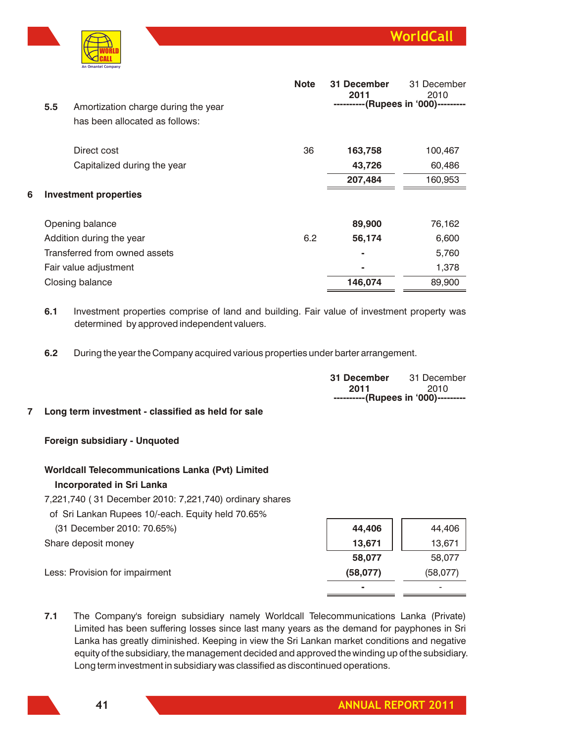

|   | 5.5 | Amortization charge during the year<br>has been allocated as follows: | <b>Note</b> | 31 December<br>2011 | 31 December<br>2010<br>-(Rupees in '000)-- |
|---|-----|-----------------------------------------------------------------------|-------------|---------------------|--------------------------------------------|
|   |     | Direct cost                                                           | 36          | 163,758             | 100,467                                    |
|   |     | Capitalized during the year                                           |             | 43,726              | 60,486                                     |
|   |     |                                                                       |             | 207,484             | 160,953                                    |
| 6 |     | <b>Investment properties</b>                                          |             |                     |                                            |
|   |     | Opening balance                                                       |             | 89,900              | 76,162                                     |
|   |     | Addition during the year                                              | 6.2         | 56,174              | 6,600                                      |
|   |     | Transferred from owned assets                                         |             |                     | 5,760                                      |
|   |     | Fair value adjustment                                                 |             |                     | 1,378                                      |
|   |     | Closing balance                                                       |             | 146,074             | 89,900                                     |

**6.1** Investment properties comprise of land and building. Fair value of investment property was determined by approved independent valuers.

**6.2** During the year the Company acquired various properties under barter arrangement.

|  |  |  |  | <b>31 December</b> 31 December      |      |
|--|--|--|--|-------------------------------------|------|
|  |  |  |  | 2011                                | 2010 |
|  |  |  |  | ----------(Rupees in '000)--------- |      |
|  |  |  |  |                                     |      |

# **7 Long term investment - classified as held for sale**

# **Foreign subsidiary - Unquoted**

# **Worldcall Telecommunications Lanka (Pvt) Limited Incorporated in Sri Lanka**

7,221,740 ( 31 December 2010: 7,221,740) ordinary shares

of Sri Lankan Rupees 10/-each. Equity held 70.65%

| (31 December 2010: 70.65%)     | 44,406   | 44.406   |
|--------------------------------|----------|----------|
| Share deposit money            | 13,671   | 13,671   |
|                                | 58.077   | 58.077   |
| Less: Provision for impairment | (58,077) | (58,077) |
|                                | ۰        |          |

**7.1** The Company's foreign subsidiary namely Worldcall Telecommunications Lanka (Private) Limited has been suffering losses since last many years as the demand for payphones in Sri Lanka has greatly diminished. Keeping in view the Sri Lankan market conditions and negative equity of the subsidiary, the management decided and approved the winding up of the subsidiary. Long term investment in subsidiary was classified as discontinued operations.

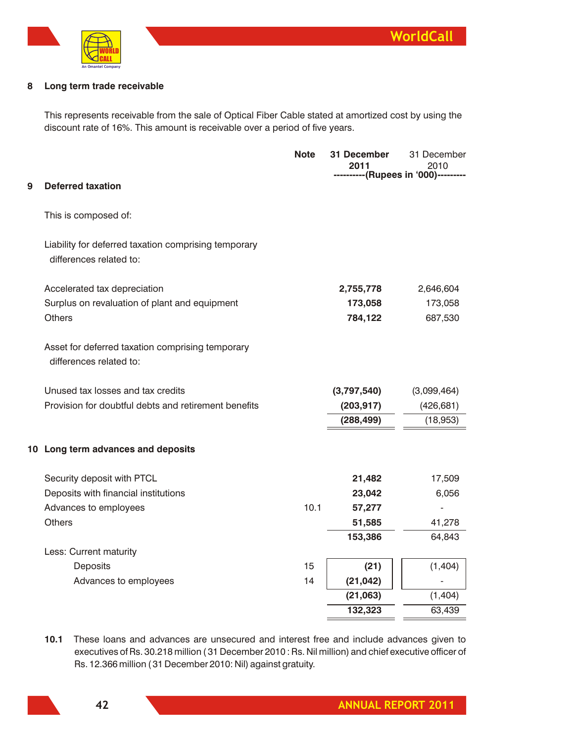



# **8 Long term trade receivable**

This represents receivable from the sale of Optical Fiber Cable stated at amortized cost by using the discount rate of 16%. This amount is receivable over a period of five years.

|   |                                                                                 | <b>Note</b> | 31 December<br>2011 | 31 December<br>2010<br>----------(Rupees in '000)--------- |
|---|---------------------------------------------------------------------------------|-------------|---------------------|------------------------------------------------------------|
| 9 | <b>Deferred taxation</b>                                                        |             |                     |                                                            |
|   | This is composed of:                                                            |             |                     |                                                            |
|   | Liability for deferred taxation comprising temporary<br>differences related to: |             |                     |                                                            |
|   | Accelerated tax depreciation                                                    |             | 2,755,778           | 2,646,604                                                  |
|   | Surplus on revaluation of plant and equipment                                   |             | 173,058             | 173,058                                                    |
|   | <b>Others</b>                                                                   |             | 784,122             | 687,530                                                    |
|   | Asset for deferred taxation comprising temporary<br>differences related to:     |             |                     |                                                            |
|   | Unused tax losses and tax credits                                               |             | (3,797,540)         | (3,099,464)                                                |
|   | Provision for doubtful debts and retirement benefits                            |             | (203, 917)          | (426, 681)                                                 |
|   |                                                                                 |             | (288, 499)          | (18, 953)                                                  |
|   | 10 Long term advances and deposits                                              |             |                     |                                                            |
|   | Security deposit with PTCL                                                      |             | 21,482              | 17,509                                                     |
|   | Deposits with financial institutions                                            |             | 23,042              | 6,056                                                      |
|   | Advances to employees                                                           | 10.1        | 57,277              |                                                            |
|   | <b>Others</b>                                                                   |             | 51,585              | 41,278                                                     |
|   |                                                                                 |             | 153,386             | 64,843                                                     |
|   | Less: Current maturity                                                          |             |                     |                                                            |
|   | Deposits                                                                        | 15          | (21)                | (1,404)                                                    |
|   | Advances to employees                                                           | 14          | (21, 042)           |                                                            |
|   |                                                                                 |             | (21,063)            | (1,404)                                                    |
|   |                                                                                 |             | 132,323             | 63,439                                                     |

**10.1** These loans and advances are unsecured and interest free and include advances given to executives of Rs. 30.218 million ( 31 December 2010 : Rs. Nil million) and chief executive officer of Rs. 12.366 million ( 31 December 2010: Nil) against gratuity.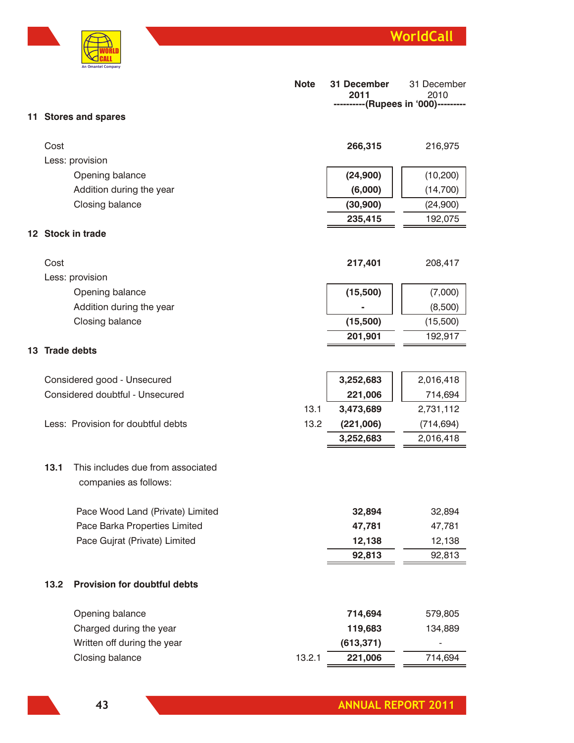

|     |      |                                    | <b>Note</b> | 31 December | 31 December                                 |
|-----|------|------------------------------------|-------------|-------------|---------------------------------------------|
|     |      |                                    |             | 2011        | 2010<br>----------(Rupees in '000)--------- |
| 11  |      | <b>Stores and spares</b>           |             |             |                                             |
|     |      |                                    |             |             |                                             |
|     | Cost |                                    |             | 266,315     | 216,975                                     |
|     |      | Less: provision                    |             |             |                                             |
|     |      | Opening balance                    |             | (24,900)    | (10, 200)                                   |
|     |      | Addition during the year           |             | (6,000)     | (14, 700)                                   |
|     |      | Closing balance                    |             | (30, 900)   | (24,900)                                    |
|     |      |                                    |             | 235,415     | 192,075                                     |
|     |      | 12 Stock in trade                  |             |             |                                             |
|     |      |                                    |             |             |                                             |
|     | Cost |                                    |             | 217,401     | 208,417                                     |
|     |      | Less: provision                    |             |             |                                             |
|     |      | Opening balance                    |             | (15,500)    | (7,000)                                     |
|     |      | Addition during the year           |             |             | (8,500)                                     |
|     |      | Closing balance                    |             | (15,500)    | (15,500)                                    |
|     |      |                                    |             | 201,901     | 192,917                                     |
| 13. |      | <b>Trade debts</b>                 |             |             |                                             |
|     |      |                                    |             |             |                                             |
|     |      | Considered good - Unsecured        |             | 3,252,683   | 2,016,418                                   |
|     |      | Considered doubtful - Unsecured    |             | 221,006     | 714,694                                     |
|     |      |                                    | 13.1        | 3,473,689   | 2,731,112                                   |
|     |      | Less: Provision for doubtful debts | 13.2        | (221,006)   | (714, 694)                                  |
|     |      |                                    |             | 3,252,683   | 2,016,418                                   |
|     |      |                                    |             |             |                                             |
|     | 13.1 | This includes due from associated  |             |             |                                             |
|     |      | companies as follows:              |             |             |                                             |
|     |      |                                    |             |             |                                             |
|     |      | Pace Wood Land (Private) Limited   |             | 32,894      | 32,894                                      |
|     |      | Pace Barka Properties Limited      |             | 47,781      | 47,781                                      |
|     |      | Pace Gujrat (Private) Limited      |             | 12,138      | 12,138                                      |
|     |      |                                    |             | 92,813      | 92,813                                      |
|     |      |                                    |             |             |                                             |
|     | 13.2 | Provision for doubtful debts       |             |             |                                             |
|     |      | Opening balance                    |             | 714,694     | 579,805                                     |
|     |      | Charged during the year            |             | 119,683     | 134,889                                     |
|     |      | Written off during the year        |             | (613, 371)  |                                             |
|     |      | Closing balance                    | 13.2.1      | 221,006     | 714,694                                     |
|     |      |                                    |             |             |                                             |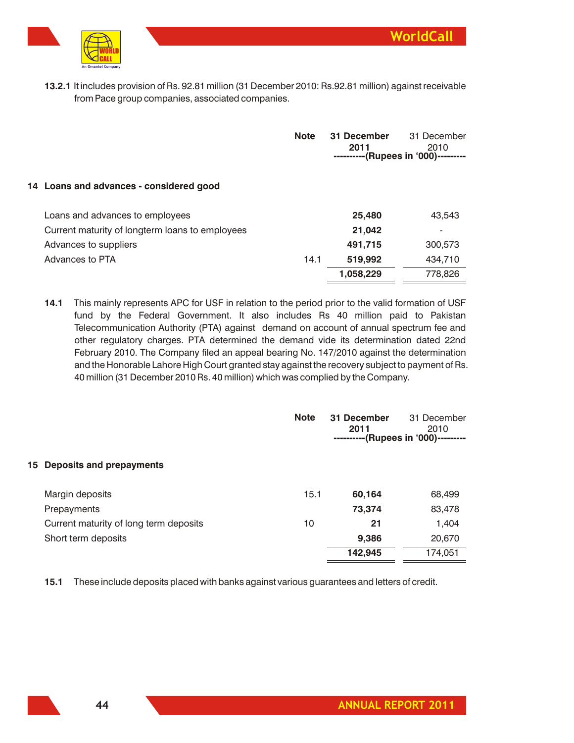

**13.2.1** It includes provision of Rs. 92.81 million (31 December 2010: Rs.92.81 million) against receivable from Pace group companies, associated companies.

|                                                 | <b>Note</b> | 31 December<br>2011 | 31 December<br>2010<br>--(Rupees in '000)--- |
|-------------------------------------------------|-------------|---------------------|----------------------------------------------|
| 14 Loans and advances - considered good         |             |                     |                                              |
| Loans and advances to employees                 |             | 25,480              | 43,543                                       |
| Current maturity of longterm loans to employees |             | 21,042              | $\overline{\phantom{0}}$                     |
| Advances to suppliers                           |             | 491,715             | 300,573                                      |
| Advances to PTA                                 | 14.1        | 519,992             | 434,710                                      |
|                                                 |             | 1,058,229           | 778,826                                      |
|                                                 |             |                     |                                              |

**14.1** This mainly represents APC for USF in relation to the period prior to the valid formation of USF fund by the Federal Government. It also includes Rs 40 million paid to Pakistan Telecommunication Authority (PTA) against demand on account of annual spectrum fee and other regulatory charges. PTA determined the demand vide its determination dated 22nd February 2010. The Company filed an appeal bearing No. 147/2010 against the determination and the Honorable Lahore High Court granted stay against the recovery subject to payment of Rs. 40 million (31 December 2010 Rs. 40 million) which was complied by the Company.

|                                        | <b>Note</b> | 31 December<br>2011 | 31 December<br>2010<br>(Rupees in '000)--------- |
|----------------------------------------|-------------|---------------------|--------------------------------------------------|
| 15 Deposits and prepayments            |             |                     |                                                  |
| Margin deposits                        | 15.1        | 60,164              | 68,499                                           |
| Prepayments                            |             | 73,374              | 83,478                                           |
| Current maturity of long term deposits | 10          | 21                  | 1,404                                            |
| Short term deposits                    |             | 9,386               | 20,670                                           |
|                                        |             | 142,945             | 174,051                                          |

**15.1** These include deposits placed with banks against various guarantees and letters of credit.

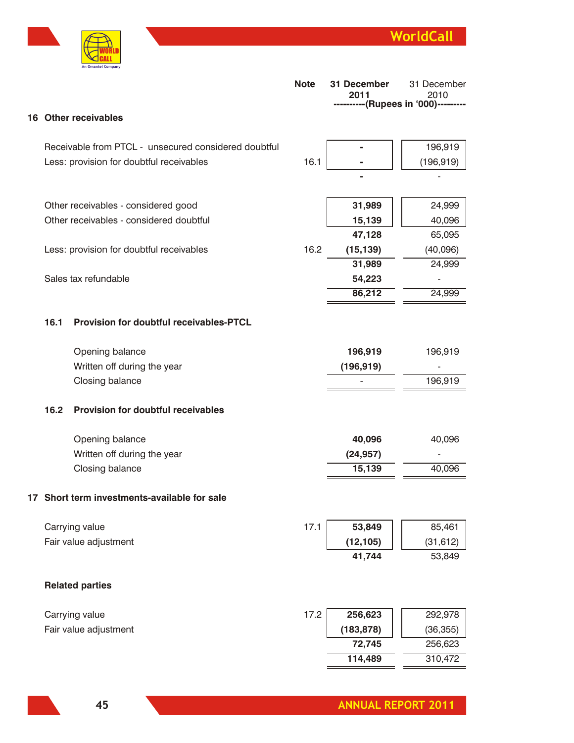

**16 Other receivables**

|      |                                                      | <b>Note</b> | 31 December<br>2011<br>--------(Rupees in '000)-- | 31 December<br>2010 |
|------|------------------------------------------------------|-------------|---------------------------------------------------|---------------------|
|      | 16 Other receivables                                 |             |                                                   |                     |
|      | Receivable from PTCL - unsecured considered doubtful |             |                                                   | 196,919             |
|      | Less: provision for doubtful receivables             | 16.1        |                                                   | (196, 919)          |
|      |                                                      |             |                                                   |                     |
|      | Other receivables - considered good                  |             | 31,989                                            | 24,999              |
|      | Other receivables - considered doubtful              |             | 15,139                                            | 40,096              |
|      |                                                      |             | 47,128                                            | 65,095              |
|      | Less: provision for doubtful receivables             | 16.2        | (15, 139)                                         | (40,096)            |
|      |                                                      |             | 31,989                                            | 24,999              |
|      | Sales tax refundable                                 |             | 54,223                                            |                     |
|      |                                                      |             | 86,212                                            | 24,999              |
| 16.1 | <b>Provision for doubtful receivables-PTCL</b>       |             |                                                   |                     |
|      | Opening balance                                      |             | 196,919                                           | 196,919             |
|      | Written off during the year                          |             | (196, 919)                                        |                     |
|      | Closing balance                                      |             |                                                   | 196,919             |
| 16.2 | <b>Provision for doubtful receivables</b>            |             |                                                   |                     |
|      | Opening balance                                      |             | 40,096                                            | 40,096              |
|      | Written off during the year                          |             | (24, 957)                                         |                     |
|      | Closing balance                                      |             | 15,139                                            | 40,096              |
|      |                                                      |             |                                                   |                     |
|      | Short term investments-available for sale            |             |                                                   |                     |
|      | Carrying value                                       | 17.1        | 53,849                                            | 85,461              |
|      | Fair value adjustment                                |             | (12, 105)                                         | (31, 612)           |
|      |                                                      |             | 41,744                                            | 53,849              |
|      | <b>Related parties</b>                               |             |                                                   |                     |
|      | Carrying value                                       | 17.2        | 256,623                                           | 292,978             |
|      | Fair value adjustment                                |             | (183, 878)                                        | (36, 355)           |
|      |                                                      |             | 72,745                                            | 256,623             |
|      |                                                      |             | 114,489                                           | 310,472             |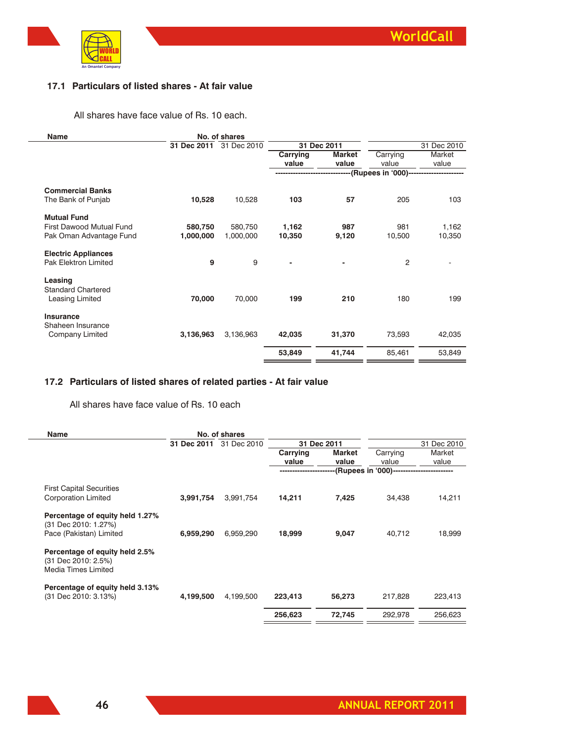

# **17.1 Particulars of listed shares - At fair value**

All shares have face value of Rs. 10 each.

| Name                            |             | No. of shares |          |               |                                                |             |
|---------------------------------|-------------|---------------|----------|---------------|------------------------------------------------|-------------|
|                                 | 31 Dec 2011 | 31 Dec 2010   |          | 31 Dec 2011   |                                                | 31 Dec 2010 |
|                                 |             |               | Carrying | <b>Market</b> | Carrying                                       | Market      |
|                                 |             |               | value    | value         | value                                          | value       |
|                                 |             |               |          |               | --------(Rupees in '000)---------------------- |             |
|                                 |             |               |          |               |                                                |             |
| <b>Commercial Banks</b>         |             |               |          |               |                                                |             |
| The Bank of Punjab              | 10,528      | 10,528        | 103      | 57            | 205                                            | 103         |
|                                 |             |               |          |               |                                                |             |
| <b>Mutual Fund</b>              |             |               |          |               |                                                |             |
| <b>First Dawood Mutual Fund</b> | 580,750     | 580,750       | 1,162    | 987           | 981                                            | 1,162       |
| Pak Oman Advantage Fund         | 1,000,000   | 1,000,000     | 10,350   | 9,120         | 10,500                                         | 10,350      |
|                                 |             |               |          |               |                                                |             |
| <b>Electric Appliances</b>      |             |               |          |               |                                                |             |
| <b>Pak Elektron Limited</b>     | 9           | 9             |          |               | $\overline{2}$                                 |             |
|                                 |             |               |          |               |                                                |             |
|                                 |             |               |          |               |                                                |             |
| Leasing                         |             |               |          |               |                                                |             |
| <b>Standard Chartered</b>       |             |               |          |               |                                                |             |
| Leasing Limited                 | 70,000      | 70,000        | 199      | 210           | 180                                            | 199         |
|                                 |             |               |          |               |                                                |             |
| Insurance                       |             |               |          |               |                                                |             |
| Shaheen Insurance               |             |               |          |               |                                                |             |
| Company Limited                 | 3,136,963   | 3,136,963     | 42,035   | 31,370        | 73,593                                         | 42,035      |
|                                 |             |               |          |               |                                                |             |
|                                 |             |               | 53,849   | 41,744        | 85,461                                         | 53,849      |
|                                 |             |               |          |               |                                                |             |

# **17.2 Particulars of listed shares of related parties - At fair value**

All shares have face value of Rs. 10 each

| <b>Name</b>                                                                  |             | No. of shares |          |               |                      |             |
|------------------------------------------------------------------------------|-------------|---------------|----------|---------------|----------------------|-------------|
|                                                                              | 31 Dec 2011 | 31 Dec 2010   |          | 31 Dec 2011   |                      | 31 Dec 2010 |
|                                                                              |             |               | Carrying | <b>Market</b> | Carrying             | Market      |
|                                                                              |             |               | value    | value         | value                | value       |
|                                                                              |             |               |          |               | -(Rupees in '000)--- |             |
| <b>First Capital Securities</b>                                              |             |               |          |               |                      |             |
| <b>Corporation Limited</b>                                                   | 3,991,754   | 3,991,754     | 14,211   | 7,425         | 34,438               | 14,211      |
| Percentage of equity held 1.27%<br>(31 Dec 2010: 1.27%)                      |             |               |          |               |                      |             |
| Pace (Pakistan) Limited                                                      | 6,959,290   | 6,959,290     | 18,999   | 9,047         | 40,712               | 18,999      |
| Percentage of equity held 2.5%<br>(31 Dec 2010: 2.5%)<br>Media Times Limited |             |               |          |               |                      |             |
| Percentage of equity held 3.13%<br>(31 Dec 2010: 3.13%)                      | 4,199,500   | 4,199,500     | 223,413  | 56,273        | 217,828              | 223,413     |
|                                                                              |             |               | 256,623  | 72,745        | 292,978              | 256,623     |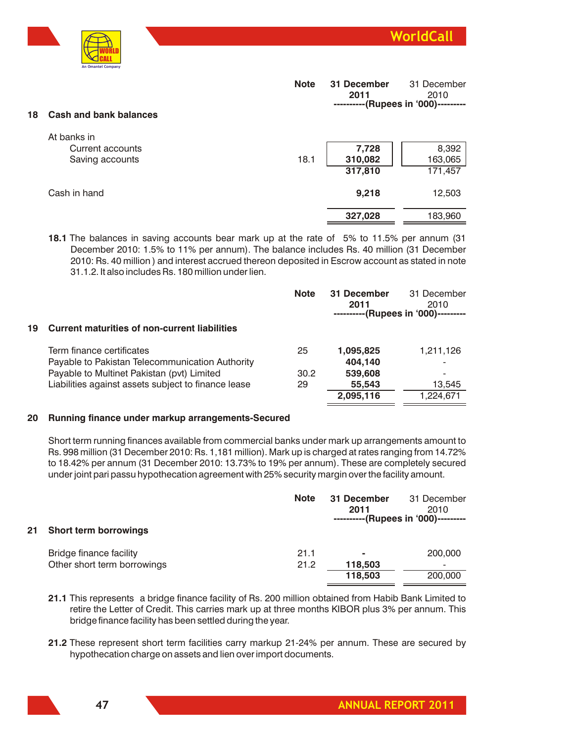**WorldCall**



| Note | 31 December                         | 31 December |
|------|-------------------------------------|-------------|
|      | 2011                                | 2010        |
|      | ----------(Rupees in '000)--------- |             |

#### **18 Cash and bank balances**

| At banks in<br>Current accounts | 18.1 | 7,728<br>310,082 | 8,392              |
|---------------------------------|------|------------------|--------------------|
| Saving accounts                 |      | 317,810          | 163,065<br>171,457 |
| Cash in hand                    |      | 9,218            | 12,503             |
|                                 |      | 327,028          | 183,960            |

**18.1** The balances in saving accounts bear mark up at the rate of 5% to 11.5% per annum (31 December 2010: 1.5% to 11% per annum). The balance includes Rs. 40 million (31 December 2010: Rs. 40 million ) and interest accrued thereon deposited in Escrow account as stated in note 31.1.2. It also includes Rs. 180 million under lien.

|    |                                                                              | <b>Note</b> | 31 December<br>2011  | 31 December<br>2010<br>----------(Rupees in '000)--------- |
|----|------------------------------------------------------------------------------|-------------|----------------------|------------------------------------------------------------|
| 19 | <b>Current maturities of non-current liabilities</b>                         |             |                      |                                                            |
|    | Term finance certificates<br>Payable to Pakistan Telecommunication Authority | 25          | 1,095,825<br>404.140 | 1,211,126                                                  |
|    | Payable to Multinet Pakistan (pvt) Limited                                   | 30.2        | 539,608              | -                                                          |
|    | Liabilities against assets subject to finance lease                          | 29          | 55,543               | 13,545                                                     |
|    |                                                                              |             | 2,095,116            | 1,224,671                                                  |

#### **20 Running finance under markup arrangements-Secured**

Short term running finances available from commercial banks under mark up arrangements amount to Rs. 998 million (31 December 2010: Rs. 1,181 million). Mark up is charged at rates ranging from 14.72% to 18.42% per annum (31 December 2010: 13.73% to 19% per annum). These are completely secured under joint pari passu hypothecation agreement with 25% security margin over the facility amount.

| 21 | <b>Short term borrowings</b>                           | <b>Note</b>  | 31 December<br>2011     | 31 December<br>2010<br>----------(Rupees in '000)--------- |
|----|--------------------------------------------------------|--------------|-------------------------|------------------------------------------------------------|
|    | Bridge finance facility<br>Other short term borrowings | 21.1<br>21.2 | ۰<br>118,503<br>118,503 | 200,000<br>-<br>200,000                                    |

**21.1** This represents a bridge finance facility of Rs. 200 million obtained from Habib Bank Limited to retire the Letter of Credit. This carries mark up at three months KIBOR plus 3% per annum. This bridge finance facility has been settled during the year.

**21.2** These represent short term facilities carry markup 21-24% per annum. These are secured by hypothecation charge on assets and lien over import documents.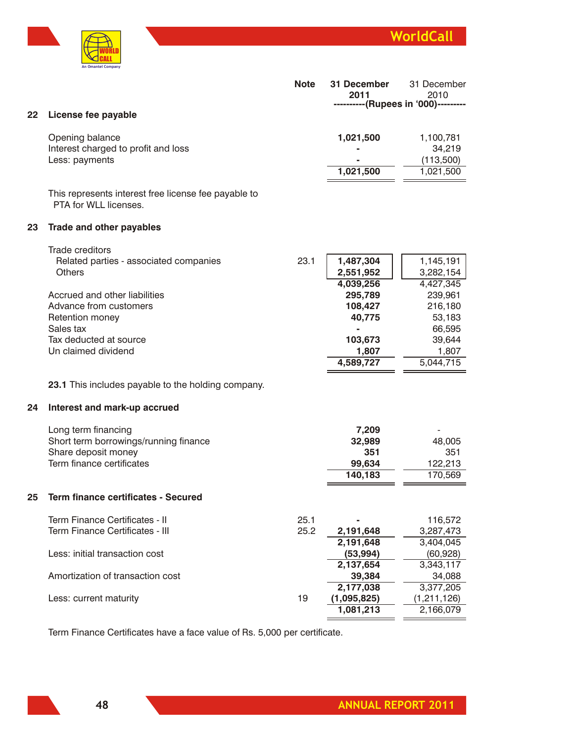



|    |                                                                               | <b>Note</b> | 31 December<br>2011  | 31 December<br>2010<br>----------(Rupees in '000)--------- |
|----|-------------------------------------------------------------------------------|-------------|----------------------|------------------------------------------------------------|
| 22 | License fee payable                                                           |             |                      |                                                            |
|    | Opening balance<br>Interest charged to profit and loss                        |             | 1,021,500            | 1,100,781<br>34,219                                        |
|    | Less: payments                                                                |             |                      | (113,500)                                                  |
|    |                                                                               |             | 1,021,500            | 1,021,500                                                  |
|    | This represents interest free license fee payable to<br>PTA for WLL licenses. |             |                      |                                                            |
| 23 | <b>Trade and other payables</b>                                               |             |                      |                                                            |
|    | <b>Trade creditors</b>                                                        |             |                      |                                                            |
|    | Related parties - associated companies                                        | 23.1        | 1,487,304            | 1,145,191                                                  |
|    | <b>Others</b>                                                                 |             | 2,551,952            | 3,282,154                                                  |
|    | Accrued and other liabilities                                                 |             | 4,039,256<br>295,789 | 4,427,345<br>239,961                                       |
|    | Advance from customers                                                        |             | 108,427              | 216,180                                                    |
|    | Retention money                                                               |             | 40,775               | 53,183                                                     |
|    | Sales tax                                                                     |             |                      | 66,595                                                     |
|    | Tax deducted at source                                                        |             | 103,673              | 39,644                                                     |
|    | Un claimed dividend                                                           |             | 1,807                | 1,807                                                      |
|    |                                                                               |             | 4,589,727            | 5,044,715                                                  |
|    | 23.1 This includes payable to the holding company.                            |             |                      |                                                            |
| 24 | Interest and mark-up accrued                                                  |             |                      |                                                            |
|    | Long term financing                                                           |             | 7,209                |                                                            |
|    | Short term borrowings/running finance                                         |             | 32,989               | 48,005                                                     |
|    | Share deposit money                                                           |             | 351                  | 351                                                        |
|    | Term finance certificates                                                     |             | 99,634               | 122,213                                                    |
|    |                                                                               |             | 140,183              | 170,569                                                    |
| 25 | Term finance certificates - Secured                                           |             |                      |                                                            |
|    | Term Finance Certificates - II                                                | 25.1        |                      | 116,572                                                    |
|    | <b>Term Finance Certificates - III</b>                                        | 25.2        | 2,191,648            | 3,287,473                                                  |
|    |                                                                               |             | 2,191,648            | 3,404,045                                                  |
|    | Less: initial transaction cost                                                |             | (53, 994)            | (60, 928)                                                  |
|    |                                                                               |             | 2,137,654            | 3,343,117                                                  |
|    | Amortization of transaction cost                                              |             | 39,384               | 34,088                                                     |
|    |                                                                               |             | 2,177,038            | 3,377,205                                                  |
|    | Less: current maturity                                                        | 19          | (1,095,825)          | (1,211,126)                                                |
|    |                                                                               |             | 1,081,213            | 2,166,079                                                  |

Term Finance Certificates have a face value of Rs. 5,000 per certificate.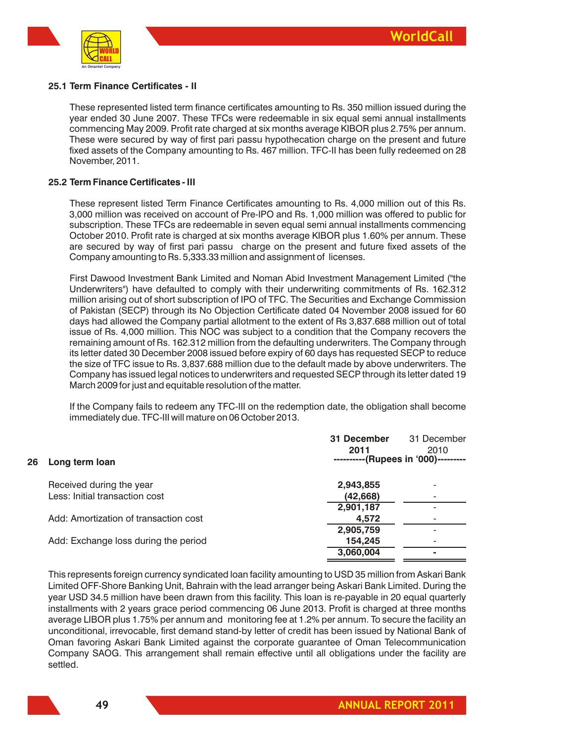

# **25.1 Term Finance Certificates - II**

These represented listed term finance certificates amounting to Rs. 350 million issued during the year ended 30 June 2007. These TFCs were redeemable in six equal semi annual installments commencing May 2009. Profit rate charged at six months average KIBOR plus 2.75% per annum. These were secured by way of first pari passu hypothecation charge on the present and future fixed assets of the Company amounting to Rs. 467 million. TFC-II has been fully redeemed on 28 November, 2011.

# **25.2 Term Finance Certificates - III**

These represent listed Term Finance Certificates amounting to Rs. 4,000 million out of this Rs. 3,000 million was received on account of Pre-IPO and Rs. 1,000 million was offered to public for subscription. These TFCs are redeemable in seven equal semi annual installments commencing October 2010. Profit rate is charged at six months average KIBOR plus 1.60% per annum. These are secured by way of first pari passu charge on the present and future fixed assets of the Company amounting to Rs. 5,333.33 million and assignment of licenses.

First Dawood Investment Bank Limited and Noman Abid Investment Management Limited ("the Underwriters") have defaulted to comply with their underwriting commitments of Rs. 162.312 million arising out of short subscription of IPO of TFC. The Securities and Exchange Commission of Pakistan (SECP) through its No Objection Certificate dated 04 November 2008 issued for 60 days had allowed the Company partial allotment to the extent of Rs 3,837.688 million out of total issue of Rs. 4,000 million. This NOC was subject to a condition that the Company recovers the remaining amount of Rs. 162.312 million from the defaulting underwriters. The Company through its letter dated 30 December 2008 issued before expiry of 60 days has requested SECP to reduce the size of TFC issue to Rs. 3,837.688 million due to the default made by above underwriters. The Company has issued legal notices to underwriters and requested SECP through its letter dated 19 March 2009 for just and equitable resolution of the matter.

If the Company fails to redeem any TFC-III on the redemption date, the obligation shall become immediately due. TFC-III will mature on 06 October 2013.

| 26 | Long term loan                        | 31 December<br>2011 | 31 December<br>2010<br>--(Rupees in '000)----- |
|----|---------------------------------------|---------------------|------------------------------------------------|
|    | Received during the year              | 2,943,855           |                                                |
|    | Less: Initial transaction cost        | (42, 668)           |                                                |
|    |                                       | 2,901,187           |                                                |
|    | Add: Amortization of transaction cost | 4,572               |                                                |
|    |                                       | 2,905,759           |                                                |
|    | Add: Exchange loss during the period  | 154,245             |                                                |
|    |                                       | 3,060,004           |                                                |
|    |                                       |                     |                                                |

This represents foreign currency syndicated loan facility amounting to USD 35 million from Askari Bank Limited OFF-Shore Banking Unit, Bahrain with the lead arranger being Askari Bank Limited. During the year USD 34.5 million have been drawn from this facility. This loan is re-payable in 20 equal quarterly installments with 2 years grace period commencing 06 June 2013. Profit is charged at three months average LIBOR plus 1.75% per annum and monitoring fee at 1.2% per annum. To secure the facility an unconditional, irrevocable, first demand stand-by letter of credit has been issued by National Bank of Oman favoring Askari Bank Limited against the corporate guarantee of Oman Telecommunication Company SAOG. This arrangement shall remain effective until all obligations under the facility are settled.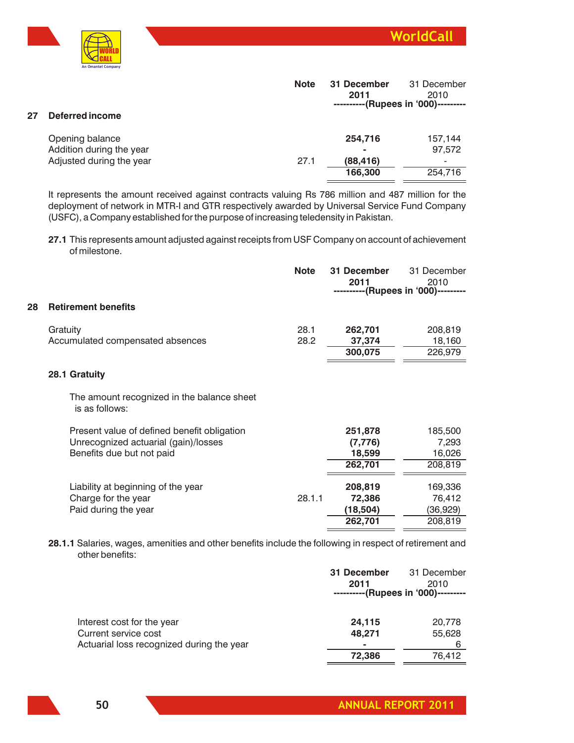**WorldCall**



| 27 | Deferred income                                      | <b>Note</b> | 31 December<br>2011 | 31 December<br>2010<br>----------(Rupees in '000)--------- |
|----|------------------------------------------------------|-------------|---------------------|------------------------------------------------------------|
|    | Opening balance                                      |             | 254,716             | 157,144                                                    |
|    | Addition during the year<br>Adjusted during the year | 27.1        | ۰<br>(88, 416)      | 97,572                                                     |
|    |                                                      |             | 166,300             | 254,716                                                    |

It represents the amount received against contracts valuing Rs 786 million and 487 million for the deployment of network in MTR-I and GTR respectively awarded by Universal Service Fund Company (USFC), a Company established for the purpose of increasing teledensity in Pakistan.

**27.1** This represents amount adjusted against receipts from USF Company on account of achievement of milestone.

|    |                                                                                                                  | <b>Note</b>  | 31 December<br>2011<br>----------(Rupees in '000)-- | 31 December<br>2010                      |
|----|------------------------------------------------------------------------------------------------------------------|--------------|-----------------------------------------------------|------------------------------------------|
| 28 | <b>Retirement benefits</b>                                                                                       |              |                                                     |                                          |
|    | Gratuity<br>Accumulated compensated absences                                                                     | 28.1<br>28.2 | 262,701<br>37,374<br>300,075                        | 208,819<br>18,160<br>226,979             |
|    | 28.1 Gratuity                                                                                                    |              |                                                     |                                          |
|    | The amount recognized in the balance sheet<br>is as follows:                                                     |              |                                                     |                                          |
|    | Present value of defined benefit obligation<br>Unrecognized actuarial (gain)/losses<br>Benefits due but not paid |              | 251,878<br>(7, 776)<br>18,599<br>262,701            | 185,500<br>7,293<br>16,026<br>208,819    |
|    | Liability at beginning of the year<br>Charge for the year<br>Paid during the year                                | 28.1.1       | 208,819<br>72,386<br>(18, 504)<br>262,701           | 169,336<br>76,412<br>(36,929)<br>208,819 |

**28.1.1** Salaries, wages, amenities and other benefits include the following in respect of retirement and other benefits:

|                                           | 31 December | 31 December                         |
|-------------------------------------------|-------------|-------------------------------------|
|                                           | 2011        | 2010                                |
|                                           |             | ----------(Rupees in '000)--------- |
|                                           |             |                                     |
| Interest cost for the year                | 24,115      | 20.778                              |
| Current service cost                      | 48,271      | 55,628                              |
| Actuarial loss recognized during the year |             |                                     |
|                                           | 72,386      | 76.412                              |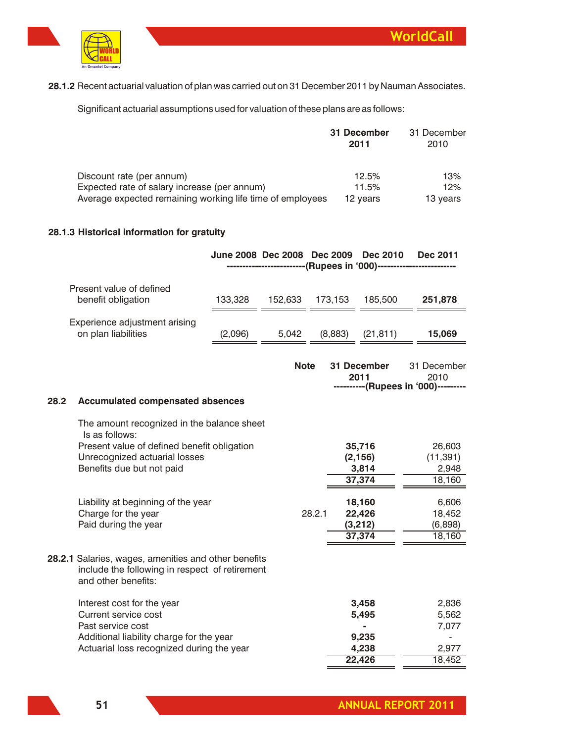

**28.1.2** Recent actuarial valuation of plan was carried out on 31 December 2011 by Nauman Associates.

Significant actuarial assumptions used for valuation of these plans are as follows:

|                                                           | 31 December<br>2011 | 31 December<br>2010 |  |
|-----------------------------------------------------------|---------------------|---------------------|--|
|                                                           |                     |                     |  |
| Discount rate (per annum)                                 | 12.5%               | 13%                 |  |
| Expected rate of salary increase (per annum)              | 11.5%               | 12%                 |  |
| Average expected remaining working life time of employees | 12 years            | 13 years            |  |

# **28.1.3 Historical information for gratuity**

|      |                                                                                                                                                                  |         |             |         | June 2008 Dec 2008 Dec 2009 Dec 2010<br>----------------------(Rupees in '000)--------------- | <b>Dec 2011</b>                                            |
|------|------------------------------------------------------------------------------------------------------------------------------------------------------------------|---------|-------------|---------|-----------------------------------------------------------------------------------------------|------------------------------------------------------------|
|      | Present value of defined<br>benefit obligation                                                                                                                   | 133,328 | 152,633     | 173,153 | 185,500                                                                                       | 251,878                                                    |
|      | Experience adjustment arising<br>on plan liabilities                                                                                                             | (2,096) | 5,042       | (8,883) | (21, 811)                                                                                     | 15,069                                                     |
| 28.2 | <b>Accumulated compensated absences</b>                                                                                                                          |         | <b>Note</b> |         | 31 December<br>2011                                                                           | 31 December<br>2010<br>----------(Rupees in '000)--------- |
|      | The amount recognized in the balance sheet                                                                                                                       |         |             |         |                                                                                               |                                                            |
|      | Is as follows:<br>Present value of defined benefit obligation<br>Unrecognized actuarial losses<br>Benefits due but not paid                                      |         |             |         | 35,716<br>(2, 156)<br>3,814<br>37,374                                                         | 26,603<br>(11, 391)<br>2,948<br>18,160                     |
|      | Liability at beginning of the year<br>Charge for the year<br>Paid during the year                                                                                |         |             | 28.2.1  | 18,160<br>22,426<br>(3,212)<br>37,374                                                         | 6,606<br>18,452<br>(6,898)<br>18,160                       |
|      | 28.2.1 Salaries, wages, amenities and other benefits<br>include the following in respect of retirement<br>and other benefits:                                    |         |             |         |                                                                                               |                                                            |
|      | Interest cost for the year<br>Current service cost<br>Past service cost<br>Additional liability charge for the year<br>Actuarial loss recognized during the year |         |             |         | 3,458<br>5,495<br>9,235<br>4,238<br>22,426                                                    | 2,836<br>5,562<br>7,077<br>2,977<br>18,452                 |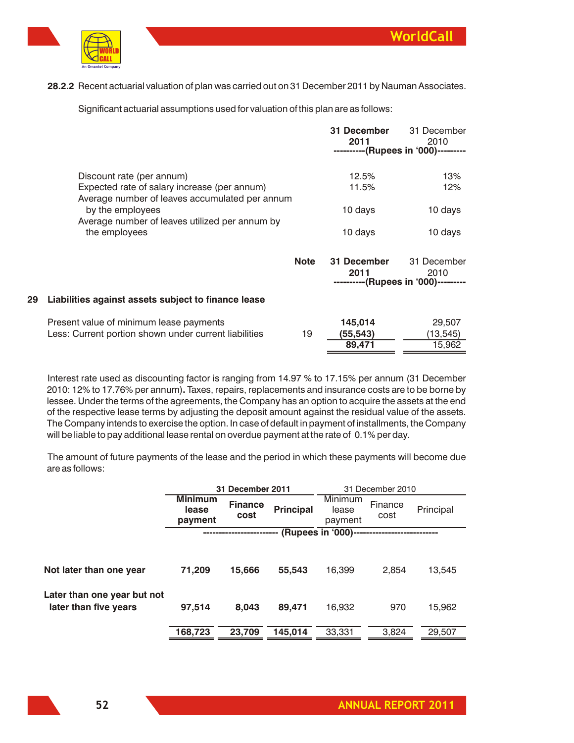

**28.2.2** Recent actuarial valuation of plan was carried out on 31 December 2011 by Nauman Associates.

Significant actuarial assumptions used for valuation of this plan are as follows:

|                                                                                                  |                                                | 31 December<br>2011                            | 31 December<br>2010<br>----------(Rupees in '000)--------- |
|--------------------------------------------------------------------------------------------------|------------------------------------------------|------------------------------------------------|------------------------------------------------------------|
| Discount rate (per annum)<br>Expected rate of salary increase (per annum)                        |                                                | 12.5%<br>11.5%                                 | 13%<br>12%                                                 |
| by the employees                                                                                 |                                                | 10 days                                        | 10 days                                                    |
| the employees                                                                                    |                                                | 10 days                                        | 10 days                                                    |
|                                                                                                  | <b>Note</b>                                    | 31 December<br>2011                            | 31 December<br>2010<br>----------(Rupees in '000)--------- |
| Liabilities against assets subject to finance lease                                              |                                                |                                                |                                                            |
| Present value of minimum lease payments<br>Less: Current portion shown under current liabilities | 19                                             | 145,014<br>(55, 543)<br>89,471                 | 29,507<br>(13, 545)<br>15,962                              |
|                                                                                                  | Average number of leaves utilized per annum by | Average number of leaves accumulated per annum |                                                            |

Interest rate used as discounting factor is ranging from 14.97 % to 17.15% per annum (31 December 2010: 12% to 17.76% per annum)**.** Taxes, repairs, replacements and insurance costs are to be borne by lessee. Under the terms of the agreements, the Company has an option to acquire the assets at the end of the respective lease terms by adjusting the deposit amount against the residual value of the assets. The Company intends to exercise the option. In case of default in payment of installments, the Company will be liable to pay additional lease rental on overdue payment at the rate of 0.1% per day.

The amount of future payments of the lease and the period in which these payments will become due are as follows:

|                                                      |                                    | 31 December 2011       |                  |                                    | 31 December 2010 |           |
|------------------------------------------------------|------------------------------------|------------------------|------------------|------------------------------------|------------------|-----------|
|                                                      | <b>Minimum</b><br>lease<br>payment | <b>Finance</b><br>cost | <b>Principal</b> | <b>Minimum</b><br>lease<br>payment | Finance<br>cost  | Principal |
|                                                      |                                    |                        |                  | (Rupees in '000)---                |                  |           |
| Not later than one year                              | 71.209                             | 15.666                 | 55.543           | 16.399                             | 2.854            | 13,545    |
| Later than one year but not<br>later than five years | 97,514                             | 8.043                  | 89.471           | 16.932                             | 970              | 15,962    |
|                                                      | 168,723                            | 23,709                 | 145,014          | 33,331                             | 3,824            | 29,507    |
|                                                      |                                    |                        |                  |                                    |                  |           |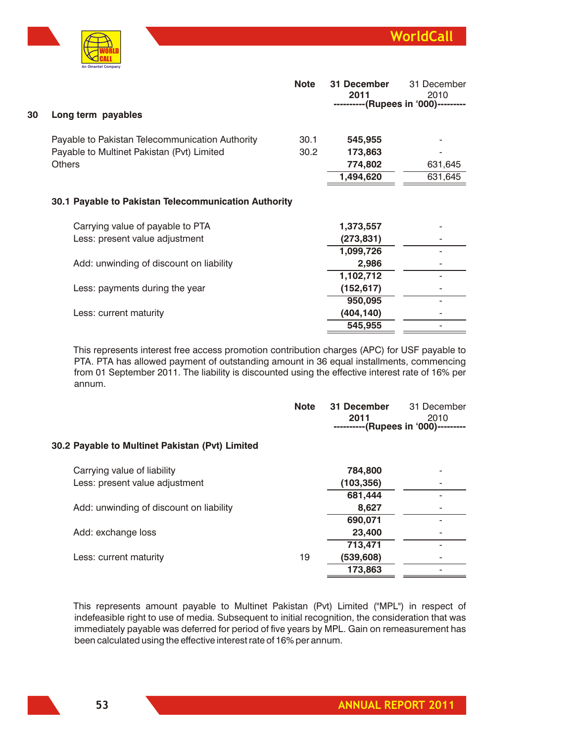

|    |                                                      | <b>Note</b> | 31 December<br>2011 | 31 December<br>2010<br>----------(Rupees in '000)--------- |
|----|------------------------------------------------------|-------------|---------------------|------------------------------------------------------------|
| 30 | Long term payables                                   |             |                     |                                                            |
|    | Payable to Pakistan Telecommunication Authority      | 30.1        | 545,955             |                                                            |
|    | Payable to Multinet Pakistan (Pvt) Limited           | 30.2        | 173,863             |                                                            |
|    | <b>Others</b>                                        |             | 774,802             | 631,645                                                    |
|    |                                                      |             | 1,494,620           | 631,645                                                    |
|    | 30.1 Payable to Pakistan Telecommunication Authority |             |                     |                                                            |
|    | Carrying value of payable to PTA                     |             | 1,373,557           |                                                            |
|    | Less: present value adjustment                       |             | (273, 831)          |                                                            |
|    |                                                      |             | 1,099,726           |                                                            |
|    | Add: unwinding of discount on liability              |             | 2,986               |                                                            |
|    |                                                      |             | 1,102,712           |                                                            |
|    | Less: payments during the year                       |             | (152, 617)          |                                                            |
|    |                                                      |             | 950,095             |                                                            |
|    | Less: current maturity                               |             | (404, 140)          |                                                            |
|    |                                                      |             | 545,955             |                                                            |

This represents interest free access promotion contribution charges (APC) for USF payable to PTA. PTA has allowed payment of outstanding amount in 36 equal installments, commencing from 01 September 2011. The liability is discounted using the effective interest rate of 16% per annum.

| <b>Note</b>                                     | 31 December<br>2011 | 31 December<br>2010<br>-(Rupees in '000)-- |
|-------------------------------------------------|---------------------|--------------------------------------------|
| 30.2 Payable to Multinet Pakistan (Pvt) Limited |                     |                                            |
| Carrying value of liability                     | 784,800             |                                            |
| Less: present value adjustment                  | (103, 356)          |                                            |
|                                                 | 681,444             |                                            |
| Add: unwinding of discount on liability         | 8,627               |                                            |
|                                                 | 690,071             |                                            |
| Add: exchange loss                              | 23,400              |                                            |
|                                                 | 713,471             |                                            |
| 19<br>Less: current maturity                    | (539,608)           |                                            |
|                                                 | 173,863             |                                            |

This represents amount payable to Multinet Pakistan (Pvt) Limited ("MPL") in respect of indefeasible right to use of media. Subsequent to initial recognition, the consideration that was immediately payable was deferred for period of five years by MPL. Gain on remeasurement has been calculated using the effective interest rate of 16% per annum.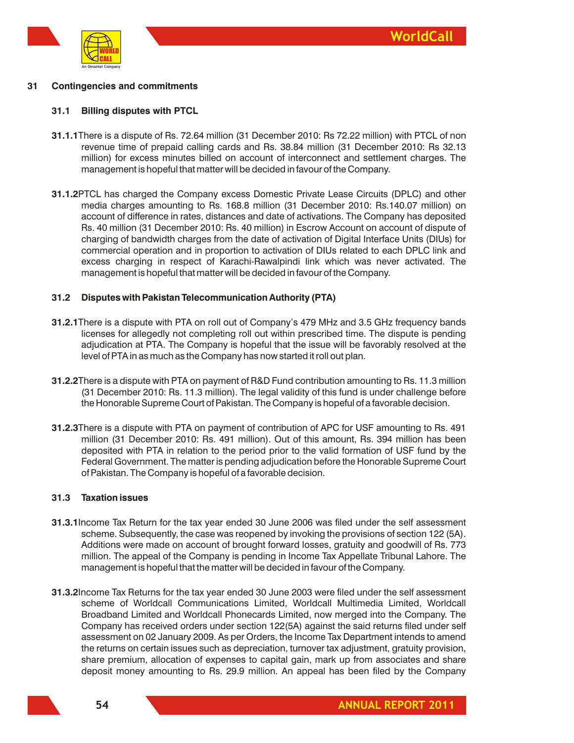

## **31 Contingencies and commitments**

## **31.1 Billing disputes with PTCL**

- **31.1.1**There is a dispute of Rs. 72.64 million (31 December 2010: Rs 72.22 million) with PTCL of non revenue time of prepaid calling cards and Rs. 38.84 million (31 December 2010: Rs 32.13 million) for excess minutes billed on account of interconnect and settlement charges. The management is hopeful that matter will be decided in favour of the Company.
- **31.1.2**PTCL has charged the Company excess Domestic Private Lease Circuits (DPLC) and other media charges amounting to Rs. 168.8 million (31 December 2010: Rs.140.07 million) on account of difference in rates, distances and date of activations. The Company has deposited Rs. 40 million (31 December 2010: Rs. 40 million) in Escrow Account on account of dispute of charging of bandwidth charges from the date of activation of Digital Interface Units (DIUs) for commercial operation and in proportion to activation of DIUs related to each DPLC link and excess charging in respect of Karachi-Rawalpindi link which was never activated. The management is hopeful that matter will be decided in favour of the Company.

# **31.2 Disputes with Pakistan Telecommunication Authority (PTA)**

- **31.2.1**There is a dispute with PTA on roll out of Company's 479 MHz and 3.5 GHz frequency bands licenses for allegedly not completing roll out within prescribed time. The dispute is pending adjudication at PTA. The Company is hopeful that the issue will be favorably resolved at the level of PTA in as much as the Company has now started it roll out plan.
- **31.2.2**There is a dispute with PTA on payment of R&D Fund contribution amounting to Rs. 11.3 million (31 December 2010: Rs. 11.3 million). The legal validity of this fund is under challenge before the Honorable Supreme Court of Pakistan. The Company is hopeful of a favorable decision.
- **31.2.3**There is a dispute with PTA on payment of contribution of APC for USF amounting to Rs. 491 million (31 December 2010: Rs. 491 million). Out of this amount, Rs. 394 million has been deposited with PTA in relation to the period prior to the valid formation of USF fund by the Federal Government. The matter is pending adjudication before the Honorable Supreme Court of Pakistan. The Company is hopeful of a favorable decision.

#### **31.3 Taxation issues**

- **31.3.1**Income Tax Return for the tax year ended 30 June 2006 was filed under the self assessment scheme. Subsequently, the case was reopened by invoking the provisions of section 122 (5A). Additions were made on account of brought forward losses, gratuity and goodwill of Rs. 773 million. The appeal of the Company is pending in Income Tax Appellate Tribunal Lahore. The management is hopeful that the matter will be decided in favour of the Company.
- **31.3.2**Income Tax Returns for the tax year ended 30 June 2003 were filed under the self assessment scheme of Worldcall Communications Limited, Worldcall Multimedia Limited, Worldcall Broadband Limited and Worldcall Phonecards Limited, now merged into the Company. The Company has received orders under section 122(5A) against the said returns filed under self assessment on 02 January 2009. As per Orders, the Income Tax Department intends to amend the returns on certain issues such as depreciation, turnover tax adjustment, gratuity provision, share premium, allocation of expenses to capital gain, mark up from associates and share deposit money amounting to Rs. 29.9 million. An appeal has been filed by the Company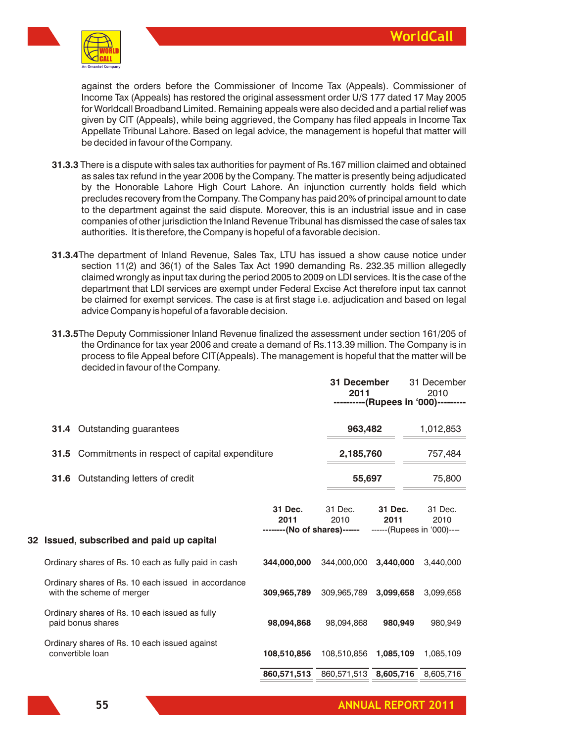

against the orders before the Commissioner of Income Tax (Appeals). Commissioner of Income Tax (Appeals) has restored the original assessment order U/S 177 dated 17 May 2005 for Worldcall Broadband Limited. Remaining appeals were also decided and a partial relief was given by CIT (Appeals), while being aggrieved, the Company has filed appeals in Income Tax Appellate Tribunal Lahore. Based on legal advice, the management is hopeful that matter will be decided in favour of the Company.

- **31.3.3** There is a dispute with sales tax authorities for payment of Rs.167 million claimed and obtained as sales tax refund in the year 2006 by the Company. The matter is presently being adjudicated by the Honorable Lahore High Court Lahore. An injunction currently holds field which precludes recovery from the Company. The Company has paid 20% of principal amount to date to the department against the said dispute. Moreover, this is an industrial issue and in case companies of other jurisdiction the Inland Revenue Tribunal has dismissed the case of sales tax authorities. It is therefore, the Company is hopeful of a favorable decision.
- **31.3.4**The department of Inland Revenue, Sales Tax, LTU has issued a show cause notice under section 11(2) and 36(1) of the Sales Tax Act 1990 demanding Rs. 232.35 million allegedly claimed wrongly as input tax during the period 2005 to 2009 on LDI services. It is the case of the department that LDI services are exempt under Federal Excise Act therefore input tax cannot be claimed for exempt services. The case is at first stage i.e. adjudication and based on legal advice Company is hopeful of a favorable decision.
- **31.3.5**The Deputy Commissioner Inland Revenue finalized the assessment under section 161/205 of the Ordinance for tax year 2006 and create a demand of Rs.113.39 million. The Company is in process to file Appeal before CIT(Appeals). The management is hopeful that the matter will be decided in favour of the Company.

|    |                                                                                  |                                                 | 31 December<br>2011   |                                               | 31 December<br>2010<br>----------(Rupees in '000)--------- |
|----|----------------------------------------------------------------------------------|-------------------------------------------------|-----------------------|-----------------------------------------------|------------------------------------------------------------|
|    | 31.4 Outstanding guarantees                                                      |                                                 | 963,482               |                                               | 1,012,853                                                  |
|    | 31.5 Commitments in respect of capital expenditure                               |                                                 | 2,185,760             |                                               | 757,484                                                    |
|    | 31.6 Outstanding letters of credit                                               |                                                 | 55,697                |                                               | 75,800                                                     |
| 32 | Issued, subscribed and paid up capital                                           | 31 Dec.<br>2011<br>--------(No of shares)------ | 31 Dec.<br>2010       | 31 Dec.<br>2011<br>------(Rupees in '000)---- | 31 Dec.<br>2010                                            |
|    | Ordinary shares of Rs. 10 each as fully paid in cash                             | 344,000,000                                     | 344,000,000           | 3,440,000                                     | 3,440,000                                                  |
|    | Ordinary shares of Rs. 10 each issued in accordance<br>with the scheme of merger | 309,965,789                                     | 309,965,789           | 3.099.658                                     | 3,099,658                                                  |
|    | Ordinary shares of Rs. 10 each issued as fully<br>paid bonus shares              | 98,094,868                                      | 98,094,868            | 980,949                                       | 980,949                                                    |
|    | Ordinary shares of Rs. 10 each issued against<br>convertible loan                | 108,510,856                                     | 108,510,856           | 1,085,109                                     | 1,085,109                                                  |
|    |                                                                                  | 860,571,513                                     | 860,571,513 8,605,716 |                                               | 8,605,716                                                  |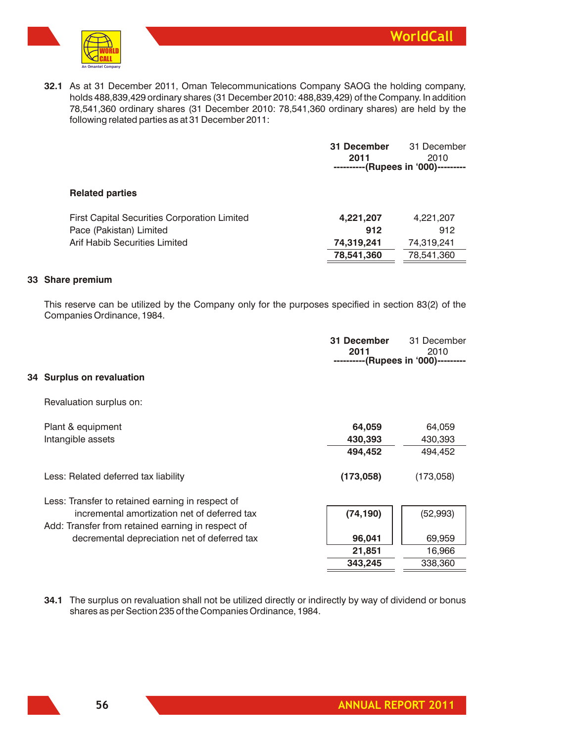

**32.1** As at 31 December 2011, Oman Telecommunications Company SAOG the holding company, holds 488,839,429 ordinary shares (31 December 2010: 488,839,429) of the Company. In addition 78,541,360 ordinary shares (31 December 2010: 78,541,360 ordinary shares) are held by the following related parties as at 31 December 2011:

|                                                                                                                 | 31 December<br>2011            | 31 December<br>2010<br>-(Rupees in '000)--------- |
|-----------------------------------------------------------------------------------------------------------------|--------------------------------|---------------------------------------------------|
| <b>Related parties</b>                                                                                          |                                |                                                   |
| <b>First Capital Securities Corporation Limited</b><br>Pace (Pakistan) Limited<br>Arif Habib Securities Limited | 4,221,207<br>912<br>74,319,241 | 4,221,207<br>912<br>74,319,241                    |
|                                                                                                                 | 78,541,360                     | 78,541,360                                        |

# **33 Share premium**

This reserve can be utilized by the Company only for the purposes specified in section 83(2) of the Companies Ordinance, 1984.

|                                                                                                   | 31 December<br>2011<br>----------(Rupees in '000)---- | 31 December<br>2010 |
|---------------------------------------------------------------------------------------------------|-------------------------------------------------------|---------------------|
| 34 Surplus on revaluation                                                                         |                                                       |                     |
| Revaluation surplus on:                                                                           |                                                       |                     |
| Plant & equipment                                                                                 | 64,059                                                | 64,059              |
| Intangible assets                                                                                 | 430,393                                               | 430,393             |
|                                                                                                   | 494,452                                               | 494,452             |
| Less: Related deferred tax liability                                                              | (173,058)                                             | (173,058)           |
| Less: Transfer to retained earning in respect of                                                  |                                                       |                     |
| incremental amortization net of deferred tax<br>Add: Transfer from retained earning in respect of | (74, 190)                                             | (52,993)            |
| decremental depreciation net of deferred tax                                                      | 96,041                                                | 69,959              |
|                                                                                                   | 21,851                                                | 16,966              |
|                                                                                                   | 343,245                                               | 338,360             |
|                                                                                                   |                                                       |                     |

**34.1** The surplus on revaluation shall not be utilized directly or indirectly by way of dividend or bonus shares as per Section 235 of the Companies Ordinance, 1984.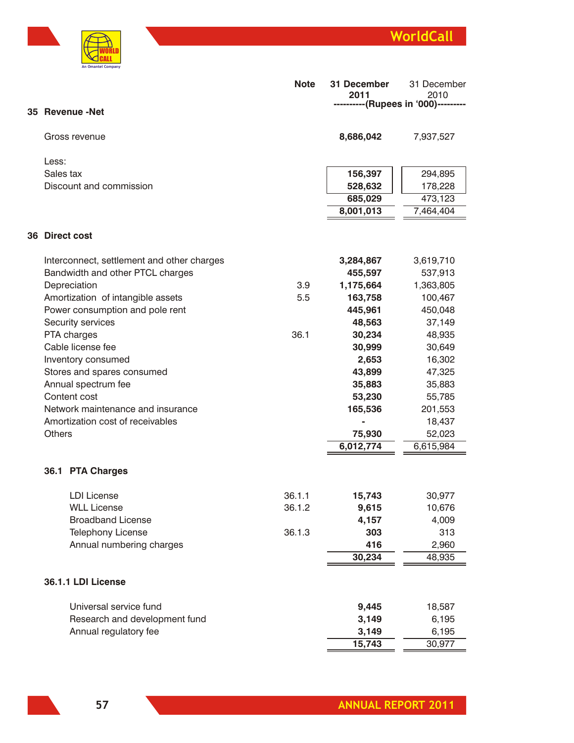

|                                                                       | <b>Note</b> | 31 December<br>2011 | 31 December<br>2010<br>----------(Rupees in '000)--------- |
|-----------------------------------------------------------------------|-------------|---------------------|------------------------------------------------------------|
| 35 Revenue - Net                                                      |             |                     |                                                            |
| Gross revenue                                                         |             | 8,686,042           | 7,937,527                                                  |
| Less:                                                                 |             |                     |                                                            |
| Sales tax                                                             |             | 156,397             | 294,895                                                    |
| Discount and commission                                               |             | 528,632             | 178,228                                                    |
|                                                                       |             | 685,029             | 473,123                                                    |
|                                                                       |             | 8,001,013           | 7,464,404                                                  |
| 36 Direct cost                                                        |             |                     |                                                            |
| Interconnect, settlement and other charges                            |             | 3,284,867           | 3,619,710                                                  |
| Bandwidth and other PTCL charges                                      |             | 455,597             | 537,913                                                    |
| Depreciation                                                          | 3.9         | 1,175,664           | 1,363,805                                                  |
| Amortization of intangible assets                                     | 5.5         | 163,758             | 100,467                                                    |
| Power consumption and pole rent                                       |             | 445,961             | 450,048                                                    |
| Security services                                                     |             | 48,563              | 37,149                                                     |
| PTA charges                                                           | 36.1        | 30,234              | 48,935                                                     |
| Cable license fee                                                     |             | 30,999              | 30,649                                                     |
| Inventory consumed                                                    |             | 2,653               | 16,302                                                     |
| Stores and spares consumed                                            |             | 43,899              | 47,325                                                     |
| Annual spectrum fee                                                   |             | 35,883              | 35,883                                                     |
| Content cost                                                          |             | 53,230              | 55,785                                                     |
| Network maintenance and insurance<br>Amortization cost of receivables |             | 165,536             | 201,553<br>18,437                                          |
| <b>Others</b>                                                         |             | 75,930              | 52,023                                                     |
|                                                                       |             | 6,012,774           | 6,615,984                                                  |
|                                                                       |             |                     |                                                            |
| 36.1 PTA Charges                                                      |             |                     |                                                            |
| <b>LDI License</b>                                                    | 36.1.1      | 15,743              | 30,977                                                     |
| <b>WLL License</b>                                                    | 36.1.2      | 9,615               | 10,676                                                     |
| <b>Broadband License</b>                                              |             | 4,157               | 4,009                                                      |
| <b>Telephony License</b>                                              | 36.1.3      | 303                 | 313                                                        |
| Annual numbering charges                                              |             | 416                 | 2,960                                                      |
|                                                                       |             | 30,234              | 48,935                                                     |
| 36.1.1 LDI License                                                    |             |                     |                                                            |
| Universal service fund                                                |             | 9,445               | 18,587                                                     |
| Research and development fund                                         |             | 3,149               | 6,195                                                      |
| Annual regulatory fee                                                 |             | 3,149               | 6,195                                                      |
|                                                                       |             | 15,743              | 30,977                                                     |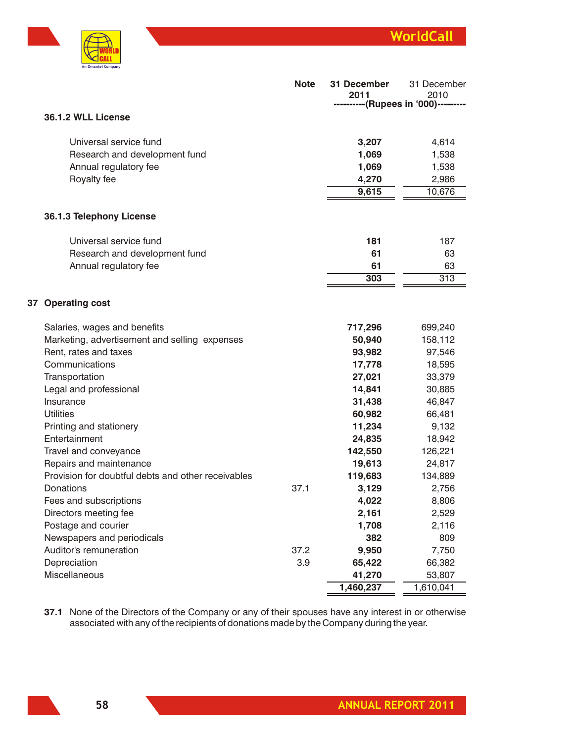

**37 Operating cost**

|                                                    | <b>Note</b> | 31 December<br>2011 | 31 December<br>2010<br>----------(Rupees in '000)--------- |
|----------------------------------------------------|-------------|---------------------|------------------------------------------------------------|
| 36.1.2 WLL License                                 |             |                     |                                                            |
| Universal service fund                             |             | 3,207               | 4,614                                                      |
| Research and development fund                      |             | 1,069               | 1,538                                                      |
| Annual regulatory fee                              |             | 1,069               | 1,538                                                      |
| Royalty fee                                        |             | 4,270               | 2,986                                                      |
|                                                    |             | 9,615               | 10,676                                                     |
| 36.1.3 Telephony License                           |             |                     |                                                            |
| Universal service fund                             |             | 181                 | 187                                                        |
| Research and development fund                      |             | 61                  | 63                                                         |
| Annual regulatory fee                              |             | 61                  | 63                                                         |
|                                                    |             | 303                 | 313                                                        |
| <b>Operating cost</b>                              |             |                     |                                                            |
| Salaries, wages and benefits                       |             | 717,296             | 699,240                                                    |
| Marketing, advertisement and selling expenses      |             | 50,940              | 158,112                                                    |
| Rent, rates and taxes                              |             | 93,982              | 97,546                                                     |
| Communications                                     |             | 17,778              | 18,595                                                     |
| Transportation                                     |             | 27,021              | 33,379                                                     |
| Legal and professional                             |             | 14,841              | 30,885                                                     |
| Insurance                                          |             | 31,438              | 46,847                                                     |
| <b>Utilities</b>                                   |             | 60,982              | 66,481                                                     |
| Printing and stationery                            |             | 11,234              | 9,132                                                      |
| Entertainment                                      |             | 24,835              | 18,942                                                     |
| Travel and conveyance                              |             | 142,550             | 126,221                                                    |
| Repairs and maintenance                            |             | 19,613              | 24,817                                                     |
| Provision for doubtful debts and other receivables |             | 119,683             | 134,889                                                    |
| Donations                                          | 37.1        | 3,129               | 2,756                                                      |
| Fees and subscriptions                             |             | 4,022               | 8,806                                                      |
| Directors meeting fee                              |             | 2,161               | 2,529                                                      |
| Postage and courier                                |             | 1,708               | 2,116                                                      |
| Newspapers and periodicals                         |             | 382                 | 809                                                        |
| Auditor's remuneration                             | 37.2        | 9,950               | 7,750                                                      |
| Depreciation                                       | 3.9         | 65,422              | 66,382                                                     |
| Miscellaneous                                      |             | 41,270              | 53,807                                                     |
|                                                    |             | 1,460,237           | 1,610,041                                                  |

**37.1** None of the Directors of the Company or any of their spouses have any interest in or otherwise associated with any of the recipients of donations made by the Company during the year.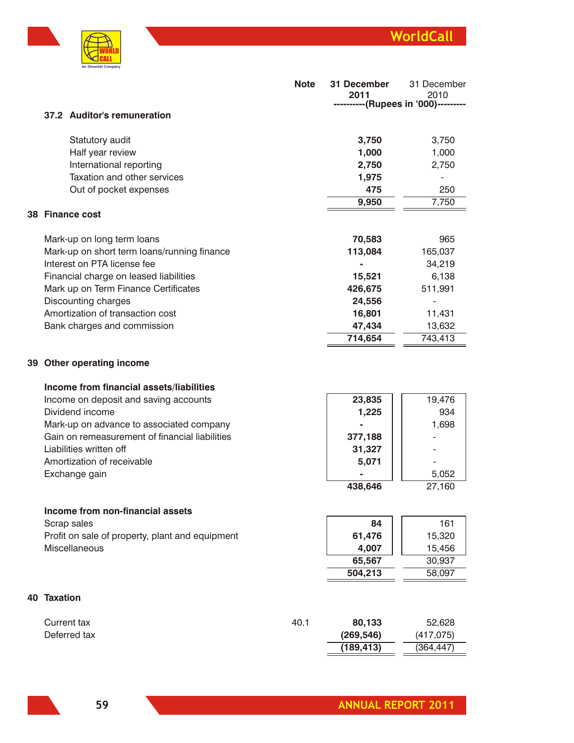

| 37.2 Auditor's remuneration<br>3,750<br>Statutory audit<br>3,750<br>Half year review<br>1,000<br>1,000<br>International reporting<br>2,750<br>2,750<br>Taxation and other services<br>1,975<br>Out of pocket expenses<br>475<br>250<br>7,750<br>9,950<br>38 Finance cost<br>70,583<br>965<br>Mark-up on long term loans<br>Mark-up on short term loans/running finance<br>113,084<br>165,037<br>Interest on PTA license fee<br>34,219<br>15,521<br>6,138<br>Financial charge on leased liabilities<br>Mark up on Term Finance Certificates<br>426,675<br>511,991<br>Discounting charges<br>24,556<br>Amortization of transaction cost<br>16,801<br>11,431<br>Bank charges and commission<br>47,434<br>13,632<br>714,654<br>743,413<br>39 Other operating income<br>Income from financial assets/liabilities<br>Income on deposit and saving accounts<br>23,835<br>19,476<br>Dividend income<br>934<br>1,225<br>Mark-up on advance to associated company<br>1,698<br>Gain on remeasurement of financial liabilities<br>377,188<br>Liabilities written off<br>31,327<br>Amortization of receivable<br>5,071<br>Exchange gain<br>5,052<br>438,646<br>27,160<br>Income from non-financial assets<br>Scrap sales<br>161<br>84<br>Profit on sale of property, plant and equipment<br>61,476<br>15,320<br>Miscellaneous<br>4,007<br>15,456<br>65,567<br>30,937<br>504,213<br>58,097<br><b>Taxation</b><br>40.<br>40.1<br><b>Current tax</b><br>80,133<br>52,628<br>Deferred tax<br>(269, 546)<br>(417, 075) |  | <b>Note</b> | 31 December<br>2011 | 31 December<br>2010<br>----------(Rupees in '000)--------- |
|------------------------------------------------------------------------------------------------------------------------------------------------------------------------------------------------------------------------------------------------------------------------------------------------------------------------------------------------------------------------------------------------------------------------------------------------------------------------------------------------------------------------------------------------------------------------------------------------------------------------------------------------------------------------------------------------------------------------------------------------------------------------------------------------------------------------------------------------------------------------------------------------------------------------------------------------------------------------------------------------------------------------------------------------------------------------------------------------------------------------------------------------------------------------------------------------------------------------------------------------------------------------------------------------------------------------------------------------------------------------------------------------------------------------------------------------------------------------------------------------------|--|-------------|---------------------|------------------------------------------------------------|
|                                                                                                                                                                                                                                                                                                                                                                                                                                                                                                                                                                                                                                                                                                                                                                                                                                                                                                                                                                                                                                                                                                                                                                                                                                                                                                                                                                                                                                                                                                      |  |             |                     |                                                            |
|                                                                                                                                                                                                                                                                                                                                                                                                                                                                                                                                                                                                                                                                                                                                                                                                                                                                                                                                                                                                                                                                                                                                                                                                                                                                                                                                                                                                                                                                                                      |  |             |                     |                                                            |
|                                                                                                                                                                                                                                                                                                                                                                                                                                                                                                                                                                                                                                                                                                                                                                                                                                                                                                                                                                                                                                                                                                                                                                                                                                                                                                                                                                                                                                                                                                      |  |             |                     |                                                            |
|                                                                                                                                                                                                                                                                                                                                                                                                                                                                                                                                                                                                                                                                                                                                                                                                                                                                                                                                                                                                                                                                                                                                                                                                                                                                                                                                                                                                                                                                                                      |  |             |                     |                                                            |
|                                                                                                                                                                                                                                                                                                                                                                                                                                                                                                                                                                                                                                                                                                                                                                                                                                                                                                                                                                                                                                                                                                                                                                                                                                                                                                                                                                                                                                                                                                      |  |             |                     |                                                            |
|                                                                                                                                                                                                                                                                                                                                                                                                                                                                                                                                                                                                                                                                                                                                                                                                                                                                                                                                                                                                                                                                                                                                                                                                                                                                                                                                                                                                                                                                                                      |  |             |                     |                                                            |
|                                                                                                                                                                                                                                                                                                                                                                                                                                                                                                                                                                                                                                                                                                                                                                                                                                                                                                                                                                                                                                                                                                                                                                                                                                                                                                                                                                                                                                                                                                      |  |             |                     |                                                            |
|                                                                                                                                                                                                                                                                                                                                                                                                                                                                                                                                                                                                                                                                                                                                                                                                                                                                                                                                                                                                                                                                                                                                                                                                                                                                                                                                                                                                                                                                                                      |  |             |                     |                                                            |
|                                                                                                                                                                                                                                                                                                                                                                                                                                                                                                                                                                                                                                                                                                                                                                                                                                                                                                                                                                                                                                                                                                                                                                                                                                                                                                                                                                                                                                                                                                      |  |             |                     |                                                            |
|                                                                                                                                                                                                                                                                                                                                                                                                                                                                                                                                                                                                                                                                                                                                                                                                                                                                                                                                                                                                                                                                                                                                                                                                                                                                                                                                                                                                                                                                                                      |  |             |                     |                                                            |
|                                                                                                                                                                                                                                                                                                                                                                                                                                                                                                                                                                                                                                                                                                                                                                                                                                                                                                                                                                                                                                                                                                                                                                                                                                                                                                                                                                                                                                                                                                      |  |             |                     |                                                            |
|                                                                                                                                                                                                                                                                                                                                                                                                                                                                                                                                                                                                                                                                                                                                                                                                                                                                                                                                                                                                                                                                                                                                                                                                                                                                                                                                                                                                                                                                                                      |  |             |                     |                                                            |
|                                                                                                                                                                                                                                                                                                                                                                                                                                                                                                                                                                                                                                                                                                                                                                                                                                                                                                                                                                                                                                                                                                                                                                                                                                                                                                                                                                                                                                                                                                      |  |             |                     |                                                            |
|                                                                                                                                                                                                                                                                                                                                                                                                                                                                                                                                                                                                                                                                                                                                                                                                                                                                                                                                                                                                                                                                                                                                                                                                                                                                                                                                                                                                                                                                                                      |  |             |                     |                                                            |
|                                                                                                                                                                                                                                                                                                                                                                                                                                                                                                                                                                                                                                                                                                                                                                                                                                                                                                                                                                                                                                                                                                                                                                                                                                                                                                                                                                                                                                                                                                      |  |             |                     |                                                            |
|                                                                                                                                                                                                                                                                                                                                                                                                                                                                                                                                                                                                                                                                                                                                                                                                                                                                                                                                                                                                                                                                                                                                                                                                                                                                                                                                                                                                                                                                                                      |  |             |                     |                                                            |
|                                                                                                                                                                                                                                                                                                                                                                                                                                                                                                                                                                                                                                                                                                                                                                                                                                                                                                                                                                                                                                                                                                                                                                                                                                                                                                                                                                                                                                                                                                      |  |             |                     |                                                            |
|                                                                                                                                                                                                                                                                                                                                                                                                                                                                                                                                                                                                                                                                                                                                                                                                                                                                                                                                                                                                                                                                                                                                                                                                                                                                                                                                                                                                                                                                                                      |  |             |                     |                                                            |
|                                                                                                                                                                                                                                                                                                                                                                                                                                                                                                                                                                                                                                                                                                                                                                                                                                                                                                                                                                                                                                                                                                                                                                                                                                                                                                                                                                                                                                                                                                      |  |             |                     |                                                            |
|                                                                                                                                                                                                                                                                                                                                                                                                                                                                                                                                                                                                                                                                                                                                                                                                                                                                                                                                                                                                                                                                                                                                                                                                                                                                                                                                                                                                                                                                                                      |  |             |                     |                                                            |
|                                                                                                                                                                                                                                                                                                                                                                                                                                                                                                                                                                                                                                                                                                                                                                                                                                                                                                                                                                                                                                                                                                                                                                                                                                                                                                                                                                                                                                                                                                      |  |             |                     |                                                            |
|                                                                                                                                                                                                                                                                                                                                                                                                                                                                                                                                                                                                                                                                                                                                                                                                                                                                                                                                                                                                                                                                                                                                                                                                                                                                                                                                                                                                                                                                                                      |  |             |                     |                                                            |
|                                                                                                                                                                                                                                                                                                                                                                                                                                                                                                                                                                                                                                                                                                                                                                                                                                                                                                                                                                                                                                                                                                                                                                                                                                                                                                                                                                                                                                                                                                      |  |             |                     |                                                            |
|                                                                                                                                                                                                                                                                                                                                                                                                                                                                                                                                                                                                                                                                                                                                                                                                                                                                                                                                                                                                                                                                                                                                                                                                                                                                                                                                                                                                                                                                                                      |  |             |                     |                                                            |
|                                                                                                                                                                                                                                                                                                                                                                                                                                                                                                                                                                                                                                                                                                                                                                                                                                                                                                                                                                                                                                                                                                                                                                                                                                                                                                                                                                                                                                                                                                      |  |             |                     |                                                            |
|                                                                                                                                                                                                                                                                                                                                                                                                                                                                                                                                                                                                                                                                                                                                                                                                                                                                                                                                                                                                                                                                                                                                                                                                                                                                                                                                                                                                                                                                                                      |  |             |                     |                                                            |
|                                                                                                                                                                                                                                                                                                                                                                                                                                                                                                                                                                                                                                                                                                                                                                                                                                                                                                                                                                                                                                                                                                                                                                                                                                                                                                                                                                                                                                                                                                      |  |             |                     |                                                            |
|                                                                                                                                                                                                                                                                                                                                                                                                                                                                                                                                                                                                                                                                                                                                                                                                                                                                                                                                                                                                                                                                                                                                                                                                                                                                                                                                                                                                                                                                                                      |  |             |                     |                                                            |
|                                                                                                                                                                                                                                                                                                                                                                                                                                                                                                                                                                                                                                                                                                                                                                                                                                                                                                                                                                                                                                                                                                                                                                                                                                                                                                                                                                                                                                                                                                      |  |             |                     |                                                            |
|                                                                                                                                                                                                                                                                                                                                                                                                                                                                                                                                                                                                                                                                                                                                                                                                                                                                                                                                                                                                                                                                                                                                                                                                                                                                                                                                                                                                                                                                                                      |  |             |                     |                                                            |
|                                                                                                                                                                                                                                                                                                                                                                                                                                                                                                                                                                                                                                                                                                                                                                                                                                                                                                                                                                                                                                                                                                                                                                                                                                                                                                                                                                                                                                                                                                      |  |             |                     |                                                            |
|                                                                                                                                                                                                                                                                                                                                                                                                                                                                                                                                                                                                                                                                                                                                                                                                                                                                                                                                                                                                                                                                                                                                                                                                                                                                                                                                                                                                                                                                                                      |  |             |                     |                                                            |
|                                                                                                                                                                                                                                                                                                                                                                                                                                                                                                                                                                                                                                                                                                                                                                                                                                                                                                                                                                                                                                                                                                                                                                                                                                                                                                                                                                                                                                                                                                      |  |             |                     |                                                            |
|                                                                                                                                                                                                                                                                                                                                                                                                                                                                                                                                                                                                                                                                                                                                                                                                                                                                                                                                                                                                                                                                                                                                                                                                                                                                                                                                                                                                                                                                                                      |  |             |                     |                                                            |
|                                                                                                                                                                                                                                                                                                                                                                                                                                                                                                                                                                                                                                                                                                                                                                                                                                                                                                                                                                                                                                                                                                                                                                                                                                                                                                                                                                                                                                                                                                      |  |             | (189, 413)          | (364, 447)                                                 |

**59 ANNUAL REPORT 2011**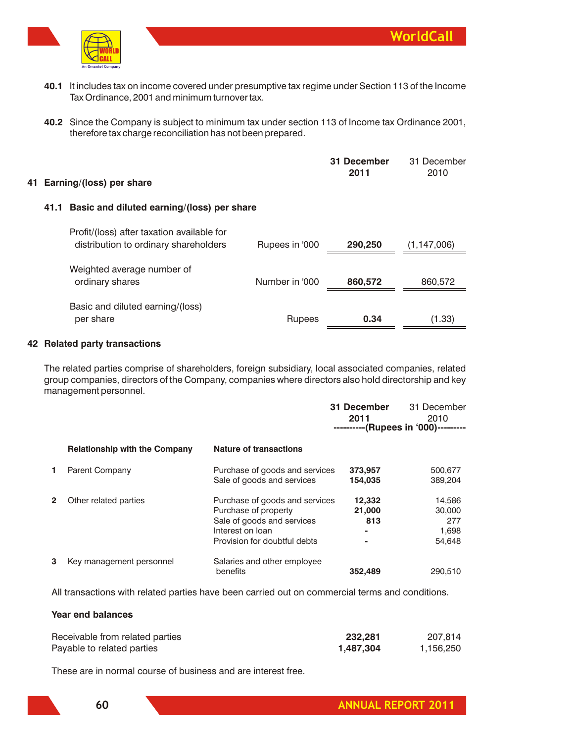

- **40.1** It includes tax on income covered under presumptive tax regime under Section 113 of the Income Tax Ordinance, 2001 and minimum turnover tax.
- **40.2** Since the Company is subject to minimum tax under section 113 of Income tax Ordinance 2001, therefore tax charge reconciliation has not been prepared.

|      | 41 Earning/(loss) per share                                                         |                | 31 December<br>2011 | 31 December<br>2010 |
|------|-------------------------------------------------------------------------------------|----------------|---------------------|---------------------|
| 41.1 | Basic and diluted earning/(loss) per share                                          |                |                     |                     |
|      | Profit/(loss) after taxation available for<br>distribution to ordinary shareholders | Rupees in '000 | 290,250             | (1, 147, 006)       |
|      | Weighted average number of<br>ordinary shares                                       | Number in '000 | 860,572             | 860,572             |
|      | Basic and diluted earning/(loss)<br>per share                                       | Rupees         | 0.34                | (1.33)              |

#### **42 Related party transactions**

The related parties comprise of shareholders, foreign subsidiary, local associated companies, related group companies, directors of the Company, companies where directors also hold directorship and key management personnel.

|   |                                      |                                                                                                                                          | 31 December<br>2011          | 31 December<br>2010<br>-(Rupees in '000)----- |
|---|--------------------------------------|------------------------------------------------------------------------------------------------------------------------------------------|------------------------------|-----------------------------------------------|
|   | <b>Relationship with the Company</b> | <b>Nature of transactions</b>                                                                                                            |                              |                                               |
| 1 | Parent Company                       | Purchase of goods and services<br>Sale of goods and services                                                                             | 373,957<br>154,035           | 500,677<br>389,204                            |
| 2 | Other related parties                | Purchase of goods and services<br>Purchase of property<br>Sale of goods and services<br>Interest on loan<br>Provision for doubtful debts | 12,332<br>21,000<br>813<br>٠ | 14,586<br>30,000<br>277<br>1,698<br>54,648    |
| 3 | Key management personnel             | Salaries and other employee<br>benefits                                                                                                  | 352,489                      | 290,510                                       |

All transactions with related parties have been carried out on commercial terms and conditions.

### **Year end balances**

| Receivable from related parties | 232.281   | 207.814   |
|---------------------------------|-----------|-----------|
| Payable to related parties      | 1,487,304 | 1,156,250 |

These are in normal course of business and are interest free.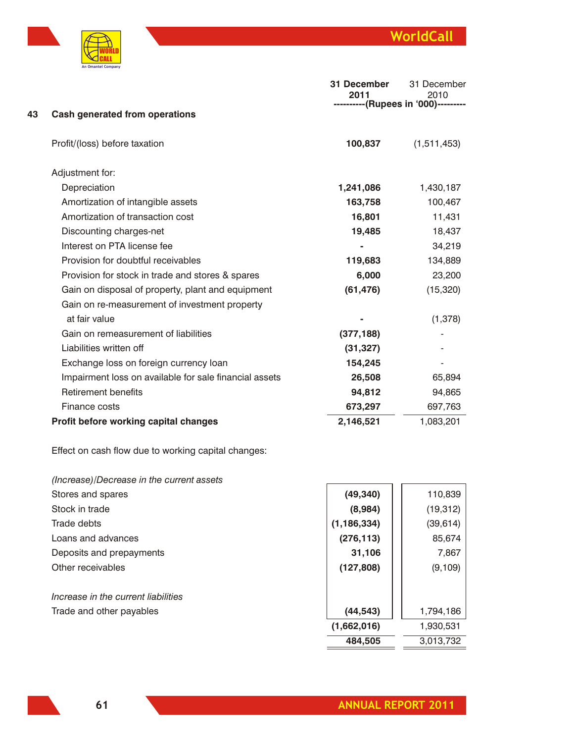

|    |                                                        | 31 December<br>2011 | 31 December<br>2010                 |
|----|--------------------------------------------------------|---------------------|-------------------------------------|
| 43 | <b>Cash generated from operations</b>                  |                     | ----------(Rupees in '000)--------- |
|    | Profit/(loss) before taxation                          | 100,837             | (1,511,453)                         |
|    | Adjustment for:                                        |                     |                                     |
|    | Depreciation                                           | 1,241,086           | 1,430,187                           |
|    | Amortization of intangible assets                      | 163,758             | 100,467                             |
|    | Amortization of transaction cost                       | 16,801              | 11,431                              |
|    | Discounting charges-net                                | 19,485              | 18,437                              |
|    | Interest on PTA license fee                            |                     | 34,219                              |
|    | Provision for doubtful receivables                     | 119,683             | 134,889                             |
|    | Provision for stock in trade and stores & spares       | 6,000               | 23,200                              |
|    | Gain on disposal of property, plant and equipment      | (61, 476)           | (15, 320)                           |
|    | Gain on re-measurement of investment property          |                     |                                     |
|    | at fair value                                          |                     | (1,378)                             |
|    | Gain on remeasurement of liabilities                   | (377, 188)          |                                     |
|    | Liabilities written off                                | (31, 327)           |                                     |
|    | Exchange loss on foreign currency loan                 | 154,245             |                                     |
|    | Impairment loss on available for sale financial assets | 26,508              | 65,894                              |
|    | <b>Retirement benefits</b>                             | 94,812              | 94,865                              |
|    | Finance costs                                          | 673,297             | 697,763                             |
|    | Profit before working capital changes                  | 2,146,521           | 1,083,201                           |
|    | Effect on cash flow due to working capital changes:    |                     |                                     |
|    | $(In a reason) / Do a reason in the current a so a to$ |                     |                                     |

| (increase)/Decrease in the current assets |               |           |
|-------------------------------------------|---------------|-----------|
| Stores and spares                         | (49, 340)     | 110,839   |
| Stock in trade                            | (8,984)       | (19, 312) |
| Trade debts                               | (1, 186, 334) | (39, 614) |
| Loans and advances                        | (276, 113)    | 85,674    |
| Deposits and prepayments                  | 31,106        | 7,867     |
| Other receivables                         | (127, 808)    | (9, 109)  |
|                                           |               |           |
| Increase in the current liabilities       |               |           |
| Trade and other payables                  | (44, 543)     | 1,794,186 |
|                                           | (1,662,016)   | 1,930,531 |
|                                           | 484,505       | 3,013,732 |
|                                           |               |           |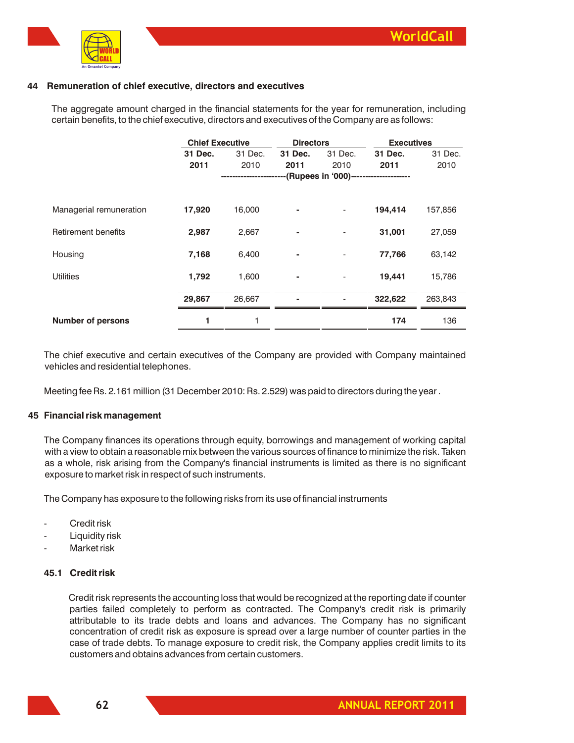

# **44 Remuneration of chief executive, directors and executives**

The aggregate amount charged in the financial statements for the year for remuneration, including certain benefits, to the chief executive, directors and executives of the Company are as follows:

|         |                 | <b>Directors</b>                          |                          | <b>Executives</b> |                                               |
|---------|-----------------|-------------------------------------------|--------------------------|-------------------|-----------------------------------------------|
| 31 Dec. | 31 Dec.         | 31 Dec.                                   | 31 Dec.                  | 31 Dec.           | 31 Dec.                                       |
| 2011    | 2010            | 2011                                      | 2010                     | 2011              | 2010                                          |
|         |                 |                                           |                          |                   |                                               |
|         |                 |                                           |                          |                   |                                               |
| 17,920  | 16,000          |                                           |                          | 194,414           | 157,856                                       |
|         |                 |                                           |                          |                   |                                               |
|         |                 | ٠                                         |                          |                   | 27,059                                        |
| 7,168   | 6,400           | ٠                                         | $\overline{\phantom{a}}$ | 77,766            | 63,142                                        |
|         |                 |                                           |                          |                   |                                               |
| 1,792   | 1,600           |                                           |                          | 19,441            | 15,786                                        |
|         |                 |                                           |                          |                   | 263,843                                       |
|         |                 |                                           |                          |                   |                                               |
| 1       | 1               |                                           |                          | 174               | 136                                           |
|         | 2,987<br>29,867 | <b>Chief Executive</b><br>2,667<br>26,667 |                          |                   | --(Rupees in '000)------<br>31,001<br>322,622 |

The chief executive and certain executives of the Company are provided with Company maintained vehicles and residential telephones.

Meeting fee Rs. 2.161 million (31 December 2010: Rs. 2.529) was paid to directors during the year .

# **45 Financial risk management**

The Company finances its operations through equity, borrowings and management of working capital with a view to obtain a reasonable mix between the various sources of finance to minimize the risk. Taken as a whole, risk arising from the Company's financial instruments is limited as there is no significant exposure to market risk in respect of such instruments.

The Company has exposure to the following risks from its use of financial instruments

- Credit risk
- Liquidity risk
- Market risk

# **45.1 Credit risk**

Credit risk represents the accounting loss that would be recognized at the reporting date if counter parties failed completely to perform as contracted. The Company's credit risk is primarily attributable to its trade debts and loans and advances. The Company has no significant concentration of credit risk as exposure is spread over a large number of counter parties in the case of trade debts. To manage exposure to credit risk, the Company applies credit limits to its customers and obtains advances from certain customers.

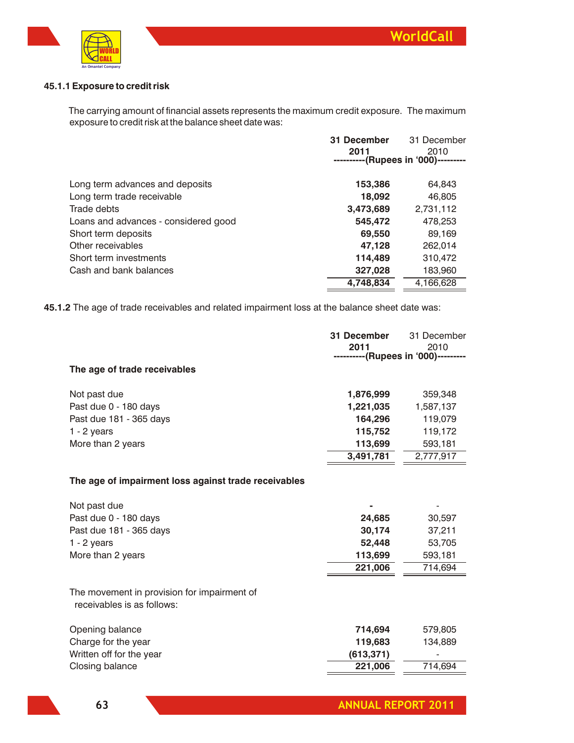

# **45.1.1 Exposure to credit risk**

The carrying amount of financial assets represents the maximum credit exposure. The maximum exposure to credit risk at the balance sheet date was:

|                                      | 31 December | 31 December                |
|--------------------------------------|-------------|----------------------------|
|                                      | 2011        | 2010                       |
|                                      |             | -(Rupees in '000)--------- |
|                                      |             |                            |
| Long term advances and deposits      | 153,386     | 64,843                     |
| Long term trade receivable           | 18,092      | 46,805                     |
| Trade debts                          | 3,473,689   | 2,731,112                  |
| Loans and advances - considered good | 545,472     | 478,253                    |
| Short term deposits                  | 69,550      | 89,169                     |
| Other receivables                    | 47,128      | 262,014                    |
| Short term investments               | 114,489     | 310,472                    |
| Cash and bank balances               | 327,028     | 183,960                    |
|                                      | 4,748,834   | 4,166,628                  |

**45.1.2** The age of trade receivables and related impairment loss at the balance sheet date was:

|                                                                           | 31 December                         | 31 December |
|---------------------------------------------------------------------------|-------------------------------------|-------------|
|                                                                           | 2011                                | 2010        |
|                                                                           | ----------(Rupees in '000)--------- |             |
| The age of trade receivables                                              |                                     |             |
| Not past due                                                              | 1,876,999                           | 359,348     |
| Past due 0 - 180 days                                                     | 1,221,035                           | 1,587,137   |
| Past due 181 - 365 days                                                   | 164,296                             | 119,079     |
| $1 - 2$ years                                                             | 115,752                             | 119,172     |
| More than 2 years                                                         | 113,699                             | 593,181     |
|                                                                           | 3,491,781                           | 2,777,917   |
| The age of impairment loss against trade receivables                      |                                     |             |
| Not past due                                                              |                                     |             |
| Past due 0 - 180 days                                                     | 24,685                              | 30,597      |
| Past due 181 - 365 days                                                   | 30,174                              | 37,211      |
| $1 - 2$ years                                                             | 52,448                              | 53,705      |
| More than 2 years                                                         | 113,699                             | 593,181     |
|                                                                           | 221,006                             | 714,694     |
| The movement in provision for impairment of<br>receivables is as follows: |                                     |             |
| Opening balance                                                           | 714,694                             | 579,805     |
| Charge for the year                                                       | 119,683                             | 134,889     |
| Written off for the year                                                  | (613, 371)                          |             |
| Closing balance                                                           | 221,006                             | 714,694     |
|                                                                           |                                     |             |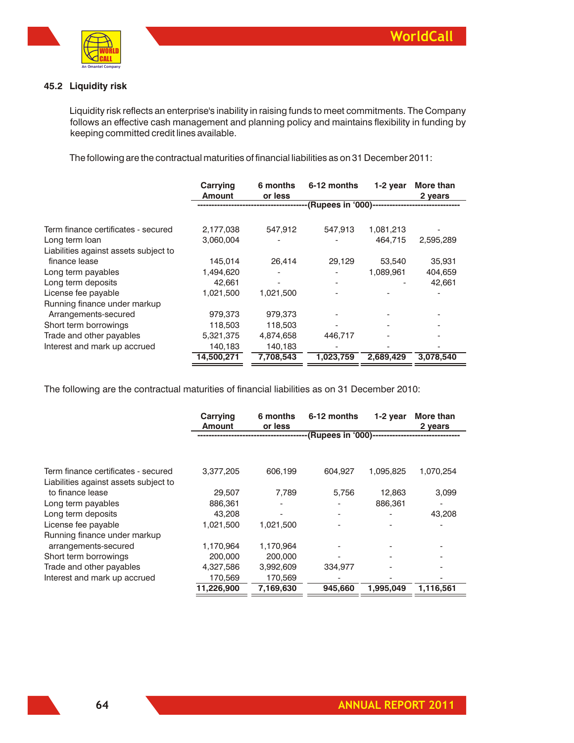

# **45.2 Liquidity risk**

Liquidity risk reflects an enterprise's inability in raising funds to meet commitments. The Company follows an effective cash management and planning policy and maintains flexibility in funding by keeping committed credit lines available.

The following are the contractual maturities of financial liabilities as on 31 December 2011:

|                                       | Carrying<br><b>Amount</b> | 6 months<br>or less | 6-12 months                    | $1-2$ year | More than<br>2 years |
|---------------------------------------|---------------------------|---------------------|--------------------------------|------------|----------------------|
|                                       |                           |                     | (Rupees in '000)-------------- |            |                      |
| Term finance certificates - secured   | 2,177,038                 | 547,912             | 547,913                        | 1,081,213  |                      |
| Long term loan                        | 3,060,004                 |                     |                                | 464,715    | 2,595,289            |
| Liabilities against assets subject to |                           |                     |                                |            |                      |
| finance lease                         | 145,014                   | 26.414              | 29,129                         | 53,540     | 35,931               |
| Long term payables                    | 1,494,620                 |                     |                                | 1,089,961  | 404,659              |
| Long term deposits                    | 42,661                    |                     |                                |            | 42,661               |
| License fee payable                   | 1,021,500                 | 1,021,500           |                                |            |                      |
| Running finance under markup          |                           |                     |                                |            |                      |
| Arrangements-secured                  | 979,373                   | 979,373             |                                |            |                      |
| Short term borrowings                 | 118,503                   | 118,503             |                                |            |                      |
| Trade and other payables              | 5,321,375                 | 4,874,658           | 446,717                        |            |                      |
| Interest and mark up accrued          | 140,183                   | 140,183             |                                |            |                      |
|                                       | 14,500,271                | 7,708,543           | 1,023,759                      | 2,689,429  | 3,078,540            |

The following are the contractual maturities of financial liabilities as on 31 December 2010:

|                                       | Carrying<br><b>Amount</b> | 6 months<br>or less | 6-12 months           | 1-2 year  | More than<br>2 years |
|---------------------------------------|---------------------------|---------------------|-----------------------|-----------|----------------------|
|                                       |                           |                     | -(Rupees in '000)---- |           |                      |
|                                       |                           |                     |                       |           |                      |
| Term finance certificates - secured   | 3,377,205                 | 606,199             | 604,927               | 1,095,825 | 1,070,254            |
| Liabilities against assets subject to |                           |                     |                       |           |                      |
| to finance lease                      | 29,507                    | 7,789               | 5,756                 | 12,863    | 3,099                |
| Long term payables                    | 886,361                   |                     |                       | 886,361   |                      |
| Long term deposits                    | 43,208                    |                     |                       |           | 43,208               |
| License fee payable                   | 1,021,500                 | 1,021,500           |                       |           |                      |
| Running finance under markup          |                           |                     |                       |           |                      |
| arrangements-secured                  | 1,170,964                 | 1,170,964           |                       |           |                      |
| Short term borrowings                 | 200,000                   | 200,000             |                       |           |                      |
| Trade and other payables              | 4,327,586                 | 3,992,609           | 334,977               |           |                      |
| Interest and mark up accrued          | 170,569                   | 170,569             |                       |           |                      |
|                                       | 11,226,900                | 7,169,630           | 945,660               | 1,995,049 | 1,116,561            |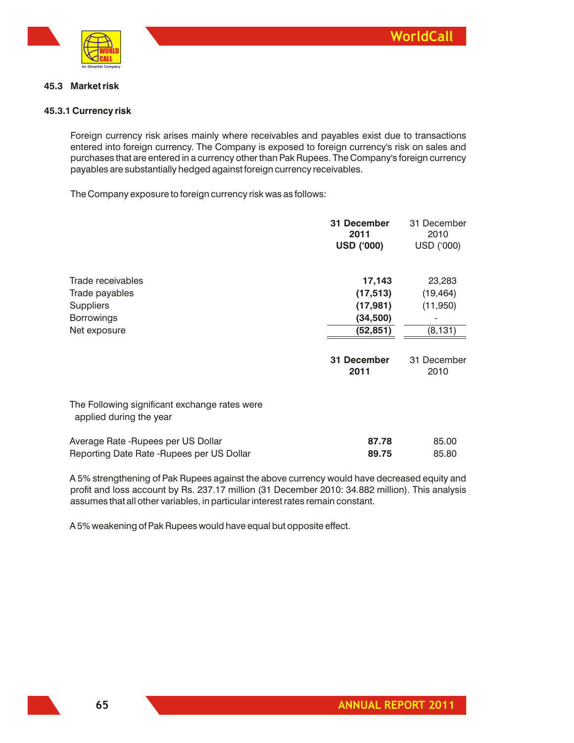

# **45.3 Market risk**

# **45.3.1 Currency risk**

Foreign currency risk arises mainly where receivables and payables exist due to transactions entered into foreign currency. The Company is exposed to foreign currency's risk on sales and purchases that are entered in a currency other than Pak Rupees. The Company's foreign currency payables are substantially hedged against foreign currency receivables.

The Company exposure to foreign currency risk was as follows:

|                                                                                              | 31 December<br>2011<br><b>USD ('000)</b>                   | 31 December<br>2010<br>USD ('000)           |
|----------------------------------------------------------------------------------------------|------------------------------------------------------------|---------------------------------------------|
| Trade receivables<br>Trade payables<br><b>Suppliers</b><br><b>Borrowings</b><br>Net exposure | 17,143<br>(17, 513)<br>(17, 981)<br>(34, 500)<br>(52, 851) | 23,283<br>(19, 464)<br>(11,950)<br>(8, 131) |
|                                                                                              | 31 December<br>2011                                        | 31 December<br>2010                         |
| The Following significant exchange rates were<br>applied during the year                     |                                                            |                                             |
| Average Rate - Rupees per US Dollar<br>Reporting Date Rate - Rupees per US Dollar            | 87.78<br>89.75                                             | 85.00<br>85.80                              |

A 5% strengthening of Pak Rupees against the above currency would have decreased equity and profit and loss account by Rs. 237.17 million (31 December 2010: 34.882 million). This analysis assumes that all other variables, in particular interest rates remain constant.

A 5% weakening of Pak Rupees would have equal but opposite effect.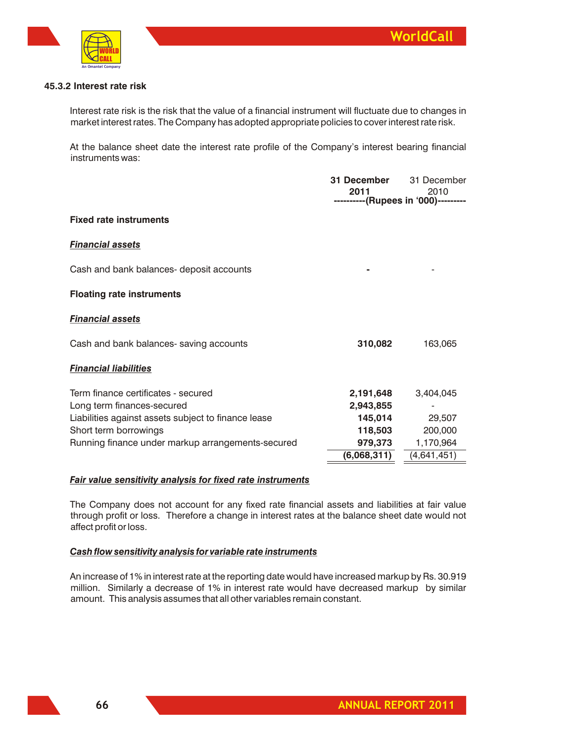

# **45.3.2 Interest rate risk**

Interest rate risk is the risk that the value of a financial instrument will fluctuate due to changes in market interest rates. The Company has adopted appropriate policies to cover interest rate risk.

At the balance sheet date the interest rate profile of the Company's interest bearing financial instruments was:

|                                                                   | 31 December<br>2011<br>---------(Rupees in '000)--------- | 31 December<br>2010 |
|-------------------------------------------------------------------|-----------------------------------------------------------|---------------------|
| <b>Fixed rate instruments</b>                                     |                                                           |                     |
| <b>Financial assets</b>                                           |                                                           |                     |
| Cash and bank balances- deposit accounts                          |                                                           |                     |
| <b>Floating rate instruments</b>                                  |                                                           |                     |
| <b>Financial assets</b>                                           |                                                           |                     |
| Cash and bank balances- saving accounts                           | 310,082                                                   | 163,065             |
| <b>Financial liabilities</b>                                      |                                                           |                     |
| Term finance certificates - secured<br>Long term finances-secured | 2,191,648<br>2,943,855                                    | 3,404,045           |
| Liabilities against assets subject to finance lease               | 145,014                                                   | 29,507              |
| Short term borrowings                                             | 118,503                                                   | 200,000             |
| Running finance under markup arrangements-secured                 | 979,373                                                   | 1,170,964           |
|                                                                   | (6,068,311)                                               | (4,641,451)         |

#### *Fair value sensitivity analysis for fixed rate instruments*

The Company does not account for any fixed rate financial assets and liabilities at fair value through profit or loss. Therefore a change in interest rates at the balance sheet date would not affect profit or loss.

#### *Cash flow sensitivity analysis for variable rate instruments*

An increase of 1% in interest rate at the reporting date would have increased markup by Rs. 30.919 million. Similarly a decrease of 1% in interest rate would have decreased markup by similar amount. This analysis assumes that all other variables remain constant.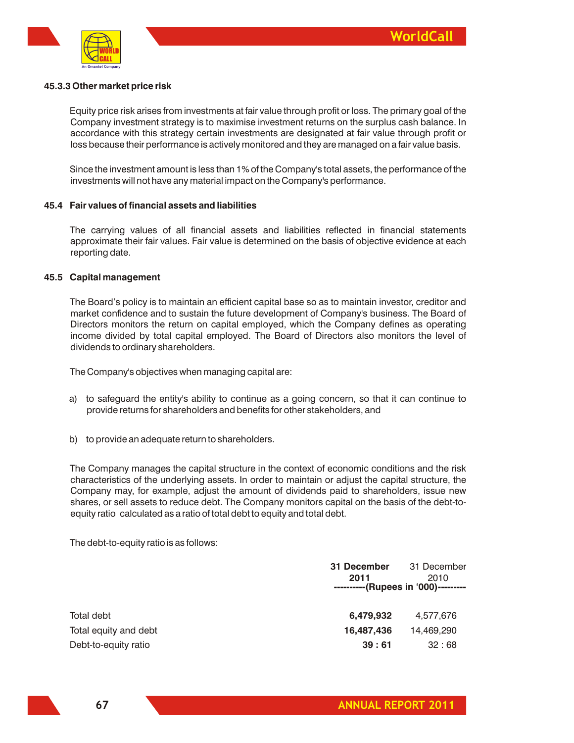

# **45.3.3 Other market price risk**

Equity price risk arises from investments at fair value through profit or loss. The primary goal of the Company investment strategy is to maximise investment returns on the surplus cash balance. In accordance with this strategy certain investments are designated at fair value through profit or loss because their performance is actively monitored and they are managed on a fair value basis.

Since the investment amount is less than 1% of the Company's total assets, the performance of the investments will not have any material impact on the Company's performance.

#### **45.4 Fair values of financial assets and liabilities**

The carrying values of all financial assets and liabilities reflected in financial statements approximate their fair values. Fair value is determined on the basis of objective evidence at each reporting date.

#### **45.5 Capital management**

The Board's policy is to maintain an efficient capital base so as to maintain investor, creditor and market confidence and to sustain the future development of Company's business. The Board of Directors monitors the return on capital employed, which the Company defines as operating income divided by total capital employed. The Board of Directors also monitors the level of dividends to ordinary shareholders.

The Company's objectives when managing capital are:

- a) to safeguard the entity's ability to continue as a going concern, so that it can continue to provide returns for shareholders and benefits for other stakeholders, and
- b) to provide an adequate return to shareholders.

The Company manages the capital structure in the context of economic conditions and the risk characteristics of the underlying assets. In order to maintain or adjust the capital structure, the Company may, for example, adjust the amount of dividends paid to shareholders, issue new shares, or sell assets to reduce debt. The Company monitors capital on the basis of the debt-toequity ratio calculated as a ratio of total debt to equity and total debt.

The debt-to-equity ratio is as follows:

|                       | 31 December<br>2011<br>----------(Rupees in '000)--------- | 31 December<br>2010 |
|-----------------------|------------------------------------------------------------|---------------------|
| Total debt            | 6,479,932                                                  | 4,577,676           |
| Total equity and debt | 16,487,436                                                 | 14,469,290          |
| Debt-to-equity ratio  | 39:61                                                      | 32:68               |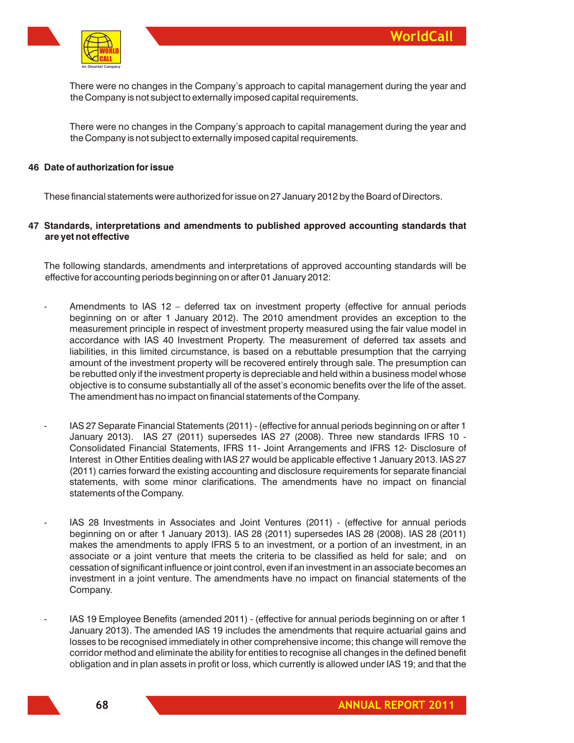

There were no changes in the Company's approach to capital management during the year and the Company is not subject to externally imposed capital requirements.

There were no changes in the Company's approach to capital management during the year and the Company is not subject to externally imposed capital requirements.

#### **46 Date of authorization for issue**

These financial statements were authorized for issue on 27 January 2012 by the Board of Directors.

# **47 Standards, interpretations and amendments to published approved accounting standards that are yet not effective**

The following standards, amendments and interpretations of approved accounting standards will be effective for accounting periods beginning on or after 01 January 2012:

- Amendments to IAS 12 deferred tax on investment property (effective for annual periods beginning on or after 1 January 2012). The 2010 amendment provides an exception to the measurement principle in respect of investment property measured using the fair value model in accordance with IAS 40 Investment Property. The measurement of deferred tax assets and liabilities, in this limited circumstance, is based on a rebuttable presumption that the carrying amount of the investment property will be recovered entirely through sale. The presumption can be rebutted only if the investment property is depreciable and held within a business model whose objective is to consume substantially all of the asset's economic benefits over the life of the asset. The amendment has no impact on financial statements of the Company.
- IAS 27 Separate Financial Statements (2011) (effective for annual periods beginning on or after 1 January 2013). IAS 27 (2011) supersedes IAS 27 (2008). Three new standards IFRS 10 - Consolidated Financial Statements, IFRS 11- Joint Arrangements and IFRS 12- Disclosure of Interest in Other Entities dealing with IAS 27 would be applicable effective 1 January 2013. IAS 27 (2011) carries forward the existing accounting and disclosure requirements for separate financial statements, with some minor clarifications. The amendments have no impact on financial statements of the Company.
- IAS 28 Investments in Associates and Joint Ventures (2011) (effective for annual periods beginning on or after 1 January 2013). IAS 28 (2011) supersedes IAS 28 (2008). IAS 28 (2011) makes the amendments to apply IFRS 5 to an investment, or a portion of an investment, in an associate or a joint venture that meets the criteria to be classified as held for sale; and on cessation of significant influence or joint control, even if an investment in an associate becomes an investment in a joint venture. The amendments have no impact on financial statements of the Company.
- IAS 19 Employee Benefits (amended 2011) (effective for annual periods beginning on or after 1 January 2013). The amended IAS 19 includes the amendments that require actuarial gains and losses to be recognised immediately in other comprehensive income; this change will remove the corridor method and eliminate the ability for entities to recognise all changes in the defined benefit obligation and in plan assets in profit or loss, which currently is allowed under IAS 19; and that the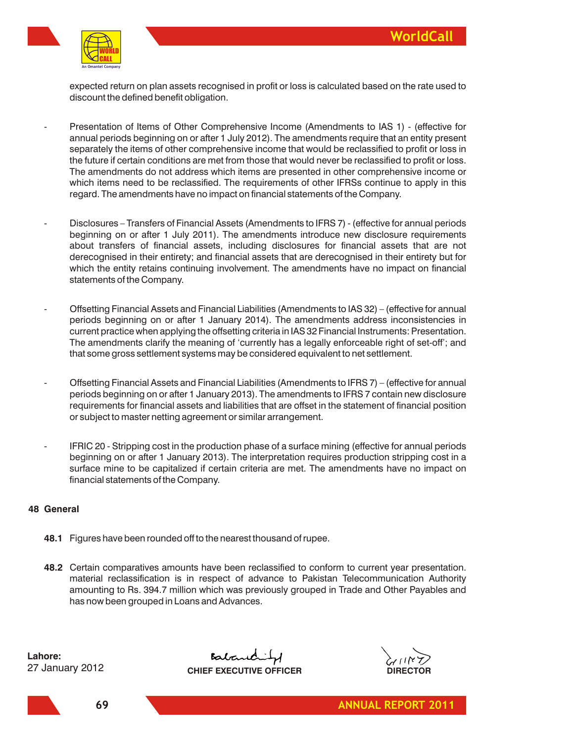

expected return on plan assets recognised in profit or loss is calculated based on the rate used to discount the defined benefit obligation.

- Presentation of Items of Other Comprehensive Income (Amendments to IAS 1) (effective for annual periods beginning on or after 1 July 2012). The amendments require that an entity present separately the items of other comprehensive income that would be reclassified to profit or loss in the future if certain conditions are met from those that would never be reclassified to profit or loss. The amendments do not address which items are presented in other comprehensive income or which items need to be reclassified. The requirements of other IFRSs continue to apply in this regard. The amendments have no impact on financial statements of the Company.
- Disclosures Transfers of Financial Assets (Amendments to IFRS 7) (effective for annual periods beginning on or after 1 July 2011). The amendments introduce new disclosure requirements about transfers of financial assets, including disclosures for financial assets that are not derecognised in their entirety; and financial assets that are derecognised in their entirety but for which the entity retains continuing involvement. The amendments have no impact on financial statements of the Company.
- Offsetting Financial Assets and Financial Liabilities (Amendments to IAS 32) (effective for annual periods beginning on or after 1 January 2014). The amendments address inconsistencies in current practice when applying the offsetting criteria in IAS 32 Financial Instruments: Presentation. The amendments clarify the meaning of 'currently has a legally enforceable right of set-off'; and that some gross settlement systems may be considered equivalent to net settlement.
- Offsetting Financial Assets and Financial Liabilities (Amendments to IFRS 7) (effective for annual periods beginning on or after 1 January 2013). The amendments to IFRS 7 contain new disclosure requirements for financial assets and liabilities that are offset in the statement of financial position or subject to master netting agreement or similar arrangement.
- IFRIC 20 Stripping cost in the production phase of a surface mining (effective for annual periods beginning on or after 1 January 2013). The interpretation requires production stripping cost in a surface mine to be capitalized if certain criteria are met. The amendments have no impact on financial statements of the Company.

# **48 General**

- **48.1** Figures have been rounded off to the nearest thousand of rupee.
- **48.2** Certain comparatives amounts have been reclassified to conform to current year presentation. material reclassification is in respect of advance to Pakistan Telecommunication Authority amounting to Rs. 394.7 million which was previously grouped in Trade and Other Payables and has now been grouped in Loans and Advances.

**Lahore:** 27 January 2012

Balanchity **CHIEF EXECUTIVE OFFICER** 



**69 ANNUAL REPORT 2011**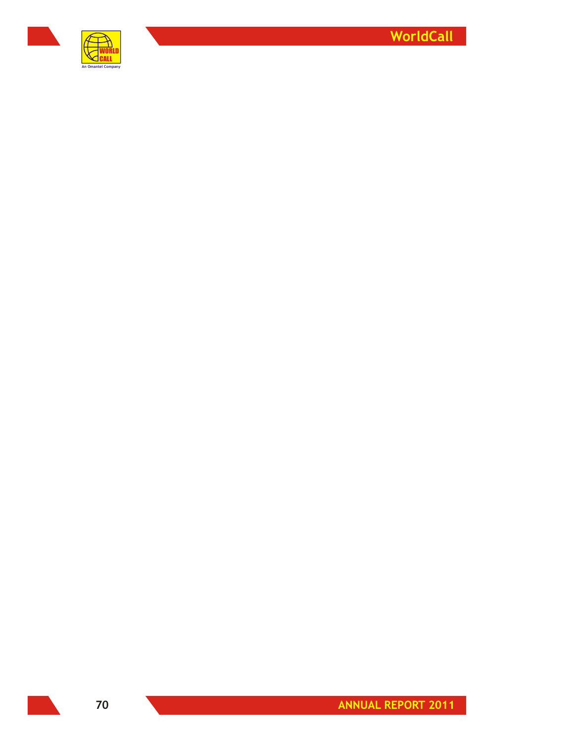

*Report 2011* **ANNUAL REPORT 2011**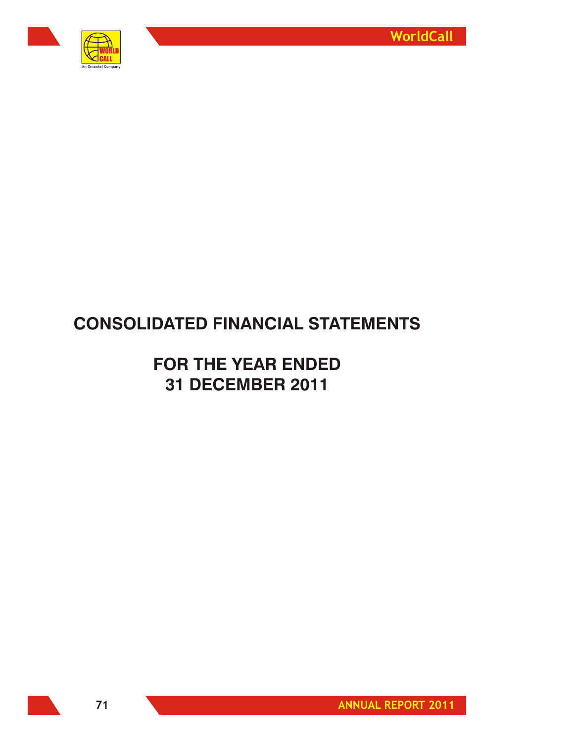

# **CONSOLIDATED FINANCIAL STATEMENTS**

# **FOR THE YEAR ENDED 31 DECEMBER 2011**

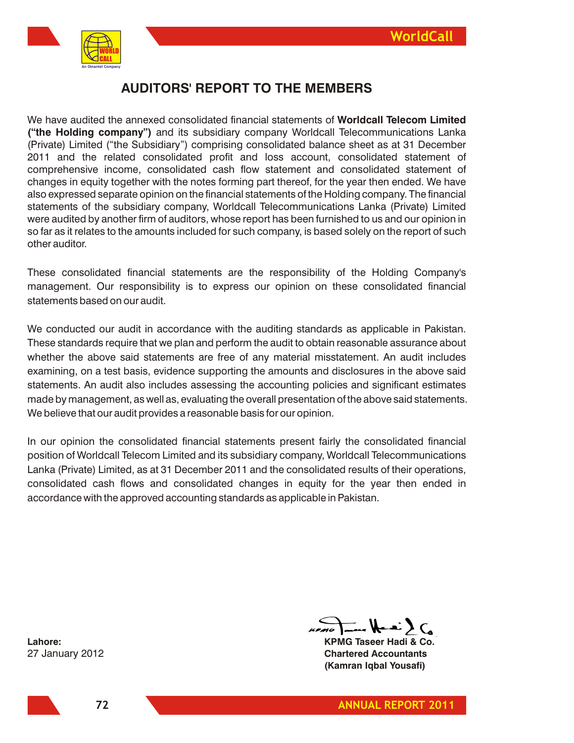

# **AUDITORS' REPORT TO THE MEMBERS**

We have audited the annexed consolidated financial statements of **Worldcall Telecom Limited ("the Holding company")** and its subsidiary company Worldcall Telecommunications Lanka (Private) Limited ("the Subsidiary") comprising consolidated balance sheet as at 31 December 2011 and the related consolidated profit and loss account, consolidated statement of comprehensive income, consolidated cash flow statement and consolidated statement of changes in equity together with the notes forming part thereof, for the year then ended. We have also expressed separate opinion on the financial statements of the Holding company. The financial statements of the subsidiary company, Worldcall Telecommunications Lanka (Private) Limited were audited by another firm of auditors, whose report has been furnished to us and our opinion in so far as it relates to the amounts included for such company, is based solely on the report of such other auditor.

These consolidated financial statements are the responsibility of the Holding Company's management. Our responsibility is to express our opinion on these consolidated financial statements based on our audit.

We conducted our audit in accordance with the auditing standards as applicable in Pakistan. These standards require that we plan and perform the audit to obtain reasonable assurance about whether the above said statements are free of any material misstatement. An audit includes examining, on a test basis, evidence supporting the amounts and disclosures in the above said statements. An audit also includes assessing the accounting policies and significant estimates made by management, as well as, evaluating the overall presentation of the above said statements. We believe that our audit provides a reasonable basis for our opinion.

In our opinion the consolidated financial statements present fairly the consolidated financial position of Worldcall Telecom Limited and its subsidiary company, Worldcall Telecommunications Lanka (Private) Limited, as at 31 December 2011 and the consolidated results of their operations, consolidated cash flows and consolidated changes in equity for the year then ended in accordance with the approved accounting standards as applicable in Pakistan.

 $\pm 16$ 

**Lahore: KPMG Taseer Hadi & Co.** 27 January 2012 **Chartered Accountants (Kamran Iqbal Yousafi)**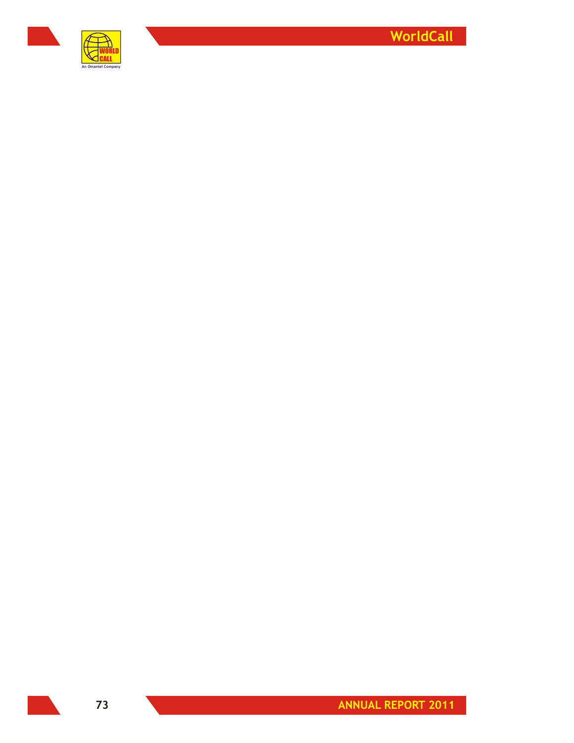

*ANNUAL REPORT 2011*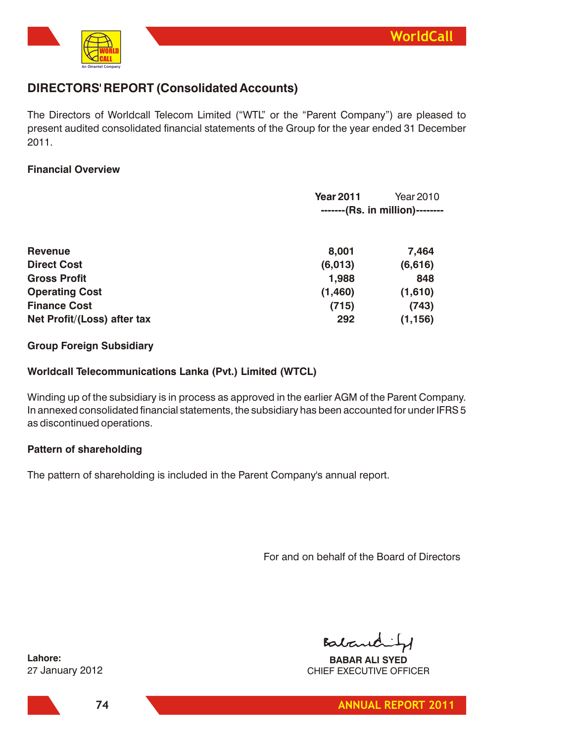

# **DIRECTORS' REPORT (Consolidated Accounts)**

The Directors of Worldcall Telecom Limited ("WTL" or the "Parent Company") are pleased to present audited consolidated financial statements of the Group for the year ended 31 December 2011.

# **Financial Overview**

|                             | <b>Year 2011</b><br>Year 2010 |                                 |  |  |  |
|-----------------------------|-------------------------------|---------------------------------|--|--|--|
|                             |                               | -------(Rs. in million)-------- |  |  |  |
|                             |                               |                                 |  |  |  |
| Revenue                     | 8,001                         | 7,464                           |  |  |  |
| <b>Direct Cost</b>          | (6,013)                       | (6, 616)                        |  |  |  |
| <b>Gross Profit</b>         | 1,988                         | 848                             |  |  |  |
| <b>Operating Cost</b>       | (1,460)                       | (1,610)                         |  |  |  |
| <b>Finance Cost</b>         | (715)                         | (743)                           |  |  |  |
| Net Profit/(Loss) after tax | 292                           | (1, 156)                        |  |  |  |

## **Group Foreign Subsidiary**

# **Worldcall Telecommunications Lanka (Pvt.) Limited (WTCL)**

Winding up of the subsidiary is in process as approved in the earlier AGM of the Parent Company. In annexed consolidated financial statements, the subsidiary has been accounted for under IFRS 5 as discontinued operations.

# **Pattern of shareholding**

The pattern of shareholding is included in the Parent Company's annual report.

For and on behalf of the Board of Directors

Babartaily

**BABAR ALI SYED** CHIEF EXECUTIVE OFFICER

**Lahore:** 27 January 2012

**74 ANNUAL REPORT 2011**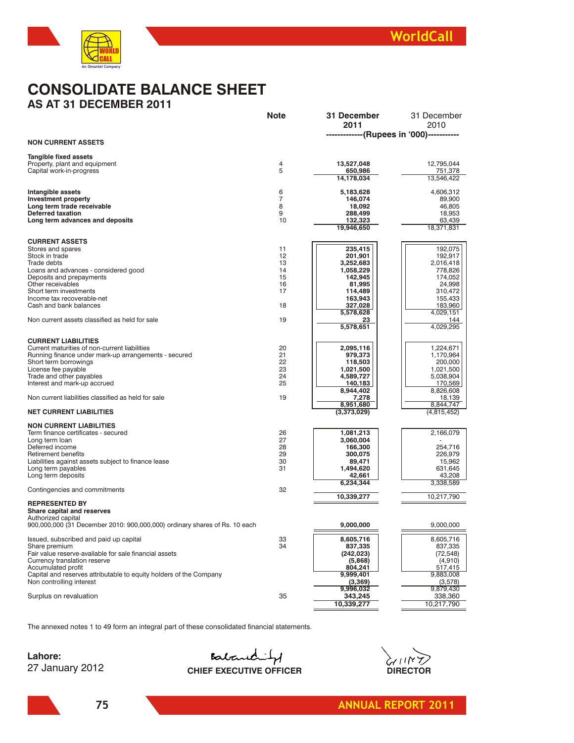

# **CONSOLIDATE BALANCE SHEET AS AT 31 DECEMBER 2011**

|                                                                                                  | <b>Note</b> | 31 December<br>2011                      | 31 December<br>2010   |
|--------------------------------------------------------------------------------------------------|-------------|------------------------------------------|-----------------------|
|                                                                                                  |             | -------------(Rupees in '000)----------- |                       |
| <b>NON CURRENT ASSETS</b>                                                                        |             |                                          |                       |
| Tangible fixed assets                                                                            |             |                                          |                       |
| Property, plant and equipment                                                                    | 4           | 13,527,048                               | 12,795,044            |
| Capital work-in-progress                                                                         | 5           | 650,986<br>14,178,034                    | 751,378<br>13.546.422 |
|                                                                                                  |             |                                          |                       |
| Intangible assets                                                                                | 6           | 5,183,628                                | 4,606,312             |
| <b>Investment property</b><br>Long term trade receivable                                         | 7<br>8      | 146,074<br>18,092                        | 89,900<br>46,805      |
| <b>Deferred taxation</b>                                                                         | 9           | 288,499                                  | 18,953                |
| Long term advances and deposits                                                                  | 10          | 132,323                                  | 63,439                |
|                                                                                                  |             | 19,946,650                               | 18,371,831            |
| <b>CURRENT ASSETS</b>                                                                            |             |                                          |                       |
| Stores and spares                                                                                | 11          | 235,415                                  | 192,075               |
| Stock in trade<br>Trade debts                                                                    | 12<br>13    | 201,901<br>3,252,683                     | 192,917<br>2,016,418  |
| Loans and advances - considered good                                                             | 14          | 1,058,229                                | 778,826               |
| Deposits and prepayments                                                                         | 15          | 142,945                                  | 174,052               |
| Other receivables<br>Short term investments                                                      | 16<br>17    | 81,995<br>114,489                        | 24,998<br>310,472     |
| Income tax recoverable-net                                                                       |             | 163,943                                  | 155,433               |
| Cash and bank balances                                                                           | 18          | 327,028                                  | 183,960               |
| Non current assets classified as held for sale                                                   | 19          | 5,578,628<br>23                          | 4,029,151<br>144      |
|                                                                                                  |             | 5,578,651                                | 4,029,295             |
| <b>CURRENT LIABILITIES</b>                                                                       |             |                                          |                       |
| Current maturities of non-current liabilities                                                    | 20          | 2,095,116                                | 1,224,671             |
| Running finance under mark-up arrangements - secured                                             | 21          | 979,373                                  | 1,170,964             |
| Short term borrowings<br>License fee payable                                                     | 22<br>23    | 118,503<br>1,021,500                     | 200,000<br>1,021,500  |
| Trade and other payables                                                                         | 24          | 4,589,727                                | 5,038,904             |
| Interest and mark-up accrued                                                                     | 25          | 140,183                                  | 170,569               |
| Non current liabilities classified as held for sale                                              | 19          | 8,944,402<br>7,278                       | 8,826,608<br>18,139   |
|                                                                                                  |             | 8,951,680                                | 8,844,747             |
| <b>NET CURRENT LIABILITIES</b>                                                                   |             | (3,373,029)                              | (4,815,452)           |
| <b>NON CURRENT LIABILITIES</b>                                                                   |             |                                          |                       |
| Term finance certificates - secured                                                              | 26          | 1,081,213                                | 2,166,079             |
| Long term loan                                                                                   | 27          | 3,060,004                                |                       |
| Deferred income<br>Retirement benefits                                                           | 28<br>29    | 166,300<br>300,075                       | 254,716<br>226,979    |
| Liabilities against assets subject to finance lease                                              | 30          | 89,471                                   | 15,962                |
| Long term payables<br>Long term deposits                                                         | 31          | 1,494,620<br>42,661                      | 631,645<br>43,208     |
|                                                                                                  |             | 6,234,344                                | 3,338,589             |
| Contingencies and commitments                                                                    | 32          |                                          |                       |
| <b>REPRESENTED BY</b>                                                                            |             | 10,339,277                               | 10,217,790            |
| <b>Share capital and reserves</b>                                                                |             |                                          |                       |
| Authorized capital<br>900,000,000 (31 December 2010: 900,000,000) ordinary shares of Rs. 10 each |             | 9,000,000                                | 9.000.000             |
|                                                                                                  |             |                                          |                       |
| Issued, subscribed and paid up capital                                                           | 33          | 8,605,716                                | 8,605,716             |
| Share premium<br>Fair value reserve-available for sale financial assets                          | 34          | 837,335<br>(242, 023)                    | 837,335<br>(72, 548)  |
| Currency translation reserve                                                                     |             | (5,868)                                  | (4,910)               |
| Accumulated profit                                                                               |             | 804.241                                  | 517,415               |
| Capital and reserves attributable to equity holders of the Company<br>Non controlling interest   |             | 9,999,401<br>(3,369)                     | 9,883,008<br>(3,578)  |
|                                                                                                  |             | 9,996,032                                | 9,879,430             |
| Surplus on revaluation                                                                           | 35          | 343,245                                  | 338,360               |
|                                                                                                  |             | 10,339,277                               | 10,217,790            |

The annexed notes 1 to 49 form an integral part of these consolidated financial statements.

**Lahore:** 27 January 2012 **CHIEF EXECUTIVE OFFICER** DIRECTOR

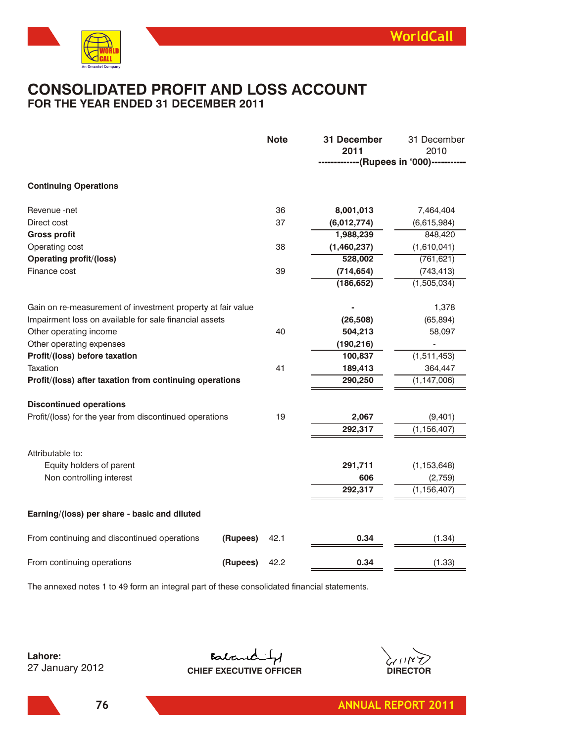

# **CONSOLIDATED PROFIT AND LOSS ACCOUNT FOR THE YEAR ENDED 31 DECEMBER 2011**

|                                                             |          | <b>Note</b> | 31 December<br>2011                      | 31 December<br>2010 |
|-------------------------------------------------------------|----------|-------------|------------------------------------------|---------------------|
|                                                             |          |             | -------------(Rupees in '000)----------- |                     |
| <b>Continuing Operations</b>                                |          |             |                                          |                     |
| Revenue -net                                                |          | 36          | 8,001,013                                | 7,464,404           |
| Direct cost                                                 |          | 37          | (6,012,774)                              | (6,615,984)         |
| Gross profit                                                |          |             | 1,988,239                                | 848,420             |
| Operating cost                                              |          | 38          | (1,460,237)                              | (1,610,041)         |
| <b>Operating profit/(loss)</b>                              |          |             | 528,002                                  | (761, 621)          |
| Finance cost                                                |          | 39          | (714, 654)                               | (743, 413)          |
|                                                             |          |             | (186, 652)                               | (1,505,034)         |
| Gain on re-measurement of investment property at fair value |          |             |                                          | 1,378               |
| Impairment loss on available for sale financial assets      |          |             | (26, 508)                                | (65, 894)           |
| Other operating income                                      |          | 40          | 504,213                                  | 58,097              |
| Other operating expenses                                    |          |             | (190, 216)                               |                     |
| Profit/(loss) before taxation                               |          |             | 100,837                                  | (1,511,453)         |
| Taxation                                                    |          | 41          | 189,413                                  | 364,447             |
| Profit/(loss) after taxation from continuing operations     |          |             | 290,250                                  | (1, 147, 006)       |
| <b>Discontinued operations</b>                              |          |             |                                          |                     |
| Profit/(loss) for the year from discontinued operations     |          | 19          | 2,067                                    | (9,401)             |
|                                                             |          |             | 292,317                                  | (1, 156, 407)       |
| Attributable to:                                            |          |             |                                          |                     |
| Equity holders of parent                                    |          |             | 291,711                                  | (1, 153, 648)       |
| Non controlling interest                                    |          |             | 606                                      | (2,759)             |
|                                                             |          |             | 292,317                                  | (1, 156, 407)       |
| Earning/(loss) per share - basic and diluted                |          |             |                                          |                     |
| From continuing and discontinued operations                 | (Rupees) | 42.1        | 0.34                                     | (1.34)              |
| From continuing operations                                  | (Rupees) | 42.2        | 0.34                                     | (1.33)              |

The annexed notes 1 to 49 form an integral part of these consolidated financial statements.

**Lahore:** 27 January 2012

**CHIEF EXECUTIVE OFFICER** DIRECTOR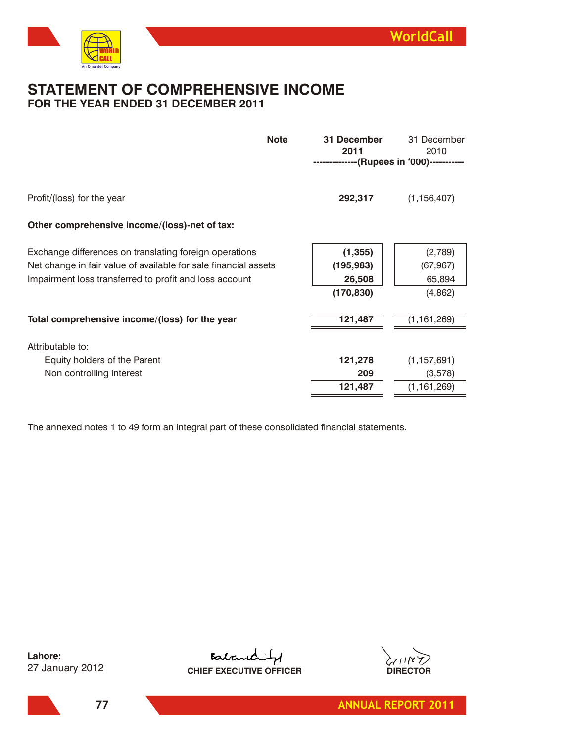

# **STATEMENT OF COMPREHENSIVE INCOME FOR THE YEAR ENDED 31 DECEMBER 2011**

|                                                                 | <b>Note</b> | 31 December<br>2011<br>--------------(Rupees in '000)----------- | 31 December<br>2010 |
|-----------------------------------------------------------------|-------------|------------------------------------------------------------------|---------------------|
|                                                                 |             |                                                                  |                     |
| Profit/(loss) for the year                                      |             | 292,317                                                          | (1, 156, 407)       |
| Other comprehensive income/(loss)-net of tax:                   |             |                                                                  |                     |
| Exchange differences on translating foreign operations          |             | (1, 355)                                                         | (2,789)             |
| Net change in fair value of available for sale financial assets |             | (195, 983)                                                       | (67, 967)           |
| Impairment loss transferred to profit and loss account          |             | 26,508                                                           | 65,894              |
|                                                                 |             | (170, 830)                                                       | (4,862)             |
| Total comprehensive income/(loss) for the year                  |             | 121,487                                                          | (1, 161, 269)       |
| Attributable to:                                                |             |                                                                  |                     |
| Equity holders of the Parent                                    |             | 121,278                                                          | (1, 157, 691)       |
| Non controlling interest                                        |             | 209                                                              | (3,578)             |
|                                                                 |             | 121,487                                                          | (1, 161, 269)       |

The annexed notes 1 to 49 form an integral part of these consolidated financial statements.

**Lahore:** 27 January 2012

**CHIEF EXECUTIVE OFFICER DIRECTOR** 

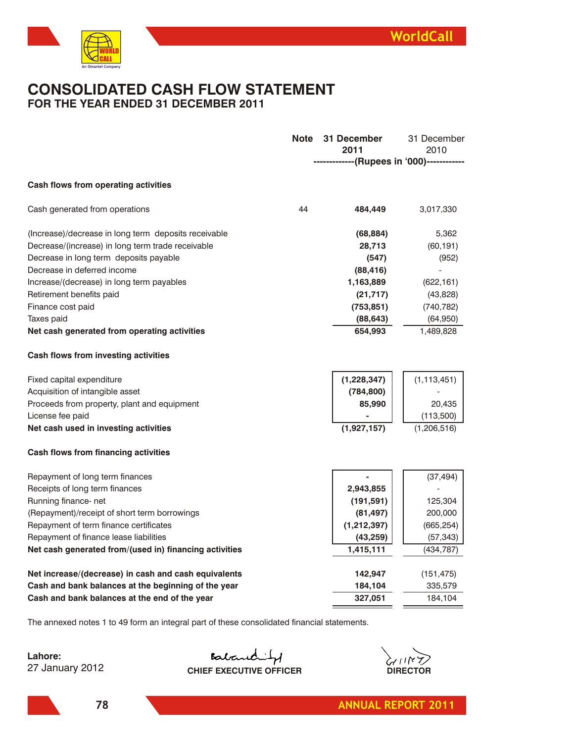

# **CONSOLIDATED CASH FLOW STATEMENT FOR THE YEAR ENDED 31 DECEMBER 2011**

|                                                        | <b>Note</b> | 31 December<br>2011                       | 31 December<br>2010 |
|--------------------------------------------------------|-------------|-------------------------------------------|---------------------|
|                                                        |             | -------------(Rupees in '000)------------ |                     |
| Cash flows from operating activities                   |             |                                           |                     |
| Cash generated from operations                         | 44          | 484,449                                   | 3,017,330           |
| (Increase)/decrease in long term deposits receivable   |             | (68, 884)                                 | 5,362               |
| Decrease/(increase) in long term trade receivable      |             | 28,713                                    | (60, 191)           |
| Decrease in long term deposits payable                 |             | (547)                                     | (952)               |
| Decrease in deferred income                            |             | (88, 416)                                 |                     |
| Increase/(decrease) in long term payables              |             | 1,163,889                                 | (622, 161)          |
| Retirement benefits paid                               |             | (21, 717)                                 | (43, 828)           |
| Finance cost paid                                      |             | (753, 851)                                | (740, 782)          |
| Taxes paid                                             |             | (88, 643)                                 | (64, 950)           |
| Net cash generated from operating activities           |             | 654,993                                   | 1,489,828           |
| Cash flows from investing activities                   |             |                                           |                     |
| Fixed capital expenditure                              |             | (1, 228, 347)                             | (1, 113, 451)       |
| Acquisition of intangible asset                        |             | (784, 800)                                |                     |
| Proceeds from property, plant and equipment            |             | 85,990                                    | 20,435              |
| License fee paid                                       |             |                                           | (113,500)           |
| Net cash used in investing activities                  |             | (1,927,157)                               | (1, 206, 516)       |
| Cash flows from financing activities                   |             |                                           |                     |
| Repayment of long term finances                        |             |                                           | (37, 494)           |
| Receipts of long term finances                         |             | 2,943,855                                 |                     |
| Running finance-net                                    |             | (191, 591)                                | 125,304             |
| (Repayment)/receipt of short term borrowings           |             | (81, 497)                                 | 200,000             |
| Repayment of term finance certificates                 |             | (1, 212, 397)                             | (665, 254)          |
| Repayment of finance lease liabilities                 |             | (43, 259)                                 | (57, 343)           |
| Net cash generated from/(used in) financing activities |             | 1,415,111                                 | (434, 787)          |
| Net increase/(decrease) in cash and cash equivalents   |             | 142,947                                   | (151, 475)          |
| Cash and bank balances at the beginning of the year    |             | 184,104                                   | 335,579             |
| Cash and bank balances at the end of the year          |             | 327,051                                   | 184,104             |
|                                                        |             |                                           |                     |

The annexed notes 1 to 49 form an integral part of these consolidated financial statements.

**Lahore:** 27 January 2012 **CHIEF EXECUTIVE OFFICER** DIRECTOR

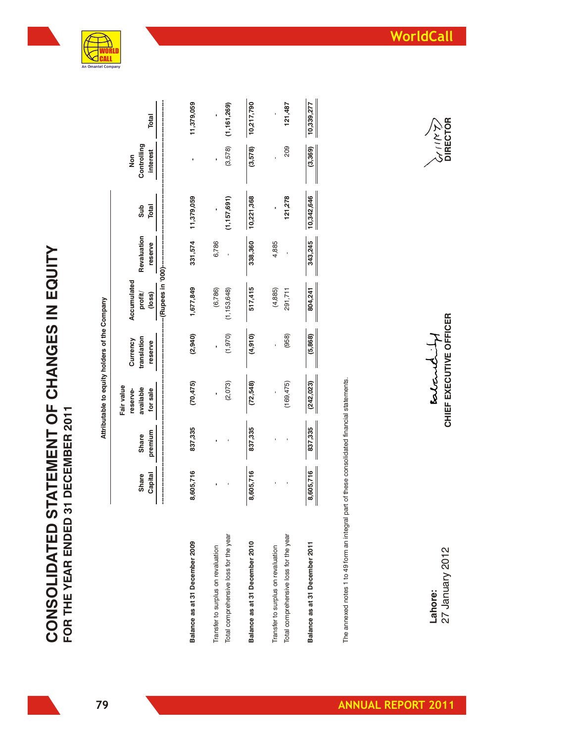

**An Omantel Company**

|                                               |                                                 |                   |                                |                                                                             |                                |                                                                             |                                |                                                                                             | <b><i>orldCall</i></b>             |
|-----------------------------------------------|-------------------------------------------------|-------------------|--------------------------------|-----------------------------------------------------------------------------|--------------------------------|-----------------------------------------------------------------------------|--------------------------------|---------------------------------------------------------------------------------------------|------------------------------------|
| ntel Company                                  | Total                                           |                   | 11,379,059                     | (1, 161, 269)                                                               | 10,217,790                     | 121,487                                                                     | 10,339,277                     |                                                                                             |                                    |
|                                               | Controlling<br>interest<br>Non                  |                   | ı                              | (3,578)                                                                     | (3,578)                        | 209                                                                         | (3,369)                        |                                                                                             | $\zeta_{Y/\sqrt{Y}}$<br>DIRECTOR   |
|                                               | Sub<br>Total                                    |                   | 11,379,059                     | (1,157,691)                                                                 | 10,221,368                     | 121,278<br>ï                                                                | 10,342,646                     |                                                                                             |                                    |
|                                               | Revaluation<br>reserve                          |                   | 331,574                        | 6,786<br>ï                                                                  | 338,360                        | 4,885                                                                       | 343,245                        |                                                                                             |                                    |
| Attributable to equity holders of the Company | Accumulated<br>profit/<br>(loss)                | -coo, ul seedng)- | 1,677,849                      | (1, 153, 648)<br>(6,786)                                                    | 517,415                        | (4, 885)<br>291,711                                                         | 804,241                        |                                                                                             |                                    |
|                                               | translation<br>Currency<br>reserve              |                   | (2,940)                        | (1,970)<br>ı                                                                | (4,910)                        | (958)<br>ı                                                                  | (5,868)                        |                                                                                             | CHIEF EXECUTIVE OFFICER<br>Indiand |
|                                               | Fair value<br>available<br>reserve-<br>for sale |                   | (70, 475)                      | (2,073)<br>ï                                                                | (72, 548)                      | (169, 475)<br>ï                                                             | (242, 023)                     |                                                                                             |                                    |
|                                               | premium<br>Share                                |                   | 837,335                        |                                                                             | 837,335                        |                                                                             | 837,335                        |                                                                                             |                                    |
|                                               | Capital<br>Share                                |                   | 8,605,716                      |                                                                             | 8,605,716                      |                                                                             | 8,605,716                      |                                                                                             |                                    |
|                                               |                                                 |                   | Balance as at 31 December 2009 | Total comprehensive loss for the year<br>Transfer to surplus on revaluation | Balance as at 31 December 2010 | Total comprehensive loss for the year<br>Transfer to surplus on revaluation | Balance as at 31 December 2011 | The annexed notes 1 to 49 form an integral part of these consolidated financial statements. | 27 January 2012<br>Lahore:         |
| 79                                            |                                                 |                   |                                |                                                                             |                                |                                                                             |                                |                                                                                             | <b>ANNUAL REPORT 2011</b>          |

**CHIEF EXECUTIVE OFFICER** 27 January 2012 **DIRECTOR**

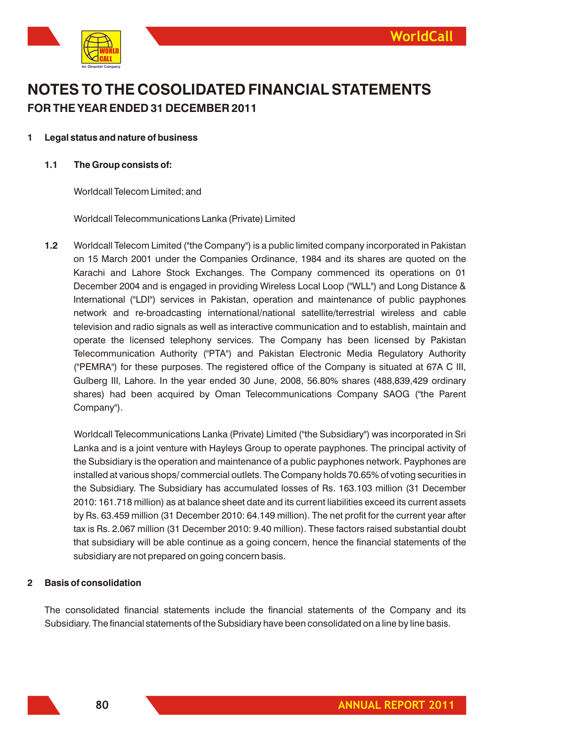

# **NOTES TO THE COSOLIDATED FINANCIAL STATEMENTS FOR THE YEAR ENDED 31 DECEMBER 2011**

#### **1 Legal status and nature of business**

#### **1.1 The Group consists of:**

Worldcall Telecom Limited; and

Worldcall Telecommunications Lanka (Private) Limited

**1.2** Worldcall Telecom Limited ("the Company") is a public limited company incorporated in Pakistan on 15 March 2001 under the Companies Ordinance, 1984 and its shares are quoted on the Karachi and Lahore Stock Exchanges. The Company commenced its operations on 01 December 2004 and is engaged in providing Wireless Local Loop ("WLL") and Long Distance & International ("LDI") services in Pakistan, operation and maintenance of public payphones network and re-broadcasting international/national satellite/terrestrial wireless and cable television and radio signals as well as interactive communication and to establish, maintain and operate the licensed telephony services. The Company has been licensed by Pakistan Telecommunication Authority ("PTA") and Pakistan Electronic Media Regulatory Authority ("PEMRA") for these purposes. The registered office of the Company is situated at 67A C III, Gulberg III, Lahore. In the year ended 30 June, 2008, 56.80% shares (488,839,429 ordinary shares) had been acquired by Oman Telecommunications Company SAOG ("the Parent Company").

Worldcall Telecommunications Lanka (Private) Limited ("the Subsidiary") was incorporated in Sri Lanka and is a joint venture with Hayleys Group to operate payphones. The principal activity of the Subsidiary is the operation and maintenance of a public payphones network. Payphones are installed at various shops/ commercial outlets. The Company holds 70.65% of voting securities in the Subsidiary. The Subsidiary has accumulated losses of Rs. 163.103 million (31 December 2010: 161.718 million) as at balance sheet date and its current liabilities exceed its current assets by Rs. 63.459 million (31 December 2010: 64.149 million). The net profit for the current year after tax is Rs. 2.067 million (31 December 2010: 9.40 million). These factors raised substantial doubt that subsidiary will be able continue as a going concern, hence the financial statements of the subsidiary are not prepared on going concern basis.

#### **2 Basis of consolidation**

The consolidated financial statements include the financial statements of the Company and its Subsidiary. The financial statements of the Subsidiary have been consolidated on a line by line basis.

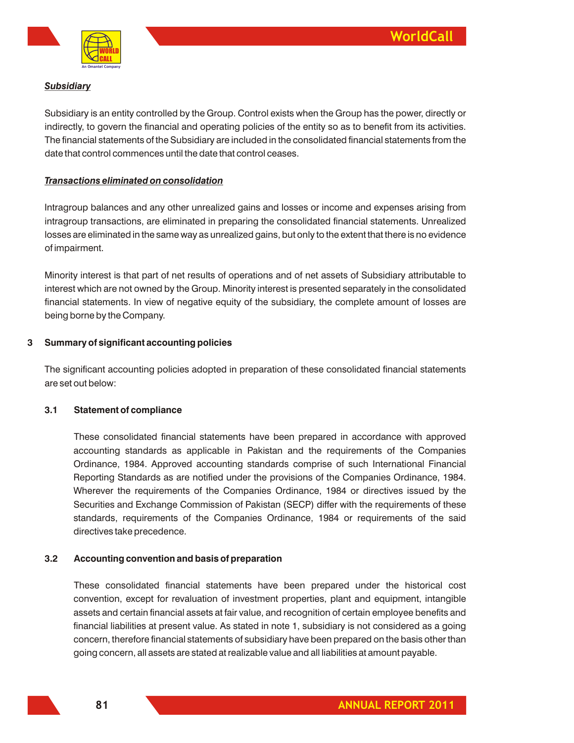

#### *Subsidiary*

Subsidiary is an entity controlled by the Group. Control exists when the Group has the power, directly or indirectly, to govern the financial and operating policies of the entity so as to benefit from its activities. The financial statements of the Subsidiary are included in the consolidated financial statements from the date that control commences until the date that control ceases.

#### *Transactions eliminated on consolidation*

Intragroup balances and any other unrealized gains and losses or income and expenses arising from intragroup transactions, are eliminated in preparing the consolidated financial statements. Unrealized losses are eliminated in the same way as unrealized gains, but only to the extent that there is no evidence of impairment.

Minority interest is that part of net results of operations and of net assets of Subsidiary attributable to interest which are not owned by the Group. Minority interest is presented separately in the consolidated financial statements. In view of negative equity of the subsidiary, the complete amount of losses are being borne by the Company.

#### **3 Summary of significant accounting policies**

The significant accounting policies adopted in preparation of these consolidated financial statements are set out below:

#### **3.1 Statement of compliance**

These consolidated financial statements have been prepared in accordance with approved accounting standards as applicable in Pakistan and the requirements of the Companies Ordinance, 1984. Approved accounting standards comprise of such International Financial Reporting Standards as are notified under the provisions of the Companies Ordinance, 1984. Wherever the requirements of the Companies Ordinance, 1984 or directives issued by the Securities and Exchange Commission of Pakistan (SECP) differ with the requirements of these standards, requirements of the Companies Ordinance, 1984 or requirements of the said directives take precedence.

#### **3.2 Accounting convention and basis of preparation**

These consolidated financial statements have been prepared under the historical cost convention, except for revaluation of investment properties, plant and equipment, intangible assets and certain financial assets at fair value, and recognition of certain employee benefits and financial liabilities at present value. As stated in note 1, subsidiary is not considered as a going concern, therefore financial statements of subsidiary have been prepared on the basis other than going concern, all assets are stated at realizable value and all liabilities at amount payable.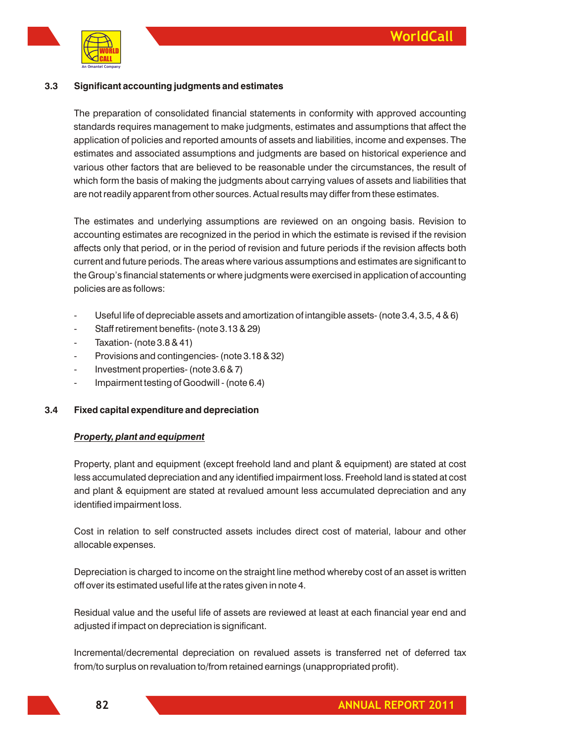

#### **3.3 Significant accounting judgments and estimates**

The preparation of consolidated financial statements in conformity with approved accounting standards requires management to make judgments, estimates and assumptions that affect the application of policies and reported amounts of assets and liabilities, income and expenses. The estimates and associated assumptions and judgments are based on historical experience and various other factors that are believed to be reasonable under the circumstances, the result of which form the basis of making the judgments about carrying values of assets and liabilities that are not readily apparent from other sources. Actual results may differ from these estimates.

The estimates and underlying assumptions are reviewed on an ongoing basis. Revision to accounting estimates are recognized in the period in which the estimate is revised if the revision affects only that period, or in the period of revision and future periods if the revision affects both current and future periods. The areas where various assumptions and estimates are significant to the Group's financial statements or where judgments were exercised in application of accounting policies are as follows:

- Useful life of depreciable assets and amortization of intangible assets- (note 3.4, 3.5, 4 & 6)
- Staff retirement benefits- (note 3.13 & 29)
- Taxation- (note  $3.8 & 41$ )
- Provisions and contingencies- (note 3.18 & 32)
- Investment properties- (note 3.6 & 7)
- Impairment testing of Goodwill (note 6.4)

#### **3.4 Fixed capital expenditure and depreciation**

#### *Property, plant and equipment*

Property, plant and equipment (except freehold land and plant & equipment) are stated at cost less accumulated depreciation and any identified impairment loss. Freehold land is stated at cost and plant & equipment are stated at revalued amount less accumulated depreciation and any identified impairment loss.

Cost in relation to self constructed assets includes direct cost of material, labour and other allocable expenses.

Depreciation is charged to income on the straight line method whereby cost of an asset is written off over its estimated useful life at the rates given in note 4.

Residual value and the useful life of assets are reviewed at least at each financial year end and adjusted if impact on depreciation is significant.

Incremental/decremental depreciation on revalued assets is transferred net of deferred tax from/to surplus on revaluation to/from retained earnings (unappropriated profit).

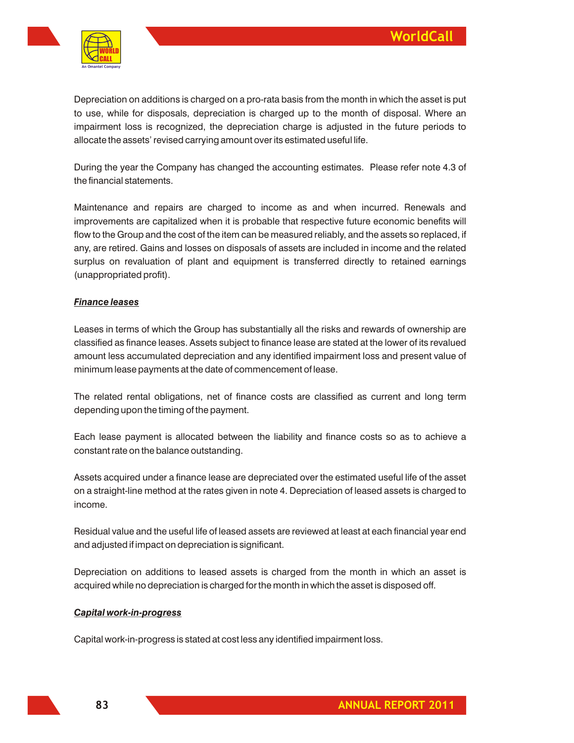

Depreciation on additions is charged on a pro-rata basis from the month in which the asset is put to use, while for disposals, depreciation is charged up to the month of disposal. Where an impairment loss is recognized, the depreciation charge is adjusted in the future periods to allocate the assets' revised carrying amount over its estimated useful life.

During the year the Company has changed the accounting estimates. Please refer note 4.3 of the financial statements.

Maintenance and repairs are charged to income as and when incurred. Renewals and improvements are capitalized when it is probable that respective future economic benefits will flow to the Group and the cost of the item can be measured reliably, and the assets so replaced, if any, are retired. Gains and losses on disposals of assets are included in income and the related surplus on revaluation of plant and equipment is transferred directly to retained earnings (unappropriated profit).

#### *Finance leases*

Leases in terms of which the Group has substantially all the risks and rewards of ownership are classified as finance leases. Assets subject to finance lease are stated at the lower of its revalued amount less accumulated depreciation and any identified impairment loss and present value of minimum lease payments at the date of commencement of lease.

The related rental obligations, net of finance costs are classified as current and long term depending upon the timing of the payment.

Each lease payment is allocated between the liability and finance costs so as to achieve a constant rate on the balance outstanding.

Assets acquired under a finance lease are depreciated over the estimated useful life of the asset on a straight-line method at the rates given in note 4. Depreciation of leased assets is charged to income.

Residual value and the useful life of leased assets are reviewed at least at each financial year end and adjusted if impact on depreciation is significant.

Depreciation on additions to leased assets is charged from the month in which an asset is acquired while no depreciation is charged for the month in which the asset is disposed off.

#### *Capital work-in-progress*

Capital work-in-progress is stated at cost less any identified impairment loss.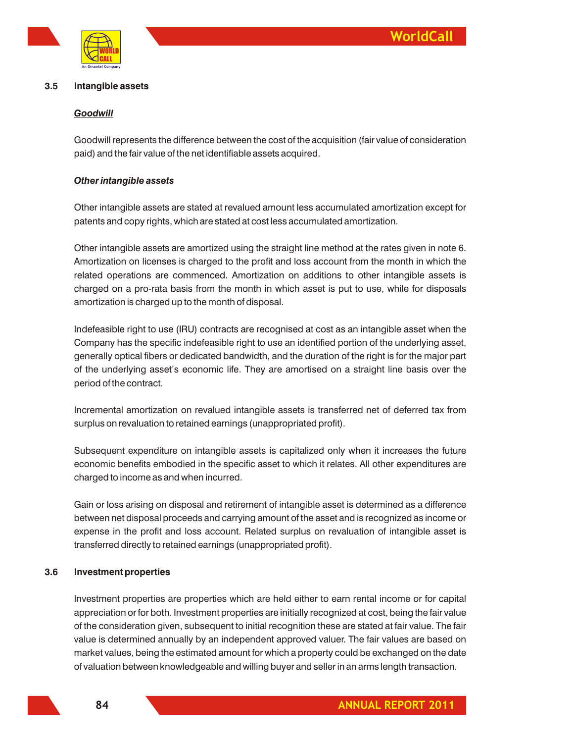

#### **3.5 Intangible assets**

#### *Goodwill*

Goodwill represents the difference between the cost of the acquisition (fair value of consideration paid) and the fair value of the net identifiable assets acquired.

#### *Other intangible assets*

Other intangible assets are stated at revalued amount less accumulated amortization except for patents and copy rights, which are stated at cost less accumulated amortization.

Other intangible assets are amortized using the straight line method at the rates given in note 6. Amortization on licenses is charged to the profit and loss account from the month in which the related operations are commenced. Amortization on additions to other intangible assets is charged on a pro-rata basis from the month in which asset is put to use, while for disposals amortization is charged up to the month of disposal.

Indefeasible right to use (IRU) contracts are recognised at cost as an intangible asset when the Company has the specific indefeasible right to use an identified portion of the underlying asset, generally optical fibers or dedicated bandwidth, and the duration of the right is for the major part of the underlying asset's economic life. They are amortised on a straight line basis over the period of the contract.

Incremental amortization on revalued intangible assets is transferred net of deferred tax from surplus on revaluation to retained earnings (unappropriated profit).

Subsequent expenditure on intangible assets is capitalized only when it increases the future economic benefits embodied in the specific asset to which it relates. All other expenditures are charged to income as and when incurred.

Gain or loss arising on disposal and retirement of intangible asset is determined as a difference between net disposal proceeds and carrying amount of the asset and is recognized as income or expense in the profit and loss account. Related surplus on revaluation of intangible asset is transferred directly to retained earnings (unappropriated profit).

#### **3.6 Investment properties**

Investment properties are properties which are held either to earn rental income or for capital appreciation or for both. Investment properties are initially recognized at cost, being the fair value of the consideration given, subsequent to initial recognition these are stated at fair value. The fair value is determined annually by an independent approved valuer. The fair values are based on market values, being the estimated amount for which a property could be exchanged on the date of valuation between knowledgeable and willing buyer and seller in an arms length transaction.

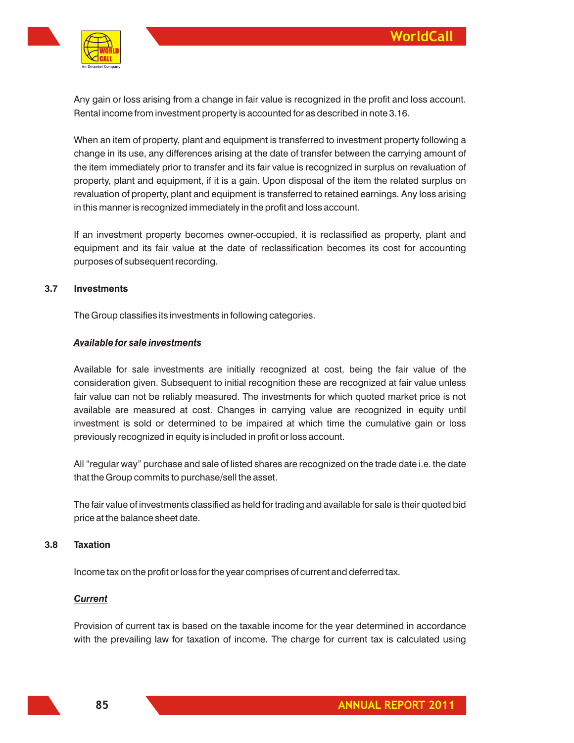

Any gain or loss arising from a change in fair value is recognized in the profit and loss account. Rental income from investment property is accounted for as described in note 3.16.

When an item of property, plant and equipment is transferred to investment property following a change in its use, any differences arising at the date of transfer between the carrying amount of the item immediately prior to transfer and its fair value is recognized in surplus on revaluation of property, plant and equipment, if it is a gain. Upon disposal of the item the related surplus on revaluation of property, plant and equipment is transferred to retained earnings. Any loss arising in this manner is recognized immediately in the profit and loss account.

If an investment property becomes owner-occupied, it is reclassified as property, plant and equipment and its fair value at the date of reclassification becomes its cost for accounting purposes of subsequent recording.

#### **3.7 Investments**

The Group classifies its investments in following categories.

#### *Available for sale investments*

Available for sale investments are initially recognized at cost, being the fair value of the consideration given. Subsequent to initial recognition these are recognized at fair value unless fair value can not be reliably measured. The investments for which quoted market price is not available are measured at cost. Changes in carrying value are recognized in equity until investment is sold or determined to be impaired at which time the cumulative gain or loss previously recognized in equity is included in profit or loss account.

All "regular way" purchase and sale of listed shares are recognized on the trade date i.e. the date that the Group commits to purchase/sell the asset.

The fair value of investments classified as held for trading and available for sale is their quoted bid price at the balance sheet date.

#### **3.8 Taxation**

Income tax on the profit or loss for the year comprises of current and deferred tax.

#### *Current*

Provision of current tax is based on the taxable income for the year determined in accordance with the prevailing law for taxation of income. The charge for current tax is calculated using

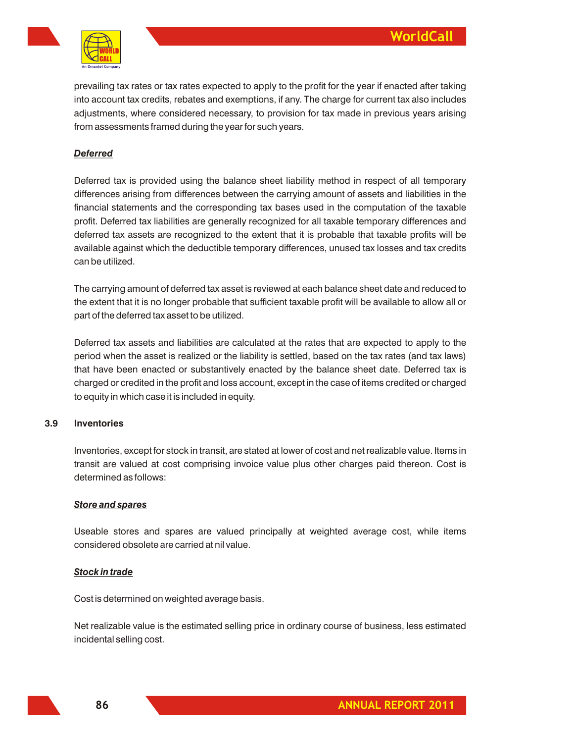

prevailing tax rates or tax rates expected to apply to the profit for the year if enacted after taking into account tax credits, rebates and exemptions, if any. The charge for current tax also includes adjustments, where considered necessary, to provision for tax made in previous years arising from assessments framed during the year for such years.

#### *Deferred*

Deferred tax is provided using the balance sheet liability method in respect of all temporary differences arising from differences between the carrying amount of assets and liabilities in the financial statements and the corresponding tax bases used in the computation of the taxable profit. Deferred tax liabilities are generally recognized for all taxable temporary differences and deferred tax assets are recognized to the extent that it is probable that taxable profits will be available against which the deductible temporary differences, unused tax losses and tax credits can be utilized.

The carrying amount of deferred tax asset is reviewed at each balance sheet date and reduced to the extent that it is no longer probable that sufficient taxable profit will be available to allow all or part of the deferred tax asset to be utilized.

Deferred tax assets and liabilities are calculated at the rates that are expected to apply to the period when the asset is realized or the liability is settled, based on the tax rates (and tax laws) that have been enacted or substantively enacted by the balance sheet date. Deferred tax is charged or credited in the profit and loss account, except in the case of items credited or charged to equity in which case it is included in equity.

#### **3.9 Inventories**

Inventories, except for stock in transit, are stated at lower of cost and net realizable value. Items in transit are valued at cost comprising invoice value plus other charges paid thereon. Cost is determined as follows:

#### *Store and spares*

Useable stores and spares are valued principally at weighted average cost, while items considered obsolete are carried at nil value.

#### *Stock in trade*

Cost is determined on weighted average basis.

Net realizable value is the estimated selling price in ordinary course of business, less estimated incidental selling cost.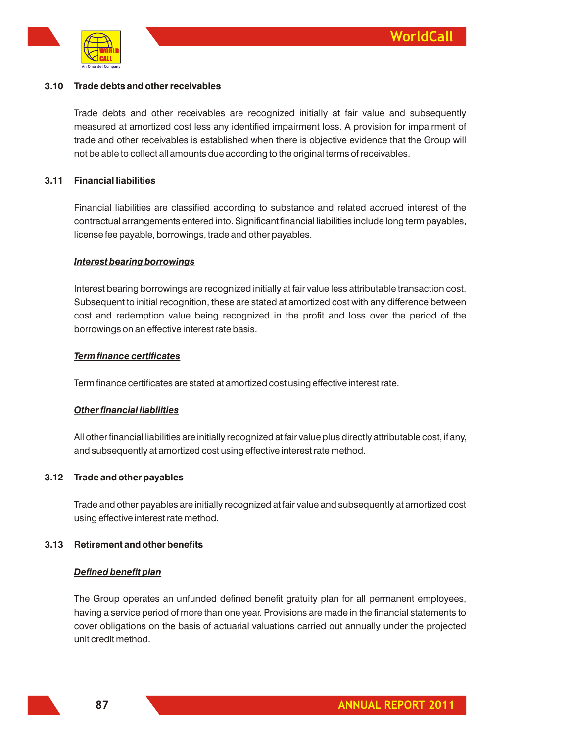

#### **3.10 Trade debts and other receivables**

Trade debts and other receivables are recognized initially at fair value and subsequently measured at amortized cost less any identified impairment loss. A provision for impairment of trade and other receivables is established when there is objective evidence that the Group will not be able to collect all amounts due according to the original terms of receivables.

#### **3.11 Financial liabilities**

Financial liabilities are classified according to substance and related accrued interest of the contractual arrangements entered into. Significant financial liabilities include long term payables, license fee payable, borrowings, trade and other payables.

#### *Interest bearing borrowings*

Interest bearing borrowings are recognized initially at fair value less attributable transaction cost. Subsequent to initial recognition, these are stated at amortized cost with any difference between cost and redemption value being recognized in the profit and loss over the period of the borrowings on an effective interest rate basis.

#### *Term finance certificates*

Term finance certificates are stated at amortized cost using effective interest rate.

#### *Other financial liabilities*

All other financial liabilities are initially recognized at fair value plus directly attributable cost, if any, and subsequently at amortized cost using effective interest rate method.

#### **3.12 Trade and other payables**

Trade and other payables are initially recognized at fair value and subsequently at amortized cost using effective interest rate method.

#### **3.13 Retirement and other benefits**

#### *Defined benefit plan*

The Group operates an unfunded defined benefit gratuity plan for all permanent employees, having a service period of more than one year. Provisions are made in the financial statements to cover obligations on the basis of actuarial valuations carried out annually under the projected unit credit method.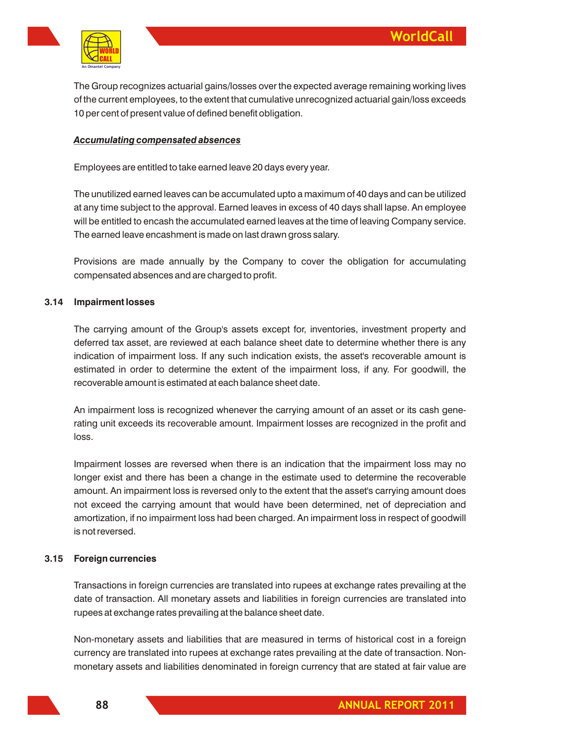

The Group recognizes actuarial gains/losses over the expected average remaining working lives of the current employees, to the extent that cumulative unrecognized actuarial gain/loss exceeds 10 per cent of present value of defined benefit obligation.

#### *Accumulating compensated absences*

Employees are entitled to take earned leave 20 days every year.

The unutilized earned leaves can be accumulated upto a maximum of 40 days and can be utilized at any time subject to the approval. Earned leaves in excess of 40 days shall lapse. An employee will be entitled to encash the accumulated earned leaves at the time of leaving Company service. The earned leave encashment is made on last drawn gross salary.

Provisions are made annually by the Company to cover the obligation for accumulating compensated absences and are charged to profit.

#### **3.14 Impairment losses**

The carrying amount of the Group's assets except for, inventories, investment property and deferred tax asset, are reviewed at each balance sheet date to determine whether there is any indication of impairment loss. If any such indication exists, the asset's recoverable amount is estimated in order to determine the extent of the impairment loss, if any. For goodwill, the recoverable amount is estimated at each balance sheet date.

An impairment loss is recognized whenever the carrying amount of an asset or its cash generating unit exceeds its recoverable amount. Impairment losses are recognized in the profit and loss.

Impairment losses are reversed when there is an indication that the impairment loss may no longer exist and there has been a change in the estimate used to determine the recoverable amount. An impairment loss is reversed only to the extent that the asset's carrying amount does not exceed the carrying amount that would have been determined, net of depreciation and amortization, if no impairment loss had been charged. An impairment loss in respect of goodwill is not reversed.

#### **3.15 Foreign currencies**

Transactions in foreign currencies are translated into rupees at exchange rates prevailing at the date of transaction. All monetary assets and liabilities in foreign currencies are translated into rupees at exchange rates prevailing at the balance sheet date.

Non-monetary assets and liabilities that are measured in terms of historical cost in a foreign currency are translated into rupees at exchange rates prevailing at the date of transaction. Nonmonetary assets and liabilities denominated in foreign currency that are stated at fair value are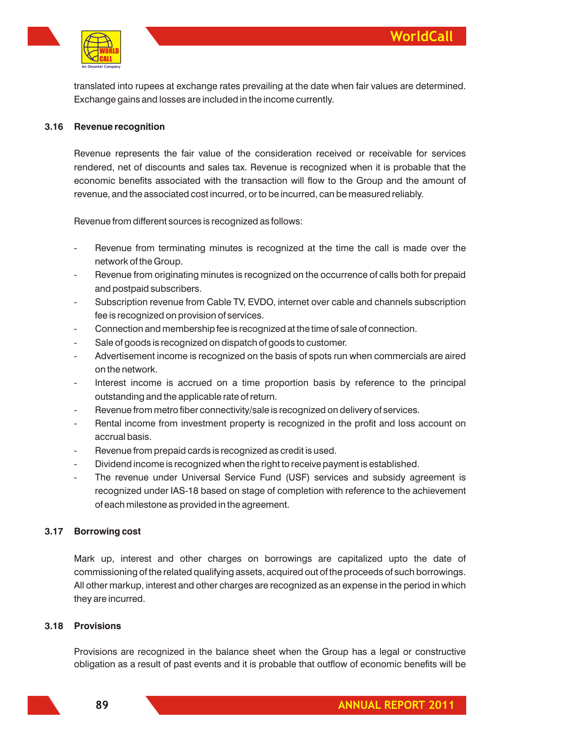

translated into rupees at exchange rates prevailing at the date when fair values are determined. Exchange gains and losses are included in the income currently.

#### **3.16 Revenue recognition**

Revenue represents the fair value of the consideration received or receivable for services rendered, net of discounts and sales tax. Revenue is recognized when it is probable that the economic benefits associated with the transaction will flow to the Group and the amount of revenue, and the associated cost incurred, or to be incurred, can be measured reliably.

Revenue from different sources is recognized as follows:

- Revenue from terminating minutes is recognized at the time the call is made over the network of the Group.
- Revenue from originating minutes is recognized on the occurrence of calls both for prepaid and postpaid subscribers.
- Subscription revenue from Cable TV, EVDO, internet over cable and channels subscription fee is recognized on provision of services.
- Connection and membership fee is recognized at the time of sale of connection.
- Sale of goods is recognized on dispatch of goods to customer.
- Advertisement income is recognized on the basis of spots run when commercials are aired on the network.
- Interest income is accrued on a time proportion basis by reference to the principal outstanding and the applicable rate of return.
- Revenue from metro fiber connectivity/sale is recognized on delivery of services.
- Rental income from investment property is recognized in the profit and loss account on accrual basis.
- Revenue from prepaid cards is recognized as credit is used.
- Dividend income is recognized when the right to receive payment is established.
- The revenue under Universal Service Fund (USF) services and subsidy agreement is recognized under IAS-18 based on stage of completion with reference to the achievement of each milestone as provided in the agreement.

#### **3.17 Borrowing cost**

Mark up, interest and other charges on borrowings are capitalized upto the date of commissioning of the related qualifying assets, acquired out of the proceeds of such borrowings. All other markup, interest and other charges are recognized as an expense in the period in which they are incurred.

#### **3.18 Provisions**

Provisions are recognized in the balance sheet when the Group has a legal or constructive obligation as a result of past events and it is probable that outflow of economic benefits will be

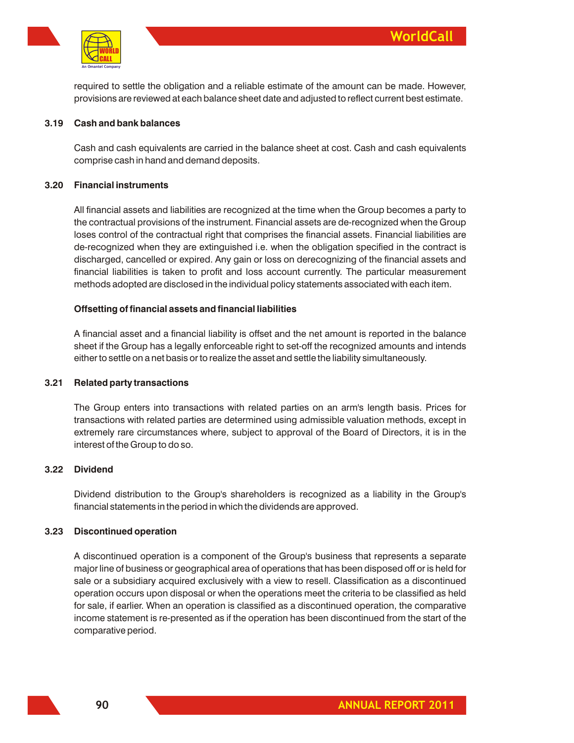

required to settle the obligation and a reliable estimate of the amount can be made. However, provisions are reviewed at each balance sheet date and adjusted to reflect current best estimate.

#### **3.19 Cash and bank balances**

Cash and cash equivalents are carried in the balance sheet at cost. Cash and cash equivalents comprise cash in hand and demand deposits.

#### **3.20 Financial instruments**

All financial assets and liabilities are recognized at the time when the Group becomes a party to the contractual provisions of the instrument. Financial assets are de-recognized when the Group loses control of the contractual right that comprises the financial assets. Financial liabilities are de-recognized when they are extinguished i.e. when the obligation specified in the contract is discharged, cancelled or expired. Any gain or loss on derecognizing of the financial assets and financial liabilities is taken to profit and loss account currently. The particular measurement methods adopted are disclosed in the individual policy statements associated with each item.

#### **Offsetting of financial assets and financial liabilities**

A financial asset and a financial liability is offset and the net amount is reported in the balance sheet if the Group has a legally enforceable right to set-off the recognized amounts and intends either to settle on a net basis or to realize the asset and settle the liability simultaneously.

#### **3.21 Related party transactions**

The Group enters into transactions with related parties on an arm's length basis. Prices for transactions with related parties are determined using admissible valuation methods, except in extremely rare circumstances where, subject to approval of the Board of Directors, it is in the interest of the Group to do so.

#### **3.22 Dividend**

Dividend distribution to the Group's shareholders is recognized as a liability in the Group's financial statements in the period in which the dividends are approved.

#### **3.23 Discontinued operation**

A discontinued operation is a component of the Group's business that represents a separate major line of business or geographical area of operations that has been disposed off or is held for sale or a subsidiary acquired exclusively with a view to resell. Classification as a discontinued operation occurs upon disposal or when the operations meet the criteria to be classified as held for sale, if earlier. When an operation is classified as a discontinued operation, the comparative income statement is re-presented as if the operation has been discontinued from the start of the comparative period.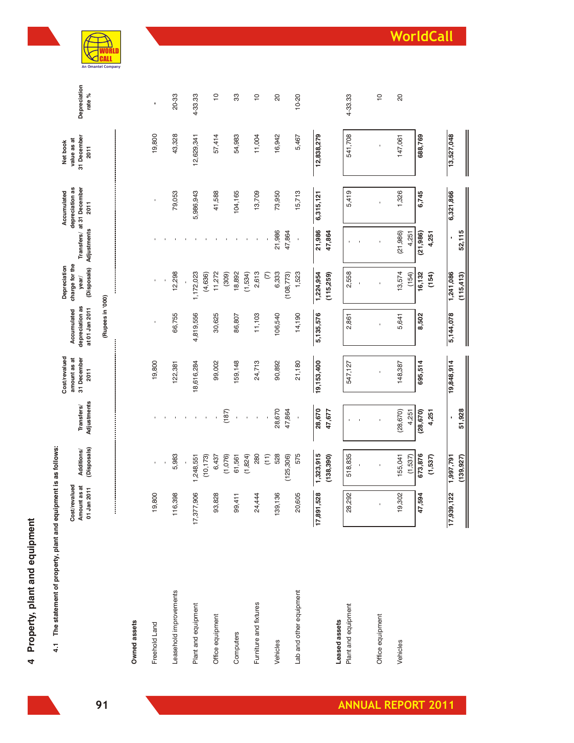# 4 Property, plant and equipment **Property, plant and equipment**

# 4.1 The statement of property, plant and equipment is as follows: **4.1 The statement of property, plant and equipment is as follows:**

| 20-33                  | $\overline{0}$     | 33                                                                                                    | 20                        | $10 - 20$                                                                            |                                                                                                                                                                                                                                                                             |
|------------------------|--------------------|-------------------------------------------------------------------------------------------------------|---------------------------|--------------------------------------------------------------------------------------|-----------------------------------------------------------------------------------------------------------------------------------------------------------------------------------------------------------------------------------------------------------------------------|
| 43,328                 | 57,414             | 54,983                                                                                                | 16,942                    | 5,467                                                                                |                                                                                                                                                                                                                                                                             |
| 79,053                 | 41,588             | 104,165                                                                                               | 73,950                    | 15,713                                                                               |                                                                                                                                                                                                                                                                             |
|                        |                    |                                                                                                       | 21,986                    | J.                                                                                   | 47,864                                                                                                                                                                                                                                                                      |
| 12,298                 | 11,272<br>(4,636)  | 18,892<br>(1,534)                                                                                     | 6,333<br>$\mathcal{L}$    | 1,523                                                                                | 2,558<br>(115, 259)                                                                                                                                                                                                                                                         |
| 66,755                 | 30,625             | 86,807                                                                                                | 106,540                   | 14,190                                                                               | 2,861                                                                                                                                                                                                                                                                       |
| 122,381                | 99,002             | 159,148                                                                                               | 90,892                    | 21,180                                                                               | 547,127                                                                                                                                                                                                                                                                     |
| $\mathbf{r}$<br>$\,$   |                    | ï                                                                                                     | 28,670<br>ı               | ï                                                                                    | 47,677                                                                                                                                                                                                                                                                      |
| 5,983                  | 6,437<br>(10, 173) | (1,824)<br>61,561                                                                                     | (11)<br>528               | 575                                                                                  | 518,835<br>(138, 390)                                                                                                                                                                                                                                                       |
| 116,398                | 93,828             | 99,411                                                                                                | 139,136                   | 20,605                                                                               | 28,292                                                                                                                                                                                                                                                                      |
| Leasehold improvements |                    |                                                                                                       |                           |                                                                                      | Plant and equipment<br>Leased assets                                                                                                                                                                                                                                        |
|                        |                    | 4-33.33<br>12,629,341<br>5,986,943<br>1,172,023<br>4,819,556<br>18,616,284<br>1,248,551<br>17,377,906 | (309)<br>(187)<br>(1,076) | $\frac{0}{1}$<br>11,004<br>13,709<br>2,613<br>11,103<br>24,713<br>ï<br>280<br>24,444 | 12,838,279<br>6,315,121<br>21,986<br>47,864<br>1,224,954<br>(108, 773)<br>5,135,576<br>19,153,400<br>28,670<br>47,864<br>1,323,915<br>(125, 306)<br>17,891,528<br>Lab and other equipment<br>Furniture and fixtures<br>Plant and equipment<br>Office equipment<br>Computers |



**17,939,122 1,997,791 - 19,848,914 5,144,078 1,241,086 - 6,321,866 13,527,048**

**(139,927) 51,928 (115,413) 52,115**

51,928

 $(139, 927)$ 

 $\mathbb{I}$ 

 $\mathbb{I}$ 

52,115

 $(115, 413)$ 

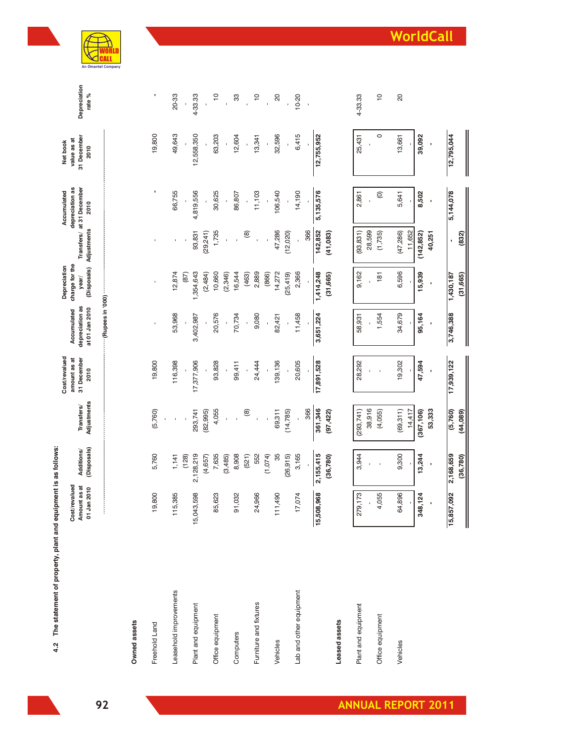

|                               |             |                  | ost/revalue.                        |                                                                                                                                                      | epreciation             | ccumulated | Net book                           |                       |
|-------------------------------|-------------|------------------|-------------------------------------|------------------------------------------------------------------------------------------------------------------------------------------------------|-------------------------|------------|------------------------------------|-----------------------|
| ost/revalued                  |             |                  |                                     |                                                                                                                                                      |                         |            |                                    |                       |
| Amount as at<br>01 Jan 2010 ( | Additions/  | <b>Transfers</b> | amount as at<br>31 December<br>2010 | Accumulated charge for the rasters depreciation as<br>depreciation as year/ Transfers/ at 31 December<br>at 01 Jan 2010 (Disposals) Adjustments 2010 |                         |            | value as at<br>11 December<br>2010 | epreciation<br>rate % |
|                               | (Disposals) | djustment        |                                     |                                                                                                                                                      | (Disposals) Adjustments |            |                                    |                       |
|                               |             |                  |                                     |                                                                                                                                                      |                         |            |                                    |                       |



|                                       |              |               |                        |       |                     |           |                  |         |           |                |                        |         |          |           |                         |               |                        |           |               |                     |        |                        |                           |        |            | orldCall'      |                     |
|---------------------------------------|--------------|---------------|------------------------|-------|---------------------|-----------|------------------|---------|-----------|----------------|------------------------|---------|----------|-----------|-------------------------|---------------|------------------------|-----------|---------------|---------------------|--------|------------------------|---------------------------|--------|------------|----------------|---------------------|
| <b>tel Company</b>                    |              |               |                        |       |                     |           |                  |         |           |                |                        |         |          |           |                         |               |                        |           |               |                     |        |                        |                           |        |            |                |                     |
|                                       |              |               | 20-33                  |       | 4-33.33             |           | $\overline{10}$  |         | 33        |                | $\overline{10}$        |         | 20       |           | $10 - 20$               |               |                        |           |               | 4-33.33             |        | $\overline{C}$         | 20                        |        |            |                |                     |
|                                       |              | 19,800        | 49,643                 |       | 12,558,350          |           | 63,203           |         | 12,604    |                | 13,341                 |         | 32,596   |           | 6,415                   |               | 12,755,952             |           |               | 25,431              |        | $\circ$                | 13,661                    |        | 39,092     |                | 12,795,044          |
|                                       |              |               | 66,755                 |       | 4,819,556           |           | 30,625           |         | 86,807    |                | 11,103                 |         | 106,540  |           | 14,190                  |               | 5,135,576              |           |               | 2,861               |        | $\widehat{\mathsf{e}}$ | 5,641                     |        | 8,502      | $\blacksquare$ | 5,144,078           |
|                                       |              |               |                        |       | 93,831              | (29, 241) | 1,735            |         |           | @              |                        |         | 47,286   | (12, 020) | l,                      | 366           | 142,852                | (41,083)  |               | (93, 831)           | 28,599 | (1,735)                | (47,286)                  | 11,652 | (142, 852) | 40,251         | ł                   |
|                                       |              |               | 12,874                 | (87)  | 1,354,643           | (2,484)   | 10,660           | (2,346) | 16,544    | (463)          | 2,889                  | (866)   | 14,272   | (25, 419) | 2,366                   | $\frac{1}{2}$ | 1,414,248              | (31,665)  |               | 9,162               |        | $\frac{181}{2}$        | 6,596                     |        | 15,939     |                | 3,746,388 1,430,187 |
| ---------- (000, ul seedn b) -------- |              |               | 53,968                 |       | 3,402,987           |           | 20,576           |         | 70,734    |                | 9,080                  |         | 82,421   |           | 11,458                  |               | 3,651,224              |           |               | 58,931              |        | 1,554                  | 34,679                    |        | 95,164     |                |                     |
|                                       |              | 19,800        | 116,398                |       | 17,377,906          |           | 93,828           |         | 99,411    |                | 24,444                 |         | 139,136  |           | 20,605                  |               | $\frac{17,891,528}{ }$ |           |               | 28,292              |        |                        | 19,302                    |        | 47,594     | í.             | 17,939,122          |
|                                       |              | (5,760)       |                        |       | 293,741             | (82,995)  | 4,055            |         |           | $\circledcirc$ |                        |         | 69,311   | (14, 785) | l,                      | 366           | 361,346                | (97, 422) |               | (293, 741)          | 38,916 | (4,055)                | (69,311)                  | 14,417 | (367, 106) | 53,333         | (5,760)             |
|                                       |              | 5,760         | 1,141                  | (128) | 2,128,219           | (4,657)   | 7,635            | (3,485) | 8,908     | (521)          | 552                    | (1,074) | 35       | (26, 915) | 3,165                   |               | 2,155,415              | (36, 780) |               | 3,944               |        |                        | 9,300                     |        | 13,244     |                | 2,168,659           |
|                                       |              | 19,800        | 115,385                |       | 15,043,598          |           | 85,623           |         | 91,032    |                | 24,966                 |         | 111,490  |           | 17,074                  |               | 15,508,968             |           |               | 279,173             |        | 4,055                  | 64,896                    |        | 348,124    |                | 15,857,092          |
|                                       | Owned assets | Freehold Land | Leasehold improvements |       | Plant and equipment |           | Office equipment |         | Computers |                | Furniture and fixtures |         | Vehicles |           | Lab and other equipment |               |                        |           | Leased assets | Plant and equipment |        | Office equipment       | Vehicles                  |        |            |                |                     |
| 92                                    |              |               |                        |       |                     |           |                  |         |           |                |                        |         |          |           |                         |               |                        |           |               |                     |        |                        | <b>ANNUAL REPORT 2011</b> |        |            |                |                     |

**15,857,092 2,168,659 (5,760) 17,939,122 3,746,388 1,430,187 - 5,144,078 12,795,044**

**(36,780) (44,089) (31,665) (832)**

 $\mathbb{I}$ 

 $\mathbb{I}$ 

 $(832)$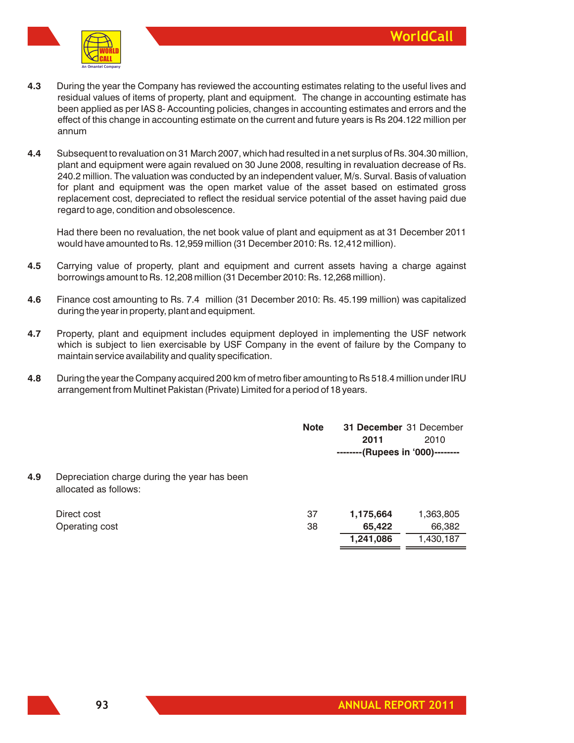

- **4.3** During the year the Company has reviewed the accounting estimates relating to the useful lives and residual values of items of property, plant and equipment. The change in accounting estimate has been applied as per IAS 8- Accounting policies, changes in accounting estimates and errors and the effect of this change in accounting estimate on the current and future years is Rs 204.122 million per annum
- **4.4** Subsequent to revaluation on 31 March 2007, which had resulted in a net surplus of Rs. 304.30 million, plant and equipment were again revalued on 30 June 2008, resulting in revaluation decrease of Rs. 240.2 million. The valuation was conducted by an independent valuer, M/s. Surval. Basis of valuation for plant and equipment was the open market value of the asset based on estimated gross replacement cost, depreciated to reflect the residual service potential of the asset having paid due regard to age, condition and obsolescence.

Had there been no revaluation, the net book value of plant and equipment as at 31 December 2011 would have amounted to Rs. 12,959 million (31 December 2010: Rs. 12,412 million).

- **4.5** Carrying value of property, plant and equipment and current assets having a charge against borrowings amount to Rs. 12,208 million (31 December 2010: Rs. 12,268 million).
- **4.6** Finance cost amounting to Rs. 7.4 million (31 December 2010: Rs. 45.199 million) was capitalized during the year in property, plant and equipment.
- **4.7** Property, plant and equipment includes equipment deployed in implementing the USF network which is subject to lien exercisable by USF Company in the event of failure by the Company to maintain service availability and quality specification.
- **4.8** During the year the Company acquired 200 km of metro fiber amounting to Rs 518.4 million under IRU arrangement from Multinet Pakistan (Private) Limited for a period of 18 years.

|     |                                                                       | <b>Note</b> | 31 December 31 December          |           |
|-----|-----------------------------------------------------------------------|-------------|----------------------------------|-----------|
|     |                                                                       |             | 2011                             | 2010      |
|     |                                                                       |             | --------(Rupees in '000)-------- |           |
| 4.9 | Depreciation charge during the year has been<br>allocated as follows: |             |                                  |           |
|     | Direct cost                                                           | 37          | 1,175,664                        | 1,363,805 |
|     | Operating cost                                                        | 38          | 65,422                           | 66,382    |
|     |                                                                       |             | 1,241,086                        | 1,430,187 |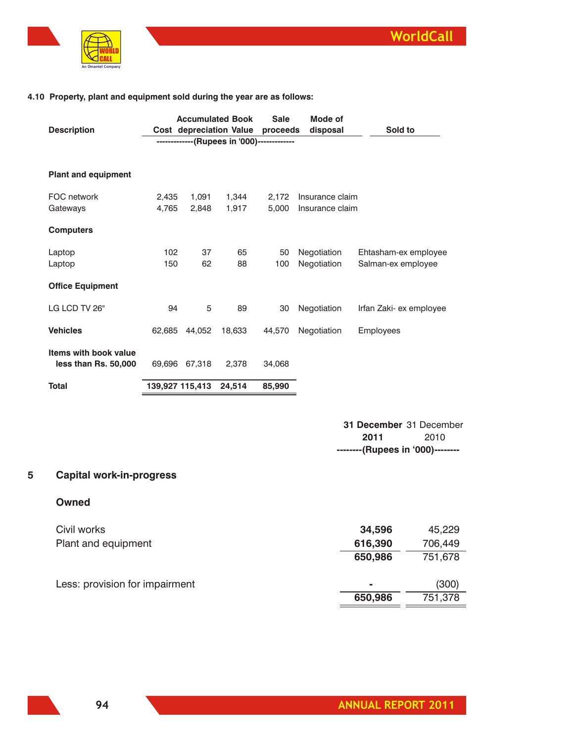

## **4.10 Property, plant and equipment sold during the year are as follows:**

| <b>Description</b>                            |                 |                | <b>Accumulated Book</b><br>Cost depreciation Value<br>-------------(Rupees in '000)------------- | <b>Sale</b><br>proceeds | Mode of<br>disposal                | Sold to                                    |
|-----------------------------------------------|-----------------|----------------|--------------------------------------------------------------------------------------------------|-------------------------|------------------------------------|--------------------------------------------|
| <b>Plant and equipment</b>                    |                 |                |                                                                                                  |                         |                                    |                                            |
| FOC network<br>Gateways                       | 2,435<br>4,765  | 1,091<br>2,848 | 1,344<br>1,917                                                                                   | 2,172<br>5.000          | Insurance claim<br>Insurance claim |                                            |
| <b>Computers</b>                              |                 |                |                                                                                                  |                         |                                    |                                            |
| Laptop<br>Laptop                              | 102<br>150      | 37<br>62       | 65<br>88                                                                                         | 50<br>100               | Negotiation<br>Negotiation         | Ehtasham-ex employee<br>Salman-ex employee |
| <b>Office Equipment</b>                       |                 |                |                                                                                                  |                         |                                    |                                            |
| LG LCD TV 26"                                 | 94              | 5              | 89                                                                                               | 30                      | Negotiation                        | Irfan Zaki- ex employee                    |
| <b>Vehicles</b>                               | 62,685          | 44,052         | 18,633                                                                                           | 44,570                  | Negotiation                        | <b>Employees</b>                           |
| Items with book value<br>less than Rs. 50,000 | 69.696          | 67,318         | 2.378                                                                                            | 34,068                  |                                    |                                            |
| <b>Total</b>                                  | 139,927 115,413 |                | 24.514                                                                                           | 85,990                  |                                    |                                            |

| 31 December 31 December          |      |
|----------------------------------|------|
| 2011                             | 2010 |
| --------(Rupees in '000)-------- |      |

# **5 Capital work-in-progress**

#### **Owned**

| Civil works                    | 34,596  | 45,229  |
|--------------------------------|---------|---------|
| Plant and equipment            | 616,390 | 706,449 |
|                                | 650,986 | 751,678 |
|                                |         |         |
| Less: provision for impairment | ۰       | (300)   |
|                                | 650,986 | 751,378 |
|                                |         |         |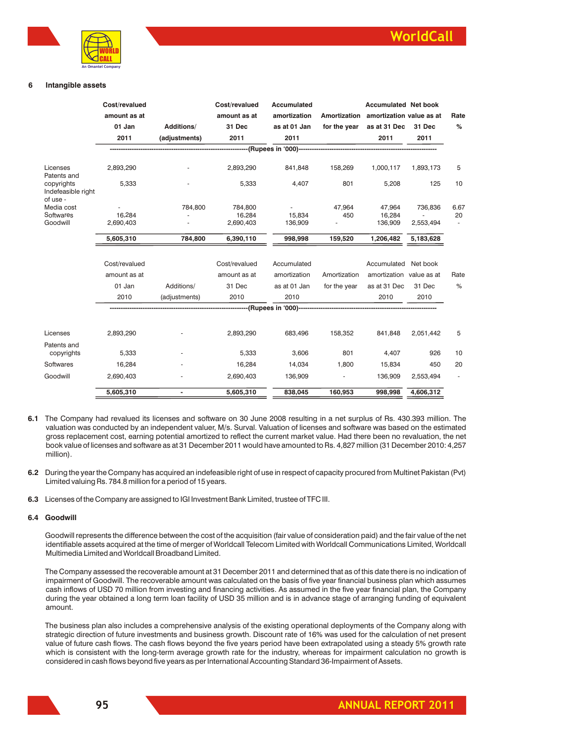

#### **6 Intangible assets**

|                                              | Cost/revalued<br>amount as at |               | Cost/revalued<br>amount as at | Accumulated<br>amortization |                          | <b>Accumulated Net book</b><br>Amortization amortization value as at |           | Rate |
|----------------------------------------------|-------------------------------|---------------|-------------------------------|-----------------------------|--------------------------|----------------------------------------------------------------------|-----------|------|
|                                              | 01 Jan                        | Additions/    | 31 Dec                        | as at 01 Jan                | for the year             | as at 31 Dec                                                         | 31 Dec    | %    |
|                                              | 2011                          | (adjustments) | 2011                          | 2011                        |                          | 2011                                                                 | 2011      |      |
|                                              |                               |               |                               |                             |                          |                                                                      |           |      |
| Licenses<br>Patents and                      | 2,893,290                     |               | 2,893,290                     | 841,848                     | 158,269                  | 1,000,117                                                            | 1,893,173 | 5    |
| copyrights<br>Indefeasible right<br>of use - | 5,333                         |               | 5,333                         | 4,407                       | 801                      | 5,208                                                                | 125       | 10   |
| Media cost                                   |                               | 784,800       | 784,800                       |                             | 47,964                   | 47,964                                                               | 736.836   | 6.67 |
| Softwares                                    | 16,284                        |               | 16,284                        | 15,834                      | 450                      | 16,284                                                               |           | 20   |
| Goodwill                                     | 2,690,403                     |               | 2.690.403                     | 136,909                     |                          | 136,909                                                              | 2,553,494 |      |
|                                              | 5,605,310                     | 784,800       | 6,390,110                     | 998,998                     | 159,520                  | 1,206,482                                                            | 5,183,628 |      |
|                                              |                               |               |                               |                             |                          |                                                                      |           |      |
|                                              | Cost/revalued                 |               | Cost/revalued                 | Accumulated                 |                          | Accumulated                                                          | Net book  |      |
|                                              | amount as at                  |               | amount as at                  | amortization                | Amortization             | amortization value as at                                             |           | Rate |
|                                              | 01 Jan                        | Additions/    | 31 Dec                        | as at 01 Jan                | for the year             | as at 31 Dec                                                         | 31 Dec    | %    |
|                                              | 2010                          | (adjustments) | 2010                          | 2010                        |                          | 2010                                                                 | 2010      |      |
|                                              |                               |               |                               |                             |                          |                                                                      |           |      |
|                                              |                               |               |                               |                             |                          |                                                                      |           |      |
| Licenses                                     | 2,893,290                     |               | 2,893,290                     | 683.496                     | 158,352                  | 841.848                                                              | 2,051,442 | 5    |
| Patents and<br>copyrights                    | 5,333                         |               | 5,333                         | 3,606                       | 801                      | 4,407                                                                | 926       | 10   |
| Softwares                                    | 16,284                        |               | 16,284                        | 14,034                      | 1,800                    | 15,834                                                               | 450       | 20   |
| Goodwill                                     | 2,690,403                     |               | 2,690,403                     | 136,909                     | $\overline{\phantom{a}}$ | 136.909                                                              | 2,553,494 |      |
|                                              | 5,605,310                     |               | 5,605,310                     | 838,045                     | 160,953                  | 998,998                                                              | 4,606,312 |      |
|                                              |                               |               |                               |                             |                          |                                                                      |           |      |

- **6.1** The Company had revalued its licenses and software on 30 June 2008 resulting in a net surplus of Rs. 430.393 million. The valuation was conducted by an independent valuer, M/s. Surval. Valuation of licenses and software was based on the estimated gross replacement cost, earning potential amortized to reflect the current market value. Had there been no revaluation, the net book value of licenses and software as at 31 December 2011 would have amounted to Rs. 4,827 million (31 December 2010: 4,257 million).
- **6.2** During the year the Company has acquired an indefeasible right of use in respect of capacity procured from Multinet Pakistan (Pvt) Limited valuing Rs. 784.8 million for a period of 15 years.
- **6.3** Licenses of the Company are assigned to IGI Investment Bank Limited, trustee of TFC III.

#### **6.4 Goodwill**

Goodwill represents the difference between the cost of the acquisition (fair value of consideration paid) and the fair value of the net identifiable assets acquired at the time of merger of Worldcall Telecom Limited with Worldcall Communications Limited, Worldcall Multimedia Limited and WorldcallBroadband Limited.

The Company assessed the recoverable amount at 31 December 2011 and determined that as of this date there is no indication of impairment of Goodwill. The recoverable amount was calculated on the basis of five year financial business plan which assumes cash inflows of USD 70 million from investing and financing activities. As assumed in the five year financial plan, the Company during the year obtained a long term loan facility of USD 35 million and is in advance stage of arranging funding of equivalent amount.

The business plan also includes a comprehensive analysis of the existing operational deployments of the Company along with strategic direction of future investments and business growth. Discount rate of 16% was used for the calculation of net present value of future cash flows. The cash flows beyond the five years period have been extrapolated using a steady 5% growth rate which is consistent with the long-term average growth rate for the industry, whereas for impairment calculation no growth is considered in cash flows beyond five years as per International Accounting Standard 36-Impairment of Assets.

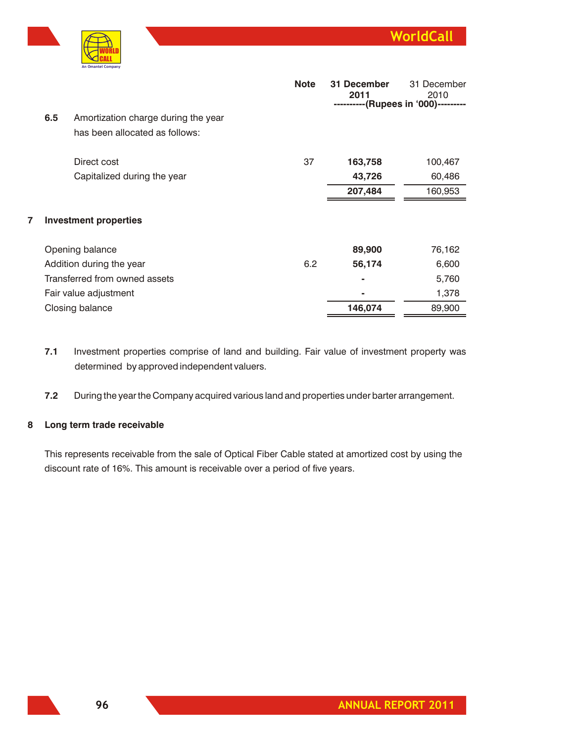



|                                            |         | 2010<br>-(Rupees in '000)-- |
|--------------------------------------------|---------|-----------------------------|
| 6.5<br>Amortization charge during the year |         |                             |
| has been allocated as follows:             |         |                             |
| Direct cost<br>37                          | 163,758 | 100,467                     |
| Capitalized during the year                | 43,726  | 60,486                      |
|                                            | 207,484 | 160,953                     |
| <b>Investment properties</b><br>7          |         |                             |
| Opening balance                            | 89,900  | 76,162                      |
| 6.2<br>Addition during the year            | 56,174  | 6,600                       |
| Transferred from owned assets              |         | 5,760                       |
| Fair value adjustment                      |         | 1,378                       |
| Closing balance                            | 146,074 | 89,900                      |

- **7.1** Investment properties comprise of land and building. Fair value of investment property was determined by approved independent valuers.
- **7.2** During the year the Company acquired various land and properties under barter arrangement.

#### **8 Long term trade receivable**

This represents receivable from the sale of Optical Fiber Cable stated at amortized cost by using the discount rate of 16%. This amount is receivable over a period of five years.

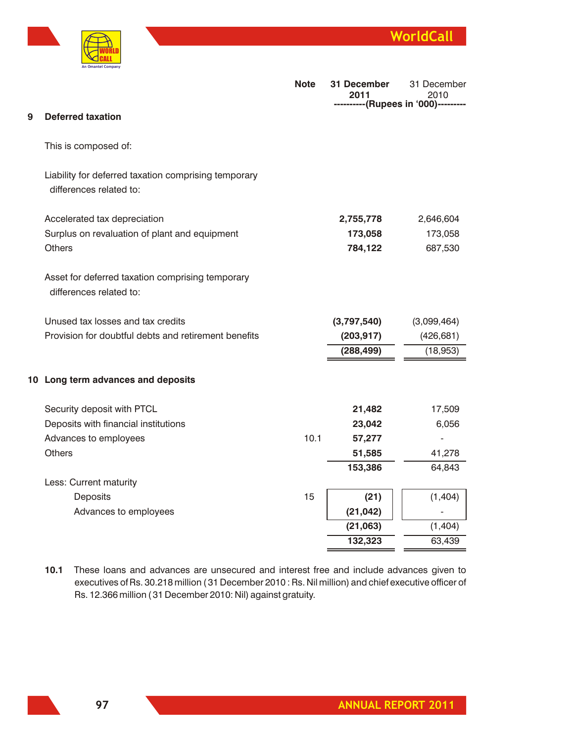**WorldCall**



|   |                                                                                 | <b>Note</b> | 31 December<br>2011 | 31 December<br>2010<br>----------(Rupees in '000)--------- |
|---|---------------------------------------------------------------------------------|-------------|---------------------|------------------------------------------------------------|
| 9 | <b>Deferred taxation</b>                                                        |             |                     |                                                            |
|   | This is composed of:                                                            |             |                     |                                                            |
|   | Liability for deferred taxation comprising temporary<br>differences related to: |             |                     |                                                            |
|   | Accelerated tax depreciation                                                    |             | 2,755,778           | 2,646,604                                                  |
|   | Surplus on revaluation of plant and equipment                                   |             | 173,058             | 173,058                                                    |
|   | <b>Others</b>                                                                   |             | 784,122             | 687,530                                                    |
|   | Asset for deferred taxation comprising temporary<br>differences related to:     |             |                     |                                                            |
|   | Unused tax losses and tax credits                                               |             | (3,797,540)         | (3,099,464)                                                |
|   | Provision for doubtful debts and retirement benefits                            |             | (203, 917)          | (426, 681)                                                 |
|   |                                                                                 |             | (288, 499)          | (18, 953)                                                  |
|   | 10 Long term advances and deposits                                              |             |                     |                                                            |
|   | Security deposit with PTCL                                                      |             | 21,482              | 17,509                                                     |
|   | Deposits with financial institutions                                            |             | 23,042              | 6,056                                                      |
|   | Advances to employees                                                           | 10.1        | 57,277              |                                                            |
|   | <b>Others</b>                                                                   |             | 51,585              | 41,278                                                     |
|   |                                                                                 |             | 153,386             | 64,843                                                     |
|   | Less: Current maturity                                                          |             |                     |                                                            |
|   | Deposits                                                                        | 15          | (21)                | (1, 404)                                                   |
|   | Advances to employees                                                           |             | (21, 042)           |                                                            |
|   |                                                                                 |             | (21,063)            | (1, 404)                                                   |
|   |                                                                                 |             | 132,323             | 63,439                                                     |

**10.1** These loans and advances are unsecured and interest free and include advances given to executives of Rs. 30.218 million ( 31 December 2010 : Rs. Nil million) and chief executive officer of Rs. 12.366 million ( 31 December 2010: Nil) against gratuity.

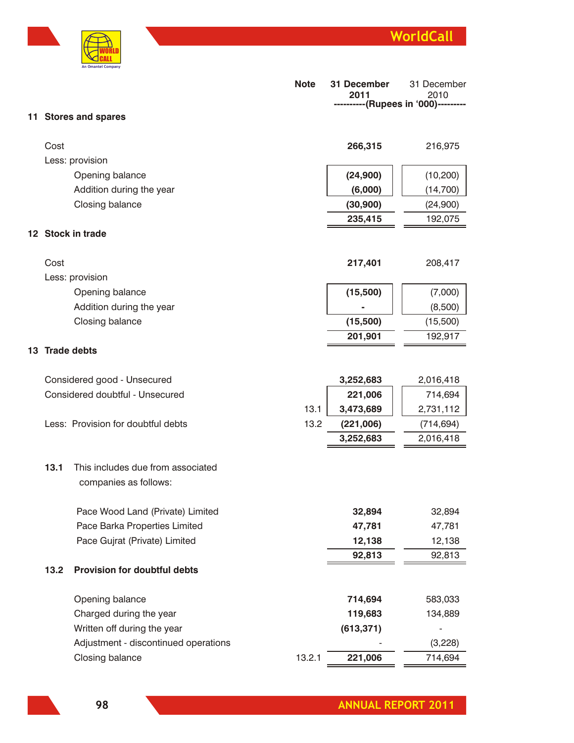

|     |      |                                      | <b>Note</b> | 31 December | 31 December                                 |
|-----|------|--------------------------------------|-------------|-------------|---------------------------------------------|
|     |      |                                      |             | 2011        | 2010<br>----------(Rupees in '000)--------- |
| 11  |      | <b>Stores and spares</b>             |             |             |                                             |
|     |      |                                      |             |             |                                             |
|     | Cost |                                      |             | 266,315     | 216,975                                     |
|     |      | Less: provision                      |             |             |                                             |
|     |      | Opening balance                      |             | (24, 900)   | (10, 200)                                   |
|     |      | Addition during the year             |             | (6,000)     | (14, 700)                                   |
|     |      | Closing balance                      |             | (30, 900)   | (24,900)                                    |
|     |      |                                      |             | 235,415     | 192,075                                     |
|     |      | 12 Stock in trade                    |             |             |                                             |
|     | Cost |                                      |             | 217,401     | 208,417                                     |
|     |      | Less: provision                      |             |             |                                             |
|     |      | Opening balance                      |             | (15,500)    | (7,000)                                     |
|     |      | Addition during the year             |             |             | (8,500)                                     |
|     |      | Closing balance                      |             | (15,500)    | (15,500)                                    |
|     |      |                                      |             | 201,901     | 192,917                                     |
| 13. |      | <b>Trade debts</b>                   |             |             |                                             |
|     |      |                                      |             |             |                                             |
|     |      | Considered good - Unsecured          |             | 3,252,683   | 2,016,418                                   |
|     |      | Considered doubtful - Unsecured      |             | 221,006     | 714,694                                     |
|     |      |                                      | 13.1        | 3,473,689   | 2,731,112                                   |
|     |      | Less: Provision for doubtful debts   | 13.2        | (221,006)   | (714, 694)                                  |
|     |      |                                      |             | 3,252,683   | 2,016,418                                   |
|     | 13.1 | This includes due from associated    |             |             |                                             |
|     |      | companies as follows:                |             |             |                                             |
|     |      | Pace Wood Land (Private) Limited     |             |             |                                             |
|     |      |                                      |             | 32,894      | 32,894                                      |
|     |      | Pace Barka Properties Limited        |             | 47,781      | 47,781                                      |
|     |      | Pace Gujrat (Private) Limited        |             | 12,138      | 12,138                                      |
|     | 13.2 | Provision for doubtful debts         |             | 92,813      | 92,813                                      |
|     |      |                                      |             |             |                                             |
|     |      | Opening balance                      |             | 714,694     | 583,033                                     |
|     |      | Charged during the year              |             | 119,683     | 134,889                                     |
|     |      | Written off during the year          |             | (613, 371)  |                                             |
|     |      | Adjustment - discontinued operations |             |             | (3,228)                                     |
|     |      | Closing balance                      | 13.2.1      | 221,006     | 714,694                                     |
|     |      |                                      |             |             |                                             |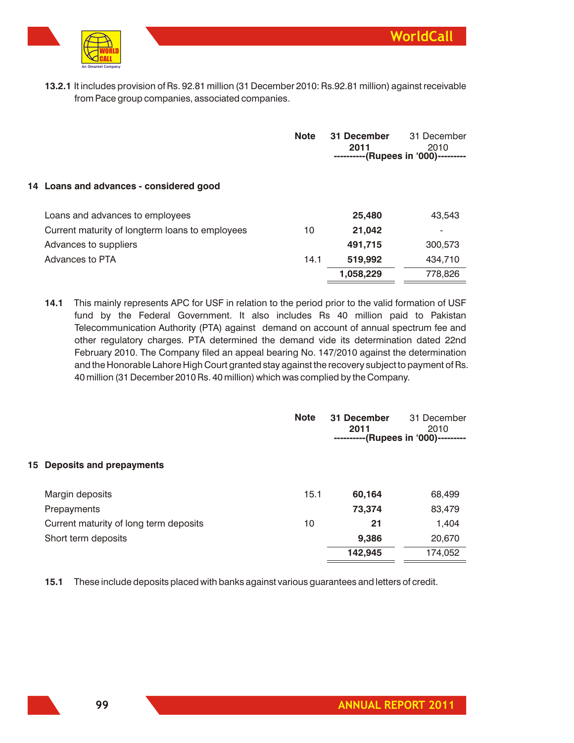

**13.2.1** It includes provision of Rs. 92.81 million (31 December 2010: Rs.92.81 million) against receivable from Pace group companies, associated companies.

|                                                 | <b>Note</b> | 31 December<br>2011 | 31 December<br>2010<br>-(Rupees in '000)--------- |
|-------------------------------------------------|-------------|---------------------|---------------------------------------------------|
| 14 Loans and advances - considered good         |             |                     |                                                   |
| Loans and advances to employees                 |             | 25,480              | 43,543                                            |
| Current maturity of longterm loans to employees | 10          | 21,042              |                                                   |
| Advances to suppliers                           |             | 491,715             | 300,573                                           |
| Advances to PTA                                 | 14.1        | 519,992             | 434,710                                           |
|                                                 |             | 1,058,229           | 778,826                                           |
|                                                 |             |                     |                                                   |

**14.1** This mainly represents APC for USF in relation to the period prior to the valid formation of USF fund by the Federal Government. It also includes Rs 40 million paid to Pakistan Telecommunication Authority (PTA) against demand on account of annual spectrum fee and other regulatory charges. PTA determined the demand vide its determination dated 22nd February 2010. The Company filed an appeal bearing No. 147/2010 against the determination and the Honorable Lahore High Court granted stay against the recovery subject to payment of Rs. 40 million (31 December 2010 Rs. 40 million) which was complied by the Company.

|                                        | <b>Note</b> | 31 December<br>2011 | 31 December<br>2010<br>-(Rupees in '000)--------- |
|----------------------------------------|-------------|---------------------|---------------------------------------------------|
| 15 Deposits and prepayments            |             |                     |                                                   |
| Margin deposits                        | 15.1        | 60,164              | 68,499                                            |
| Prepayments                            |             | 73,374              | 83,479                                            |
| Current maturity of long term deposits | 10          | 21                  | 1,404                                             |
| Short term deposits                    |             | 9,386               | 20,670                                            |
|                                        |             | 142,945             | 174,052                                           |

**15.1** These include deposits placed with banks against various guarantees and letters of credit.

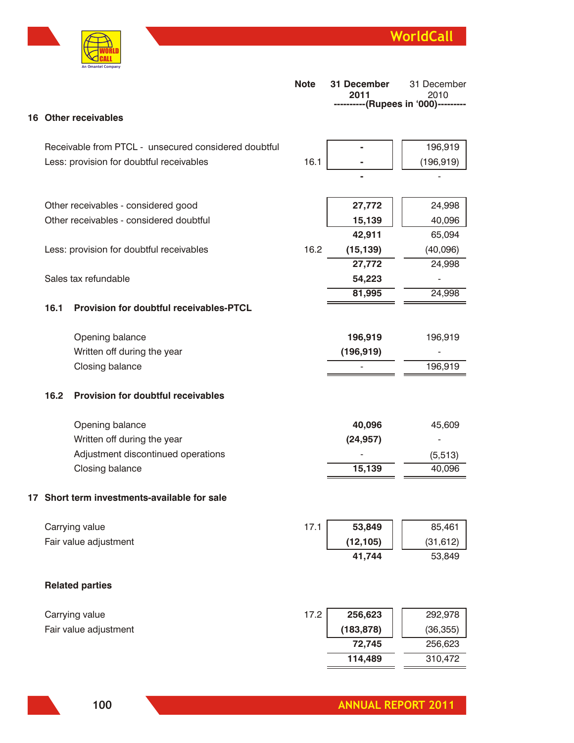

**16 Other receivables**

|      |                                                      | <b>Note</b> | 31 December<br>2011 | 31 December<br>2010<br>--------(Rupees in '000)--------- |
|------|------------------------------------------------------|-------------|---------------------|----------------------------------------------------------|
|      | 16 Other receivables                                 |             |                     |                                                          |
|      | Receivable from PTCL - unsecured considered doubtful |             |                     | 196,919                                                  |
|      | Less: provision for doubtful receivables             | 16.1        |                     | (196, 919)                                               |
|      |                                                      |             |                     |                                                          |
|      | Other receivables - considered good                  |             | 27,772              | 24,998                                                   |
|      | Other receivables - considered doubtful              |             | 15,139              | 40,096                                                   |
|      |                                                      |             | 42,911              | 65,094                                                   |
|      | Less: provision for doubtful receivables             | 16.2        | (15, 139)           | (40,096)                                                 |
|      |                                                      |             | 27,772              | 24,998                                                   |
|      | Sales tax refundable                                 |             | 54,223              |                                                          |
|      |                                                      |             | 81,995              | 24,998                                                   |
| 16.1 | <b>Provision for doubtful receivables-PTCL</b>       |             |                     |                                                          |
|      | Opening balance                                      |             | 196,919             | 196,919                                                  |
|      | Written off during the year                          |             | (196, 919)          |                                                          |
|      | Closing balance                                      |             |                     | 196,919                                                  |
| 16.2 | <b>Provision for doubtful receivables</b>            |             |                     |                                                          |
|      | Opening balance                                      |             | 40,096              | 45,609                                                   |
|      | Written off during the year                          |             | (24, 957)           |                                                          |
|      | Adjustment discontinued operations                   |             |                     | (5, 513)                                                 |
|      | Closing balance                                      |             | 15,139              | 40,096                                                   |
|      |                                                      |             |                     |                                                          |
|      | Short term investments-available for sale            |             |                     |                                                          |
|      | Carrying value                                       | 17.1        | 53,849              | 85,461                                                   |
|      | Fair value adjustment                                |             | (12, 105)           | (31, 612)                                                |
|      |                                                      |             | 41,744              | 53,849                                                   |
|      | <b>Related parties</b>                               |             |                     |                                                          |
|      | Carrying value                                       | 17.2        | 256,623             | 292,978                                                  |
|      | Fair value adjustment                                |             | (183, 878)          | (36, 355)                                                |
|      |                                                      |             | 72,745              | 256,623                                                  |
|      |                                                      |             | 114,489             | 310,472                                                  |
|      |                                                      |             |                     |                                                          |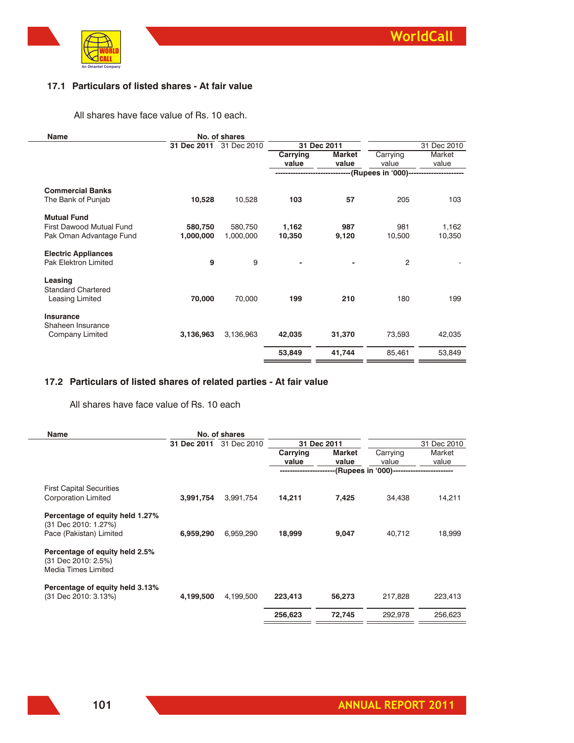

#### **17.1 Particulars of listed shares - At fair value**

All shares have face value of Rs. 10 each.

| Name                            | No. of shares |             |          |               |                                                |             |
|---------------------------------|---------------|-------------|----------|---------------|------------------------------------------------|-------------|
|                                 | 31 Dec 2011   | 31 Dec 2010 |          | 31 Dec 2011   |                                                | 31 Dec 2010 |
|                                 |               |             | Carrying | <b>Market</b> | Carrying                                       | Market      |
|                                 |               |             | value    | value         | value                                          | value       |
|                                 |               |             |          |               | --------(Rupees in '000)---------------------- |             |
|                                 |               |             |          |               |                                                |             |
| <b>Commercial Banks</b>         |               |             |          |               |                                                |             |
| The Bank of Punjab              | 10,528        | 10,528      | 103      | 57            | 205                                            | 103         |
|                                 |               |             |          |               |                                                |             |
| <b>Mutual Fund</b>              |               |             |          |               |                                                |             |
| <b>First Dawood Mutual Fund</b> | 580,750       | 580,750     | 1,162    | 987           | 981                                            | 1,162       |
| Pak Oman Advantage Fund         | 1,000,000     | 1,000,000   | 10,350   | 9,120         | 10,500                                         | 10,350      |
|                                 |               |             |          |               |                                                |             |
| <b>Electric Appliances</b>      |               |             |          |               |                                                |             |
| <b>Pak Elektron Limited</b>     | 9             | 9           |          |               | $\overline{2}$                                 |             |
|                                 |               |             |          |               |                                                |             |
| Leasing                         |               |             |          |               |                                                |             |
| <b>Standard Chartered</b>       |               |             |          |               |                                                |             |
| Leasing Limited                 | 70,000        | 70,000      | 199      | 210           | 180                                            | 199         |
|                                 |               |             |          |               |                                                |             |
| <b>Insurance</b>                |               |             |          |               |                                                |             |
| Shaheen Insurance               |               |             |          |               |                                                |             |
| Company Limited                 | 3,136,963     | 3,136,963   | 42,035   | 31,370        | 73,593                                         | 42,035      |
|                                 |               |             |          |               |                                                |             |
|                                 |               |             | 53,849   | 41,744        | 85,461                                         | 53,849      |
|                                 |               |             |          |               |                                                |             |

#### **17.2 Particulars of listed shares of related parties - At fair value**

All shares have face value of Rs. 10 each

| Name                                                                         |             | No. of shares |          |               |                                            |             |
|------------------------------------------------------------------------------|-------------|---------------|----------|---------------|--------------------------------------------|-------------|
|                                                                              | 31 Dec 2011 | 31 Dec 2010   |          | 31 Dec 2011   |                                            | 31 Dec 2010 |
|                                                                              |             |               | Carrying | <b>Market</b> | Carrying                                   | Market      |
|                                                                              |             |               | value    | value         | value                                      | value       |
|                                                                              |             |               |          |               | -(Rupees in '000)------------------------- |             |
| <b>First Capital Securities</b>                                              |             |               |          |               |                                            |             |
| <b>Corporation Limited</b>                                                   | 3,991,754   | 3,991,754     | 14,211   | 7,425         | 34,438                                     | 14,211      |
| Percentage of equity held 1.27%<br>(31 Dec 2010: 1.27%)                      |             |               |          |               |                                            |             |
| Pace (Pakistan) Limited                                                      | 6,959,290   | 6,959,290     | 18,999   | 9,047         | 40,712                                     | 18,999      |
| Percentage of equity held 2.5%<br>(31 Dec 2010: 2.5%)<br>Media Times Limited |             |               |          |               |                                            |             |
| Percentage of equity held 3.13%                                              |             |               |          |               |                                            |             |
| (31 Dec 2010: 3.13%)                                                         | 4,199,500   | 4,199,500     | 223,413  | 56,273        | 217,828                                    | 223,413     |
|                                                                              |             |               | 256,623  | 72,745        | 292,978                                    | 256,623     |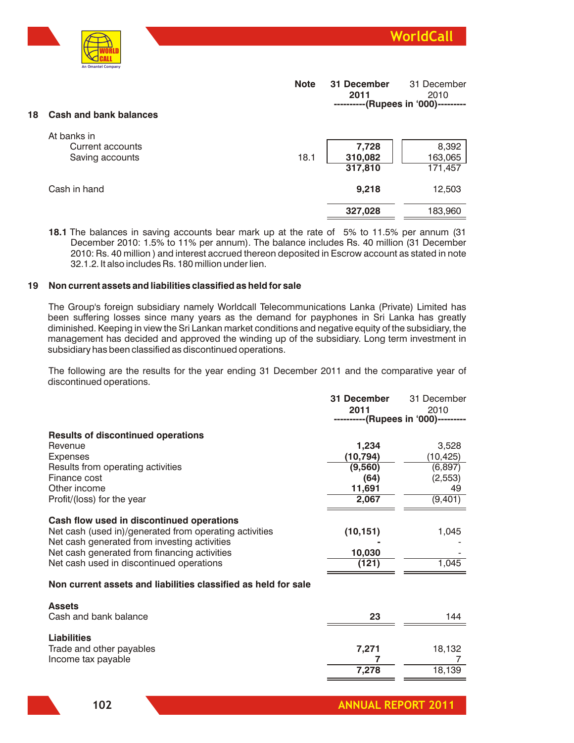**WorldCall**



| Note 31 December                    | 31 December |  |
|-------------------------------------|-------------|--|
| 2011                                | 2010        |  |
| ----------(Rupees in '000)--------- |             |  |
|                                     |             |  |

#### **18 Cash and bank balances**

| At banks in      | 18.1 | 7,728            | 8,392             |
|------------------|------|------------------|-------------------|
| Current accounts |      | 310,082          | 163,065           |
| Saving accounts  |      | 317,810          | 171,457           |
| Cash in hand     |      | 9,218<br>327,028 | 12,503<br>183,960 |

**18.1** The balances in saving accounts bear mark up at the rate of 5% to 11.5% per annum (31 December 2010: 1.5% to 11% per annum). The balance includes Rs. 40 million (31 December 2010: Rs. 40 million ) and interest accrued thereon deposited in Escrow account as stated in note 32.1.2. It also includes Rs. 180 million under lien.

#### **19 Non current assets and liabilities classified as held for sale**

The Group's foreign subsidiary namely Worldcall Telecommunications Lanka (Private) Limited has been suffering losses since many years as the demand for payphones in Sri Lanka has greatly diminished. Keeping in view the Sri Lankan market conditions and negative equity of the subsidiary, the management has decided and approved the winding up of the subsidiary. Long term investment in subsidiary has been classified as discontinued operations.

The following are the results for the year ending 31 December 2011 and the comparative year of discontinued operations.

|                                                                | 31 December                         | 31 December |  |
|----------------------------------------------------------------|-------------------------------------|-------------|--|
|                                                                | 2011                                | 2010        |  |
|                                                                | ----------(Rupees in '000)--------- |             |  |
| <b>Results of discontinued operations</b>                      |                                     |             |  |
| Revenue                                                        | 1,234                               | 3,528       |  |
| <b>Expenses</b>                                                | (10,794)                            | (10, 425)   |  |
| Results from operating activities                              | (9, 560)                            | (6, 897)    |  |
| Finance cost                                                   | (64)                                | (2,553)     |  |
| Other income                                                   | 11,691                              | 49          |  |
| Profit/(loss) for the year                                     | 2,067                               | (9,401)     |  |
| Cash flow used in discontinued operations                      |                                     |             |  |
| Net cash (used in)/generated from operating activities         | (10, 151)                           | 1,045       |  |
| Net cash generated from investing activities                   |                                     |             |  |
| Net cash generated from financing activities                   | 10,030                              |             |  |
| Net cash used in discontinued operations                       | (121)                               | 1,045       |  |
| Non current assets and liabilities classified as held for sale |                                     |             |  |
| <b>Assets</b>                                                  |                                     |             |  |
| Cash and bank balance                                          | 23                                  | 144         |  |
| <b>Liabilities</b>                                             |                                     |             |  |
| Trade and other payables                                       | 7,271                               | 18,132      |  |
| Income tax payable                                             |                                     |             |  |
|                                                                | 7,278                               | 18,139      |  |
|                                                                |                                     |             |  |

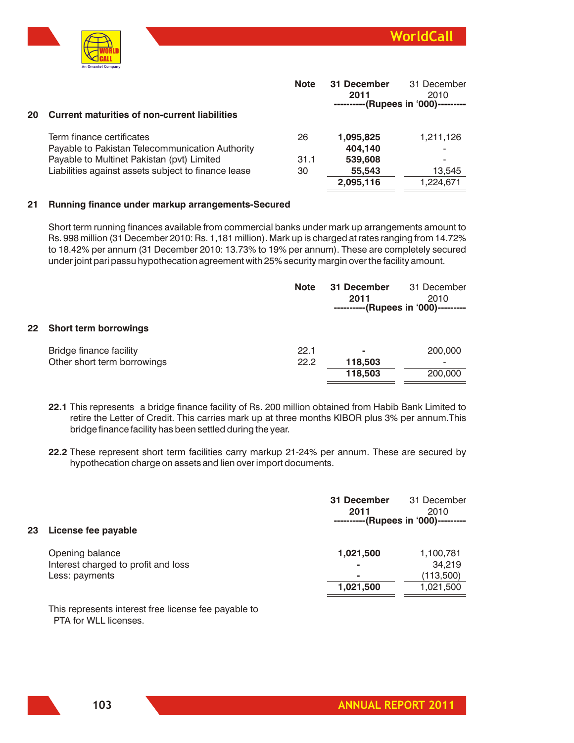

| 20 | <b>Current maturities of non-current liabilities</b> | <b>Note</b> | 31 December<br>2011<br>----------(Rupees in '000)--------- | 31 December<br>2010      |
|----|------------------------------------------------------|-------------|------------------------------------------------------------|--------------------------|
|    |                                                      |             |                                                            |                          |
|    | Term finance certificates                            | 26          | 1,095,825                                                  | 1,211,126                |
|    | Payable to Pakistan Telecommunication Authority      |             | 404.140                                                    | $\overline{\phantom{a}}$ |
|    | Payable to Multinet Pakistan (pvt) Limited           | 31.1        | 539,608                                                    | -                        |
|    | Liabilities against assets subject to finance lease  | 30          | 55.543                                                     | 13,545                   |
|    |                                                      |             | 2,095,116                                                  | 1,224,671                |
|    |                                                      |             |                                                            |                          |

#### **21 Running finance under markup arrangements-Secured**

Short term running finances available from commercial banks under mark up arrangements amount to Rs. 998 million (31 December 2010: Rs. 1,181 million). Mark up is charged at rates ranging from 14.72% to 18.42% per annum (31 December 2010: 13.73% to 19% per annum). These are completely secured under joint pari passu hypothecation agreement with 25% security margin over the facility amount.

|                                                        | <b>Note</b>  | 31 December<br>2011     | 31 December<br>2010<br>----------(Rupees in '000)--------- |
|--------------------------------------------------------|--------------|-------------------------|------------------------------------------------------------|
| 22 Short term borrowings                               |              |                         |                                                            |
| Bridge finance facility<br>Other short term borrowings | 22.1<br>22.2 | ۰<br>118,503<br>118,503 | 200,000<br>200,000                                         |

- **22.1** This represents a bridge finance facility of Rs. 200 million obtained from Habib Bank Limited to retire the Letter of Credit. This carries mark up at three months KIBOR plus 3% per annum.This bridge finance facility has been settled during the year.
- **22.2** These represent short term facilities carry markup 21-24% per annum. These are secured by hypothecation charge on assets and lien over import documents.

| 23 | License fee payable                 | 31 December<br>2011<br>----------(Rupees in '000)--------- | 31 December<br>2010 |
|----|-------------------------------------|------------------------------------------------------------|---------------------|
|    | Opening balance                     | 1,021,500                                                  | 1,100,781           |
|    | Interest charged to profit and loss | ۰                                                          | 34,219              |
|    | Less: payments                      | ۰                                                          | (113,500)           |
|    |                                     | 1,021,500                                                  | 1,021,500           |
|    |                                     |                                                            |                     |

This represents interest free license fee payable to PTA for WLL licenses.

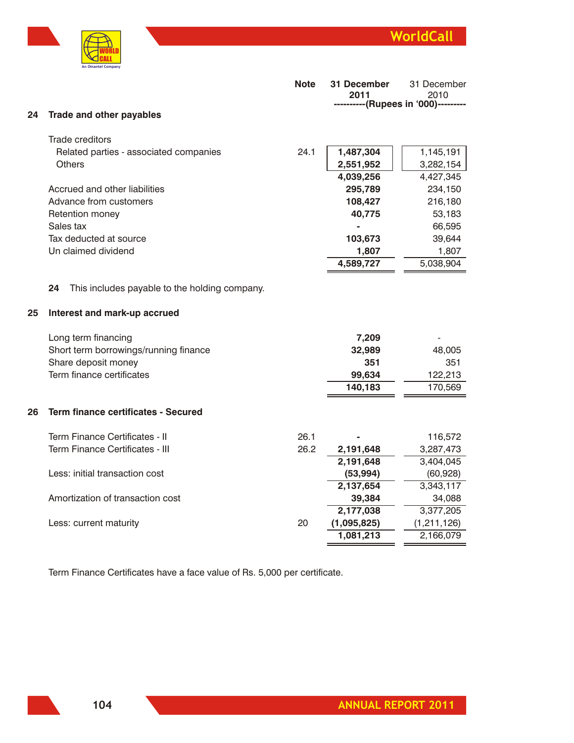

|    |                                                     | <b>Note</b> | 31 December<br>2011 | 31 December<br>2010<br>----------(Rupees in '000)--------- |
|----|-----------------------------------------------------|-------------|---------------------|------------------------------------------------------------|
| 24 | <b>Trade and other payables</b>                     |             |                     |                                                            |
|    | <b>Trade creditors</b>                              |             |                     |                                                            |
|    | Related parties - associated companies              | 24.1        | 1,487,304           | 1,145,191                                                  |
|    | <b>Others</b>                                       |             | 2,551,952           | 3,282,154                                                  |
|    |                                                     |             | 4,039,256           | 4,427,345                                                  |
|    | Accrued and other liabilities                       |             | 295,789             | 234,150                                                    |
|    | Advance from customers                              |             | 108,427             | 216,180                                                    |
|    | Retention money                                     |             | 40,775              | 53,183                                                     |
|    | Sales tax                                           |             |                     | 66,595                                                     |
|    | Tax deducted at source                              |             | 103,673             | 39,644                                                     |
|    | Un claimed dividend                                 |             | 1,807               | 1,807                                                      |
|    |                                                     |             | 4,589,727           | 5,038,904                                                  |
|    | 24<br>This includes payable to the holding company. |             |                     |                                                            |
| 25 | Interest and mark-up accrued                        |             |                     |                                                            |
|    | Long term financing                                 |             | 7,209               |                                                            |
|    | Short term borrowings/running finance               |             | 32,989              | 48,005                                                     |
|    | Share deposit money                                 |             | 351                 | 351                                                        |
|    | Term finance certificates                           |             | 99,634              | 122,213                                                    |
|    |                                                     |             | 140,183             | 170,569                                                    |
| 26 | <b>Term finance certificates - Secured</b>          |             |                     |                                                            |
|    | Term Finance Certificates - II                      | 26.1        |                     | 116,572                                                    |
|    | Term Finance Certificates - III                     | 26.2        | 2,191,648           | 3,287,473                                                  |
|    |                                                     |             | 2,191,648           | 3,404,045                                                  |
|    | Less: initial transaction cost                      |             | (53, 994)           | (60, 928)                                                  |
|    |                                                     |             | 2,137,654           | 3,343,117                                                  |
|    | Amortization of transaction cost                    |             | 39,384              | 34,088                                                     |
|    |                                                     |             | 2,177,038           | 3,377,205                                                  |
|    | Less: current maturity                              | 20          | (1,095,825)         | (1,211,126)                                                |
|    |                                                     |             | 1,081,213           | 2,166,079                                                  |

Term Finance Certificates have a face value of Rs. 5,000 per certificate.

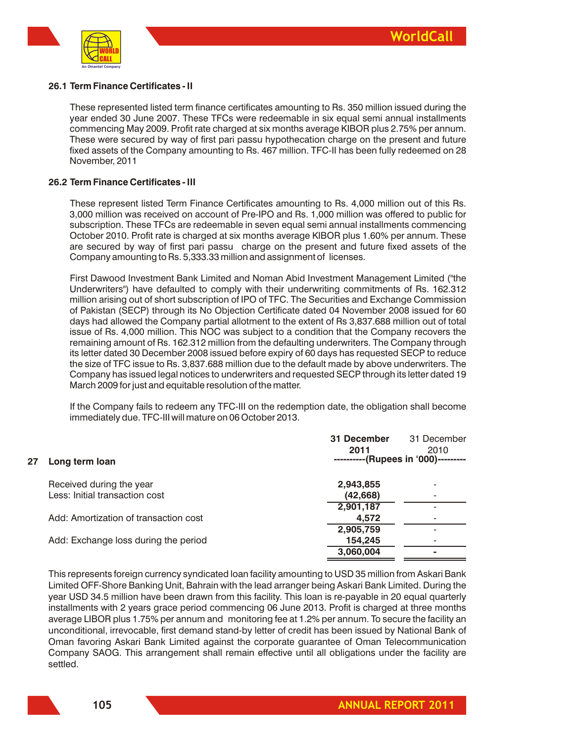

#### **26.1 Term Finance Certificates - II**

These represented listed term finance certificates amounting to Rs. 350 million issued during the year ended 30 June 2007. These TFCs were redeemable in six equal semi annual installments commencing May 2009. Profit rate charged at six months average KIBOR plus 2.75% per annum. These were secured by way of first pari passu hypothecation charge on the present and future fixed assets of the Company amounting to Rs. 467 million. TFC-II has been fully redeemed on 28 November, 2011

#### **26.2 Term Finance Certificates - III**

These represent listed Term Finance Certificates amounting to Rs. 4,000 million out of this Rs. 3,000 million was received on account of Pre-IPO and Rs. 1,000 million was offered to public for subscription. These TFCs are redeemable in seven equal semi annual installments commencing October 2010. Profit rate is charged at six months average KIBOR plus 1.60% per annum. These are secured by way of first pari passu charge on the present and future fixed assets of the Company amounting to Rs. 5,333.33 million and assignment of licenses.

First Dawood Investment Bank Limited and Noman Abid Investment Management Limited ("the Underwriters") have defaulted to comply with their underwriting commitments of Rs. 162.312 million arising out of short subscription of IPO of TFC. The Securities and Exchange Commission of Pakistan (SECP) through its No Objection Certificate dated 04 November 2008 issued for 60 days had allowed the Company partial allotment to the extent of Rs 3,837.688 million out of total issue of Rs. 4,000 million. This NOC was subject to a condition that the Company recovers the remaining amount of Rs. 162.312 million from the defaulting underwriters. The Company through its letter dated 30 December 2008 issued before expiry of 60 days has requested SECP to reduce the size of TFC issue to Rs. 3,837.688 million due to the default made by above underwriters. The Company has issued legal notices to underwriters and requested SECP through its letter dated 19 March 2009 for just and equitable resolution of the matter.

If the Company fails to redeem any TFC-III on the redemption date, the obligation shall become immediately due. TFC-III will mature on 06 October 2013.

|    |                                       | 31 December<br>2011 | 31 December<br>2010         |
|----|---------------------------------------|---------------------|-----------------------------|
| 27 | Long term loan                        |                     | --(Rupees in '000)--------- |
|    | Received during the year              | 2,943,855           |                             |
|    | Less: Initial transaction cost        | (42, 668)           |                             |
|    |                                       | 2,901,187           |                             |
|    | Add: Amortization of transaction cost | 4,572               |                             |
|    |                                       | 2,905,759           |                             |
|    | Add: Exchange loss during the period  | 154.245             |                             |
|    |                                       | 3,060,004           |                             |
|    |                                       |                     |                             |

This represents foreign currency syndicated loan facility amounting to USD 35 million from Askari Bank Limited OFF-Shore Banking Unit, Bahrain with the lead arranger being Askari Bank Limited. During the year USD 34.5 million have been drawn from this facility. This loan is re-payable in 20 equal quarterly installments with 2 years grace period commencing 06 June 2013. Profit is charged at three months average LIBOR plus 1.75% per annum and monitoring fee at 1.2% per annum. To secure the facility an unconditional, irrevocable, first demand stand-by letter of credit has been issued by National Bank of Oman favoring Askari Bank Limited against the corporate guarantee of Oman Telecommunication Company SAOG. This arrangement shall remain effective until all obligations under the facility are settled.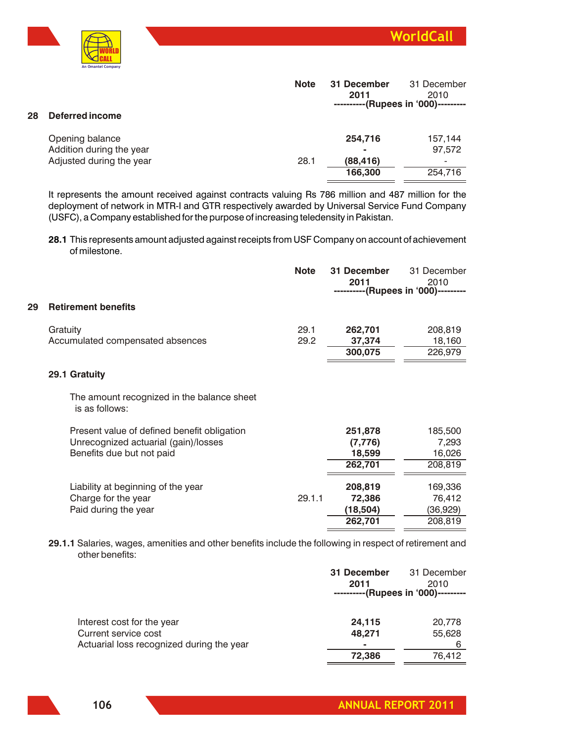**WorldCall**



| 28 | Deferred income                                                         | <b>Note</b> | 31 December<br>2011<br>----------(Rupees in '000)--------- | 31 December<br>2010          |
|----|-------------------------------------------------------------------------|-------------|------------------------------------------------------------|------------------------------|
|    | Opening balance<br>Addition during the year<br>Adjusted during the year | 28.1        | 254,716<br>۰<br>(88, 416)<br>166,300                       | 157,144<br>97,572<br>254,716 |

It represents the amount received against contracts valuing Rs 786 million and 487 million for the deployment of network in MTR-I and GTR respectively awarded by Universal Service Fund Company (USFC), a Company established for the purpose of increasing teledensity in Pakistan.

**28.1** This represents amount adjusted against receipts from USF Company on account of achievement of milestone.

|    |                                                                                                                  | <b>Note</b>  | 31 December<br>2011                       | 31 December<br>2010<br>----------(Rupees in '000)--------- |
|----|------------------------------------------------------------------------------------------------------------------|--------------|-------------------------------------------|------------------------------------------------------------|
| 29 | <b>Retirement benefits</b>                                                                                       |              |                                           |                                                            |
|    | Gratuity<br>Accumulated compensated absences                                                                     | 29.1<br>29.2 | 262,701<br>37,374<br>300,075              | 208,819<br>18,160<br>226,979                               |
|    | 29.1 Gratuity                                                                                                    |              |                                           |                                                            |
|    | The amount recognized in the balance sheet<br>is as follows:                                                     |              |                                           |                                                            |
|    | Present value of defined benefit obligation<br>Unrecognized actuarial (gain)/losses<br>Benefits due but not paid |              | 251,878<br>(7, 776)<br>18,599<br>262,701  | 185,500<br>7,293<br>16,026<br>208,819                      |
|    | Liability at beginning of the year<br>Charge for the year<br>Paid during the year                                | 29.1.1       | 208,819<br>72,386<br>(18, 504)<br>262,701 | 169,336<br>76,412<br>(36,929)<br>208,819                   |

**29.1.1** Salaries, wages, amenities and other benefits include the following in respect of retirement and other benefits:

|                                           | 31 December | 31 December                         |
|-------------------------------------------|-------------|-------------------------------------|
|                                           | 2011        | 2010                                |
|                                           |             | ----------(Rupees in '000)--------- |
|                                           |             |                                     |
| Interest cost for the year                | 24,115      | 20,778                              |
| Current service cost                      | 48,271      | 55,628                              |
| Actuarial loss recognized during the year | ۰           |                                     |
|                                           | 72,386      | 76.412                              |

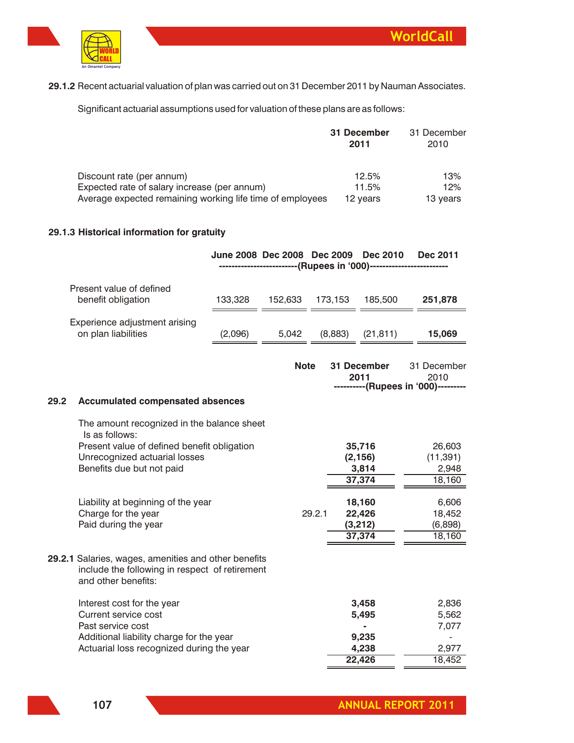

**29.1.2** Recent actuarial valuation of plan was carried out on 31 December 2011 by Nauman Associates.

Significant actuarial assumptions used for valuation of these plans are as follows:

|                                                           | 31 December | 31 December |  |
|-----------------------------------------------------------|-------------|-------------|--|
|                                                           | 2011        | 2010        |  |
|                                                           |             |             |  |
| Discount rate (per annum)                                 | 12.5%       | 13%         |  |
| Expected rate of salary increase (per annum)              | 11.5%       | 12%         |  |
| Average expected remaining working life time of employees | 12 years    | 13 years    |  |

#### **29.1.3 Historical information for gratuity**

|      |                                                                                                                                                                           |         |             | June 2008 Dec 2008 Dec 2009 | <b>Dec 2010</b><br>------------------(Rupees in '000)------------------------- | <b>Dec 2011</b>                                            |
|------|---------------------------------------------------------------------------------------------------------------------------------------------------------------------------|---------|-------------|-----------------------------|--------------------------------------------------------------------------------|------------------------------------------------------------|
|      | Present value of defined<br>benefit obligation                                                                                                                            | 133,328 | 152,633     | 173,153                     | 185,500                                                                        | 251,878                                                    |
|      | Experience adjustment arising<br>on plan liabilities                                                                                                                      | (2,096) | 5,042       | (8,883)                     | (21, 811)                                                                      | 15,069                                                     |
| 29.2 | <b>Accumulated compensated absences</b>                                                                                                                                   |         | <b>Note</b> |                             | 31 December<br>2011                                                            | 31 December<br>2010<br>----------(Rupees in '000)--------- |
|      | The amount recognized in the balance sheet<br>Is as follows:<br>Present value of defined benefit obligation<br>Unrecognized actuarial losses<br>Benefits due but not paid |         |             |                             | 35,716<br>(2, 156)<br>3,814<br>37,374                                          | 26,603<br>(11, 391)<br>2,948<br>18,160                     |
|      | Liability at beginning of the year<br>Charge for the year<br>Paid during the year                                                                                         |         |             | 29.2.1                      | 18,160<br>22,426<br>(3,212)<br>37,374                                          | 6,606<br>18,452<br>(6,898)<br>18,160                       |
|      | 29.2.1 Salaries, wages, amenities and other benefits<br>include the following in respect of retirement<br>and other benefits:                                             |         |             |                             |                                                                                |                                                            |
|      | Interest cost for the year<br>Current service cost<br>Past service cost<br>Additional liability charge for the year<br>Actuarial loss recognized during the year          |         |             |                             | 3,458<br>5,495<br>9,235<br>4,238<br>22,426                                     | 2,836<br>5,562<br>7,077<br>2,977<br>18,452                 |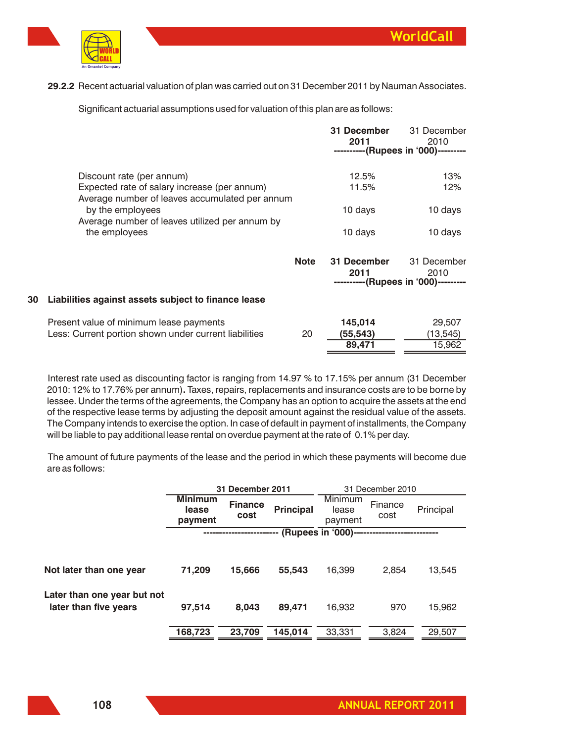

**29.2.2** Recent actuarial valuation of plan was carried out on 31 December 2011 by Nauman Associates.

Significant actuarial assumptions used for valuation of this plan are as follows:

|    |                                                                                                                             |             | 31 December<br>2011           | 31 December<br>2010<br>----------(Rupees in '000)--------- |  |
|----|-----------------------------------------------------------------------------------------------------------------------------|-------------|-------------------------------|------------------------------------------------------------|--|
|    | Discount rate (per annum)<br>Expected rate of salary increase (per annum)<br>Average number of leaves accumulated per annum |             | 12.5%<br>11.5%                | 13%<br>12%                                                 |  |
|    | by the employees<br>Average number of leaves utilized per annum by                                                          |             | 10 days                       | 10 days                                                    |  |
|    | the employees                                                                                                               |             | 10 days                       | 10 days                                                    |  |
|    |                                                                                                                             | <b>Note</b> | 31 December<br>2011           | 31 December<br>2010<br>--(Rupees in '000)---------         |  |
| 30 | Liabilities against assets subject to finance lease                                                                         |             |                               |                                                            |  |
|    | Present value of minimum lease payments<br>Less: Current portion shown under current liabilities                            | 20          | 145,014<br>(55,543)<br>89,471 | 29,507<br>(13, 545)<br>15,962                              |  |
|    |                                                                                                                             |             |                               |                                                            |  |

Interest rate used as discounting factor is ranging from 14.97 % to 17.15% per annum (31 December 2010: 12% to 17.76% per annum)**.** Taxes, repairs, replacements and insurance costs are to be borne by lessee. Under the terms of the agreements, the Company has an option to acquire the assets at the end of the respective lease terms by adjusting the deposit amount against the residual value of the assets. The Company intends to exercise the option. In case of default in payment of installments, the Company will be liable to pay additional lease rental on overdue payment at the rate of 0.1% per day.

The amount of future payments of the lease and the period in which these payments will become due are as follows:

|                                                      | 31 December 2011                   |                        |                  | 31 December 2010            |                 |           |  |  |
|------------------------------------------------------|------------------------------------|------------------------|------------------|-----------------------------|-----------------|-----------|--|--|
|                                                      | <b>Minimum</b><br>lease<br>payment | <b>Finance</b><br>cost | <b>Principal</b> | Minimum<br>lease<br>payment | Finance<br>cost | Principal |  |  |
|                                                      | (Rupees in '000)--                 |                        |                  |                             |                 |           |  |  |
| Not later than one year                              | 71,209                             | 15.666                 | 55.543           | 16.399                      | 2.854           | 13,545    |  |  |
| Later than one year but not<br>later than five years | 97,514                             | 8.043                  | 89,471           | 16.932                      | 970             | 15.962    |  |  |
|                                                      | 168,723                            | 23,709                 | 145,014          | 33,331                      | 3,824           | 29,507    |  |  |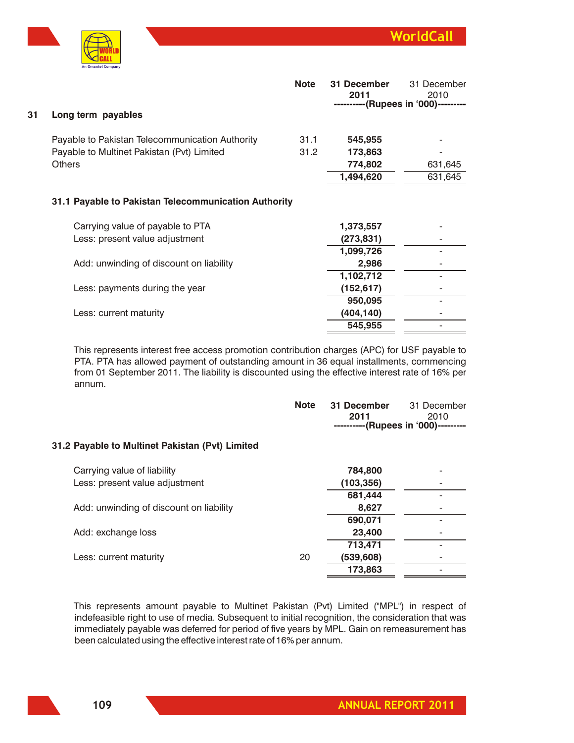

| 31 | Long term payables                                   | <b>Note</b> | 31 December<br>2011 | 31 December<br>2010<br>----------(Rupees in '000)--------- |
|----|------------------------------------------------------|-------------|---------------------|------------------------------------------------------------|
|    | Payable to Pakistan Telecommunication Authority      | 31.1        | 545,955             |                                                            |
|    | Payable to Multinet Pakistan (Pvt) Limited           | 31.2        | 173,863             |                                                            |
|    | <b>Others</b>                                        |             | 774,802             | 631,645                                                    |
|    |                                                      |             | 1,494,620           | 631,645                                                    |
|    | 31.1 Payable to Pakistan Telecommunication Authority |             |                     |                                                            |
|    | Carrying value of payable to PTA                     |             | 1,373,557           |                                                            |
|    | Less: present value adjustment                       |             | (273, 831)          |                                                            |
|    |                                                      |             | 1,099,726           |                                                            |
|    | Add: unwinding of discount on liability              |             | 2,986               |                                                            |
|    |                                                      |             | 1,102,712           |                                                            |
|    | Less: payments during the year                       |             | (152, 617)          |                                                            |
|    |                                                      |             | 950,095             |                                                            |
|    | Less: current maturity                               |             | (404, 140)          |                                                            |
|    |                                                      |             | 545,955             |                                                            |

This represents interest free access promotion contribution charges (APC) for USF payable to PTA. PTA has allowed payment of outstanding amount in 36 equal installments, commencing from 01 September 2011. The liability is discounted using the effective interest rate of 16% per annum.

|                                                 | <b>Note</b> | 31 December<br>2011 | 31 December<br>2010<br>-(Rupees in '000)-- |
|-------------------------------------------------|-------------|---------------------|--------------------------------------------|
| 31.2 Payable to Multinet Pakistan (Pvt) Limited |             |                     |                                            |
| Carrying value of liability                     |             | 784,800             |                                            |
| Less: present value adjustment                  |             | (103, 356)          |                                            |
|                                                 |             | 681,444             |                                            |
| Add: unwinding of discount on liability         |             | 8,627               |                                            |
|                                                 |             | 690,071             |                                            |
| Add: exchange loss                              |             | 23,400              |                                            |
|                                                 |             | 713,471             |                                            |
| Less: current maturity                          | 20          | (539,608)           |                                            |
|                                                 |             | 173,863             |                                            |

This represents amount payable to Multinet Pakistan (Pvt) Limited ("MPL") in respect of indefeasible right to use of media. Subsequent to initial recognition, the consideration that was immediately payable was deferred for period of five years by MPL. Gain on remeasurement has been calculated using the effective interest rate of 16% per annum.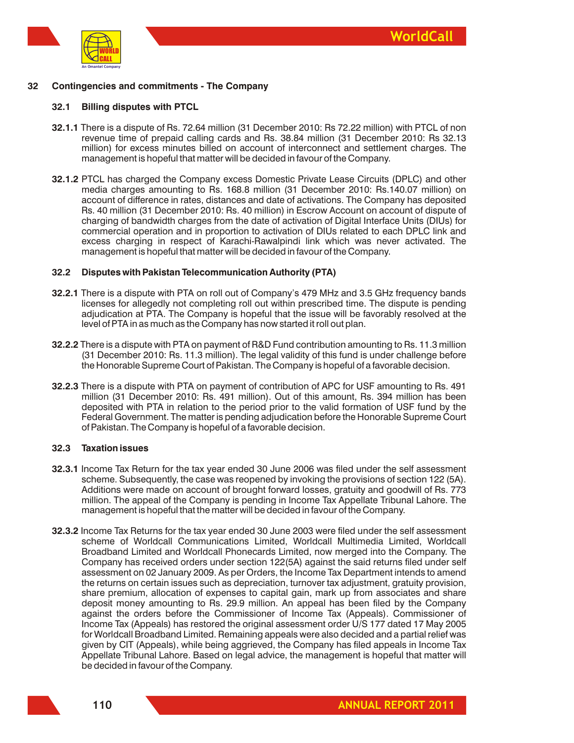

#### **32 Contingencies and commitments - The Company**

#### **32.1 Billing disputes with PTCL**

- **32.1.1** There is a dispute of Rs. 72.64 million (31 December 2010: Rs 72.22 million) with PTCL of non revenue time of prepaid calling cards and Rs. 38.84 million (31 December 2010: Rs 32.13 million) for excess minutes billed on account of interconnect and settlement charges. The management is hopeful that matter will be decided in favour of the Company.
- **32.1.2** PTCL has charged the Company excess Domestic Private Lease Circuits (DPLC) and other media charges amounting to Rs. 168.8 million (31 December 2010: Rs.140.07 million) on account of difference in rates, distances and date of activations. The Company has deposited Rs. 40 million (31 December 2010: Rs. 40 million) in Escrow Account on account of dispute of charging of bandwidth charges from the date of activation of Digital Interface Units (DIUs) for commercial operation and in proportion to activation of DIUs related to each DPLC link and excess charging in respect of Karachi-Rawalpindi link which was never activated. The management is hopeful that matter will be decided in favour of the Company.

#### **32.2 Disputes with Pakistan Telecommunication Authority (PTA)**

- **32.2.1** There is a dispute with PTA on roll out of Company's 479 MHz and 3.5 GHz frequency bands licenses for allegedly not completing roll out within prescribed time. The dispute is pending adjudication at PTA. The Company is hopeful that the issue will be favorably resolved at the level of PTA in as much as the Company has now started it roll out plan.
- **32.2.2** There is a dispute with PTA on payment of R&D Fund contribution amounting to Rs. 11.3 million (31 December 2010: Rs. 11.3 million). The legal validity of this fund is under challenge before the Honorable Supreme Court of Pakistan. The Company is hopeful of a favorable decision.
- **32.2.3** There is a dispute with PTA on payment of contribution of APC for USF amounting to Rs. 491 million (31 December 2010: Rs. 491 million). Out of this amount, Rs. 394 million has been deposited with PTA in relation to the period prior to the valid formation of USF fund by the Federal Government. The matter is pending adjudication before the Honorable Supreme Court of Pakistan. The Company is hopeful of a favorable decision.

#### **32.3 Taxation issues**

- **32.3.1** Income Tax Return for the tax year ended 30 June 2006 was filed under the self assessment scheme. Subsequently, the case was reopened by invoking the provisions of section 122 (5A). Additions were made on account of brought forward losses, gratuity and goodwill of Rs. 773 million. The appeal of the Company is pending in Income Tax Appellate Tribunal Lahore. The management is hopeful that the matter will be decided in favour of the Company.
- **32.3.2** Income Tax Returns for the tax year ended 30 June 2003 were filed under the self assessment scheme of Worldcall Communications Limited, Worldcall Multimedia Limited, Worldcall Broadband Limited and Worldcall Phonecards Limited, now merged into the Company. The Company has received orders under section 122(5A) against the said returns filed under self assessment on 02 January 2009. As per Orders, the Income Tax Department intends to amend the returns on certain issues such as depreciation, turnover tax adjustment, gratuity provision, share premium, allocation of expenses to capital gain, mark up from associates and share deposit money amounting to Rs. 29.9 million. An appeal has been filed by the Company against the orders before the Commissioner of Income Tax (Appeals). Commissioner of Income Tax (Appeals) has restored the original assessment order U/S 177 dated 17 May 2005 for Worldcall Broadband Limited. Remaining appeals were also decided and a partial relief was given by CIT (Appeals), while being aggrieved, the Company has filed appeals in Income Tax Appellate Tribunal Lahore. Based on legal advice, the management is hopeful that matter will be decided in favour of the Company.

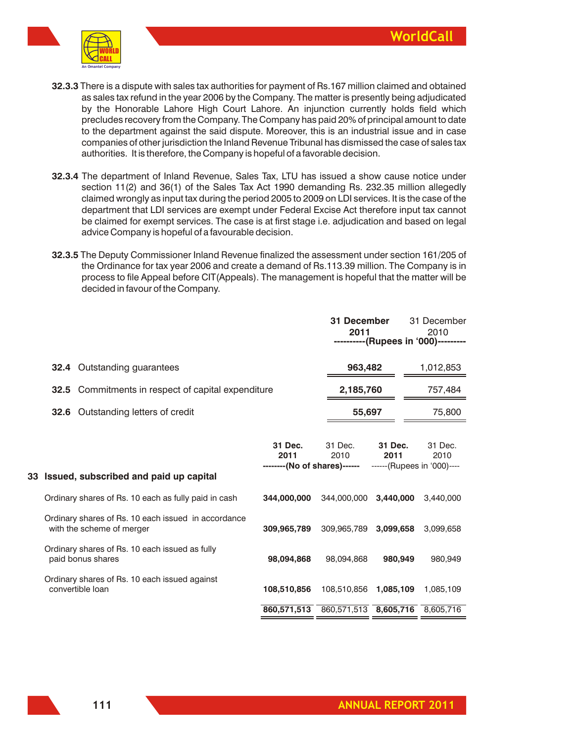

- **32.3.3** There is a dispute with sales tax authorities for payment of Rs.167 million claimed and obtained as sales tax refund in the year 2006 by the Company. The matter is presently being adjudicated by the Honorable Lahore High Court Lahore. An injunction currently holds field which precludes recovery from the Company. The Company has paid 20% of principal amount to date to the department against the said dispute. Moreover, this is an industrial issue and in case companies of other jurisdiction the Inland Revenue Tribunal has dismissed the case of sales tax authorities. It is therefore, the Company is hopeful of a favorable decision.
- **32.3.4** The department of Inland Revenue, Sales Tax, LTU has issued a show cause notice under section 11(2) and 36(1) of the Sales Tax Act 1990 demanding Rs. 232.35 million allegedly claimed wrongly as input tax during the period 2005 to 2009 on LDI services. It is the case of the department that LDI services are exempt under Federal Excise Act therefore input tax cannot be claimed for exempt services. The case is at first stage i.e. adjudication and based on legal advice Company is hopeful of a favourable decision.
- **32.3.5** The Deputy Commissioner Inland Revenue finalized the assessment under section 161/205 of the Ordinance for tax year 2006 and create a demand of Rs.113.39 million. The Company is in process to file Appeal before CIT(Appeals). The management is hopeful that the matter will be decided in favour of the Company.

|    |                                                                                  |                                                 | 31 December<br>2011   |                                                | 31 December<br>2010<br>----------(Rupees in '000)--------- |
|----|----------------------------------------------------------------------------------|-------------------------------------------------|-----------------------|------------------------------------------------|------------------------------------------------------------|
|    | <b>32.4</b> Outstanding guarantees                                               |                                                 | 963,482               |                                                | 1,012,853                                                  |
|    | 32.5 Commitments in respect of capital expenditure                               |                                                 | 2,185,760             |                                                | 757,484                                                    |
|    | 32.6 Outstanding letters of credit                                               |                                                 | 55,697                |                                                | 75,800                                                     |
| 33 | Issued, subscribed and paid up capital                                           | 31 Dec.<br>2011<br>--------(No of shares)------ | 31 Dec.<br>2010       | 31 Dec.<br>2011<br>------ (Rupees in '000)---- | 31 Dec.<br>2010                                            |
|    | Ordinary shares of Rs. 10 each as fully paid in cash                             | 344.000.000                                     | 344,000,000           | 3,440,000                                      | 3,440,000                                                  |
|    | Ordinary shares of Rs. 10 each issued in accordance<br>with the scheme of merger | 309.965.789                                     | 309,965,789           | 3,099,658                                      | 3,099,658                                                  |
|    | Ordinary shares of Rs. 10 each issued as fully<br>paid bonus shares              | 98.094.868                                      | 98,094,868            | 980.949                                        | 980,949                                                    |
|    | Ordinary shares of Rs. 10 each issued against<br>convertible loan                | 108,510,856                                     | 108,510,856           | 1,085,109                                      | 1,085,109                                                  |
|    |                                                                                  | 860,571,513                                     | 860,571,513 8,605,716 |                                                | 8,605,716                                                  |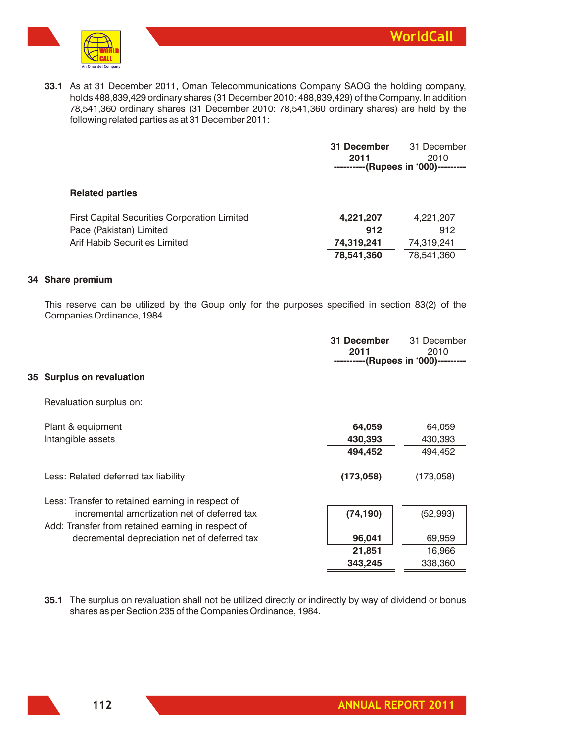

**33.1** As at 31 December 2011, Oman Telecommunications Company SAOG the holding company, holds 488,839,429 ordinary shares (31 December 2010: 488,839,429) of the Company. In addition 78,541,360 ordinary shares (31 December 2010: 78,541,360 ordinary shares) are held by the following related parties as at 31 December 2011:

|                                                                                                                        | 31 December<br>2011            | 31 December<br>2010<br>-(Rupees in '000)--------- |
|------------------------------------------------------------------------------------------------------------------------|--------------------------------|---------------------------------------------------|
| <b>Related parties</b>                                                                                                 |                                |                                                   |
| <b>First Capital Securities Corporation Limited</b><br>Pace (Pakistan) Limited<br><b>Arif Habib Securities Limited</b> | 4,221,207<br>912<br>74,319,241 | 4,221,207<br>912<br>74,319,241                    |
|                                                                                                                        | 78,541,360                     | 78,541,360                                        |

#### **34 Share premium**

This reserve can be utilized by the Goup only for the purposes specified in section 83(2) of the Companies Ordinance, 1984.

|                                                                                                   | 31 December<br>2011<br>----------(Rupees in '000)--- | 31 December<br>2010 |
|---------------------------------------------------------------------------------------------------|------------------------------------------------------|---------------------|
| 35 Surplus on revaluation                                                                         |                                                      |                     |
| Revaluation surplus on:                                                                           |                                                      |                     |
| Plant & equipment                                                                                 | 64,059                                               | 64,059              |
| Intangible assets                                                                                 | 430,393                                              | 430,393             |
|                                                                                                   | 494,452                                              | 494,452             |
| Less: Related deferred tax liability                                                              | (173,058)                                            | (173,058)           |
| Less: Transfer to retained earning in respect of                                                  |                                                      |                     |
| incremental amortization net of deferred tax<br>Add: Transfer from retained earning in respect of | (74, 190)                                            | (52, 993)           |
| decremental depreciation net of deferred tax                                                      | 96,041                                               | 69,959              |
|                                                                                                   | 21,851                                               | 16,966              |
|                                                                                                   | 343,245                                              | 338,360             |
|                                                                                                   |                                                      |                     |

**35.1** The surplus on revaluation shall not be utilized directly or indirectly by way of dividend or bonus shares as per Section 235 of the Companies Ordinance, 1984.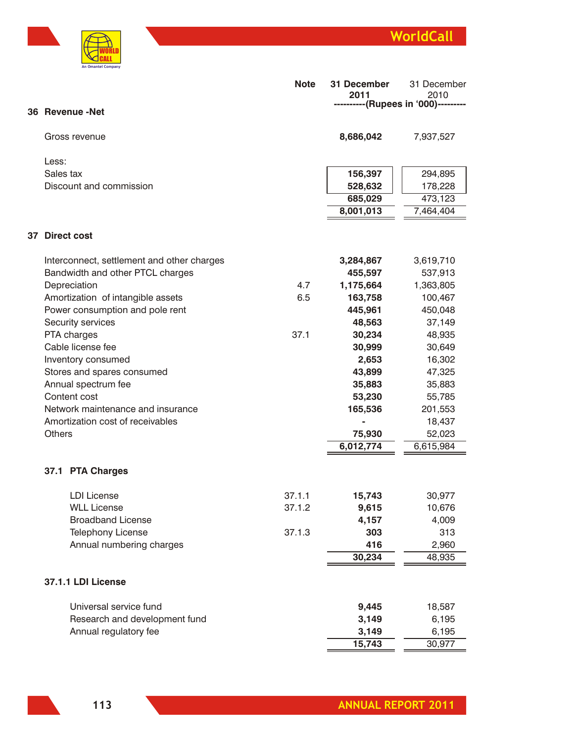

| <b>Note</b>                                | 31 December<br>2011 | 31 December<br>2010<br>----------(Rupees in '000)--------- |
|--------------------------------------------|---------------------|------------------------------------------------------------|
| 36 Revenue - Net                           |                     |                                                            |
| Gross revenue                              | 8,686,042           | 7,937,527                                                  |
| Less:                                      |                     |                                                            |
| Sales tax                                  | 156,397             | 294,895                                                    |
| Discount and commission                    | 528,632             | 178,228                                                    |
|                                            | 685,029             | 473,123                                                    |
|                                            | 8,001,013           | 7,464,404                                                  |
| <b>Direct cost</b><br>37                   |                     |                                                            |
| Interconnect, settlement and other charges | 3,284,867           | 3,619,710                                                  |
| Bandwidth and other PTCL charges           | 455,597             | 537,913                                                    |
| Depreciation<br>4.7                        | 1,175,664           | 1,363,805                                                  |
| Amortization of intangible assets<br>6.5   | 163,758             | 100,467                                                    |
| Power consumption and pole rent            | 445,961             | 450,048                                                    |
| Security services                          | 48,563              | 37,149                                                     |
| PTA charges<br>37.1                        | 30,234              | 48,935                                                     |
| Cable license fee                          | 30,999              | 30,649                                                     |
| Inventory consumed                         | 2,653               | 16,302                                                     |
| Stores and spares consumed                 | 43,899              | 47,325                                                     |
| Annual spectrum fee                        | 35,883              | 35,883                                                     |
| Content cost                               | 53,230              | 55,785                                                     |
| Network maintenance and insurance          | 165,536             | 201,553                                                    |
| Amortization cost of receivables           |                     | 18,437                                                     |
| <b>Others</b>                              | 75,930<br>6,012,774 | 52,023<br>6,615,984                                        |
|                                            |                     |                                                            |
| 37.1 PTA Charges                           |                     |                                                            |
| <b>LDI License</b><br>37.1.1               | 15,743              | 30,977                                                     |
| <b>WLL License</b><br>37.1.2               | 9,615               | 10,676                                                     |
| <b>Broadband License</b>                   | 4,157               | 4,009                                                      |
| <b>Telephony License</b><br>37.1.3         | 303                 | 313                                                        |
| Annual numbering charges                   | 416                 | 2,960                                                      |
|                                            | 30,234              | 48,935                                                     |
| 37.1.1 LDI License                         |                     |                                                            |
| Universal service fund                     | 9,445               | 18,587                                                     |
| Research and development fund              | 3,149               | 6,195                                                      |
| Annual regulatory fee                      | 3,149               | 6,195                                                      |
|                                            | 15,743              | 30,977                                                     |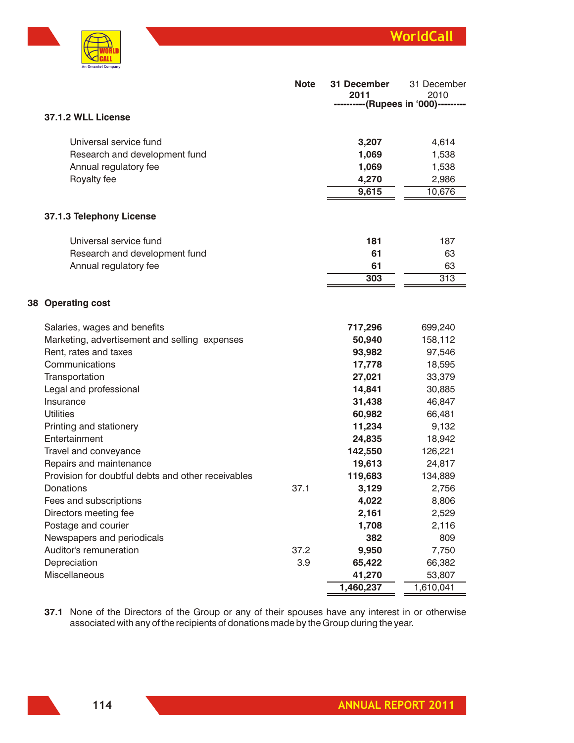

|                                                    | <b>Note</b> | 31 December<br>2011 | 31 December<br>2010<br>----------(Rupees in '000)--------- |
|----------------------------------------------------|-------------|---------------------|------------------------------------------------------------|
| 37.1.2 WLL License                                 |             |                     |                                                            |
| Universal service fund                             |             | 3,207               | 4,614                                                      |
| Research and development fund                      |             | 1,069               | 1,538                                                      |
| Annual regulatory fee                              |             | 1,069               | 1,538                                                      |
| Royalty fee                                        |             | 4,270               | 2,986                                                      |
|                                                    |             | 9,615               | 10,676                                                     |
| 37.1.3 Telephony License                           |             |                     |                                                            |
| Universal service fund                             |             | 181                 | 187                                                        |
| Research and development fund                      |             | 61                  | 63                                                         |
| Annual regulatory fee                              |             | 61                  | 63                                                         |
|                                                    |             | 303                 | 313                                                        |
| 38 Operating cost                                  |             |                     |                                                            |
| Salaries, wages and benefits                       |             | 717,296             | 699,240                                                    |
| Marketing, advertisement and selling expenses      |             | 50,940              | 158,112                                                    |
| Rent, rates and taxes                              |             | 93,982              | 97,546                                                     |
| Communications                                     |             | 17,778              | 18,595                                                     |
| Transportation                                     |             | 27,021              | 33,379                                                     |
| Legal and professional                             |             | 14,841              | 30,885                                                     |
| Insurance                                          |             | 31,438              | 46,847                                                     |
| <b>Utilities</b>                                   |             | 60,982              | 66,481                                                     |
| Printing and stationery                            |             | 11,234              | 9,132                                                      |
| Entertainment                                      |             | 24,835              | 18,942                                                     |
| Travel and conveyance                              |             | 142,550             | 126,221                                                    |
| Repairs and maintenance                            |             | 19,613              | 24,817                                                     |
| Provision for doubtful debts and other receivables |             | 119,683             | 134,889                                                    |
| Donations                                          | 37.1        | 3,129               | 2,756                                                      |
| Fees and subscriptions                             |             | 4,022               | 8,806                                                      |
| Directors meeting fee                              |             | 2,161               | 2,529                                                      |
| Postage and courier                                |             | 1,708               | 2,116                                                      |
| Newspapers and periodicals                         |             | 382                 | 809                                                        |
| Auditor's remuneration                             | 37.2        | 9,950               | 7,750                                                      |
| Depreciation                                       | 3.9         | 65,422              | 66,382                                                     |
| Miscellaneous                                      |             | 41,270              | 53,807                                                     |
|                                                    |             | 1,460,237           | 1,610,041                                                  |

**37.1** None of the Directors of the Group or any of their spouses have any interest in or otherwise associated with any of the recipients of donations made by the Group during the year.

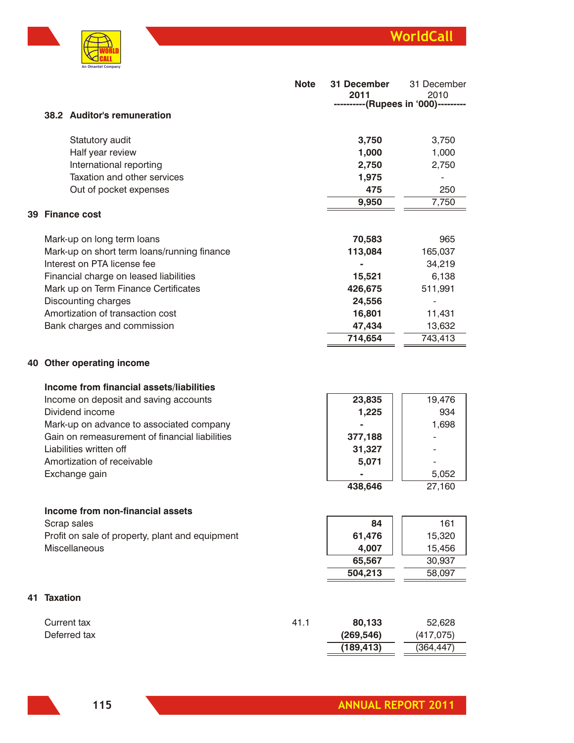

|    |                 |                                                                           | <b>Note</b> | 31 December<br>2011 | 31 December<br>2010<br>----------(Rupees in '000)--------- |
|----|-----------------|---------------------------------------------------------------------------|-------------|---------------------|------------------------------------------------------------|
|    |                 | 38.2 Auditor's remuneration                                               |             |                     |                                                            |
|    |                 | Statutory audit                                                           |             | 3,750               | 3,750                                                      |
|    |                 | Half year review                                                          |             | 1,000               | 1,000                                                      |
|    |                 | International reporting                                                   |             | 2,750               | 2,750                                                      |
|    |                 | Taxation and other services                                               |             | 1,975               |                                                            |
|    |                 | Out of pocket expenses                                                    |             | 475                 | 250                                                        |
|    |                 |                                                                           |             | 9,950               | 7,750                                                      |
| 39 |                 | <b>Finance cost</b>                                                       |             |                     |                                                            |
|    |                 | Mark-up on long term loans                                                |             | 70,583              | 965                                                        |
|    |                 | Mark-up on short term loans/running finance                               |             | 113,084             | 165,037                                                    |
|    |                 | Interest on PTA license fee                                               |             |                     | 34,219                                                     |
|    |                 | Financial charge on leased liabilities                                    |             | 15,521              | 6,138                                                      |
|    |                 | Mark up on Term Finance Certificates                                      |             | 426,675             | 511,991                                                    |
|    |                 | Discounting charges                                                       |             | 24,556              |                                                            |
|    |                 | Amortization of transaction cost                                          |             | 16,801              | 11,431                                                     |
|    |                 | Bank charges and commission                                               |             | 47,434              | 13,632                                                     |
|    |                 |                                                                           |             | 714,654             | 743,413                                                    |
|    |                 | 40 Other operating income<br>Income from financial assets/liabilities     |             |                     |                                                            |
|    |                 | Income on deposit and saving accounts                                     |             | 23,835              | 19,476                                                     |
|    |                 | Dividend income                                                           |             | 1,225               | 934                                                        |
|    |                 | Mark-up on advance to associated company                                  |             |                     | 1,698                                                      |
|    |                 | Gain on remeasurement of financial liabilities<br>Liabilities written off |             | 377,188             |                                                            |
|    |                 | Amortization of receivable                                                |             | 31,327              |                                                            |
|    |                 | Exchange gain                                                             |             | 5,071               | 5,052                                                      |
|    |                 |                                                                           |             | 438,646             | 27,160                                                     |
|    |                 | Income from non-financial assets                                          |             |                     |                                                            |
|    |                 | Scrap sales                                                               |             | 84                  | 161                                                        |
|    |                 | Profit on sale of property, plant and equipment                           |             | 61,476              | 15,320                                                     |
|    |                 | <b>Miscellaneous</b>                                                      |             | 4,007               | 15,456                                                     |
|    |                 |                                                                           |             | 65,567              | 30,937                                                     |
|    |                 |                                                                           |             | 504,213             | 58,097                                                     |
| 41 | <b>Taxation</b> |                                                                           |             |                     |                                                            |
|    |                 | <b>Current tax</b>                                                        | 41.1        | 80,133              | 52,628                                                     |
|    |                 | Deferred tax                                                              |             | (269, 546)          | (417, 075)                                                 |
|    |                 |                                                                           |             | (189, 413)          | (364, 447)                                                 |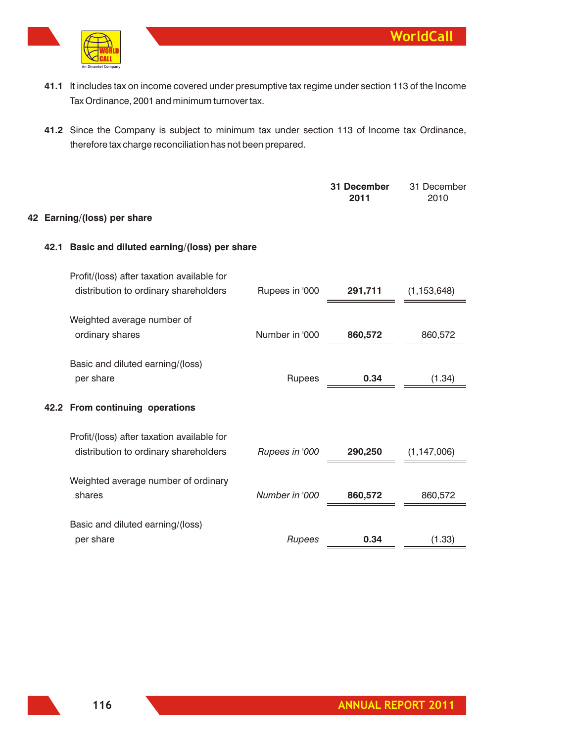

- **41.1** It includes tax on income covered under presumptive tax regime under section 113 of the Income Tax Ordinance, 2001 and minimum turnover tax.
- **41.2** Since the Company is subject to minimum tax under section 113 of Income tax Ordinance, therefore tax charge reconciliation has not been prepared.

|  |                                                                                     |                | 31 December<br>2011 | 31 December<br>2010 |
|--|-------------------------------------------------------------------------------------|----------------|---------------------|---------------------|
|  | 42 Earning/(loss) per share                                                         |                |                     |                     |
|  | 42.1 Basic and diluted earning/(loss) per share                                     |                |                     |                     |
|  | Profit/(loss) after taxation available for<br>distribution to ordinary shareholders | Rupees in '000 | 291,711             | (1, 153, 648)       |
|  | Weighted average number of<br>ordinary shares                                       | Number in '000 | 860,572             | 860,572             |
|  | Basic and diluted earning/(loss)<br>per share                                       | Rupees         | 0.34                | (1.34)              |
|  | 42.2 From continuing operations                                                     |                |                     |                     |
|  | Profit/(loss) after taxation available for<br>distribution to ordinary shareholders | Rupees in '000 | 290,250             | (1, 147, 006)       |
|  | Weighted average number of ordinary<br>shares                                       | Number in '000 | 860,572             | 860,572             |
|  | Basic and diluted earning/(loss)<br>per share                                       | Rupees         | 0.34                | (1.33)              |
|  |                                                                                     |                |                     |                     |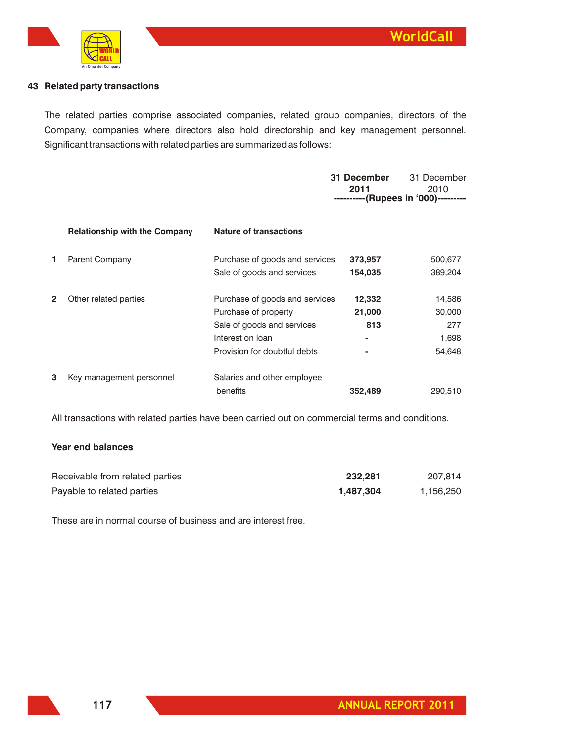

#### **43 Related party transactions**

The related parties comprise associated companies, related group companies, directors of the Company, companies where directors also hold directorship and key management personnel. Significant transactions with related parties are summarized as follows:

|                |                                      |                                                                                                                                          | 31 December<br>2011<br>----------(Rupees in '000)--------- | 31 December<br>2010                        |
|----------------|--------------------------------------|------------------------------------------------------------------------------------------------------------------------------------------|------------------------------------------------------------|--------------------------------------------|
|                | <b>Relationship with the Company</b> | <b>Nature of transactions</b>                                                                                                            |                                                            |                                            |
| 1              | Parent Company                       | Purchase of goods and services<br>Sale of goods and services                                                                             | 373,957<br>154,035                                         | 500,677<br>389,204                         |
| $\overline{2}$ | Other related parties                | Purchase of goods and services<br>Purchase of property<br>Sale of goods and services<br>Interest on loan<br>Provision for doubtful debts | 12,332<br>21,000<br>813                                    | 14,586<br>30,000<br>277<br>1,698<br>54,648 |
| 3              | Key management personnel             | Salaries and other employee<br>benefits                                                                                                  | 352,489                                                    | 290,510                                    |

All transactions with related parties have been carried out on commercial terms and conditions.

### **Year end balances**

| Receivable from related parties | 232.281   | 207.814   |
|---------------------------------|-----------|-----------|
| Payable to related parties      | 1.487.304 | 1.156.250 |

These are in normal course of business and are interest free.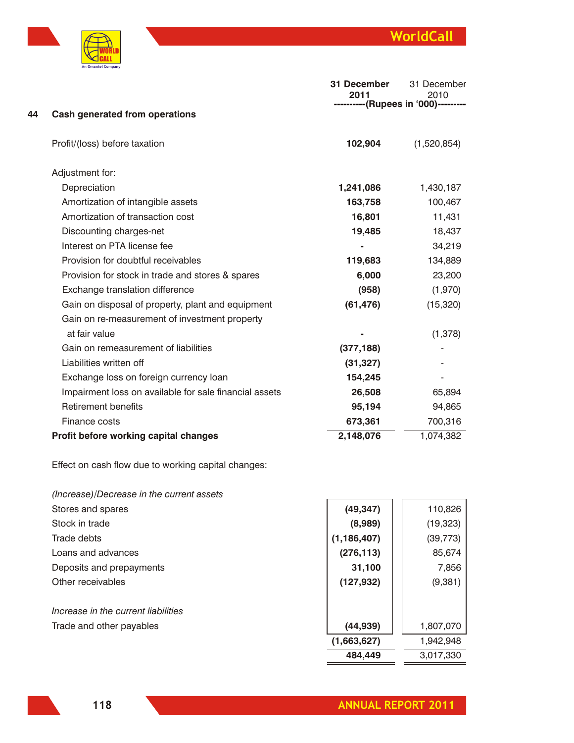

|                                                        | 31 December<br>2011 | 31 December<br>2010                 |
|--------------------------------------------------------|---------------------|-------------------------------------|
| <b>Cash generated from operations</b>                  |                     | ----------(Rupees in '000)--------- |
| Profit/(loss) before taxation                          | 102,904             | (1,520,854)                         |
| Adjustment for:                                        |                     |                                     |
| Depreciation                                           | 1,241,086           | 1,430,187                           |
| Amortization of intangible assets                      | 163,758             | 100,467                             |
| Amortization of transaction cost                       | 16,801              | 11,431                              |
| Discounting charges-net                                | 19,485              | 18,437                              |
| Interest on PTA license fee                            |                     | 34,219                              |
| Provision for doubtful receivables                     | 119,683             | 134,889                             |
| Provision for stock in trade and stores & spares       | 6,000               | 23,200                              |
| Exchange translation difference                        | (958)               | (1,970)                             |
| Gain on disposal of property, plant and equipment      | (61, 476)           | (15, 320)                           |
| Gain on re-measurement of investment property          |                     |                                     |
| at fair value                                          |                     | (1,378)                             |
| Gain on remeasurement of liabilities                   | (377, 188)          |                                     |
| Liabilities written off                                | (31, 327)           |                                     |
| Exchange loss on foreign currency loan                 | 154,245             |                                     |
| Impairment loss on available for sale financial assets | 26,508              | 65,894                              |
| <b>Retirement benefits</b>                             | 95,194              | 94,865                              |
| Finance costs                                          | 673,361             | 700,316                             |
| Profit before working capital changes                  | 2,148,076           | 1,074,382                           |

Effect on cash flow due to working capital changes:

| (Increase)/Decrease in the current assets |               |           |
|-------------------------------------------|---------------|-----------|
| Stores and spares                         | (49, 347)     | 110,826   |
| Stock in trade                            | (8,989)       | (19, 323) |
| Trade debts                               | (1, 186, 407) | (39, 773) |
| Loans and advances                        | (276, 113)    | 85,674    |
| Deposits and prepayments                  | 31,100        | 7,856     |
| Other receivables                         | (127, 932)    | (9, 381)  |
| Increase in the current liabilities       |               |           |
| Trade and other payables                  | (44, 939)     | 1,807,070 |
|                                           | (1,663,627)   | 1,942,948 |
|                                           | 484,449       | 3,017,330 |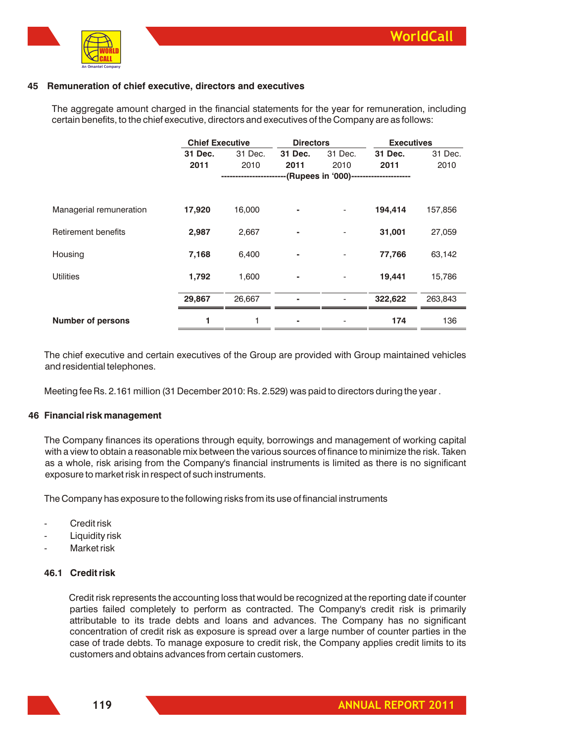

#### **45 Remuneration of chief executive, directors and executives**

The aggregate amount charged in the financial statements for the year for remuneration, including certain benefits, to the chief executive, directors and executives of the Company are as follows:

|                            | <b>Chief Executive</b> |         |         | <b>Directors</b>                        |         | <b>Executives</b> |
|----------------------------|------------------------|---------|---------|-----------------------------------------|---------|-------------------|
|                            | 31 Dec.                | 31 Dec. | 31 Dec. | 31 Dec.                                 | 31 Dec. | 31 Dec.           |
|                            | 2011                   | 2010    | 2011    | 2010                                    | 2011    | 2010              |
|                            |                        |         |         | --(Rupees in '000)--------------------- |         |                   |
|                            |                        |         |         |                                         |         |                   |
| Managerial remuneration    | 17,920                 | 16,000  |         |                                         | 194,414 | 157,856           |
|                            |                        |         |         |                                         |         |                   |
| <b>Retirement benefits</b> | 2,987                  | 2,667   |         |                                         | 31,001  | 27,059            |
| Housing                    | 7,168                  | 6,400   | ٠       | $\overline{a}$                          | 77,766  | 63,142            |
|                            |                        |         |         |                                         |         |                   |
| Utilities                  | 1,792                  | 1,600   |         |                                         | 19,441  | 15,786            |
|                            |                        |         |         |                                         |         |                   |
|                            | 29,867                 | 26,667  |         |                                         | 322,622 | 263,843           |
| <b>Number of persons</b>   | 1                      |         |         |                                         | 174     | 136               |
|                            |                        |         |         |                                         |         |                   |

The chief executive and certain executives of the Group are provided with Group maintained vehicles and residential telephones.

Meeting fee Rs. 2.161 million (31 December 2010: Rs. 2.529) was paid to directors during the year .

#### **46 Financial risk management**

The Company finances its operations through equity, borrowings and management of working capital with a view to obtain a reasonable mix between the various sources of finance to minimize the risk. Taken as a whole, risk arising from the Company's financial instruments is limited as there is no significant exposure to market risk in respect of such instruments.

The Company has exposure to the following risks from its use of financial instruments

- Credit risk
- Liquidity risk
- Market risk

#### **46.1 Credit risk**

Credit risk represents the accounting loss that would be recognized at the reporting date if counter parties failed completely to perform as contracted. The Company's credit risk is primarily attributable to its trade debts and loans and advances. The Company has no significant concentration of credit risk as exposure is spread over a large number of counter parties in the case of trade debts. To manage exposure to credit risk, the Company applies credit limits to its customers and obtains advances from certain customers.

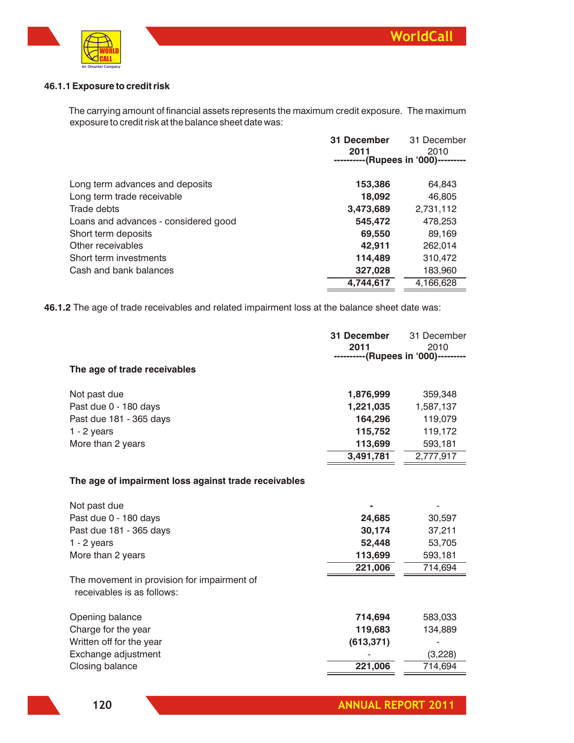

## **46.1.1 Exposure to credit risk**

The carrying amount of financial assets represents the maximum credit exposure. The maximum exposure to credit risk at the balance sheet date was:

|                                      | 31 December | 31 December             |
|--------------------------------------|-------------|-------------------------|
|                                      | 2011        | 2010                    |
|                                      |             | -(Rupees in '000)------ |
|                                      |             |                         |
| Long term advances and deposits      | 153,386     | 64,843                  |
| Long term trade receivable           | 18,092      | 46,805                  |
| Trade debts                          | 3,473,689   | 2,731,112               |
| Loans and advances - considered good | 545,472     | 478,253                 |
| Short term deposits                  | 69,550      | 89,169                  |
| Other receivables                    | 42.911      | 262.014                 |
| Short term investments               | 114,489     | 310,472                 |
| Cash and bank balances               | 327,028     | 183,960                 |
|                                      | 4.744.617   | 4,166,628               |

**46.1.2** The age of trade receivables and related impairment loss at the balance sheet date was:

| The age of trade receivables<br>Not past due         | 2011<br>1,876,999<br>1,221,035 | 2010<br>----------(Rupees in '000)---------<br>359,348 |
|------------------------------------------------------|--------------------------------|--------------------------------------------------------|
|                                                      |                                |                                                        |
|                                                      |                                |                                                        |
|                                                      |                                |                                                        |
|                                                      |                                |                                                        |
| Past due 0 - 180 days                                |                                | 1,587,137                                              |
| Past due 181 - 365 days                              | 164,296                        | 119,079                                                |
| $1 - 2$ years                                        | 115,752                        | 119,172                                                |
| More than 2 years                                    | 113,699                        | 593,181                                                |
|                                                      | 3,491,781                      | 2,777,917                                              |
| The age of impairment loss against trade receivables |                                |                                                        |
| Not past due                                         |                                |                                                        |
| Past due 0 - 180 days                                | 24,685                         | 30,597                                                 |
| Past due 181 - 365 days                              | 30,174                         | 37,211                                                 |
| $1 - 2$ years                                        | 52,448                         | 53,705                                                 |
| More than 2 years                                    | 113,699                        | 593,181                                                |
|                                                      | 221,006                        | 714,694                                                |
| The movement in provision for impairment of          |                                |                                                        |
| receivables is as follows:                           |                                |                                                        |
| Opening balance                                      | 714,694                        | 583,033                                                |
| Charge for the year                                  | 119,683                        | 134,889                                                |
| Written off for the year                             | (613, 371)                     |                                                        |
| Exchange adjustment                                  |                                | (3,228)                                                |
| Closing balance                                      | 221,006                        | 714,694                                                |

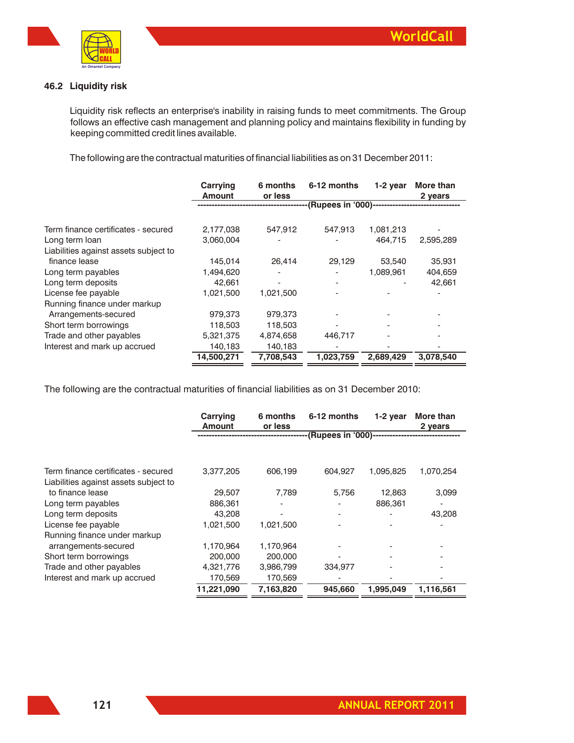

### **46.2 Liquidity risk**

Liquidity risk reflects an enterprise's inability in raising funds to meet commitments. The Group follows an effective cash management and planning policy and maintains flexibility in funding by keeping committed credit lines available.

The following are the contractual maturities of financial liabilities as on 31 December 2011:

|                                       | Carrying<br>Amount | 6 months<br>or less | 6-12 months        | 1-2 year  | More than<br>2 years |
|---------------------------------------|--------------------|---------------------|--------------------|-----------|----------------------|
|                                       |                    |                     | (Rupees in '000)-- |           |                      |
| Term finance certificates - secured   | 2,177,038          | 547,912             | 547,913            | 1,081,213 |                      |
| Long term loan                        | 3,060,004          |                     |                    | 464,715   | 2,595,289            |
| Liabilities against assets subject to |                    |                     |                    |           |                      |
| finance lease                         | 145,014            | 26,414              | 29,129             | 53,540    | 35,931               |
| Long term payables                    | 1,494,620          |                     |                    | 1,089,961 | 404,659              |
| Long term deposits                    | 42,661             |                     |                    |           | 42,661               |
| License fee payable                   | 1,021,500          | 1,021,500           |                    |           |                      |
| Running finance under markup          |                    |                     |                    |           |                      |
| Arrangements-secured                  | 979,373            | 979,373             |                    |           |                      |
| Short term borrowings                 | 118,503            | 118,503             |                    |           |                      |
| Trade and other payables              | 5,321,375          | 4,874,658           | 446,717            |           |                      |
| Interest and mark up accrued          | 140,183            | 140,183             |                    |           |                      |
|                                       | 14,500,271         | 7,708,543           | 1,023,759          | 2,689,429 | 3,078,540            |

The following are the contractual maturities of financial liabilities as on 31 December 2010:

|                                       | Carrying<br>Amount | 6 months<br>or less | 6-12 months         | 1-2 year  | More than<br>2 years |
|---------------------------------------|--------------------|---------------------|---------------------|-----------|----------------------|
|                                       |                    |                     | -(Rupees in '000)-- |           |                      |
| Term finance certificates - secured   | 3,377,205          | 606,199             | 604,927             | 1,095,825 | 1,070,254            |
| Liabilities against assets subject to |                    |                     |                     |           |                      |
| to finance lease                      | 29,507             | 7.789               | 5.756               | 12,863    | 3,099                |
| Long term payables                    | 886,361            |                     |                     | 886.361   |                      |
| Long term deposits                    | 43,208             |                     |                     |           | 43,208               |
| License fee payable                   | 1,021,500          | 1,021,500           |                     |           |                      |
| Running finance under markup          |                    |                     |                     |           |                      |
| arrangements-secured                  | 1,170,964          | 1,170,964           |                     |           |                      |
| Short term borrowings                 | 200,000            | 200,000             |                     |           |                      |
| Trade and other payables              | 4,321,776          | 3,986,799           | 334,977             |           |                      |
| Interest and mark up accrued          | 170,569            | 170,569             |                     |           |                      |
|                                       | 11,221,090         | 7,163,820           | 945,660             | 1,995,049 | 1,116,561            |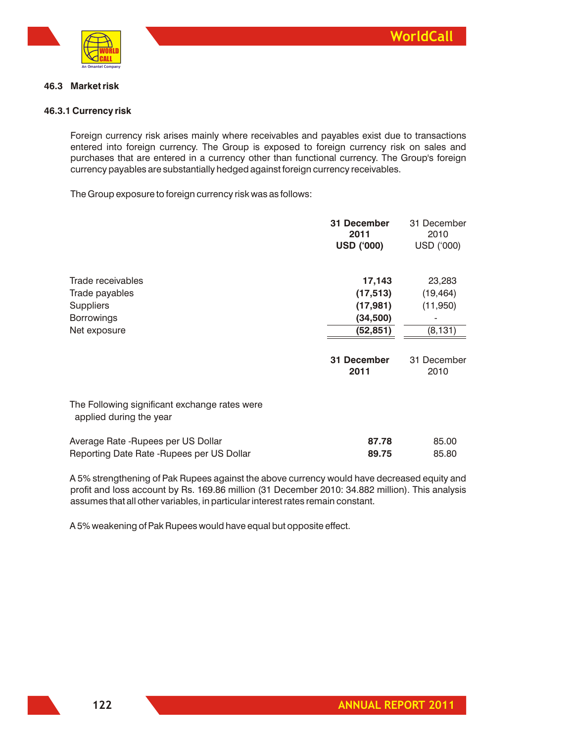

#### **46.3 Market risk**

#### **46.3.1 Currency risk**

Foreign currency risk arises mainly where receivables and payables exist due to transactions entered into foreign currency. The Group is exposed to foreign currency risk on sales and purchases that are entered in a currency other than functional currency. The Group's foreign currency payables are substantially hedged against foreign currency receivables.

The Group exposure to foreign currency risk was as follows:

|                                                                                              | 31 December<br>2011<br><b>USD ('000)</b>                   | 31 December<br>2010<br>USD ('000)           |
|----------------------------------------------------------------------------------------------|------------------------------------------------------------|---------------------------------------------|
| Trade receivables<br>Trade payables<br><b>Suppliers</b><br><b>Borrowings</b><br>Net exposure | 17,143<br>(17, 513)<br>(17, 981)<br>(34, 500)<br>(52, 851) | 23,283<br>(19, 464)<br>(11,950)<br>(8, 131) |
|                                                                                              | 31 December<br>2011                                        | 31 December<br>2010                         |
| The Following significant exchange rates were<br>applied during the year                     |                                                            |                                             |
| Average Rate - Rupees per US Dollar<br>Reporting Date Rate - Rupees per US Dollar            | 87.78<br>89.75                                             | 85.00<br>85.80                              |

A 5% strengthening of Pak Rupees against the above currency would have decreased equity and profit and loss account by Rs. 169.86 million (31 December 2010: 34.882 million). This analysis assumes that all other variables, in particular interest rates remain constant.

A 5% weakening of Pak Rupees would have equal but opposite effect.

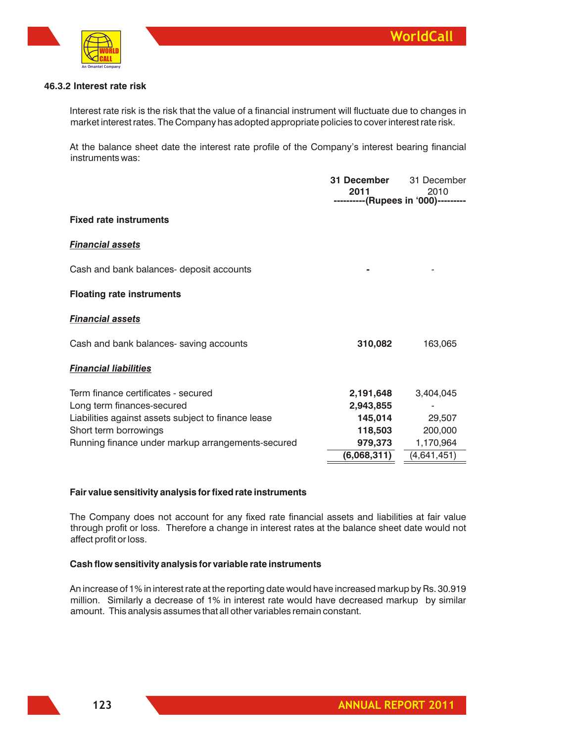

#### **46.3.2 Interest rate risk**

Interest rate risk is the risk that the value of a financial instrument will fluctuate due to changes in market interest rates. The Company has adopted appropriate policies to cover interest rate risk.

At the balance sheet date the interest rate profile of the Company's interest bearing financial instruments was:

|                                                                                   | 31 December<br>2011<br>----------(Rupees in '000)--------- | 31 December<br>2010      |
|-----------------------------------------------------------------------------------|------------------------------------------------------------|--------------------------|
| <b>Fixed rate instruments</b>                                                     |                                                            |                          |
| <b>Financial assets</b>                                                           |                                                            |                          |
| Cash and bank balances- deposit accounts                                          |                                                            |                          |
| <b>Floating rate instruments</b>                                                  |                                                            |                          |
| <b>Financial assets</b>                                                           |                                                            |                          |
| Cash and bank balances- saving accounts                                           | 310,082                                                    | 163,065                  |
| <b>Financial liabilities</b>                                                      |                                                            |                          |
| Term finance certificates - secured                                               | 2,191,648                                                  | 3,404,045                |
| Long term finances-secured<br>Liabilities against assets subject to finance lease | 2,943,855<br>145,014                                       | 29,507                   |
| Short term borrowings                                                             | 118,503                                                    | 200,000                  |
|                                                                                   |                                                            |                          |
|                                                                                   |                                                            |                          |
| Running finance under markup arrangements-secured                                 | 979,373<br>(6,068,311)                                     | 1,170,964<br>(4,641,451) |

#### **Fair value sensitivity analysis for fixed rate instruments**

The Company does not account for any fixed rate financial assets and liabilities at fair value through profit or loss. Therefore a change in interest rates at the balance sheet date would not affect profit or loss.

#### **Cash flow sensitivity analysis for variable rate instruments**

An increase of 1% in interest rate at the reporting date would have increased markup by Rs. 30.919 million. Similarly a decrease of 1% in interest rate would have decreased markup by similar amount. This analysis assumes that all other variables remain constant.

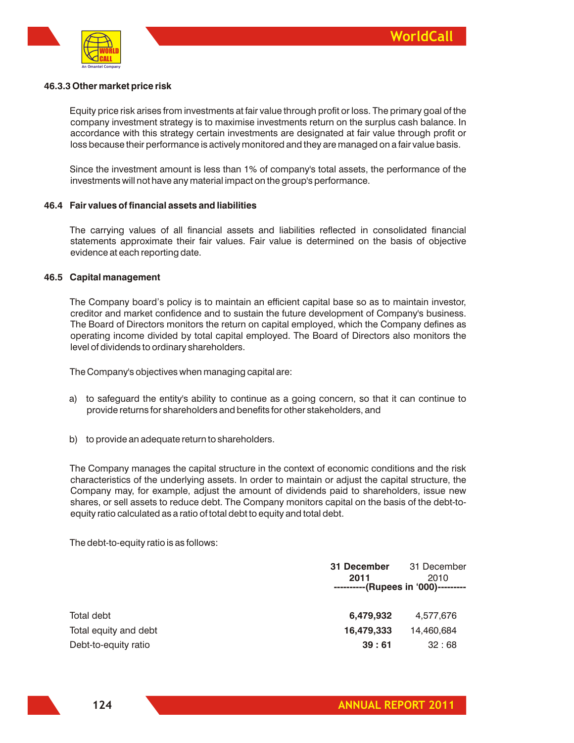

#### **46.3.3 Other market price risk**

Equity price risk arises from investments at fair value through profit or loss. The primary goal of the company investment strategy is to maximise investments return on the surplus cash balance. In accordance with this strategy certain investments are designated at fair value through profit or loss because their performance is actively monitored and they are managed on a fair value basis.

Since the investment amount is less than 1% of company's total assets, the performance of the investments will not have any material impact on the group's performance.

#### **46.4 Fair values of financial assets and liabilities**

The carrying values of all financial assets and liabilities reflected in consolidated financial statements approximate their fair values. Fair value is determined on the basis of objective evidence at each reporting date.

#### **46.5 Capital management**

The Company board's policy is to maintain an efficient capital base so as to maintain investor, creditor and market confidence and to sustain the future development of Company's business. The Board of Directors monitors the return on capital employed, which the Company defines as operating income divided by total capital employed. The Board of Directors also monitors the level of dividends to ordinary shareholders.

The Company's objectives when managing capital are:

- a) to safeguard the entity's ability to continue as a going concern, so that it can continue to provide returns for shareholders and benefits for other stakeholders, and
- b) to provide an adequate return to shareholders.

The Company manages the capital structure in the context of economic conditions and the risk characteristics of the underlying assets. In order to maintain or adjust the capital structure, the Company may, for example, adjust the amount of dividends paid to shareholders, issue new shares, or sell assets to reduce debt. The Company monitors capital on the basis of the debt-toequity ratio calculated as a ratio of total debt to equity and total debt.

The debt-to-equity ratio is as follows:

|                       | 31 December<br>2011<br>----------(Rupees in '000)--------- | 31 December<br>2010 |
|-----------------------|------------------------------------------------------------|---------------------|
| Total debt            | 6,479,932                                                  | 4,577,676           |
| Total equity and debt | 16,479,333                                                 | 14,460,684          |
| Debt-to-equity ratio  | 39:61                                                      | 32:68               |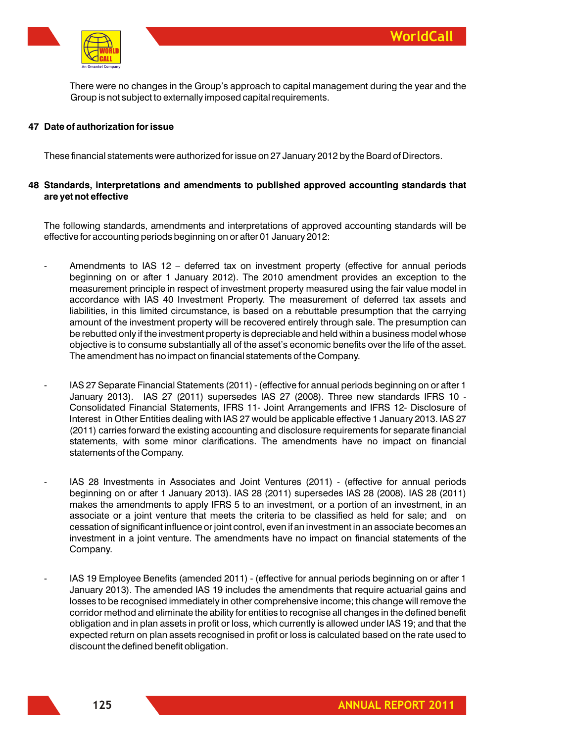

There were no changes in the Group's approach to capital management during the year and the Group is not subject to externally imposed capital requirements.

#### **47 Date of authorization for issue**

These financial statements were authorized for issue on 27 January 2012 by the Board of Directors.

#### **48 Standards, interpretations and amendments to published approved accounting standards that are yet not effective**

The following standards, amendments and interpretations of approved accounting standards will be effective for accounting periods beginning on or after 01 January 2012:

- Amendments to IAS 12 deferred tax on investment property (effective for annual periods beginning on or after 1 January 2012). The 2010 amendment provides an exception to the measurement principle in respect of investment property measured using the fair value model in accordance with IAS 40 Investment Property. The measurement of deferred tax assets and liabilities, in this limited circumstance, is based on a rebuttable presumption that the carrying amount of the investment property will be recovered entirely through sale. The presumption can be rebutted only if the investment property is depreciable and held within a business model whose objective is to consume substantially all of the asset's economic benefits over the life of the asset. The amendment has no impact on financial statements of the Company.
- IAS 27 Separate Financial Statements (2011) (effective for annual periods beginning on or after 1 January 2013). IAS 27 (2011) supersedes IAS 27 (2008). Three new standards IFRS 10 - Consolidated Financial Statements, IFRS 11- Joint Arrangements and IFRS 12- Disclosure of Interest in Other Entities dealing with IAS 27 would be applicable effective 1 January 2013. IAS 27 (2011) carries forward the existing accounting and disclosure requirements for separate financial statements, with some minor clarifications. The amendments have no impact on financial statements of the Company.
- IAS 28 Investments in Associates and Joint Ventures (2011) (effective for annual periods beginning on or after 1 January 2013). IAS 28 (2011) supersedes IAS 28 (2008). IAS 28 (2011) makes the amendments to apply IFRS 5 to an investment, or a portion of an investment, in an associate or a joint venture that meets the criteria to be classified as held for sale; and on cessation of significant influence or joint control, even if an investment in an associate becomes an investment in a joint venture. The amendments have no impact on financial statements of the Company.
- IAS 19 Employee Benefits (amended 2011) (effective for annual periods beginning on or after 1 January 2013). The amended IAS 19 includes the amendments that require actuarial gains and losses to be recognised immediately in other comprehensive income; this change will remove the corridor method and eliminate the ability for entities to recognise all changes in the defined benefit obligation and in plan assets in profit or loss, which currently is allowed under IAS 19; and that the expected return on plan assets recognised in profit or loss is calculated based on the rate used to discount the defined benefit obligation.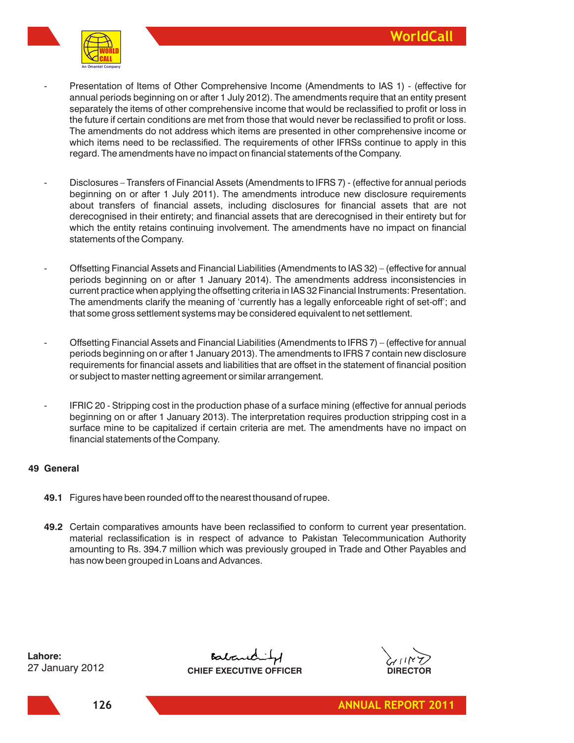

- Presentation of Items of Other Comprehensive Income (Amendments to IAS 1) (effective for annual periods beginning on or after 1 July 2012). The amendments require that an entity present separately the items of other comprehensive income that would be reclassified to profit or loss in the future if certain conditions are met from those that would never be reclassified to profit or loss. The amendments do not address which items are presented in other comprehensive income or which items need to be reclassified. The requirements of other IFRSs continue to apply in this regard. The amendments have no impact on financial statements of the Company.
- Disclosures Transfers of Financial Assets (Amendments to IFRS 7) (effective for annual periods beginning on or after 1 July 2011). The amendments introduce new disclosure requirements about transfers of financial assets, including disclosures for financial assets that are not derecognised in their entirety; and financial assets that are derecognised in their entirety but for which the entity retains continuing involvement. The amendments have no impact on financial statements of the Company.
- Offsetting Financial Assets and Financial Liabilities (Amendments to IAS 32) (effective for annual periods beginning on or after 1 January 2014). The amendments address inconsistencies in current practice when applying the offsetting criteria in IAS 32 Financial Instruments: Presentation. The amendments clarify the meaning of 'currently has a legally enforceable right of set-off'; and that some gross settlement systems may be considered equivalent to net settlement.
- Offsetting Financial Assets and Financial Liabilities (Amendments to IFRS 7) (effective for annual periods beginning on or after 1 January 2013). The amendments to IFRS 7 contain new disclosure requirements for financial assets and liabilities that are offset in the statement of financial position or subject to master netting agreement or similar arrangement.
- IFRIC 20 Stripping cost in the production phase of a surface mining (effective for annual periods beginning on or after 1 January 2013). The interpretation requires production stripping cost in a surface mine to be capitalized if certain criteria are met. The amendments have no impact on financial statements of the Company.

#### **49 General**

- **49.1** Figures have been rounded off to the nearest thousand of rupee.
- **49.2** Certain comparatives amounts have been reclassified to conform to current year presentation. material reclassification is in respect of advance to Pakistan Telecommunication Authority amounting to Rs. 394.7 million which was previously grouped in Trade and Other Payables and has now been grouped in Loans and Advances.

**Lahore:** 27 January 2012

Babanail **CHIEF EXECUTIVE OFFICER** 



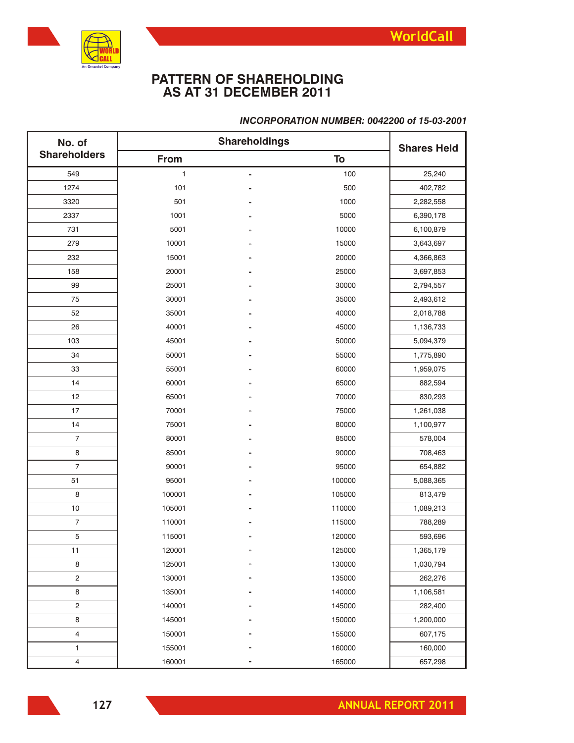

# **PATTERN OF SHAREHOLDING AS AT 31 DECEMBER 2011**

#### 100 500 1000 5000 10000 15000 20000 25000 30000 35000 40000 45000 50000 55000 60000 65000 70000 75000 80000 85000 90000 95000 100000 105000 110000 115000 120000 125000 130000 135000 140000 145000 150000 155000 160000 165000 1 101 501 1001 5001 10001 15001 20001 25001 30001 35001 40001 45001 50001 55001 60001 65001 70001 75001 80001 85001 90001 95001 100001 105001 110001 115001 120001 125001 130001 135001 140001 145001 150001 155001 160001 549 1274 3320 2337 731 279 232 158 99 75 52 26 103 34 33 14 12 17 14 7 8 7 51 8 10 7 5 11 8 2 8 2 8 4 1 4 **No. of Shareholders Shareholdings From To Shares Held - - - - - - - - - - - - - - - - - - - - - - - - - - - - - - - - - - - -** 25,240 402,782 2,282,558 6,390,178 6,100,879 3,643,697 4,366,863 3,697,853 2,794,557 2,493,612 2,018,788 1,136,733 5,094,379 1,775,890 1,959,075 882,594 830,293 1,261,038 1,100,977 578,004 708,463 654,882 5,088,365 813,479 1,089,213 788,289 593,696 1,365,179 1,030,794 262,276 1,106,581 282,400 1,200,000 607,175 160,000 657,298

#### *INCORPORATION NUMBER: 0042200 of 15-03-2001*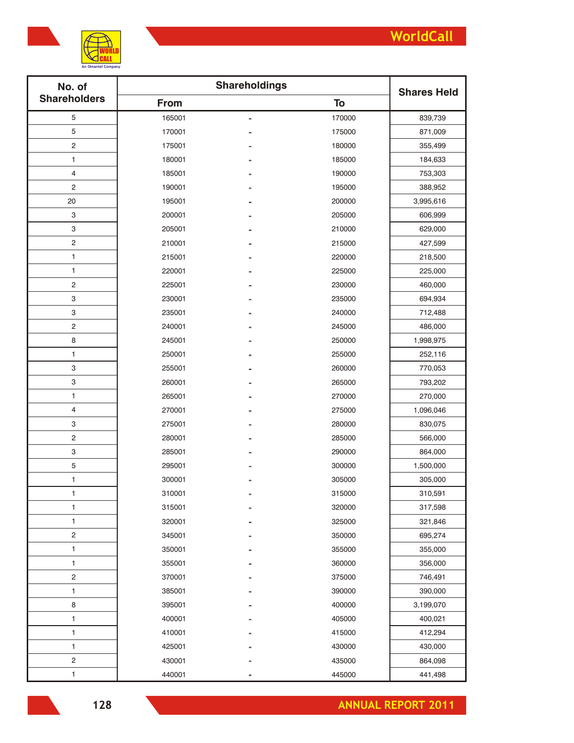

| No. of                  | <b>Shareholdings</b> |  |        | <b>Shares Held</b> |
|-------------------------|----------------------|--|--------|--------------------|
| <b>Shareholders</b>     | <b>From</b>          |  | To     |                    |
| 5                       | 165001               |  | 170000 | 839,739            |
| 5                       | 170001               |  | 175000 | 871,009            |
| 2                       | 175001               |  | 180000 | 355,499            |
| 1                       | 180001               |  | 185000 | 184,633            |
| 4                       | 185001               |  | 190000 | 753,303            |
| $\overline{c}$          | 190001               |  | 195000 | 388,952            |
| 20                      | 195001               |  | 200000 | 3,995,616          |
| 3                       | 200001               |  | 205000 | 606,999            |
| 3                       | 205001               |  | 210000 | 629,000            |
| $\mathbf 2$             | 210001               |  | 215000 | 427,599            |
| 1                       | 215001               |  | 220000 | 218,500            |
| 1                       | 220001               |  | 225000 | 225,000            |
| 2                       | 225001               |  | 230000 | 460,000            |
| 3                       | 230001               |  | 235000 | 694,934            |
| 3                       | 235001               |  | 240000 | 712,488            |
| $\mathbf 2$             | 240001               |  | 245000 | 486,000            |
| 8                       | 245001               |  | 250000 | 1,998,975          |
| 1                       | 250001               |  | 255000 | 252,116            |
| 3                       | 255001               |  | 260000 | 770,053            |
| 3                       | 260001               |  | 265000 | 793,202            |
| 1                       | 265001               |  | 270000 | 270,000            |
| 4                       | 270001               |  | 275000 | 1,096,046          |
| 3                       | 275001               |  | 280000 | 830,075            |
| $\overline{c}$          | 280001               |  | 285000 | 566,000            |
| 3                       | 285001               |  | 290000 | 864,000            |
| 5                       | 295001               |  | 300000 | 1,500,000          |
| $\mathbf{1}$            | 300001               |  | 305000 | 305,000            |
| 1                       | 310001               |  | 315000 | 310,591            |
| 1                       | 315001               |  | 320000 | 317,598            |
| 1                       | 320001               |  | 325000 | 321,846            |
| $\mathbf 2$             | 345001               |  | 350000 | 695,274            |
| 1                       | 350001               |  | 355000 | 355,000            |
| 1                       | 355001               |  | 360000 | 356,000            |
| $\mathbf 2$             | 370001               |  | 375000 | 746,491            |
| 1                       | 385001               |  | 390000 | 390,000            |
| 8                       | 395001               |  | 400000 | 3,199,070          |
| 1                       | 400001               |  | 405000 | 400,021            |
| 1                       | 410001               |  | 415000 | 412,294            |
| 1                       | 425001               |  | 430000 | 430,000            |
| $\overline{\mathbf{c}}$ | 430001               |  | 435000 | 864,098            |
| 1                       | 440001               |  | 445000 | 441,498            |

# **128 ANNUAL REPORT 2011**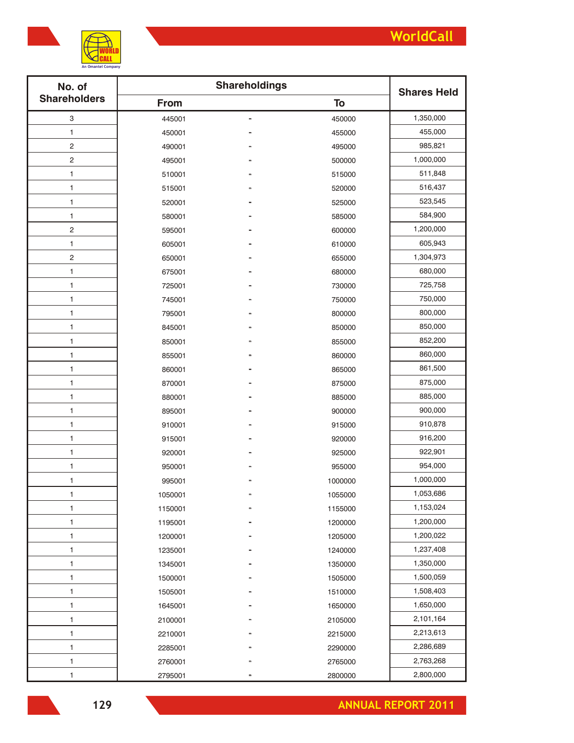

| No. of              | <b>Shareholdings</b> |  |         | <b>Shares Held</b> |
|---------------------|----------------------|--|---------|--------------------|
| <b>Shareholders</b> | <b>From</b>          |  | To      |                    |
| 3                   | 445001               |  | 450000  | 1,350,000          |
| 1                   | 450001               |  | 455000  | 455,000            |
| 2                   | 490001               |  | 495000  | 985,821            |
| 2                   | 495001               |  | 500000  | 1,000,000          |
| 1                   | 510001               |  | 515000  | 511,848            |
| 1                   | 515001               |  | 520000  | 516,437            |
| 1                   | 520001               |  | 525000  | 523,545            |
| 1                   | 580001               |  | 585000  | 584,900            |
| 2                   | 595001               |  | 600000  | 1,200,000          |
| 1                   | 605001               |  | 610000  | 605,943            |
| 2                   | 650001               |  | 655000  | 1,304,973          |
| 1                   | 675001               |  | 680000  | 680,000            |
| 1                   | 725001               |  | 730000  | 725,758            |
| 1                   | 745001               |  | 750000  | 750,000            |
| 1                   | 795001               |  | 800000  | 800,000            |
| 1                   | 845001               |  | 850000  | 850,000            |
| 1                   | 850001               |  | 855000  | 852,200            |
| 1                   | 855001               |  | 860000  | 860,000            |
| 1                   | 860001               |  | 865000  | 861,500            |
| 1                   | 870001               |  | 875000  | 875,000            |
| 1                   | 880001               |  | 885000  | 885,000            |
| 1                   | 895001               |  | 900000  | 900,000            |
| 1                   | 910001               |  | 915000  | 910,878            |
| 1                   | 915001               |  | 920000  | 916,200            |
| 1                   | 920001               |  | 925000  | 922,901            |
| 1                   | 950001               |  | 955000  | 954,000            |
| 1                   | 995001               |  | 1000000 | 1,000,000          |
| 1                   | 1050001              |  | 1055000 | 1,053,686          |
| 1                   | 1150001              |  | 1155000 | 1,153,024          |
| 1                   | 1195001              |  | 1200000 | 1,200,000          |
| 1                   | 1200001              |  | 1205000 | 1,200,022          |
| 1                   | 1235001              |  | 1240000 | 1,237,408          |
| 1                   | 1345001              |  | 1350000 | 1,350,000          |
| 1                   | 1500001              |  | 1505000 | 1,500,059          |
| $\mathbf{1}$        | 1505001              |  | 1510000 | 1,508,403          |
| 1                   | 1645001              |  | 1650000 | 1,650,000          |
| $\mathbf{1}$        | 2100001              |  | 2105000 | 2,101,164          |
| 1                   | 2210001              |  | 2215000 | 2,213,613          |
| $\mathbf{1}$        | 2285001              |  | 2290000 | 2,286,689          |
| 1                   | 2760001              |  | 2765000 | 2,763,268          |
| $\mathbf{1}$        | 2795001              |  | 2800000 | 2,800,000          |

# **129 ANNUAL REPORT 2011**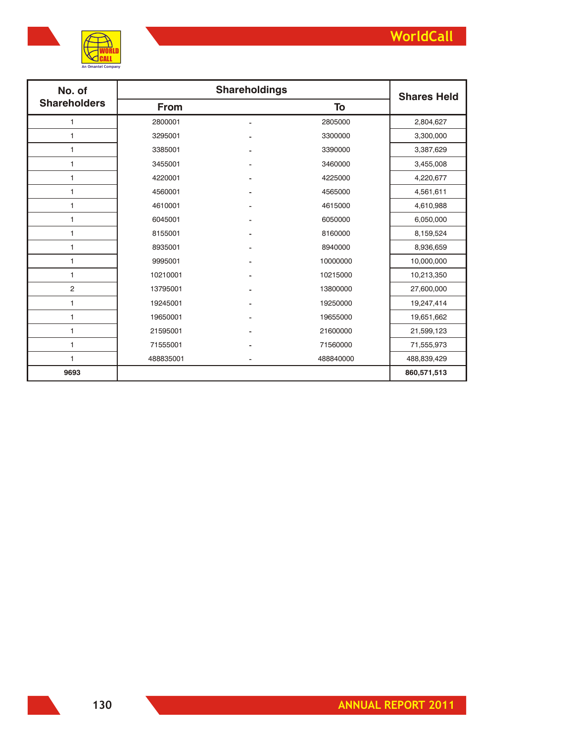

| No. of              | <b>Shareholdings</b> |  |           | <b>Shares Held</b> |
|---------------------|----------------------|--|-----------|--------------------|
| <b>Shareholders</b> | <b>From</b>          |  | To        |                    |
| 1                   | 2800001              |  | 2805000   | 2,804,627          |
| 1                   | 3295001              |  | 3300000   | 3,300,000          |
| 1                   | 3385001              |  | 3390000   | 3,387,629          |
| 1                   | 3455001              |  | 3460000   | 3,455,008          |
| $\mathbf{1}$        | 4220001              |  | 4225000   | 4,220,677          |
| 1                   | 4560001              |  | 4565000   | 4,561,611          |
| 1                   | 4610001              |  | 4615000   | 4,610,988          |
| 1                   | 6045001              |  | 6050000   | 6,050,000          |
| 1                   | 8155001              |  | 8160000   | 8,159,524          |
| 1                   | 8935001              |  | 8940000   | 8,936,659          |
| 1                   | 9995001              |  | 10000000  | 10,000,000         |
| 1                   | 10210001             |  | 10215000  | 10,213,350         |
| $\overline{c}$      | 13795001             |  | 13800000  | 27,600,000         |
| 1                   | 19245001             |  | 19250000  | 19,247,414         |
| 1                   | 19650001             |  | 19655000  | 19,651,662         |
| $\mathbf{1}$        | 21595001             |  | 21600000  | 21,599,123         |
| 1                   | 71555001             |  | 71560000  | 71,555,973         |
| 1                   | 488835001            |  | 488840000 | 488,839,429        |
| 9693                |                      |  |           | 860,571,513        |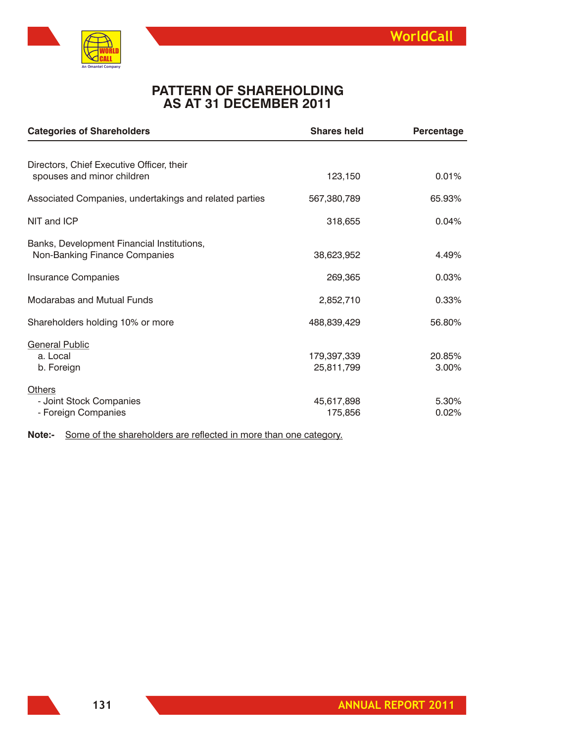

# **PATTERN OF SHAREHOLDING AS AT 31 DECEMBER 2011**

| <b>Categories of Shareholders</b>                                           | <b>Shares held</b>        | Percentage      |  |
|-----------------------------------------------------------------------------|---------------------------|-----------------|--|
| Directors, Chief Executive Officer, their                                   |                           |                 |  |
| spouses and minor children                                                  | 123,150                   | 0.01%           |  |
| Associated Companies, undertakings and related parties                      | 567,380,789               | 65.93%          |  |
| NIT and ICP                                                                 | 318,655                   | 0.04%           |  |
| Banks, Development Financial Institutions,<br>Non-Banking Finance Companies | 38,623,952                | 4.49%           |  |
| <b>Insurance Companies</b>                                                  | 269,365                   | 0.03%           |  |
| Modarabas and Mutual Funds                                                  | 2,852,710                 | 0.33%           |  |
| Shareholders holding 10% or more                                            | 488,839,429               | 56.80%          |  |
| <b>General Public</b><br>a. Local<br>b. Foreign                             | 179,397,339<br>25,811,799 | 20.85%<br>3.00% |  |
| Others<br>- Joint Stock Companies<br>- Foreign Companies                    | 45,617,898<br>175,856     | 5.30%<br>0.02%  |  |

**Note:-** Some of the shareholders are reflected in more than one category.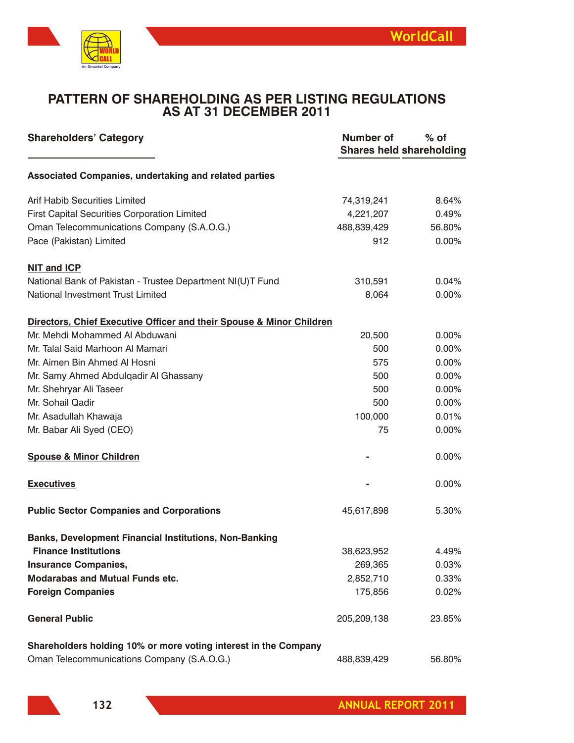

# **PATTERN OF SHAREHOLDING AS PER LISTING REGULATIONS AS AT 31 DECEMBER 2011**

| <b>Shareholders' Category</b>                                        | <b>Number of</b> | $%$ of<br><b>Shares held shareholding</b> |  |  |
|----------------------------------------------------------------------|------------------|-------------------------------------------|--|--|
| Associated Companies, undertaking and related parties                |                  |                                           |  |  |
| <b>Arif Habib Securities Limited</b>                                 | 74,319,241       | 8.64%                                     |  |  |
| <b>First Capital Securities Corporation Limited</b>                  | 4,221,207        | 0.49%                                     |  |  |
| Oman Telecommunications Company (S.A.O.G.)                           | 488,839,429      | 56.80%                                    |  |  |
| Pace (Pakistan) Limited                                              | 912              | 0.00%                                     |  |  |
| <b>NIT and ICP</b>                                                   |                  |                                           |  |  |
| National Bank of Pakistan - Trustee Department NI(U)T Fund           | 310,591          | 0.04%                                     |  |  |
| National Investment Trust Limited                                    | 8,064            | 0.00%                                     |  |  |
| Directors, Chief Executive Officer and their Spouse & Minor Children |                  |                                           |  |  |
| Mr. Mehdi Mohammed Al Abduwani                                       | 20,500           | 0.00%                                     |  |  |
| Mr. Talal Said Marhoon Al Mamari                                     | 500              | 0.00%                                     |  |  |
| Mr. Aimen Bin Ahmed Al Hosni                                         | 575              | 0.00%                                     |  |  |
| Mr. Samy Ahmed Abdulqadir Al Ghassany                                | 500              | 0.00%                                     |  |  |
| Mr. Shehryar Ali Taseer                                              | 500              | 0.00%                                     |  |  |
| Mr. Sohail Qadir                                                     | 500              | 0.00%                                     |  |  |
| Mr. Asadullah Khawaja                                                | 100,000          | 0.01%                                     |  |  |
| Mr. Babar Ali Syed (CEO)                                             | 75               | 0.00%                                     |  |  |
| <b>Spouse &amp; Minor Children</b>                                   |                  | 0.00%                                     |  |  |
| <b>Executives</b>                                                    |                  | 0.00%                                     |  |  |
| <b>Public Sector Companies and Corporations</b>                      | 45,617,898       | 5.30%                                     |  |  |
| <b>Banks, Development Financial Institutions, Non-Banking</b>        |                  |                                           |  |  |
| <b>Finance Institutions</b>                                          | 38,623,952       | 4.49%                                     |  |  |
| <b>Insurance Companies,</b>                                          | 269,365          | 0.03%                                     |  |  |
| <b>Modarabas and Mutual Funds etc.</b>                               | 2,852,710        | 0.33%                                     |  |  |
| <b>Foreign Companies</b>                                             | 175,856          | 0.02%                                     |  |  |
| <b>General Public</b>                                                | 205,209,138      | 23.85%                                    |  |  |
| Shareholders holding 10% or more voting interest in the Company      |                  |                                           |  |  |
| Oman Telecommunications Company (S.A.O.G.)                           | 488,839,429      | 56.80%                                    |  |  |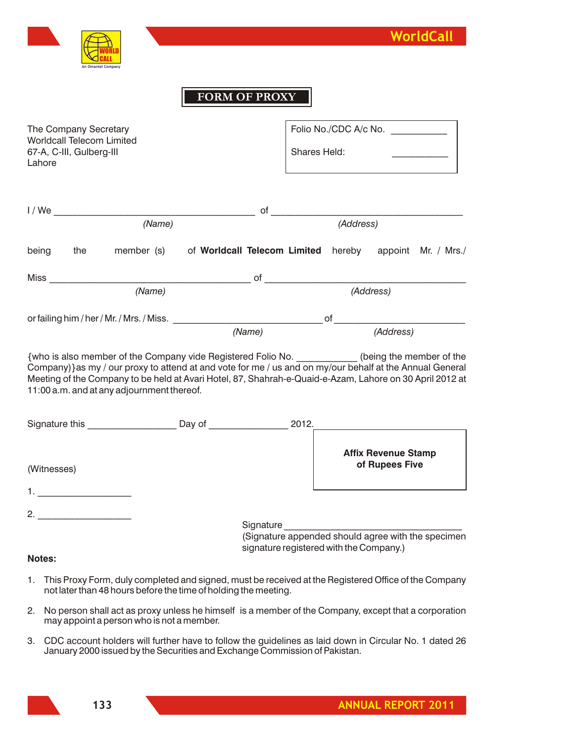

## **FORM OF PROXY**

| The Company Secretary<br>Worldcall Telecom Limited<br>67-A, C-III, Gulberg-III<br>Lahore                                                                                                                                                                                                                                                                                |                                                                    | Folio No./CDC A/c No.<br>Shares Held: |                                              |  |  |
|-------------------------------------------------------------------------------------------------------------------------------------------------------------------------------------------------------------------------------------------------------------------------------------------------------------------------------------------------------------------------|--------------------------------------------------------------------|---------------------------------------|----------------------------------------------|--|--|
| (Name)                                                                                                                                                                                                                                                                                                                                                                  |                                                                    | (Address)                             |                                              |  |  |
| the<br>being                                                                                                                                                                                                                                                                                                                                                            | member (s) of Worldcall Telecom Limited hereby appoint Mr. / Mrs./ |                                       |                                              |  |  |
|                                                                                                                                                                                                                                                                                                                                                                         |                                                                    |                                       |                                              |  |  |
| (Name)                                                                                                                                                                                                                                                                                                                                                                  |                                                                    | (Address)                             |                                              |  |  |
|                                                                                                                                                                                                                                                                                                                                                                         |                                                                    |                                       |                                              |  |  |
|                                                                                                                                                                                                                                                                                                                                                                         |                                                                    |                                       |                                              |  |  |
| {who is also member of the Company vide Registered Folio No. ____________ (being the member of the<br>Company) as my / our proxy to attend at and vote for me / us and on my/our behalf at the Annual General<br>Meeting of the Company to be held at Avari Hotel, 87, Shahrah-e-Quaid-e-Azam, Lahore on 30 April 2012 at<br>11:00 a.m. and at any adjournment thereof. |                                                                    |                                       |                                              |  |  |
|                                                                                                                                                                                                                                                                                                                                                                         |                                                                    |                                       |                                              |  |  |
| (Witnesses)                                                                                                                                                                                                                                                                                                                                                             |                                                                    |                                       | <b>Affix Revenue Stamp</b><br>of Rupees Five |  |  |
| $1.$ The state of $\sim$ 100 $\mu$ m $\sim$ 100 $\mu$                                                                                                                                                                                                                                                                                                                   |                                                                    |                                       |                                              |  |  |
| 2.                                                                                                                                                                                                                                                                                                                                                                      |                                                                    |                                       |                                              |  |  |

(Signature appended should agree with the specimen signature registered with the Company.)

### **Notes:**

- 1. This Proxy Form, duly completed and signed, must be received at the Registered Office of the Company not later than 48 hours before the time of holding the meeting.
- 2. No person shall act as proxy unless he himself is a member of the Company, except that a corporation may appoint a person who is not a member.
- 3. CDC account holders will further have to follow the guidelines as laid down in Circular No. 1 dated 26 January 2000 issued by the Securities and Exchange Commission of Pakistan.